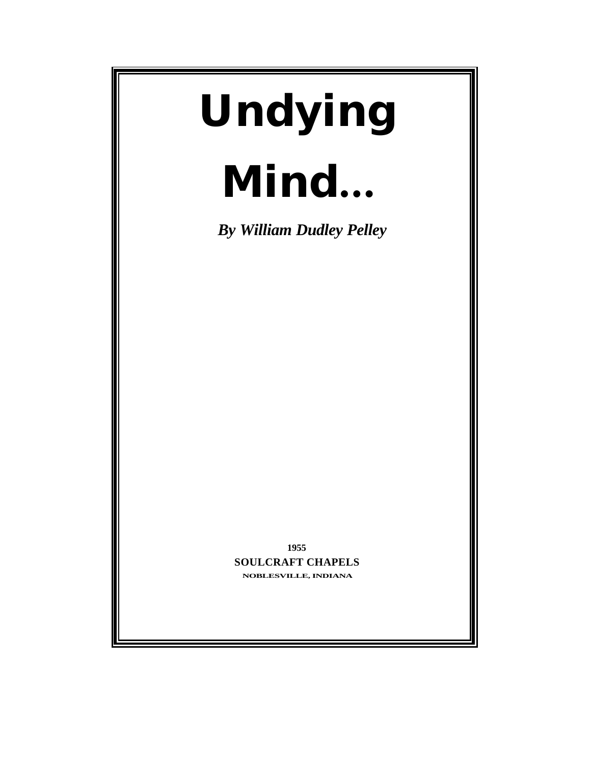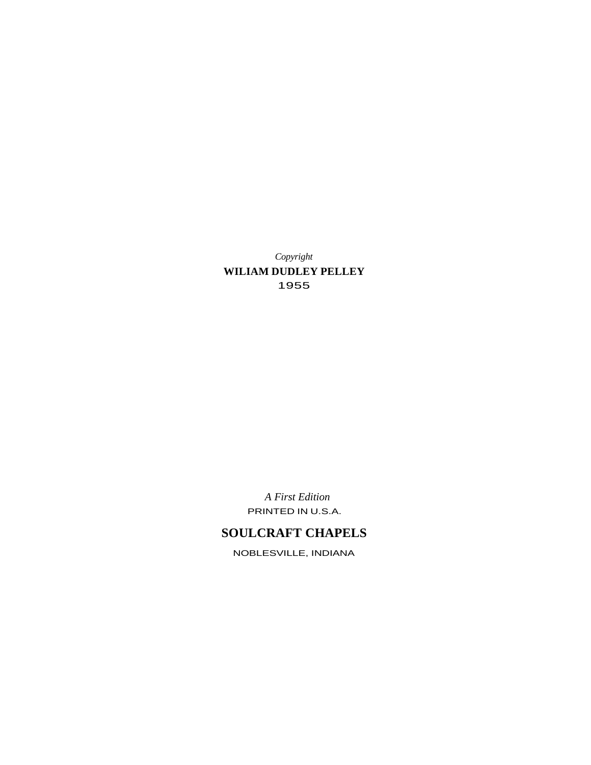*Copyright* **WILIAM DUDLEY PELLEY** 1955

> *A First Edition* PRINTED IN U.S.A.

# **SOULCRAFT CHAPELS**

NOBLESVILLE, INDIANA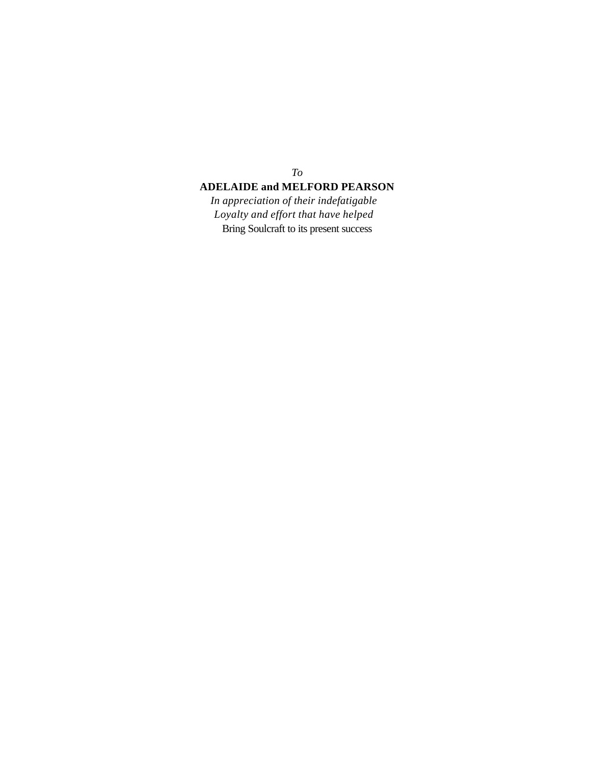### *To*

## **ADELAIDE and MELFORD PEARSON**

*In appreciation of their indefatigable Loyalty and effort that have helped* Bring Soulcraft to its present success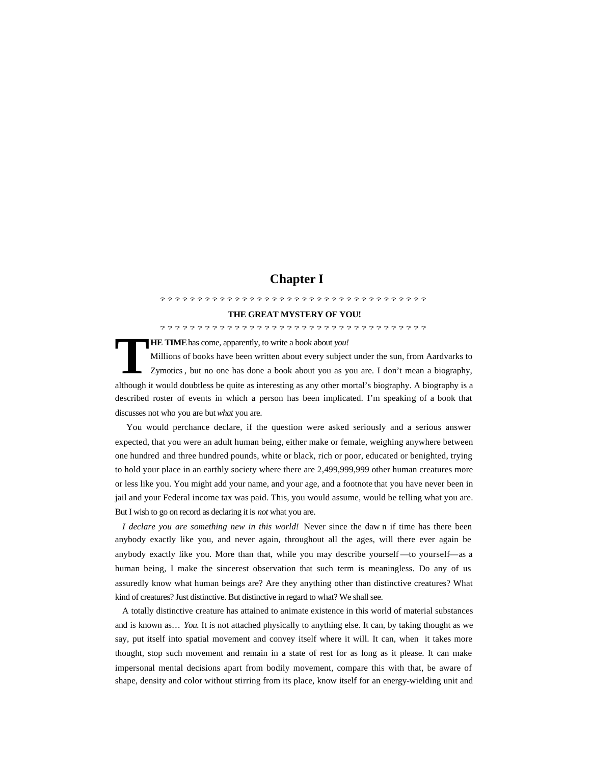## **Chapter I**

#### ????????????????????????????????????

#### **THE GREAT MYSTERY OF YOU!**

????????????????????????????????????

**HE TIME** has come, apparently, to write a book about *you!*

Millions of books have been written about every subject under the sun, from Aardvarks to Zymotics , but no one has done a book about you as you are. I don't mean a biography, although it would doubtless be quite as interesting as any other mortal's biography. A biography is a described roster of events in which a person has been implicated. I'm speaking of a book that discusses not who you are but *what* you are. **T**

 You would perchance declare, if the question were asked seriously and a serious answer expected, that you were an adult human being, either make or female, weighing anywhere between one hundred and three hundred pounds, white or black, rich or poor, educated or benighted, trying to hold your place in an earthly society where there are 2,499,999,999 other human creatures more or less like you. You might add your name, and your age, and a footnote that you have never been in jail and your Federal income tax was paid. This, you would assume, would be telling what you are. But I wish to go on record as declaring it is *not* what you are.

*I declare you are something new in this world!* Never since the daw n if time has there been anybody exactly like you, and never again, throughout all the ages, will there ever again be anybody exactly like you. More than that, while you may describe yourself —to yourself—as a human being, I make the sincerest observation that such term is meaningless. Do any of us assuredly know what human beings are? Are they anything other than distinctive creatures? What kind of creatures? Just distinctive. But distinctive in regard to what? We shall see.

A totally distinctive creature has attained to animate existence in this world of material substances and is known as… *You.* It is not attached physically to anything else. It can, by taking thought as we say, put itself into spatial movement and convey itself where it will. It can, when it takes more thought, stop such movement and remain in a state of rest for as long as it please. It can make impersonal mental decisions apart from bodily movement, compare this with that, be aware of shape, density and color without stirring from its place, know itself for an energy-wielding unit and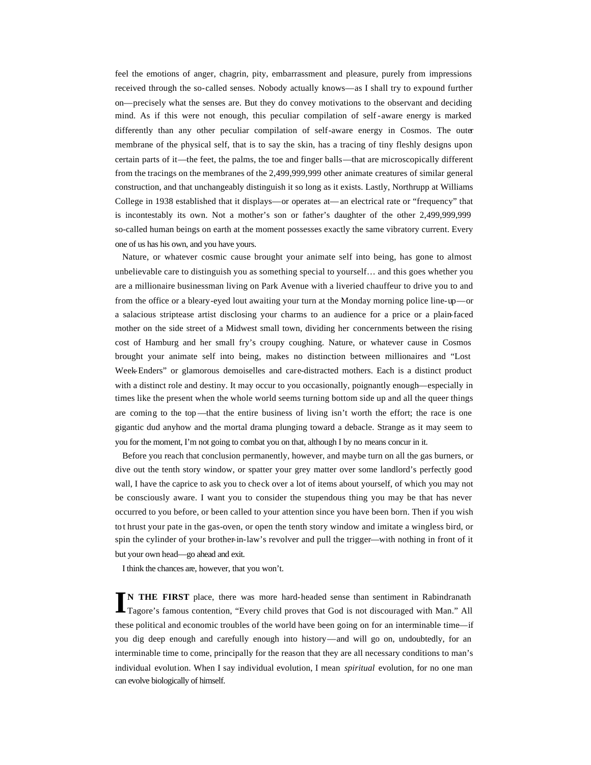feel the emotions of anger, chagrin, pity, embarrassment and pleasure, purely from impressions received through the so-called senses. Nobody actually knows—as I shall try to expound further on—precisely what the senses are. But they do convey motivations to the observant and deciding mind. As if this were not enough, this peculiar compilation of self -aware energy is marked differently than any other peculiar compilation of self-aware energy in Cosmos. The outer membrane of the physical self, that is to say the skin, has a tracing of tiny fleshly designs upon certain parts of it—the feet, the palms, the toe and finger balls—that are microscopically different from the tracings on the membranes of the 2,499,999,999 other animate creatures of similar general construction, and that unchangeably distinguish it so long as it exists. Lastly, Northrupp at Williams College in 1938 established that it displays—or operates at—an electrical rate or "frequency" that is incontestably its own. Not a mother's son or father's daughter of the other 2,499,999,999 so-called human beings on earth at the moment possesses exactly the same vibratory current. Every one of us has his own, and you have yours.

Nature, or whatever cosmic cause brought your animate self into being, has gone to almost unbelievable care to distinguish you as something special to yourself… and this goes whether you are a millionaire businessman living on Park Avenue with a liveried chauffeur to drive you to and from the office or a bleary-eyed lout awaiting your turn at the Monday morning police line-up—or a salacious striptease artist disclosing your charms to an audience for a price or a plain-faced mother on the side street of a Midwest small town, dividing her concernments between the rising cost of Hamburg and her small fry's croupy coughing. Nature, or whatever cause in Cosmos brought your animate self into being, makes no distinction between millionaires and "Lost Week-Enders" or glamorous demoiselles and care-distracted mothers. Each is a distinct product with a distinct role and destiny. It may occur to you occasionally, poignantly enough—especially in times like the present when the whole world seems turning bottom side up and all the queer things are coming to the top—that the entire business of living isn't worth the effort; the race is one gigantic dud anyhow and the mortal drama plunging toward a debacle. Strange as it may seem to you for the moment, I'm not going to combat you on that, although I by no means concur in it.

Before you reach that conclusion permanently, however, and maybe turn on all the gas burners, or dive out the tenth story window, or spatter your grey matter over some landlord's perfectly good wall, I have the caprice to ask you to check over a lot of items about yourself, of which you may not be consciously aware. I want you to consider the stupendous thing you may be that has never occurred to you before, or been called to your attention since you have been born. Then if you wish to t hrust your pate in the gas-oven, or open the tenth story window and imitate a wingless bird, or spin the cylinder of your brother-in-law's revolver and pull the trigger—with nothing in front of it but your own head—go ahead and exit.

I think the chances are, however, that you won't.

**N THE FIRST** place, there was more hard-headed sense than sentiment in Rabindranath IN THE FIRST place, there was more hard-headed sense than sentiment in Rabindranath Tagore's famous contention, "Every child proves that God is not discouraged with Man." All these political and economic troubles of the world have been going on for an interminable time—if you dig deep enough and carefully enough into history—and will go on, undoubtedly, for an interminable time to come, principally for the reason that they are all necessary conditions to man's individual evolution. When I say individual evolution, I mean *spiritual* evolution, for no one man can evolve biologically of himself.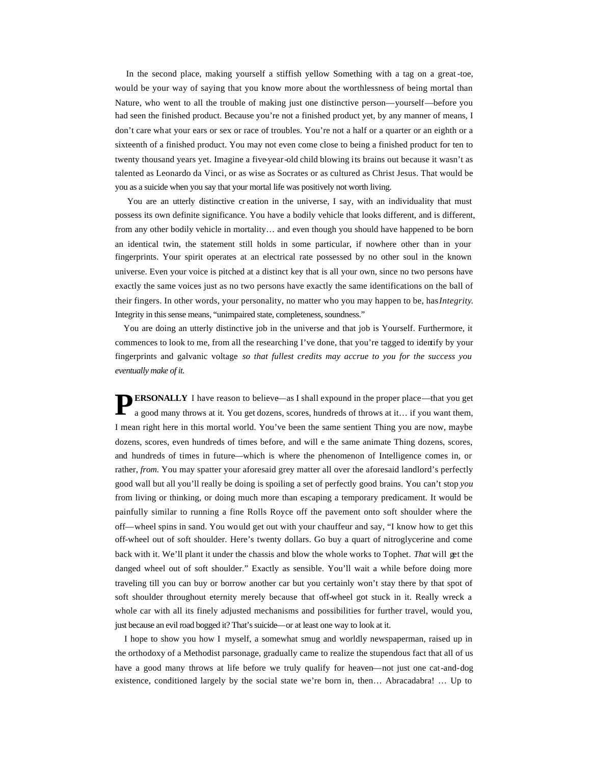In the second place, making yourself a stiffish yellow Something with a tag on a great -toe, would be your way of saying that you know more about the worthlessness of being mortal than Nature, who went to all the trouble of making just one distinctive person—yourself—before you had seen the finished product. Because you're not a finished product yet, by any manner of means, I don't care what your ears or sex or race of troubles. You're not a half or a quarter or an eighth or a sixteenth of a finished product. You may not even come close to being a finished product for ten to twenty thousand years yet. Imagine a five-year-old child blowing its brains out because it wasn't as talented as Leonardo da Vinci, or as wise as Socrates or as cultured as Christ Jesus. That would be you as a suicide when you say that your mortal life was positively not worth living.

You are an utterly distinctive creation in the universe, I say, with an individuality that must possess its own definite significance. You have a bodily vehicle that looks different, and is different, from any other bodily vehicle in mortality… and even though you should have happened to be born an identical twin, the statement still holds in some particular, if nowhere other than in your fingerprints. Your spirit operates at an electrical rate possessed by no other soul in the known universe. Even your voice is pitched at a distinct key that is all your own, since no two persons have exactly the same voices just as no two persons have exactly the same identifications on the ball of their fingers. In other words, your personality, no matter who you may happen to be, has *Integrity*. Integrity in this sense means, "unimpaired state, completeness, soundness."

 You are doing an utterly distinctive job in the universe and that job is Yourself. Furthermore, it commences to look to me, from all the researching I've done, that you're tagged to identify by your fingerprints and galvanic voltage *so that fullest credits may accrue to you for the success you eventually make of it.*

**ERSONALLY** I have reason to believe—as I shall expound in the proper place—that you get a good many throws at it. You get dozens, scores, hundreds of throws at it... if you want them, a good many throws at it. You get dozens, scores, hundreds of throws at it… if you want them, I mean right here in this mortal world. You've been the same sentient Thing you are now, maybe dozens, scores, even hundreds of times before, and will e the same animate Thing dozens, scores, and hundreds of times in future—which is where the phenomenon of Intelligence comes in, or rather, *from.* You may spatter your aforesaid grey matter all over the aforesaid landlord's perfectly good wall but all you'll really be doing is spoiling a set of perfectly good brains. You can't stop *you*  from living or thinking, or doing much more than escaping a temporary predicament. It would be painfully similar to running a fine Rolls Royce off the pavement onto soft shoulder where the off—wheel spins in sand. You would get out with your chauffeur and say, "I know how to get this off-wheel out of soft shoulder. Here's twenty dollars. Go buy a quart of nitroglycerine and come back with it. We'll plant it under the chassis and blow the whole works to Tophet. *That* will get the danged wheel out of soft shoulder." Exactly as sensible. You'll wait a while before doing more traveling till you can buy or borrow another car but you certainly won't stay there by that spot of soft shoulder throughout eternity merely because that off-wheel got stuck in it. Really wreck a whole car with all its finely adjusted mechanisms and possibilities for further travel, would you, just because an evil road bogged it? That's suicide—or at least one way to look at it.

 I hope to show you how I myself, a somewhat smug and worldly newspaperman, raised up in the orthodoxy of a Methodist parsonage, gradually came to realize the stupendous fact that all of us have a good many throws at life before we truly qualify for heaven—not just one cat-and-dog existence, conditioned largely by the social state we're born in, then… Abracadabra! … Up to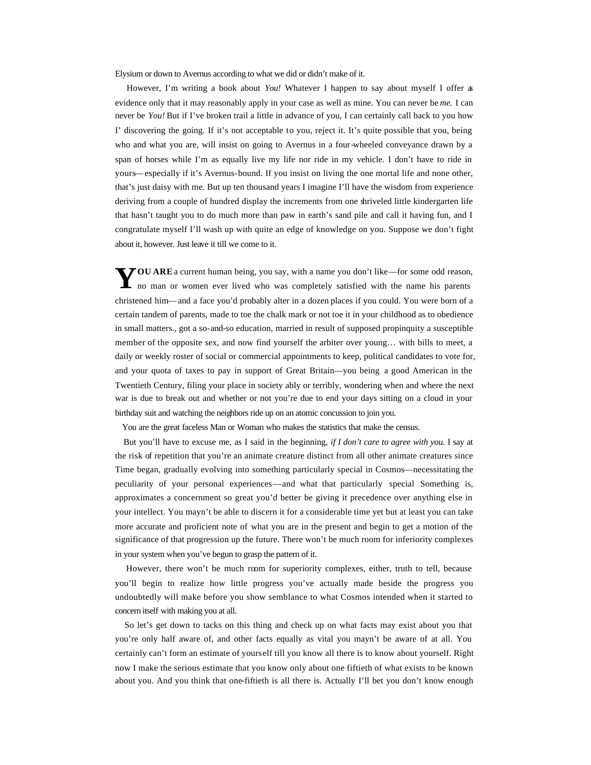Elysium or down to Avernus according to what we did or didn't make of it.

 However, I'm writing a book about *You!* Whatever I happen to say about myself I offer as evidence only that it may reasonably apply in your case as well as mine. You can never be *me.* I can never be *You!* But if I've broken trail a little in advance of you, I can certainly call back to you how I' discovering the going. If it's not acceptable to you, reject it. It's quite possible that you, being who and what you are, will insist on going to Avernus in a four-wheeled conveyance drawn by a span of horses while I'm as equally live my life nor ride in my vehicle. I don't have to ride in yours—especially if it's Avernus-bound. If you insist on living the one mortal life and none other, that's just daisy with me. But up ten thousand years I imagine I'll have the wisdom from experience deriving from a couple of hundred display the increments from one shriveled little kindergarten life that hasn't taught you to do much more than paw in earth's sand pile and call it having fun, and I congratulate myself I'll wash up with quite an edge of knowledge on you. Suppose we don't fight about it, however. Just leave it till we come to it.

YOU ARE a current human being, you say, with a name you don't like—for some odd reason, no man or women ever lived who was completely satisfied with the name his parents no man or women ever lived who was completely satisfied with the name his parents christened him—and a face you'd probably alter in a dozen places if you could. You were born of a certain tandem of parents, made to toe the chalk mark or not toe it in your childhood as to obedience in small matters., got a so-and-so education, married in result of supposed propinquity a susceptible member of the opposite sex, and now find yourself the arbiter over young… with bills to meet, a daily or weekly roster of social or commercial appointments to keep, political candidates to vote for, and your quota of taxes to pay in support of Great Britain—you being a good American in the Twentieth Century, filing your place in society ably or terribly, wondering when and where the next war is due to break out and whether or not you're due to end your days sitting on a cloud in your birthday suit and watching the neighbors ride up on an atomic concussion to join you.

You are the great faceless Man or Woman who makes the statistics that make the census.

 But you'll have to excuse me, as I said in the beginning, *if I don't care to agree with you.* I say at the risk of repetition that you're an animate creature distinct from all other animate creatures since Time began, gradually evolving into something particularly special in Cosmos—necessitating the peculiarity of your personal experiences—and what that particularly special Something is, approximates a concernment so great you'd better be giving it precedence over anything else in your intellect. You mayn't be able to discern it for a considerable time yet but at least you can take more accurate and proficient note of what you are in the present and begin to get a motion of the significance of that progression up the future. There won't be much room for inferiority complexes in your system when you've begun to grasp the pattern of it.

However, there won't be much room for superiority complexes, either, truth to tell, because you'll begin to realize how little progress you've actually made beside the progress you undoubtedly will make before you show semblance to what Cosmos intended when it started to concern itself with making you at all.

 So let's get down to tacks on this thing and check up on what facts may exist about you that you're only half aware of, and other facts equally as vital you mayn't be aware of at all. You certainly can't form an estimate of yourself till you know all there is to know about yourself. Right now I make the serious estimate that you know only about one fiftieth of what exists to be known about you. And you think that one-fiftieth is all there is. Actually I'll bet you don't know enough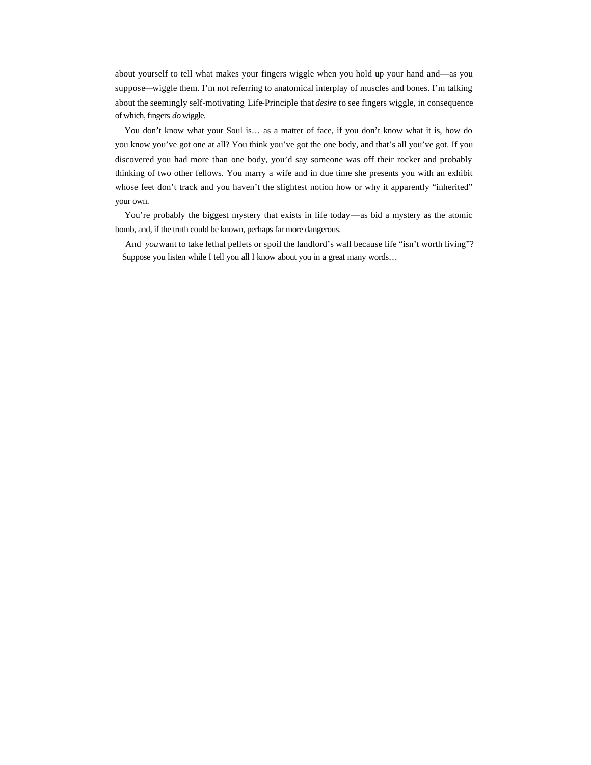about yourself to tell what makes your fingers wiggle when you hold up your hand and—as you suppose—wiggle them. I'm not referring to anatomical interplay of muscles and bones. I'm talking about the seemingly self-motivating Life-Principle that *desire* to see fingers wiggle, in consequence of which, fingers *do* wiggle.

 You don't know what your Soul is… as a matter of face, if you don't know what it is, how do you know you've got one at all? You think you've got the one body, and that's all you've got. If you discovered you had more than one body, you'd say someone was off their rocker and probably thinking of two other fellows. You marry a wife and in due time she presents you with an exhibit whose feet don't track and you haven't the slightest notion how or why it apparently "inherited" your own.

 You're probably the biggest mystery that exists in life today—as bid a mystery as the atomic bomb, and, if the truth could be known, perhaps far more dangerous.

And *you* want to take lethal pellets or spoil the landlord's wall because life "isn't worth living"? Suppose you listen while I tell you all I know about you in a great many words…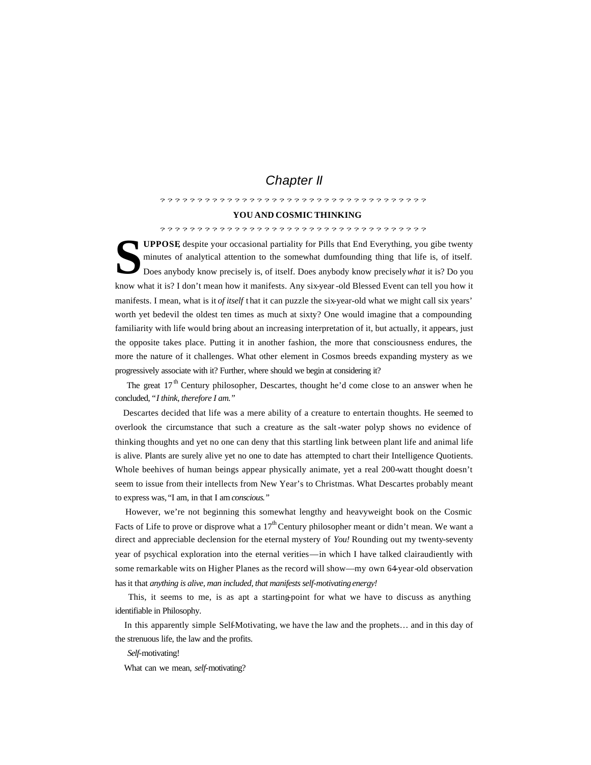## *Chapter II*

????????????????????????????????????

#### **YOU AND COSMIC THINKING**

#### ????????????????????????????????????

**UPPOSE**, despite your occasional partiality for Pills that End Everything, you gibe twenty minutes of analytical attention to the somewhat dumfounding thing that life is, of itself.<br>Does anybody know precisely is, of itse minutes of analytical attention to the somewhat dumfounding thing that life is, of itself. Does anybody know precisely is, of itself. Does anybody know precisely *what* it is? Do you know what it is? I don't mean how it manifests. Any six-year-old Blessed Event can tell you how it manifests. I mean, what is it *of itself* that it can puzzle the six-year-old what we might call six years' worth yet bedevil the oldest ten times as much at sixty? One would imagine that a compounding familiarity with life would bring about an increasing interpretation of it, but actually, it appears, just the opposite takes place. Putting it in another fashion, the more that consciousness endures, the more the nature of it challenges. What other element in Cosmos breeds expanding mystery as we progressively associate with it? Further, where should we begin at considering it?

The great  $17<sup>th</sup>$  Century philosopher, Descartes, thought he'd come close to an answer when he concluded, "*I think, therefore I am."*

 Descartes decided that life was a mere ability of a creature to entertain thoughts. He seemed to overlook the circumstance that such a creature as the salt -water polyp shows no evidence of thinking thoughts and yet no one can deny that this startling link between plant life and animal life is alive. Plants are surely alive yet no one to date has attempted to chart their Intelligence Quotients. Whole beehives of human beings appear physically animate, yet a real 200-watt thought doesn't seem to issue from their intellects from New Year's to Christmas. What Descartes probably meant to express was, "I am, in that I am *conscious."*

 However, we're not beginning this somewhat lengthy and heavyweight book on the Cosmic Facts of Life to prove or disprove what a  $17<sup>th</sup>$  Century philosopher meant or didn't mean. We want a direct and appreciable declension for the eternal mystery of *You!* Rounding out my twenty-seventy year of psychical exploration into the eternal verities—in which I have talked clairaudiently with some remarkable wits on Higher Planes as the record will show—my own 64-year-old observation has it that *anything is alive, man included, that manifests self-motivating energy!*

 This, it seems to me, is as apt a starting-point for what we have to discuss as anything identifiable in Philosophy.

 In this apparently simple Self-Motivating, we have the law and the prophets… and in this day of the strenuous life, the law and the profits.

*Self*-motivating!

What can we mean, *self*-motivating?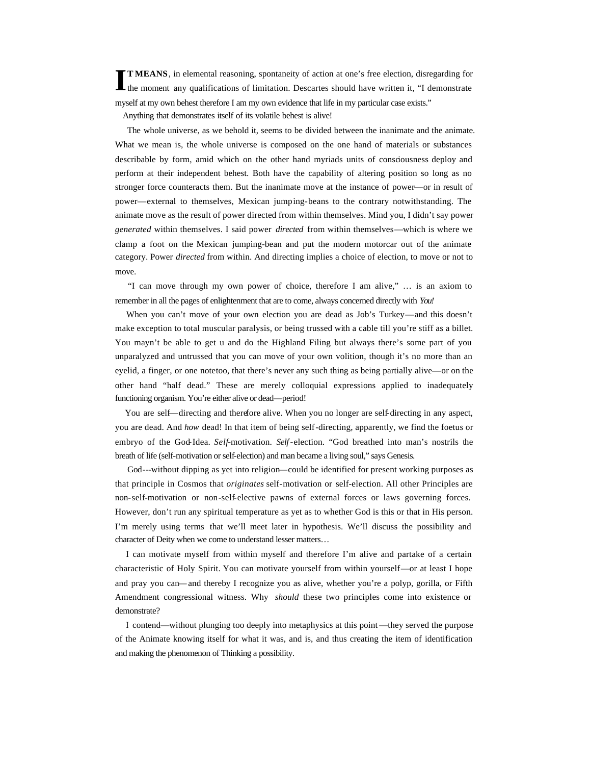**T MEANS**, in elemental reasoning, spontaneity of action at one's free election, disregarding for **TIMEANS**, in elemental reasoning, spontaneity of action at one's free election, disregarding for the moment any qualifications of limitation. Descartes should have written it, "I demonstrate myself at my own behest therefore I am my own evidence that life in my particular case exists."

Anything that demonstrates itself of its volatile behest is alive!

 The whole universe, as we behold it, seems to be divided between the inanimate and the animate. What we mean is, the whole universe is composed on the one hand of materials or substances describable by form, amid which on the other hand myriads units of consciousness deploy and perform at their independent behest. Both have the capability of altering position so long as no stronger force counteracts them. But the inanimate move at the instance of power—or in result of power—external to themselves, Mexican jumping-beans to the contrary notwithstanding. The animate move as the result of power directed from within themselves. Mind you, I didn't say power *generated* within themselves. I said power *directed* from within themselves—which is where we clamp a foot on the Mexican jumping-bean and put the modern motorcar out of the animate category. Power *directed* from within. And directing implies a choice of election, to move or not to move.

 "I can move through my own power of choice, therefore I am alive," … is an axiom to remember in all the pages of enlightenment that are to come, always concerned directly with *You!*

When you can't move of your own election you are dead as Job's Turkey—and this doesn't make exception to total muscular paralysis, or being trussed with a cable till you're stiff as a billet. You mayn't be able to get u and do the Highland Filing but always there's some part of you unparalyzed and untrussed that you can move of your own volition, though it's no more than an eyelid, a finger, or one notetoo, that there's never any such thing as being partially alive—or on the other hand "half dead." These are merely colloquial expressions applied to inadequately functioning organism. You're either alive or dead—period!

 You are self—directing and therefore alive. When you no longer are self-directing in any aspect, you are dead. And *how* dead! In that item of being self-directing, apparently, we find the foetus or embryo of the God-Idea. *Self-*motivation. *Self-*election. "God breathed into man's nostrils the breath of life (self-motivation or self-election) and man became a living soul," says Genesis.

 God---without dipping as yet into religion—could be identified for present working purposes as that principle in Cosmos that *originates* self-motivation or self-election. All other Principles are non-self-motivation or non-self-elective pawns of external forces or laws governing forces. However, don't run any spiritual temperature as yet as to whether God is this or that in His person. I'm merely using terms that we'll meet later in hypothesis. We'll discuss the possibility and character of Deity when we come to understand lesser matters…

 I can motivate myself from within myself and therefore I'm alive and partake of a certain characteristic of Holy Spirit. You can motivate yourself from within yourself—or at least I hope and pray you can—and thereby I recognize you as alive, whether you're a polyp, gorilla, or Fifth Amendment congressional witness. Why *should* these two principles come into existence or demonstrate?

 I contend—without plunging too deeply into metaphysics at this point —they served the purpose of the Animate knowing itself for what it was, and is, and thus creating the item of identification and making the phenomenon of Thinking a possibility.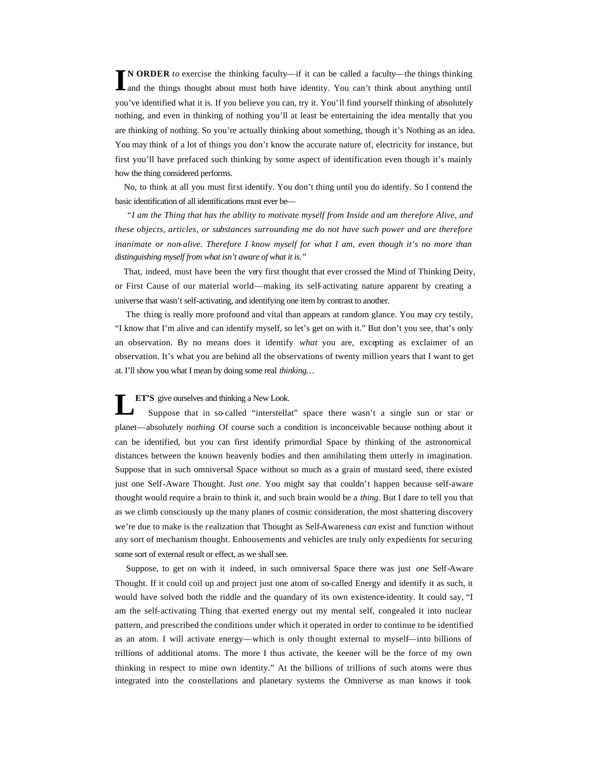**N ORDER** *to* exercise the thinking faculty—if it can be called a faculty—the things thinking **IN ORDER** to exercise the thinking faculty—if it can be called a faculty—the things thinking and the things thought about must both have identity. You can't think about anything until you've identified what it is. If you believe you can, try it. You'll find yourself thinking of absolutely nothing, and even in thinking of nothing you'll at least be entertaining the idea mentally that you are thinking of nothing. So you're actually thinking about something, though it's Nothing as an idea. You may think of a lot of things you don't know the accurate nature of, electricity for instance, but first you'll have prefaced such thinking by some aspect of identification even though it's mainly how the thing considered performs.

 No, to think at all you must first identify. You don't thing until you do identify. So I contend the basic identification of all identifications must ever be—

 "*I am the Thing that has the ability to motivate myself from Inside and am therefore Alive, and these objects, articles, or substances surrounding me do not have such power and are therefore inanimate or non-alive. Therefore I know myself for what I am, even though it's no more than distinguishing myself from what isn't aware of what it is."*

 That, indeed, must have been the very first thought that ever crossed the Mind of Thinking Deity, or First Cause of our material world—making its self-activating nature apparent by creating a universe that wasn't self-activating, and identifying one item by contrast to another.

 The thing is really more profound and vital than appears at random glance. You may cry testily, "I know that I'm alive and can identify myself, so let's get on with it." But don't you see, that's only an observation. By no means does it identify *what* you are, excepting as exclaimer of an observation. It's what you are behind all the observations of twenty million years that I want to get at. I'll show you what I mean by doing some real *thinking…*

#### **ET'S** give ourselves and thinking a New Look.

 Suppose that in so-called "interstellat" space there wasn't a single sun or star or planet—absolutely *nothing*. Of course such a condition is inconceivable because nothing about it can be identified, but you can first identify primordial Space by thinking of the astronomical distances between the known heavenly bodies and then annihilating them utterly in imagination. Suppose that in such omniversal Space without so much as a grain of mustard seed, there existed just one Self-Aware Thought. Just *one.* You might say that couldn't happen because self-aware thought would require a brain to think it, and such brain would be a *thing.* But I dare to tell you that as we climb consciously up the many planes of cosmic consideration, the most shattering discovery we're due to make is the realization that Thought as Self-Awareness *can* exist and function without any sort of mechanism thought. Enhousements and vehicles are truly only expedients for securing some sort of external result or effect, as we shall see. **L**

 Suppose, to get on with it indeed, in such omniversal Space there was just *one* Self-Aware Thought. If it could coil up and project just one atom of so-called Energy and identify it as such, it would have solved both the riddle and the quandary of its own existence-identity. It could say, "I am the self-activating Thing that exerted energy out my mental self, congealed it into nuclear pattern, and prescribed the conditions under which it operated in order to continue to be identified as an atom. I will activate energy—which is only thought external to myself—into billions of trillions of additional atoms. The more I thus activate, the keener will be the force of my own thinking in respect to mine own identity." At the billions of trillions of such atoms were thus integrated into the constellations and planetary systems the Omniverse as man knows it took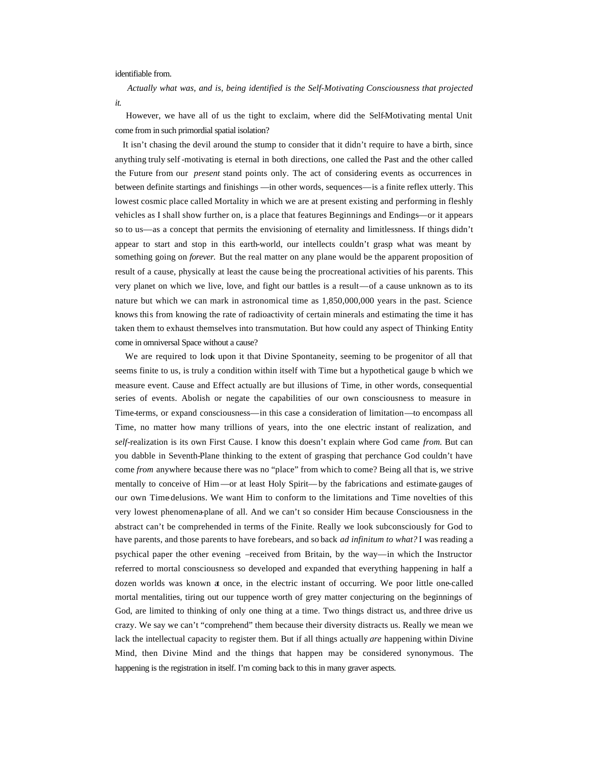#### identifiable from.

 *Actually what was, and is, being identified is the Self-Motivating Consciousness that projected it.*

 However, we have all of us the tight to exclaim, where did the Self-Motivating mental Unit come from in such primordial spatial isolation?

 It isn't chasing the devil around the stump to consider that it didn't require to have a birth, since anything truly self -motivating is eternal in both directions, one called the Past and the other called the Future from our *present* stand points only. The act of considering events as occurrences in between definite startings and finishings —in other words, sequences—is a finite reflex utterly. This lowest cosmic place called Mortality in which we are at present existing and performing in fleshly vehicles as I shall show further on, is a place that features Beginnings and Endings—or it appears so to us—as a concept that permits the envisioning of eternality and limitlessness. If things didn't appear to start and stop in this earth-world, our intellects couldn't grasp what was meant by something going on *forever.* But the real matter on any plane would be the apparent proposition of result of a cause, physically at least the cause being the procreational activities of his parents. This very planet on which we live, love, and fight our battles is a result—of a cause unknown as to its nature but which we can mark in astronomical time as 1,850,000,000 years in the past. Science knows this from knowing the rate of radioactivity of certain minerals and estimating the time it has taken them to exhaust themselves into transmutation. But how could any aspect of Thinking Entity come in omniversal Space without a cause?

We are required to look upon it that Divine Spontaneity, seeming to be progenitor of all that seems finite to us, is truly a condition within itself with Time but a hypothetical gauge b which we measure event. Cause and Effect actually are but illusions of Time, in other words, consequential series of events. Abolish or negate the capabilities of our own consciousness to measure in Time-terms, or expand consciousness—in this case a consideration of limitation—to encompass all Time, no matter how many trillions of years, into the one electric instant of realization, and *self-*realization is its own First Cause. I know this doesn't explain where God came *from.* But can you dabble in Seventh-Plane thinking to the extent of grasping that perchance God couldn't have come *from* anywhere because there was no "place" from which to come? Being all that is, we strive mentally to conceive of Him—or at least Holy Spirit—by the fabrications and estimate-gauges of our own Time-delusions. We want Him to conform to the limitations and Time novelties of this very lowest phenomena-plane of all. And we can't so consider Him because Consciousness in the abstract can't be comprehended in terms of the Finite. Really we look subconsciously for God to have parents, and those parents to have forebears, and so back *ad infinitum to what?* I was reading a psychical paper the other evening –received from Britain, by the way—in which the Instructor referred to mortal consciousness so developed and expanded that everything happening in half a dozen worlds was known at once, in the electric instant of occurring. We poor little one-called mortal mentalities, tiring out our tuppence worth of grey matter conjecturing on the beginnings of God, are limited to thinking of only one thing at a time. Two things distract us, and three drive us crazy. We say we can't "comprehend" them because their diversity distracts us. Really we mean we lack the intellectual capacity to register them. But if all things actually *are* happening within Divine Mind, then Divine Mind and the things that happen may be considered synonymous. The happening is the registration in itself. I'm coming back to this in many graver aspects.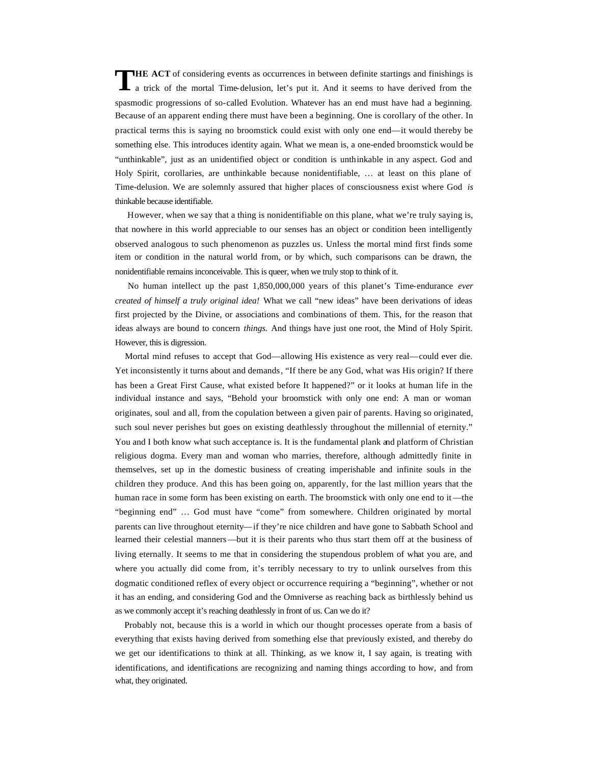**HE ACT** of considering events as occurrences in between definite startings and finishings is a trick of the mortal Time-delusion, let's put it. And it seems to have derived from the spasmodic progressions of so-called Evolution. Whatever has an end must have had a beginning. Because of an apparent ending there must have been a beginning. One is corollary of the other. In practical terms this is saying no broomstick could exist with only one end—it would thereby be something else. This introduces identity again. What we mean is, a one-ended broomstick would be "unthinkable", just as an unidentified object or condition is unthinkable in any aspect. God and Holy Spirit, corollaries, are unthinkable because nonidentifiable, … at least on this plane of Time-delusion. We are solemnly assured that higher places of consciousness exist where God *is*  thinkable because identifiable. **T**

 However, when we say that a thing is nonidentifiable on this plane, what we're truly saying is, that nowhere in this world appreciable to our senses has an object or condition been intelligently observed analogous to such phenomenon as puzzles us. Unless the mortal mind first finds some item or condition in the natural world from, or by which, such comparisons can be drawn, the nonidentifiable remains inconceivable. This is queer, when we truly stop to think of it.

 No human intellect up the past 1,850,000,000 years of this planet's Time-endurance *ever created of himself a truly original idea!* What we call "new ideas" have been derivations of ideas first projected by the Divine, or associations and combinations of them. This, for the reason that ideas always are bound to concern *things.* And things have just one root, the Mind of Holy Spirit. However, this is digression.

 Mortal mind refuses to accept that God—allowing His existence as very real—could ever die. Yet inconsistently it turns about and demands, "If there be any God, what was His origin? If there has been a Great First Cause, what existed before It happened?" or it looks at human life in the individual instance and says, "Behold your broomstick with only one end: A man or woman originates, soul and all, from the copulation between a given pair of parents. Having so originated, such soul never perishes but goes on existing deathlessly throughout the millennial of eternity." You and I both know what such acceptance is. It is the fundamental plank and platform of Christian religious dogma. Every man and woman who marries, therefore, although admittedly finite in themselves, set up in the domestic business of creating imperishable and infinite souls in the children they produce. And this has been going on, apparently, for the last million years that the human race in some form has been existing on earth. The broomstick with only one end to it —the "beginning end" … God must have "come" from somewhere. Children originated by mortal parents can live throughout eternity—if they're nice children and have gone to Sabbath School and learned their celestial manners—but it is their parents who thus start them off at the business of living eternally. It seems to me that in considering the stupendous problem of what you are, and where you actually did come from, it's terribly necessary to try to unlink ourselves from this dogmatic conditioned reflex of every object or occurrence requiring a "beginning", whether or not it has an ending, and considering God and the Omniverse as reaching back as birthlessly behind us as we commonly accept it's reaching deathlessly in front of us. Can we do it?

 Probably not, because this is a world in which our thought processes operate from a basis of everything that exists having derived from something else that previously existed, and thereby do we get our identifications to think at all. Thinking, as we know it, I say again, is treating with identifications, and identifications are recognizing and naming things according to how, and from what, they originated.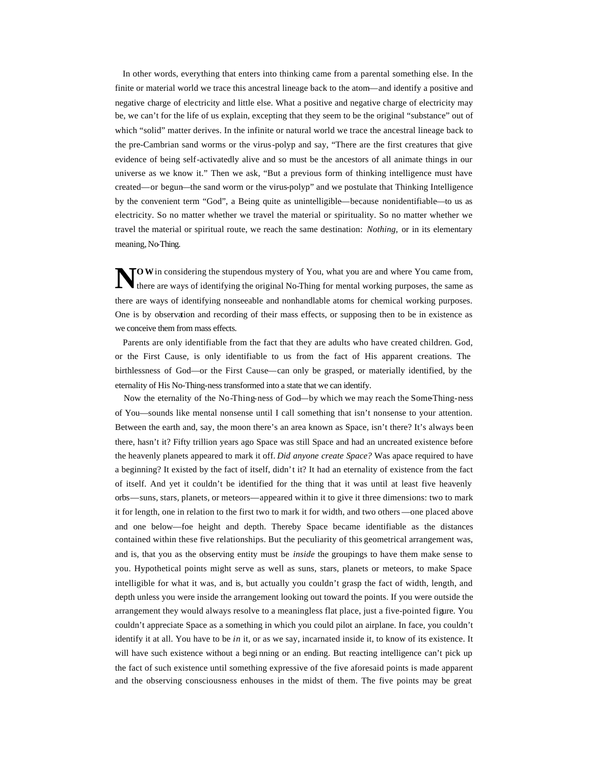In other words, everything that enters into thinking came from a parental something else. In the finite or material world we trace this ancestral lineage back to the atom—and identify a positive and negative charge of electricity and little else. What a positive and negative charge of electricity may be, we can't for the life of us explain, excepting that they seem to be the original "substance" out of which "solid" matter derives. In the infinite or natural world we trace the ancestral lineage back to the pre-Cambrian sand worms or the virus-polyp and say, "There are the first creatures that give evidence of being self-activatedly alive and so must be the ancestors of all animate things in our universe as we know it." Then we ask, "But a previous form of thinking intelligence must have created—or begun—the sand worm or the virus-polyp" and we postulate that Thinking Intelligence by the convenient term "God", a Being quite as unintelligible—because nonidentifiable—to us as electricity. So no matter whether we travel the material or spirituality. So no matter whether we travel the material or spiritual route, we reach the same destination: *Nothing,* or in its elementary meaning, No-Thing.

**O** W in considering the stupendous mystery of You, what you are and where You came from, there are ways of identifying the original No-Thing for mental working purposes, the same as there are ways of identifying the original No-Thing for mental working purposes, the same as there are ways of identifying nonseeable and nonhandlable atoms for chemical working purposes. One is by observation and recording of their mass effects, or supposing then to be in existence as we conceive them from mass effects.

 Parents are only identifiable from the fact that they are adults who have created children. God, or the First Cause, is only identifiable to us from the fact of His apparent creations. The birthlessness of God—or the First Cause—can only be grasped, or materially identified, by the eternality of His No-Thing-ness transformed into a state that we can identify.

Now the eternality of the No-Thing-ness of God—by which we may reach the SomeThing-ness of You—sounds like mental nonsense until I call something that isn't nonsense to your attention. Between the earth and, say, the moon there's an area known as Space, isn't there? It's always been there, hasn't it? Fifty trillion years ago Space was still Space and had an uncreated existence before the heavenly planets appeared to mark it off. *Did anyone create Space?* Was apace required to have a beginning? It existed by the fact of itself, didn't it? It had an eternality of existence from the fact of itself. And yet it couldn't be identified for the thing that it was until at least five heavenly orbs—suns, stars, planets, or meteors—appeared within it to give it three dimensions: two to mark it for length, one in relation to the first two to mark it for width, and two others —one placed above and one below—foe height and depth. Thereby Space became identifiable as the distances contained within these five relationships. But the peculiarity of this geometrical arrangement was, and is, that you as the observing entity must be *inside* the groupings to have them make sense to you. Hypothetical points might serve as well as suns, stars, planets or meteors, to make Space intelligible for what it was, and is, but actually you couldn't grasp the fact of width, length, and depth unless you were inside the arrangement looking out toward the points. If you were outside the arrangement they would always resolve to a meaningless flat place, just a five-pointed figure. You couldn't appreciate Space as a something in which you could pilot an airplane. In face, you couldn't identify it at all. You have to be *in* it, or as we say, incarnated inside it, to know of its existence. It will have such existence without a beginning or an ending. But reacting intelligence can't pick up the fact of such existence until something expressive of the five aforesaid points is made apparent and the observing consciousness enhouses in the midst of them. The five points may be great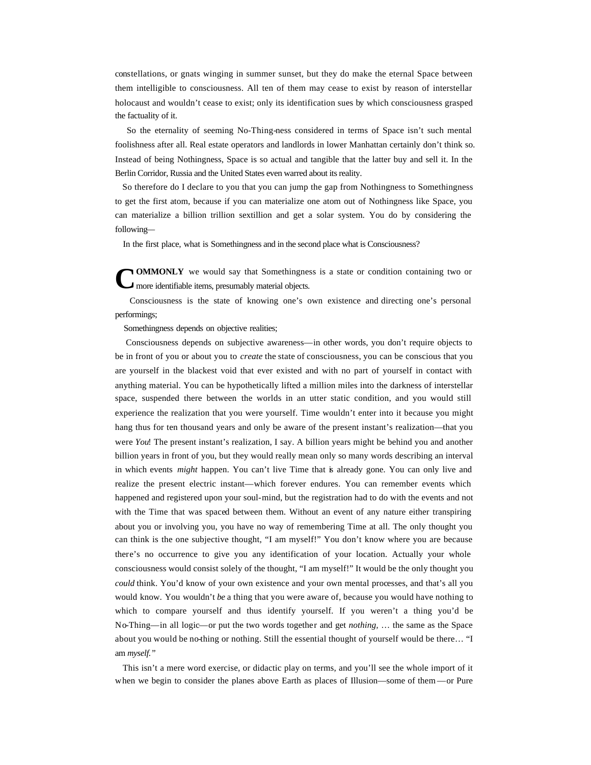constellations, or gnats winging in summer sunset, but they do make the eternal Space between them intelligible to consciousness. All ten of them may cease to exist by reason of interstellar holocaust and wouldn't cease to exist; only its identification sues by which consciousness grasped the factuality of it.

 So the eternality of seeming No-Thing-ness considered in terms of Space isn't such mental foolishness after all. Real estate operators and landlords in lower Manhattan certainly don't think so. Instead of being Nothingness, Space is so actual and tangible that the latter buy and sell it. In the Berlin Corridor, Russia and the United States even warred about its reality.

 So therefore do I declare to you that you can jump the gap from Nothingness to Somethingness to get the first atom, because if you can materialize one atom out of Nothingness like Space, you can materialize a billion trillion sextillion and get a solar system. You do by considering the following—

In the first place, what is Somethingness and in the second place what is Consciousness?

**OMMONLY** we would say that Somethingness is a state or condition containing two or **C**more identifiable items, presumably material objects.

 Consciousness is the state of knowing one's own existence and directing one's personal performings;

Somethingness depends on objective realities;

 Consciousness depends on subjective awareness—in other words, you don't require objects to be in front of you or about you to *create* the state of consciousness, you can be conscious that you are yourself in the blackest void that ever existed and with no part of yourself in contact with anything material. You can be hypothetically lifted a million miles into the darkness of interstellar space, suspended there between the worlds in an utter static condition, and you would still experience the realization that you were yourself. Time wouldn't enter into it because you might hang thus for ten thousand years and only be aware of the present instant's realization—that you were *You*! The present instant's realization, I say. A billion years might be behind you and another billion years in front of you, but they would really mean only so many words describing an interval in which events *might* happen. You can't live Time that is already gone. You can only live and realize the present electric instant—which forever endures. You can remember events which happened and registered upon your soul-mind, but the registration had to do with the events and not with the Time that was spaced between them. Without an event of any nature either transpiring about you or involving you, you have no way of remembering Time at all. The only thought you can think is the one subjective thought, "I am myself!" You don't know where you are because there's no occurrence to give you any identification of your location. Actually your whole consciousness would consist solely of the thought, "I am myself!" It would be the only thought you *could* think. You'd know of your own existence and your own mental processes, and that's all you would know. You wouldn't *be* a thing that you were aware of, because you would have nothing to which to compare yourself and thus identify yourself. If you weren't a thing you'd be No-Thing—in all logic—or put the two words together and get *nothing,* … the same as the Space about you would be no-thing or nothing. Still the essential thought of yourself would be there… "I am *myself."*

 This isn't a mere word exercise, or didactic play on terms, and you'll see the whole import of it when we begin to consider the planes above Earth as places of Illusion—some of them —or Pure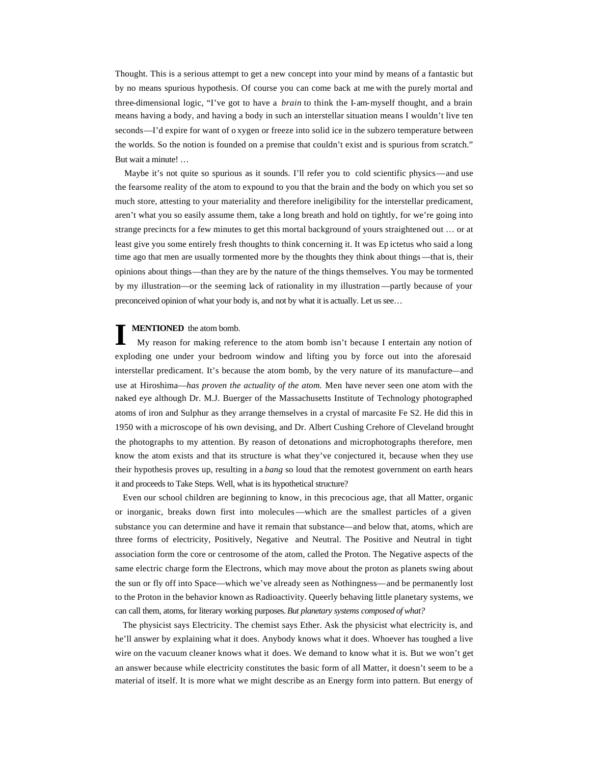Thought. This is a serious attempt to get a new concept into your mind by means of a fantastic but by no means spurious hypothesis. Of course you can come back at me with the purely mortal and three-dimensional logic, "I've got to have a *brain* to think the I-am-myself thought, and a brain means having a body, and having a body in such an interstellar situation means I wouldn't live ten seconds—I'd expire for want of o xygen or freeze into solid ice in the subzero temperature between the worlds. So the notion is founded on a premise that couldn't exist and is spurious from scratch." But wait a minute! …

 Maybe it's not quite so spurious as it sounds. I'll refer you to cold scientific physics—and use the fearsome reality of the atom to expound to you that the brain and the body on which you set so much store, attesting to your materiality and therefore ineligibility for the interstellar predicament, aren't what you so easily assume them, take a long breath and hold on tightly, for we're going into strange precincts for a few minutes to get this mortal background of yours straightened out … or at least give you some entirely fresh thoughts to think concerning it. It was Ep ictetus who said a long time ago that men are usually tormented more by the thoughts they think about things—that is, their opinions about things—than they are by the nature of the things themselves. You may be tormented by my illustration—or the seeming lack of rationality in my illustration —partly because of your preconceived opinion of what your body is, and not by what it is actually. Let us see…

#### **MENTIONED** the atom bomb.

 My reason for making reference to the atom bomb isn't because I entertain any notion of exploding one under your bedroom window and lifting you by force out into the aforesaid interstellar predicament. It's because the atom bomb, by the very nature of its manufacture—and use at Hiroshima—*has proven the actuality of the atom.* Men have never seen one atom with the naked eye although Dr. M.J. Buerger of the Massachusetts Institute of Technology photographed atoms of iron and Sulphur as they arrange themselves in a crystal of marcasite Fe S2. He did this in 1950 with a microscope of his own devising, and Dr. Albert Cushing Crehore of Cleveland brought the photographs to my attention. By reason of detonations and microphotographs therefore, men know the atom exists and that its structure is what they've conjectured it, because when they use their hypothesis proves up, resulting in a *bang* so loud that the remotest government on earth hears it and proceeds to Take Steps. Well, what is its hypothetical structure? **I**

 Even our school children are beginning to know, in this precocious age, that all Matter, organic or inorganic, breaks down first into molecules —which are the smallest particles of a given substance you can determine and have it remain that substance—and below that, atoms, which are three forms of electricity, Positively, Negative and Neutral. The Positive and Neutral in tight association form the core or centrosome of the atom, called the Proton. The Negative aspects of the same electric charge form the Electrons, which may move about the proton as planets swing about the sun or fly off into Space—which we've already seen as Nothingness—and be permanently lost to the Proton in the behavior known as Radioactivity. Queerly behaving little planetary systems, we can call them, atoms, for literary working purposes. *But planetary systems composed of what?*

 The physicist says Electricity. The chemist says Ether. Ask the physicist what electricity is, and he'll answer by explaining what it does. Anybody knows what it does. Whoever has toughed a live wire on the vacuum cleaner knows what it does. We demand to know what it is. But we won't get an answer because while electricity constitutes the basic form of all Matter, it doesn't seem to be a material of itself. It is more what we might describe as an Energy form into pattern. But energy of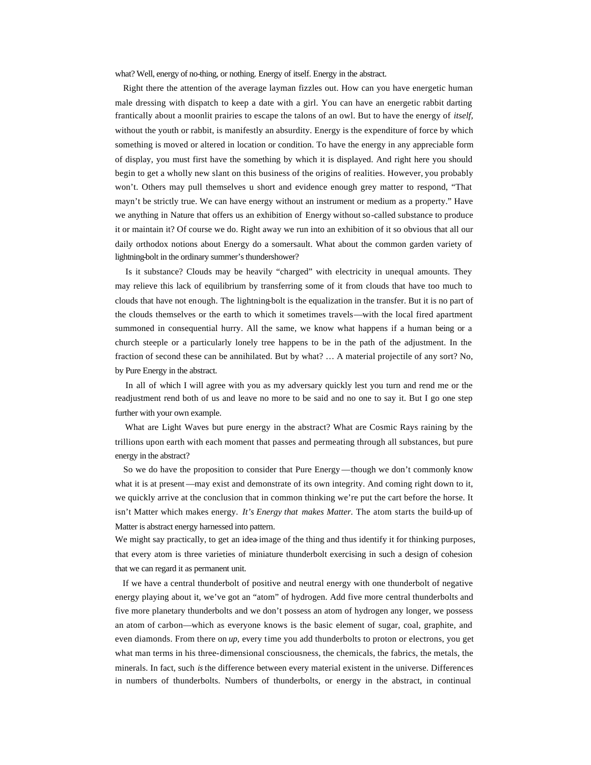what? Well, energy of no-thing, or nothing. Energy of itself. Energy in the abstract.

 Right there the attention of the average layman fizzles out. How can you have energetic human male dressing with dispatch to keep a date with a girl. You can have an energetic rabbit darting frantically about a moonlit prairies to escape the talons of an owl. But to have the energy of *itself,*  without the youth or rabbit, is manifestly an absurdity. Energy is the expenditure of force by which something is moved or altered in location or condition. To have the energy in any appreciable form of display, you must first have the something by which it is displayed. And right here you should begin to get a wholly new slant on this business of the origins of realities. However, you probably won't. Others may pull themselves u short and evidence enough grey matter to respond, "That mayn't be strictly true. We can have energy without an instrument or medium as a property." Have we anything in Nature that offers us an exhibition of Energy without so-called substance to produce it or maintain it? Of course we do. Right away we run into an exhibition of it so obvious that all our daily orthodox notions about Energy do a somersault. What about the common garden variety of lightning-bolt in the ordinary summer's thundershower?

 Is it substance? Clouds may be heavily "charged" with electricity in unequal amounts. They may relieve this lack of equilibrium by transferring some of it from clouds that have too much to clouds that have not enough. The lightning-bolt is the equalization in the transfer. But it is no part of the clouds themselves or the earth to which it sometimes travels—with the local fired apartment summoned in consequential hurry. All the same, we know what happens if a human being or a church steeple or a particularly lonely tree happens to be in the path of the adjustment. In the fraction of second these can be annihilated. But by what? … A material projectile of any sort? No, by Pure Energy in the abstract.

 In all of which I will agree with you as my adversary quickly lest you turn and rend me or the readjustment rend both of us and leave no more to be said and no one to say it. But I go one step further with your own example.

 What are Light Waves but pure energy in the abstract? What are Cosmic Rays raining by the trillions upon earth with each moment that passes and permeating through all substances, but pure energy in the abstract?

 So we do have the proposition to consider that Pure Energy —though we don't commonly know what it is at present—may exist and demonstrate of its own integrity. And coming right down to it, we quickly arrive at the conclusion that in common thinking we're put the cart before the horse. It isn't Matter which makes energy. *It's Energy that makes Matter.* The atom starts the build-up of Matter is abstract energy harnessed into pattern.

We might say practically, to get an idea-image of the thing and thus identify it for thinking purposes, that every atom is three varieties of miniature thunderbolt exercising in such a design of cohesion that we can regard it as permanent unit.

 If we have a central thunderbolt of positive and neutral energy with one thunderbolt of negative energy playing about it, we've got an "atom" of hydrogen. Add five more central thunderbolts and five more planetary thunderbolts and we don't possess an atom of hydrogen any longer, we possess an atom of carbon—which as everyone knows is the basic element of sugar, coal, graphite, and even diamonds. From there on *up*, every time you add thunderbolts to proton or electrons, you get what man terms in his three-dimensional consciousness, the chemicals, the fabrics, the metals, the minerals. In fact, such *is* the difference between every material existent in the universe. Differences in numbers of thunderbolts. Numbers of thunderbolts, or energy in the abstract, in continual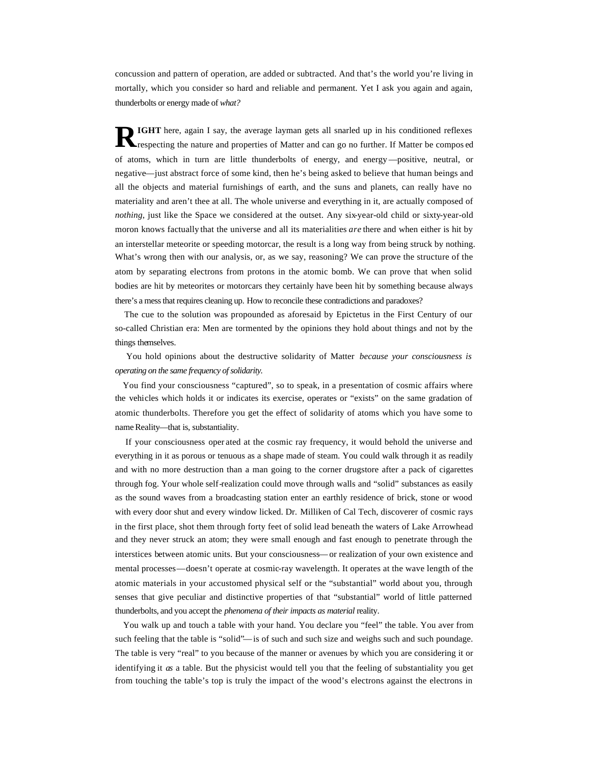concussion and pattern of operation, are added or subtracted. And that's the world you're living in mortally, which you consider so hard and reliable and permanent. Yet I ask you again and again, thunderbolts or energy made of *what?*

**IGHT** here, again I say, the average layman gets all snarled up in his conditioned reflexes respecting the nature and properties of Matter and can go no further. If Matter be compos ed of atoms, which in turn are little thunderbolts of energy, and energy—positive, neutral, or negative—just abstract force of some kind, then he's being asked to believe that human beings and all the objects and material furnishings of earth, and the suns and planets, can really have no materiality and aren't thee at all. The whole universe and everything in it, are actually composed of *nothing*, just like the Space we considered at the outset. Any six-year-old child or sixty-year-old moron knows factually that the universe and all its materialities *are* there and when either is hit by an interstellar meteorite or speeding motorcar, the result is a long way from being struck by nothing. What's wrong then with our analysis, or, as we say, reasoning? We can prove the structure of the atom by separating electrons from protons in the atomic bomb. We can prove that when solid bodies are hit by meteorites or motorcars they certainly have been hit by something because always there's a mess that requires cleaning up. How to reconcile these contradictions and paradoxes? **R**

 The cue to the solution was propounded as aforesaid by Epictetus in the First Century of our so-called Christian era: Men are tormented by the opinions they hold about things and not by the things themselves.

 You hold opinions about the destructive solidarity of Matter *because your consciousness is operating on the same frequency of solidarity.*

 You find your consciousness "captured", so to speak, in a presentation of cosmic affairs where the vehicles which holds it or indicates its exercise, operates or "exists" on the same gradation of atomic thunderbolts. Therefore you get the effect of solidarity of atoms which you have some to name Reality—that is, substantiality.

 If your consciousness oper ated at the cosmic ray frequency, it would behold the universe and everything in it as porous or tenuous as a shape made of steam. You could walk through it as readily and with no more destruction than a man going to the corner drugstore after a pack of cigarettes through fog. Your whole self-realization could move through walls and "solid" substances as easily as the sound waves from a broadcasting station enter an earthly residence of brick, stone or wood with every door shut and every window licked. Dr. Milliken of Cal Tech, discoverer of cosmic rays in the first place, shot them through forty feet of solid lead beneath the waters of Lake Arrowhead and they never struck an atom; they were small enough and fast enough to penetrate through the interstices between atomic units. But your consciousness—or realization of your own existence and mental processes—doesn't operate at cosmic-ray wavelength. It operates at the wave length of the atomic materials in your accustomed physical self or the "substantial" world about you, through senses that give peculiar and distinctive properties of that "substantial" world of little patterned thunderbolts, and you accept the *phenomena of their impacts as material* reality.

 You walk up and touch a table with your hand. You declare you "feel" the table. You aver from such feeling that the table is "solid"—is of such and such size and weighs such and such poundage. The table is very "real" to you because of the manner or avenues by which you are considering it or identifying it *as* a table. But the physicist would tell you that the feeling of substantiality you get from touching the table's top is truly the impact of the wood's electrons against the electrons in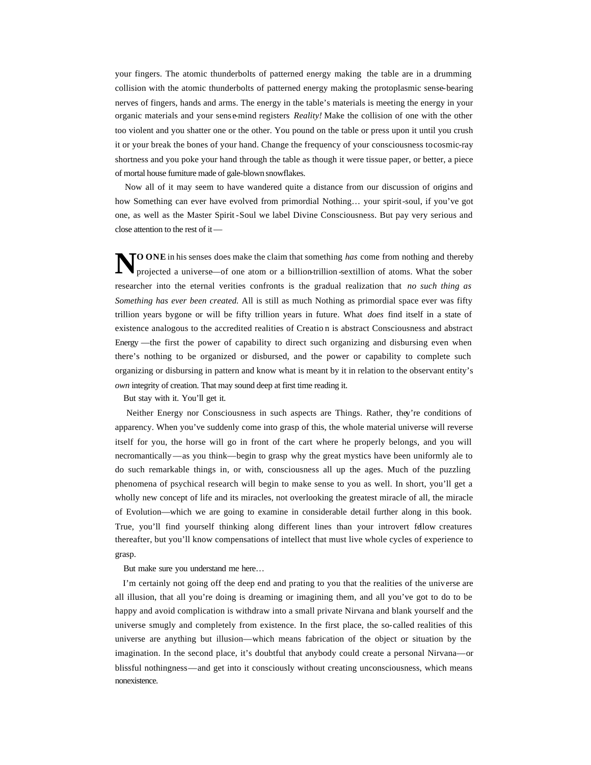your fingers. The atomic thunderbolts of patterned energy making the table are in a drumming collision with the atomic thunderbolts of patterned energy making the protoplasmic sense-bearing nerves of fingers, hands and arms. The energy in the table's materials is meeting the energy in your organic materials and your sense-mind registers *Reality!* Make the collision of one with the other too violent and you shatter one or the other. You pound on the table or press upon it until you crush it or your break the bones of your hand. Change the frequency of your consciousness to cosmic-ray shortness and you poke your hand through the table as though it were tissue paper, or better, a piece of mortal house furniture made of gale-blown snowflakes.

 Now all of it may seem to have wandered quite a distance from our discussion of origins and how Something can ever have evolved from primordial Nothing… your spirit-soul, if you've got one, as well as the Master Spirit-Soul we label Divine Consciousness. But pay very serious and close attention to the rest of it—

**NOONE** in his senses does make the claim that something *has* come from nothing and thereby projected a universe—of one atom or a billion-trillion-sextillion of atoms. What the sober projected a universe—of one atom or a billion-trillion -sextillion of atoms. What the sober researcher into the eternal verities confronts is the gradual realization that *no such thing as Something has ever been created.* All is still as much Nothing as primordial space ever was fifty trillion years bygone or will be fifty trillion years in future. What *does* find itself in a state of existence analogous to the accredited realities of Creatio n is abstract Consciousness and abstract Energy —the first the power of capability to direct such organizing and disbursing even when there's nothing to be organized or disbursed, and the power or capability to complete such organizing or disbursing in pattern and know what is meant by it in relation to the observant entity's *own* integrity of creation. That may sound deep at first time reading it.

But stay with it. You'll get it.

 Neither Energy nor Consciousness in such aspects are Things. Rather, they're conditions of apparency. When you've suddenly come into grasp of this, the whole material universe will reverse itself for you, the horse will go in front of the cart where he properly belongs, and you will necromantically—as you think—begin to grasp why the great mystics have been uniformly ale to do such remarkable things in, or with, consciousness all up the ages. Much of the puzzling phenomena of psychical research will begin to make sense to you as well. In short, you'll get a wholly new concept of life and its miracles, not overlooking the greatest miracle of all, the miracle of Evolution—which we are going to examine in considerable detail further along in this book. True, you'll find yourself thinking along different lines than your introvert fellow creatures thereafter, but you'll know compensations of intellect that must live whole cycles of experience to grasp.

But make sure you understand me here…

 I'm certainly not going off the deep end and prating to you that the realities of the universe are all illusion, that all you're doing is dreaming or imagining them, and all you've got to do to be happy and avoid complication is withdraw into a small private Nirvana and blank yourself and the universe smugly and completely from existence. In the first place, the so-called realities of this universe are anything but illusion—which means fabrication of the object or situation by the imagination. In the second place, it's doubtful that anybody could create a personal Nirvana—or blissful nothingness—and get into it consciously without creating unconsciousness, which means nonexistence.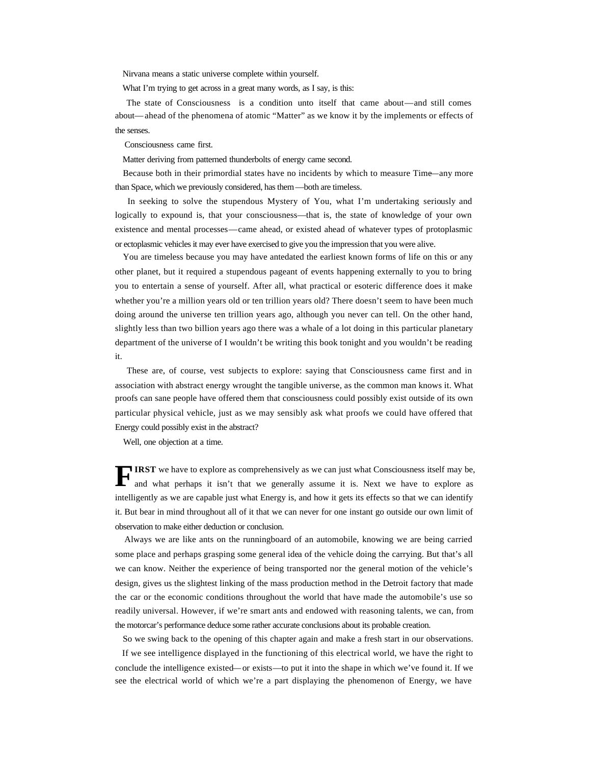Nirvana means a static universe complete within yourself.

What I'm trying to get across in a great many words, as I say, is this:

 The state of Consciousness is a condition unto itself that came about—and still comes about—ahead of the phenomena of atomic "Matter" as we know it by the implements or effects of the senses.

Consciousness came first.

Matter deriving from patterned thunderbolts of energy came second.

 Because both in their primordial states have no incidents by which to measure Time—any more than Space, which we previously considered, has them—both are timeless.

 In seeking to solve the stupendous Mystery of You, what I'm undertaking seriously and logically to expound is, that your consciousness—that is, the state of knowledge of your own existence and mental processes—came ahead, or existed ahead of whatever types of protoplasmic or ectoplasmic vehicles it may ever have exercised to give you the impression that you were alive.

 You are timeless because you may have antedated the earliest known forms of life on this or any other planet, but it required a stupendous pageant of events happening externally to you to bring you to entertain a sense of yourself. After all, what practical or esoteric difference does it make whether you're a million years old or ten trillion years old? There doesn't seem to have been much doing around the universe ten trillion years ago, although you never can tell. On the other hand, slightly less than two billion years ago there was a whale of a lot doing in this particular planetary department of the universe of I wouldn't be writing this book tonight and you wouldn't be reading it.

 These are, of course, vest subjects to explore: saying that Consciousness came first and in association with abstract energy wrought the tangible universe, as the common man knows it. What proofs can sane people have offered them that consciousness could possibly exist outside of its own particular physical vehicle, just as we may sensibly ask what proofs we could have offered that Energy could possibly exist in the abstract?

Well, one objection at a time.

**IRST** we have to explore as comprehensively as we can just what Consciousness itself may be, and what perhaps it isn't that we generally assume it is. Next we have to explore as intelligently as we are capable just what Energy is, and how it gets its effects so that we can identify it. But bear in mind throughout all of it that we can never for one instant go outside our own limit of observation to make either deduction or conclusion. **F**

 Always we are like ants on the runningboard of an automobile, knowing we are being carried some place and perhaps grasping some general idea of the vehicle doing the carrying. But that's all we can know. Neither the experience of being transported nor the general motion of the vehicle's design, gives us the slightest linking of the mass production method in the Detroit factory that made the car or the economic conditions throughout the world that have made the automobile's use so readily universal. However, if we're smart ants and endowed with reasoning talents, we can, from the motorcar's performance deduce some rather accurate conclusions about its probable creation.

So we swing back to the opening of this chapter again and make a fresh start in our observations.

 If we see intelligence displayed in the functioning of this electrical world, we have the right to conclude the intelligence existed—or exists—to put it into the shape in which we've found it. If we see the electrical world of which we're a part displaying the phenomenon of Energy, we have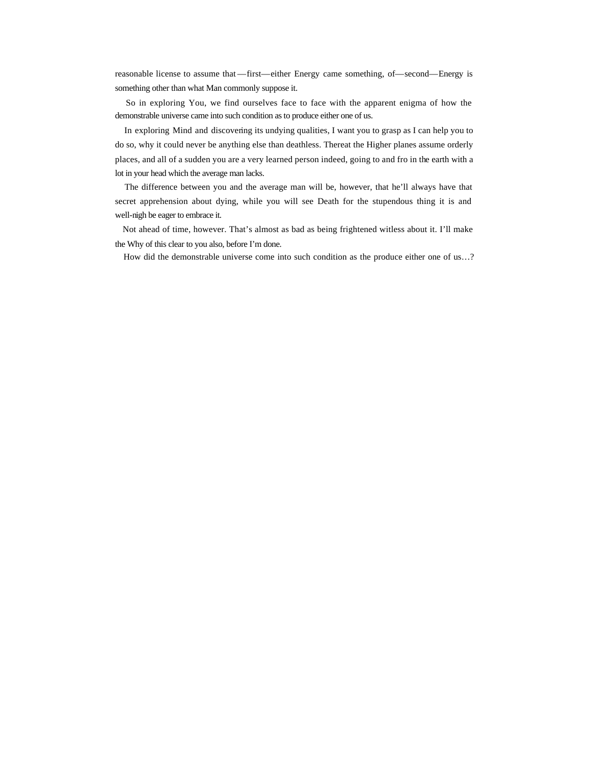reasonable license to assume that —first—either Energy came something, of—second—Energy is something other than what Man commonly suppose it.

 So in exploring You, we find ourselves face to face with the apparent enigma of how the demonstrable universe came into such condition as to produce either one of us.

 In exploring Mind and discovering its undying qualities, I want you to grasp as I can help you to do so, why it could never be anything else than deathless. Thereat the Higher planes assume orderly places, and all of a sudden you are a very learned person indeed, going to and fro in the earth with a lot in your head which the average man lacks.

 The difference between you and the average man will be, however, that he'll always have that secret apprehension about dying, while you will see Death for the stupendous thing it is and well-nigh be eager to embrace it.

 Not ahead of time, however. That's almost as bad as being frightened witless about it. I'll make the Why of this clear to you also, before I'm done.

How did the demonstrable universe come into such condition as the produce either one of us…?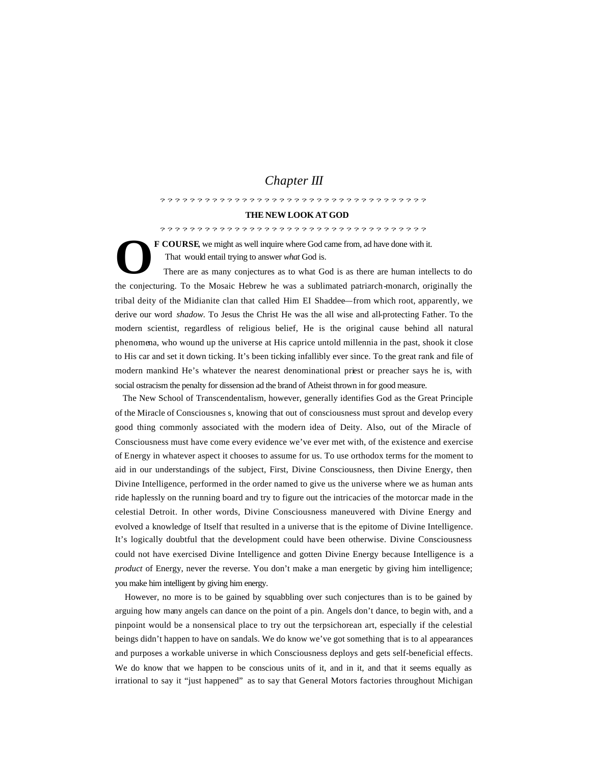## *Chapter III*

????????????????????????????????????

#### **THE NEW LOOK AT GOD**

????????????????????????????????????

**F COURSE**, we might as well inquire where God came from, ad have done with it. That would entail trying to answer *what* God is.

 There are as many conjectures as to what God is as there are human intellects to do the conjecturing. To the Mosaic Hebrew he was a sublimated patriarch-monarch, originally the tribal deity of the Midianite clan that called Him EI Shaddee—from which root, apparently, we derive our word *shadow.* To Jesus the Christ He was the all wise and all-protecting Father. To the modern scientist, regardless of religious belief, He is the original cause behind all natural phenomena, who wound up the universe at His caprice untold millennia in the past, shook it close to His car and set it down ticking. It's been ticking infallibly ever since. To the great rank and file of modern mankind He's whatever the nearest denominational priest or preacher says he is, with social ostracism the penalty for dissension ad the brand of Atheist thrown in for good measure. **O**

 The New School of Transcendentalism, however, generally identifies God as the Great Principle of the Miracle of Consciousnes s, knowing that out of consciousness must sprout and develop every good thing commonly associated with the modern idea of Deity. Also, out of the Miracle of Consciousness must have come every evidence we've ever met with, of the existence and exercise of Energy in whatever aspect it chooses to assume for us. To use orthodox terms for the moment to aid in our understandings of the subject, First, Divine Consciousness, then Divine Energy, then Divine Intelligence, performed in the order named to give us the universe where we as human ants ride haplessly on the running board and try to figure out the intricacies of the motorcar made in the celestial Detroit. In other words, Divine Consciousness maneuvered with Divine Energy and evolved a knowledge of Itself that resulted in a universe that is the epitome of Divine Intelligence. It's logically doubtful that the development could have been otherwise. Divine Consciousness could not have exercised Divine Intelligence and gotten Divine Energy because Intelligence is a *product* of Energy, never the reverse. You don't make a man energetic by giving him intelligence; you make him intelligent by giving him energy.

 However, no more is to be gained by squabbling over such conjectures than is to be gained by arguing how many angels can dance on the point of a pin. Angels don't dance, to begin with, and a pinpoint would be a nonsensical place to try out the terpsichorean art, especially if the celestial beings didn't happen to have on sandals. We do know we've got something that is to al appearances and purposes a workable universe in which Consciousness deploys and gets self-beneficial effects. We do know that we happen to be conscious units of it, and in it, and that it seems equally as irrational to say it "just happened" as to say that General Motors factories throughout Michigan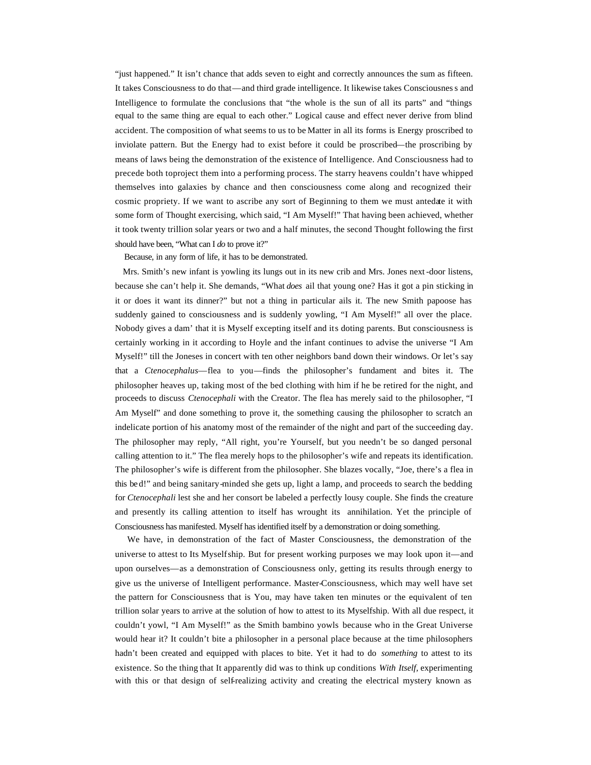"just happened." It isn't chance that adds seven to eight and correctly announces the sum as fifteen. It takes Consciousness to do that—and third grade intelligence. It likewise takes Consciousness and Intelligence to formulate the conclusions that "the whole is the sun of all its parts" and "things equal to the same thing are equal to each other." Logical cause and effect never derive from blind accident. The composition of what seems to us to be Matter in all its forms is Energy proscribed to inviolate pattern. But the Energy had to exist before it could be proscribed—the proscribing by means of laws being the demonstration of the existence of Intelligence. And Consciousness had to precede both to project them into a performing process. The starry heavens couldn't have whipped themselves into galaxies by chance and then consciousness come along and recognized their cosmic propriety. If we want to ascribe any sort of Beginning to them we must antedate it with some form of Thought exercising, which said, "I Am Myself!" That having been achieved, whether it took twenty trillion solar years or two and a half minutes, the second Thought following the first should have been, "What can I *do* to prove it?"

Because, in any form of life, it has to be demonstrated.

 Mrs. Smith's new infant is yowling its lungs out in its new crib and Mrs. Jones next-door listens, because she can't help it. She demands, "What *does* ail that young one? Has it got a pin sticking in it or does it want its dinner?" but not a thing in particular ails it. The new Smith papoose has suddenly gained to consciousness and is suddenly yowling, "I Am Myself!" all over the place. Nobody gives a dam' that it is Myself excepting itself and its doting parents. But consciousness is certainly working in it according to Hoyle and the infant continues to advise the universe "I Am Myself!" till the Joneses in concert with ten other neighbors band down their windows. Or let's say that a *Ctenocephalus*—flea to you—finds the philosopher's fundament and bites it. The philosopher heaves up, taking most of the bed clothing with him if he be retired for the night, and proceeds to discuss *Ctenocephali* with the Creator. The flea has merely said to the philosopher, "I Am Myself" and done something to prove it, the something causing the philosopher to scratch an indelicate portion of his anatomy most of the remainder of the night and part of the succeeding day. The philosopher may reply, "All right, you're Yourself, but you needn't be so danged personal calling attention to it." The flea merely hops to the philosopher's wife and repeats its identification. The philosopher's wife is different from the philosopher. She blazes vocally, "Joe, there's a flea in this be d!" and being sanitary-minded she gets up, light a lamp, and proceeds to search the bedding for *Ctenocephali* lest she and her consort be labeled a perfectly lousy couple. She finds the creature and presently its calling attention to itself has wrought its annihilation. Yet the principle of Consciousness has manifested. Myself has identified itself by a demonstration or doing something.

 We have, in demonstration of the fact of Master Consciousness, the demonstration of the universe to attest to Its Myselfship. But for present working purposes we may look upon it—and upon ourselves—as a demonstration of Consciousness only, getting its results through energy to give us the universe of Intelligent performance. Master-Consciousness, which may well have set the pattern for Consciousness that is You, may have taken ten minutes or the equivalent of ten trillion solar years to arrive at the solution of how to attest to its Myselfship. With all due respect, it couldn't yowl, "I Am Myself!" as the Smith bambino yowls because who in the Great Universe would hear it? It couldn't bite a philosopher in a personal place because at the time philosophers hadn't been created and equipped with places to bite. Yet it had to do *something* to attest to its existence. So the thing that It apparently did was to think up conditions *With Itself,* experimenting with this or that design of self-realizing activity and creating the electrical mystery known as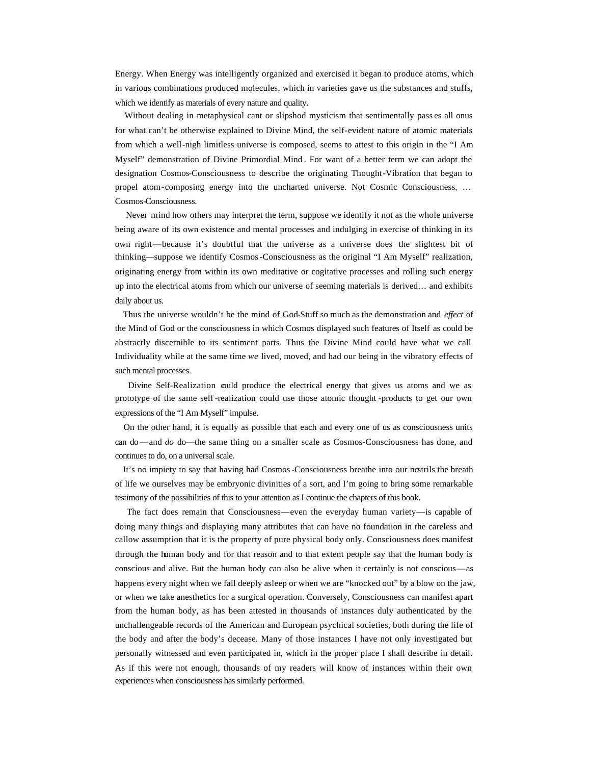Energy. When Energy was intelligently organized and exercised it began to produce atoms, which in various combinations produced molecules, which in varieties gave us the substances and stuffs, which we identify as materials of every nature and quality.

 Without dealing in metaphysical cant or slipshod mysticism that sentimentally pass es all onus for what can't be otherwise explained to Divine Mind, the self-evident nature of atomic materials from which a well-nigh limitless universe is composed, seems to attest to this origin in the "I Am Myself" demonstration of Divine Primordial Mind . For want of a better term we can adopt the designation Cosmos-Consciousness to describe the originating Thought-Vibration that began to propel atom-composing energy into the uncharted universe. Not Cosmic Consciousness, … Cosmos-Consciousness.

 Never mind how others may interpret the term, suppose we identify it not as the whole universe being aware of its own existence and mental processes and indulging in exercise of thinking in its own right—because it's doubtful that the universe as a universe does the slightest bit of thinking—suppose we identify Cosmos-Consciousness as the original "I Am Myself" realization, originating energy from within its own meditative or cogitative processes and rolling such energy up into the electrical atoms from which our universe of seeming materials is derived… and exhibits daily about us.

 Thus the universe wouldn't be the mind of God-Stuff so much as the demonstration and *effect* of the Mind of God or the consciousness in which Cosmos displayed such features of Itself as could be abstractly discernible to its sentiment parts. Thus the Divine Mind could have what we call Individuality while at the same time *we* lived, moved, and had our being in the vibratory effects of such mental processes.

 Divine Self-Realization could produce the electrical energy that gives us atoms and we as prototype of the same self -realization could use those atomic thought -products to get our own expressions of the "I Am Myself" impulse.

 On the other hand, it is equally as possible that each and every one of us as consciousness units can do—and *do* do—the same thing on a smaller scale as Cosmos-Consciousness has done, and continues to do, on a universal scale.

 It's no impiety to say that having had Cosmos-Consciousness breathe into our nostrils the breath of life we ourselves may be embryonic divinities of a sort, and I'm going to bring some remarkable testimony of the possibilities of this to your attention as I continue the chapters of this book.

 The fact does remain that Consciousness—even the everyday human variety—is capable of doing many things and displaying many attributes that can have no foundation in the careless and callow assumption that it is the property of pure physical body only. Consciousness does manifest through the human body and for that reason and to that extent people say that the human body is conscious and alive. But the human body can also be alive when it certainly is not conscious—as happens every night when we fall deeply asleep or when we are "knocked out" by a blow on the jaw, or when we take anesthetics for a surgical operation. Conversely, Consciousness can manifest apart from the human body, as has been attested in thousands of instances duly authenticated by the unchallengeable records of the American and European psychical societies, both during the life of the body and after the body's decease. Many of those instances I have not only investigated but personally witnessed and even participated in, which in the proper place I shall describe in detail. As if this were not enough, thousands of my readers will know of instances within their own experiences when consciousness has similarly performed.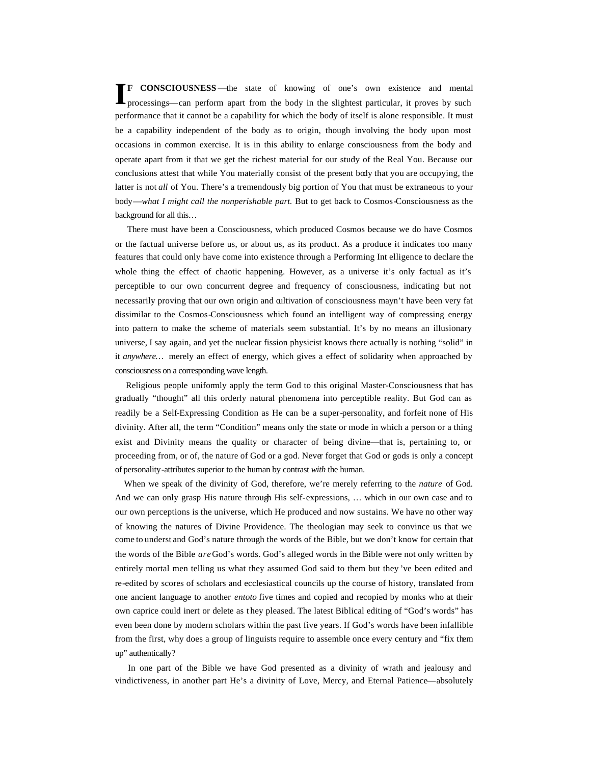**F CONSCIOUSNESS** —the state of knowing of one's own existence and mental **I**processings—can perform apart from the body in the slightest particular, it proves by such performance that it cannot be a capability for which the body of itself is alone responsible. It must be a capability independent of the body as to origin, though involving the body upon most occasions in common exercise. It is in this ability to enlarge consciousness from the body and operate apart from it that we get the richest material for our study of the Real You. Because our conclusions attest that while You materially consist of the present body that you are occupying, the latter is not *all* of You. There's a tremendously big portion of You that must be extraneous to your body—*what I might call the nonperishable part.* But to get back to Cosmos-Consciousness as the background for all this…

 There must have been a Consciousness, which produced Cosmos because we do have Cosmos or the factual universe before us, or about us, as its product. As a produce it indicates too many features that could only have come into existence through a Performing Int elligence to declare the whole thing the effect of chaotic happening. However, as a universe it's only factual as it's perceptible to our own concurrent degree and frequency of consciousness, indicating but not necessarily proving that our own origin and cultivation of consciousness mayn't have been very fat dissimilar to the Cosmos-Consciousness which found an intelligent way of compressing energy into pattern to make the scheme of materials seem substantial. It's by no means an illusionary universe, I say again, and yet the nuclear fission physicist knows there actually is nothing "solid" in it *anywhere…* merely an effect of energy, which gives a effect of solidarity when approached by consciousness on a corresponding wave length.

 Religious people uniformly apply the term God to this original Master-Consciousness that has gradually "thought" all this orderly natural phenomena into perceptible reality. But God can as readily be a Self-Expressing Condition as He can be a super-personality, and forfeit none of His divinity. After all, the term "Condition" means only the state or mode in which a person or a thing exist and Divinity means the quality or character of being divine—that is, pertaining to, or proceeding from, or of, the nature of God or a god. Never forget that God or gods is only a concept of personality-attributes superior to the human by contrast *with* the human.

 When we speak of the divinity of God, therefore, we're merely referring to the *nature* of God. And we can only grasp His nature through His self-expressions, … which in our own case and to our own perceptions is the universe, which He produced and now sustains. We have no other way of knowing the natures of Divine Providence. The theologian may seek to convince us that we come to underst and God's nature through the words of the Bible, but we don't know for certain that the words of the Bible *are* God's words. God's alleged words in the Bible were not only written by entirely mortal men telling us what they assumed God said to them but they 've been edited and re-edited by scores of scholars and ecclesiastical councils up the course of history, translated from one ancient language to another *entoto* five times and copied and recopied by monks who at their own caprice could inert or delete as t hey pleased. The latest Biblical editing of "God's words" has even been done by modern scholars within the past five years. If God's words have been infallible from the first, why does a group of linguists require to assemble once every century and "fix them up" authentically?

 In one part of the Bible we have God presented as a divinity of wrath and jealousy and vindictiveness, in another part He's a divinity of Love, Mercy, and Eternal Patience—absolutely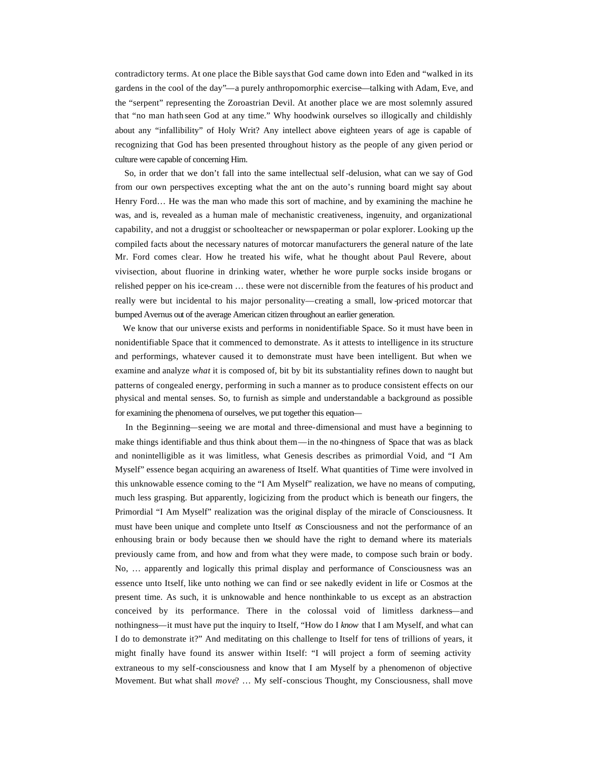contradictory terms. At one place the Bible says that God came down into Eden and "walked in its gardens in the cool of the day"—a purely anthropomorphic exercise—talking with Adam, Eve, and the "serpent" representing the Zoroastrian Devil. At another place we are most solemnly assured that "no man hath seen God at any time." Why hoodwink ourselves so illogically and childishly about any "infallibility" of Holy Writ? Any intellect above eighteen years of age is capable of recognizing that God has been presented throughout history as the people of any given period or culture were capable of concerning Him.

 So, in order that we don't fall into the same intellectual self-delusion, what can we say of God from our own perspectives excepting what the ant on the auto's running board might say about Henry Ford… He was the man who made this sort of machine, and by examining the machine he was, and is, revealed as a human male of mechanistic creativeness, ingenuity, and organizational capability, and not a druggist or schoolteacher or newspaperman or polar explorer. Looking up the compiled facts about the necessary natures of motorcar manufacturers the general nature of the late Mr. Ford comes clear. How he treated his wife, what he thought about Paul Revere, about vivisection, about fluorine in drinking water, whether he wore purple socks inside brogans or relished pepper on his ice-cream … these were not discernible from the features of his product and really were but incidental to his major personality—creating a small, low -priced motorcar that bumped Avernus out of the average American citizen throughout an earlier generation.

 We know that our universe exists and performs in nonidentifiable Space. So it must have been in nonidentifiable Space that it commenced to demonstrate. As it attests to intelligence in its structure and performings, whatever caused it to demonstrate must have been intelligent. But when we examine and analyze *what* it is composed of, bit by bit its substantiality refines down to naught but patterns of congealed energy, performing in such a manner as to produce consistent effects on our physical and mental senses. So, to furnish as simple and understandable a background as possible for examining the phenomena of ourselves, we put together this equation—

 In the Beginning—seeing we are mortal and three-dimensional and must have a beginning to make things identifiable and thus think about them—in the no-thingness of Space that was as black and nonintelligible as it was limitless, what Genesis describes as primordial Void, and "I Am Myself" essence began acquiring an awareness of Itself. What quantities of Time were involved in this unknowable essence coming to the "I Am Myself" realization, we have no means of computing, much less grasping. But apparently, logicizing from the product which is beneath our fingers, the Primordial "I Am Myself" realization was the original display of the miracle of Consciousness. It must have been unique and complete unto Itself *as* Consciousness and not the performance of an enhousing brain or body because then we should have the right to demand where its materials previously came from, and how and from what they were made, to compose such brain or body. No, … apparently and logically this primal display and performance of Consciousness was an essence unto Itself, like unto nothing we can find or see nakedly evident in life or Cosmos at the present time. As such, it is unknowable and hence nonthinkable to us except as an abstraction conceived by its performance. There in the colossal void of limitless darkness—and nothingness—it must have put the inquiry to Itself, "How do I *know* that I am Myself, and what can I do to demonstrate it?" And meditating on this challenge to Itself for tens of trillions of years, it might finally have found its answer within Itself: "I will project a form of seeming activity extraneous to my self-consciousness and know that I am Myself by a phenomenon of objective Movement. But what shall *move*? … My self-conscious Thought, my Consciousness, shall move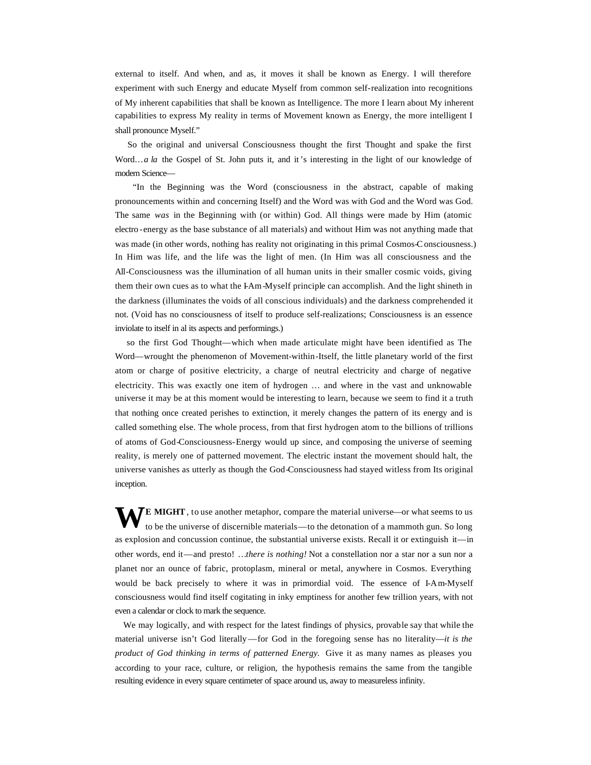external to itself. And when, and as, it moves it shall be known as Energy. I will therefore experiment with such Energy and educate Myself from common self-realization into recognitions of My inherent capabilities that shall be known as Intelligence. The more I learn about My inherent capabilities to express My reality in terms of Movement known as Energy, the more intelligent I shall pronounce Myself."

 So the original and universal Consciousness thought the first Thought and spake the first Word...*a la* the Gospel of St. John puts it, and it's interesting in the light of our knowledge of modern Science—

 "In the Beginning was the Word (consciousness in the abstract, capable of making pronouncements within and concerning Itself) and the Word was with God and the Word was God. The same *was* in the Beginning with (or within) God. All things were made by Him (atomic electro -energy as the base substance of all materials) and without Him was not anything made that was made (in other words, nothing has reality not originating in this primal Cosmos-Consciousness.) In Him was life, and the life was the light of men. (In Him was all consciousness and the All-Consciousness was the illumination of all human units in their smaller cosmic voids, giving them their own cues as to what the I-Am-Myself principle can accomplish. And the light shineth in the darkness (illuminates the voids of all conscious individuals) and the darkness comprehended it not. (Void has no consciousness of itself to produce self-realizations; Consciousness is an essence inviolate to itself in al its aspects and performings.)

 so the first God Thought—which when made articulate might have been identified as The Word—wrought the phenomenon of Movement-within-Itself, the little planetary world of the first atom or charge of positive electricity, a charge of neutral electricity and charge of negative electricity. This was exactly one item of hydrogen … and where in the vast and unknowable universe it may be at this moment would be interesting to learn, because we seem to find it a truth that nothing once created perishes to extinction, it merely changes the pattern of its energy and is called something else. The whole process, from that first hydrogen atom to the billions of trillions of atoms of God-Consciousness-Energy would up since, and composing the universe of seeming reality, is merely one of patterned movement. The electric instant the movement should halt, the universe vanishes as utterly as though the God-Consciousness had stayed witless from Its original inception.

WE MIGHT, to use another metaphor, compare the material universe—or what seems to us to be the universe of discernible materials—to the detonation of a mammoth gun. So long to be the universe of discernible materials—to the detonation of a mammoth gun. So long as explosion and concussion continue, the substantial universe exists. Recall it or extinguish it—in other words, end it—and presto! …*there is nothing!* Not a constellation nor a star nor a sun nor a planet nor an ounce of fabric, protoplasm, mineral or metal, anywhere in Cosmos. Everything would be back precisely to where it was in primordial void. The essence of I-Am-Myself consciousness would find itself cogitating in inky emptiness for another few trillion years, with not even a calendar or clock to mark the sequence.

 We may logically, and with respect for the latest findings of physics, provable say that while the material universe isn't God literally—for God in the foregoing sense has no literality—*it is the product of God thinking in terms of patterned Energy.* Give it as many names as pleases you according to your race, culture, or religion, the hypothesis remains the same from the tangible resulting evidence in every square centimeter of space around us, away to measureless infinity.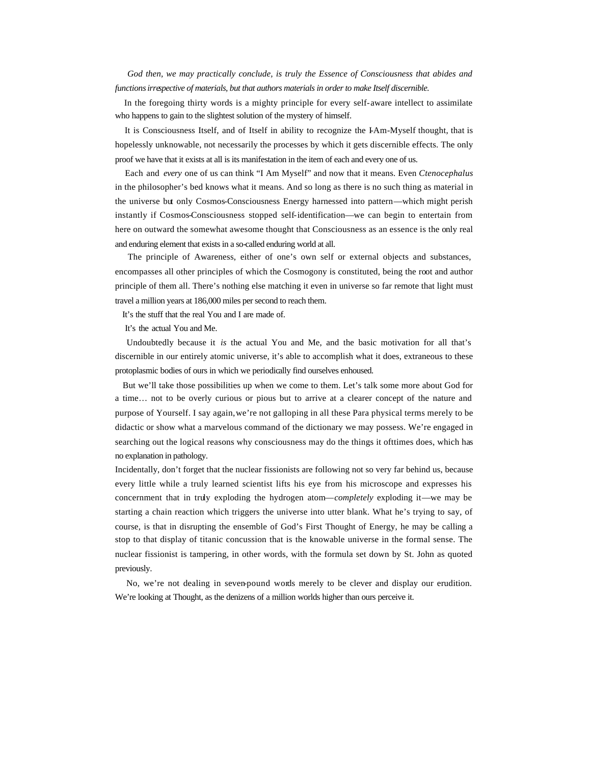*God then, we may practically conclude, is truly the Essence of Consciousness that abides and functions irrespective of materials, but that authors materials in order to make Itself discernible.*

 In the foregoing thirty words is a mighty principle for every self-aware intellect to assimilate who happens to gain to the slightest solution of the mystery of himself.

 It is Consciousness Itself, and of Itself in ability to recognize the I-Am-Myself thought, that is hopelessly unknowable, not necessarily the processes by which it gets discernible effects. The only proof we have that it exists at all is its manifestation in the item of each and every one of us.

 Each and *every* one of us can think "I Am Myself" and now that it means. Even *Ctenocephalus*  in the philosopher's bed knows what it means. And so long as there is no such thing as material in the universe but only Cosmos-Consciousness Energy harnessed into pattern—which might perish instantly if Cosmos-Consciousness stopped self-identification—we can begin to entertain from here on outward the somewhat awesome thought that Consciousness as an essence is the only real and enduring element that exists in a so-called enduring world at all.

 The principle of Awareness, either of one's own self or external objects and substances, encompasses all other principles of which the Cosmogony is constituted, being the root and author principle of them all. There's nothing else matching it even in universe so far remote that light must travel a million years at 186,000 miles per second to reach them.

It's the stuff that the real You and I are made of.

It's the actual You and Me.

 Undoubtedly because it *is* the actual You and Me, and the basic motivation for all that's discernible in our entirely atomic universe, it's able to accomplish what it does, extraneous to these protoplasmic bodies of ours in which we periodically find ourselves enhoused.

 But we'll take those possibilities up when we come to them. Let's talk some more about God for a time… not to be overly curious or pious but to arrive at a clearer concept of the nature and purpose of Yourself. I say again, we're not galloping in all these Para physical terms merely to be didactic or show what a marvelous command of the dictionary we may possess. We're engaged in searching out the logical reasons why consciousness may do the things it ofttimes does, which has no explanation in pathology.

Incidentally, don't forget that the nuclear fissionists are following not so very far behind us, because every little while a truly learned scientist lifts his eye from his microscope and expresses his concernment that in truly exploding the hydrogen atom—*completely* exploding it—we may be starting a chain reaction which triggers the universe into utter blank. What he's trying to say, of course, is that in disrupting the ensemble of God's First Thought of Energy, he may be calling a stop to that display of titanic concussion that is the knowable universe in the formal sense. The nuclear fissionist is tampering, in other words, with the formula set down by St. John as quoted previously.

 No, we're not dealing in seven-pound words merely to be clever and display our erudition. We're looking at Thought, as the denizens of a million worlds higher than ours perceive it.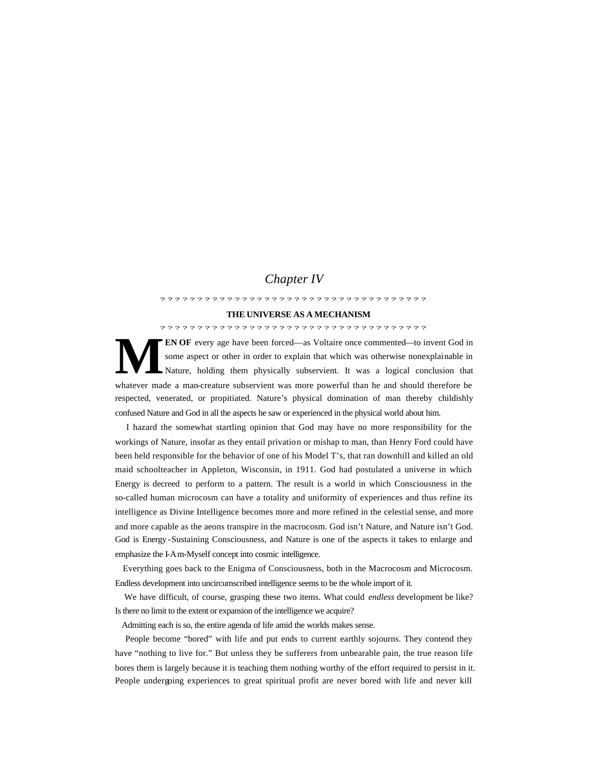## *Chapter IV*

#### ????????????????????????????????????

#### **THE UNIVERSE AS A MECHANISM**

????????????????????????????????????

**EN OF** every age have been forced—as Voltaire once commented—to invent God in some aspect or other in order to explain that which was otherwise nonexplainable in Nature, holding them physically subservient. It was a logical conclusion that whatever made a man-creature subservient was more powerful than he and should therefore be respected, venerated, or propitiated. Nature's physical domination of man thereby childishly confused Nature and God in all the aspects he saw or experienced in the physical world about him. **M**

 I hazard the somewhat startling opinion that God may have no more responsibility for the workings of Nature, insofar as they entail privation or mishap to man, than Henry Ford could have been held responsible for the behavior of one of his Model T's, that ran downhill and killed an old maid schoolteacher in Appleton, Wisconsin, in 1911. God had postulated a universe in which Energy is decreed to perform to a pattern. The result is a world in which Consciousness in the so-called human microcosm can have a totality and uniformity of experiences and thus refine its intelligence as Divine Intelligence becomes more and more refined in the celestial sense, and more and more capable as the aeons transpire in the macrocosm. God isn't Nature, and Nature isn't God. God is Energy -Sustaining Consciousness, and Nature is one of the aspects it takes to enlarge and emphasize the I-Am-Myself concept into cosmic intelligence.

 Everything goes back to the Enigma of Consciousness, both in the Macrocosm and Microcosm. Endless development into uncircumscribed intelligence seems to be the whole import of it.

 We have difficult, of course, grasping these two items. What could *endless* development be like? Is there no limit to the extent or expansion of the intelligence we acquire?

Admitting each is so, the entire agenda of life amid the worlds makes sense.

 People become "bored" with life and put ends to current earthly sojourns. They contend they have "nothing to live for." But unless they be sufferers from unbearable pain, the true reason life bores them is largely because it is teaching them nothing worthy of the effort required to persist in it. People undergoing experiences to great spiritual profit are never bored with life and never kill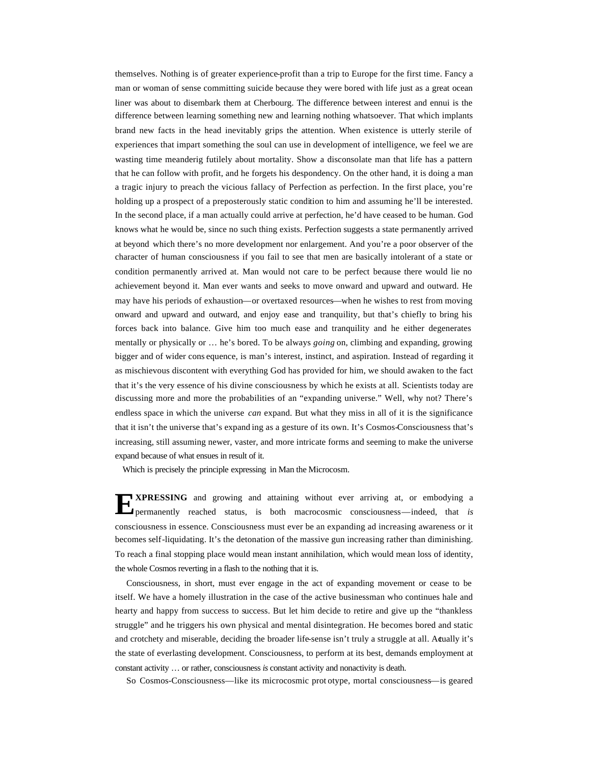themselves. Nothing is of greater experience-profit than a trip to Europe for the first time. Fancy a man or woman of sense committing suicide because they were bored with life just as a great ocean liner was about to disembark them at Cherbourg. The difference between interest and ennui is the difference between learning something new and learning nothing whatsoever. That which implants brand new facts in the head inevitably grips the attention. When existence is utterly sterile of experiences that impart something the soul can use in development of intelligence, we feel we are wasting time meanderig futilely about mortality. Show a disconsolate man that life has a pattern that he can follow with profit, and he forgets his despondency. On the other hand, it is doing a man a tragic injury to preach the vicious fallacy of Perfection as perfection. In the first place, you're holding up a prospect of a preposterously static condition to him and assuming he'll be interested. In the second place, if a man actually could arrive at perfection, he'd have ceased to be human. God knows what he would be, since no such thing exists. Perfection suggests a state permanently arrived at beyond which there's no more development nor enlargement. And you're a poor observer of the character of human consciousness if you fail to see that men are basically intolerant of a state or condition permanently arrived at. Man would not care to be perfect because there would lie no achievement beyond it. Man ever wants and seeks to move onward and upward and outward. He may have his periods of exhaustion—or overtaxed resources—when he wishes to rest from moving onward and upward and outward, and enjoy ease and tranquility, but that's chiefly to bring his forces back into balance. Give him too much ease and tranquility and he either degenerates mentally or physically or … he's bored. To be always *going* on, climbing and expanding, growing bigger and of wider cons equence, is man's interest, instinct, and aspiration. Instead of regarding it as mischievous discontent with everything God has provided for him, we should awaken to the fact that it's the very essence of his divine consciousness by which he exists at all. Scientists today are discussing more and more the probabilities of an "expanding universe." Well, why not? There's endless space in which the universe *can* expand. But what they miss in all of it is the significance that it isn't the universe that's expand ing as a gesture of its own. It's Cosmos-Consciousness that's increasing, still assuming newer, vaster, and more intricate forms and seeming to make the universe expand because of what ensues in result of it.

Which is precisely the principle expressing in Man the Microcosm.

**XPRESSING** and growing and attaining without ever arriving at, or embodying a **EXPRESSING** and growing and attaining without ever arriving at, or embodying a permanently reached status, is both macrocosmic consciousness—indeed, that *is* consciousness in essence. Consciousness must ever be an expanding ad increasing awareness or it becomes self-liquidating. It's the detonation of the massive gun increasing rather than diminishing. To reach a final stopping place would mean instant annihilation, which would mean loss of identity, the whole Cosmos reverting in a flash to the nothing that it is.

 Consciousness, in short, must ever engage in the act of expanding movement or cease to be itself. We have a homely illustration in the case of the active businessman who continues hale and hearty and happy from success to success. But let him decide to retire and give up the "thankless struggle" and he triggers his own physical and mental disintegration. He becomes bored and static and crotchety and miserable, deciding the broader life-sense isn't truly a struggle at all. Actually it's the state of everlasting development. Consciousness, to perform at its best, demands employment at constant activity … or rather, consciousness *is* constant activity and nonactivity is death.

So Cosmos-Consciousness—like its microcosmic prot otype, mortal consciousness—is geared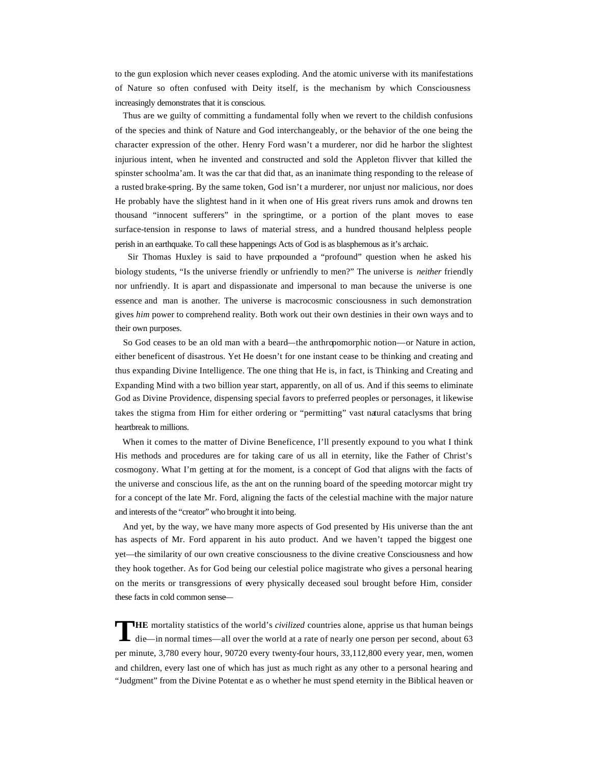to the gun explosion which never ceases exploding. And the atomic universe with its manifestations of Nature so often confused with Deity itself, is the mechanism by which Consciousness increasingly demonstrates that it is conscious.

 Thus are we guilty of committing a fundamental folly when we revert to the childish confusions of the species and think of Nature and God interchangeably, or the behavior of the one being the character expression of the other. Henry Ford wasn't a murderer, nor did he harbor the slightest injurious intent, when he invented and constructed and sold the Appleton flivver that killed the spinster schoolma'am. It was the car that did that, as an inanimate thing responding to the release of a rusted brake-spring. By the same token, God isn't a murderer, nor unjust nor malicious, nor does He probably have the slightest hand in it when one of His great rivers runs amok and drowns ten thousand "innocent sufferers" in the springtime, or a portion of the plant moves to ease surface-tension in response to laws of material stress, and a hundred thousand helpless people perish in an earthquake. To call these happenings Acts of God is as blasphemous as it's archaic.

Sir Thomas Huxley is said to have propounded a "profound" question when he asked his biology students, "Is the universe friendly or unfriendly to men?" The universe is *neither* friendly nor unfriendly. It is apart and dispassionate and impersonal to man because the universe is one essence and man is another. The universe is macrocosmic consciousness in such demonstration gives *him* power to comprehend reality. Both work out their own destinies in their own ways and to their own purposes.

 So God ceases to be an old man with a beard—the anthropomorphic notion—or Nature in action, either beneficent of disastrous. Yet He doesn't for one instant cease to be thinking and creating and thus expanding Divine Intelligence. The one thing that He is, in fact, is Thinking and Creating and Expanding Mind with a two billion year start, apparently, on all of us. And if this seems to eliminate God as Divine Providence, dispensing special favors to preferred peoples or personages, it likewise takes the stigma from Him for either ordering or "permitting" vast natural cataclysms that bring heartbreak to millions.

When it comes to the matter of Divine Beneficence, I'll presently expound to you what I think His methods and procedures are for taking care of us all in eternity, like the Father of Christ's cosmogony. What I'm getting at for the moment, is a concept of God that aligns with the facts of the universe and conscious life, as the ant on the running board of the speeding motorcar might try for a concept of the late Mr. Ford, aligning the facts of the celestial machine with the major nature and interests of the "creator" who brought it into being.

 And yet, by the way, we have many more aspects of God presented by His universe than the ant has aspects of Mr. Ford apparent in his auto product. And we haven't tapped the biggest one yet—the similarity of our own creative consciousness to the divine creative Consciousness and how they hook together. As for God being our celestial police magistrate who gives a personal hearing on the merits or transgressions of every physically deceased soul brought before Him, consider these facts in cold common sense—

**HE** mortality statistics of the world's *civilized* countries alone, apprise us that human beings die—in normal times—all over the world at a rate of nearly one person per second, about 63 per minute, 3,780 every hour, 90720 every twenty-four hours, 33,112,800 every year, men, women and children, every last one of which has just as much right as any other to a personal hearing and "Judgment" from the Divine Potentat e as o whether he must spend eternity in the Biblical heaven or **T**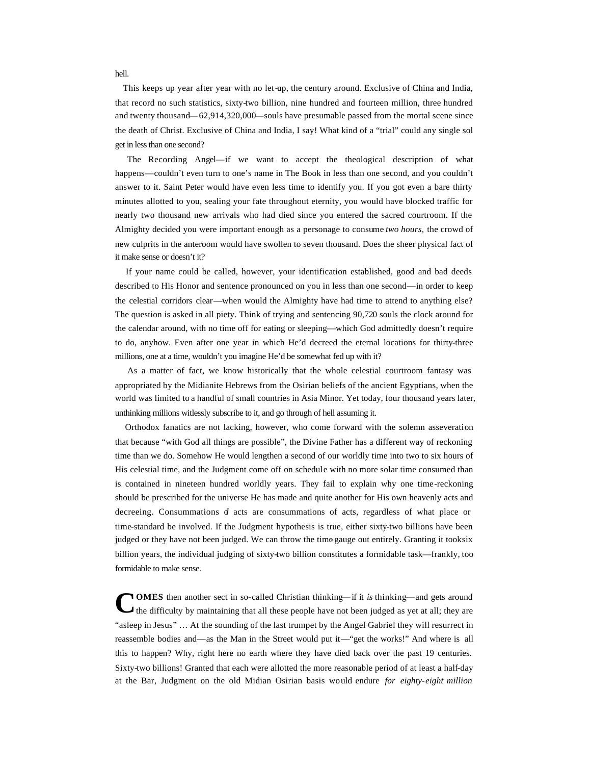This keeps up year after year with no let-up, the century around. Exclusive of China and India, that record no such statistics, sixty-two billion, nine hundred and fourteen million, three hundred and twenty thousand—62,914,320,000—souls have presumable passed from the mortal scene since the death of Christ. Exclusive of China and India, I say! What kind of a "trial" could any single sol get in less than one second?

 The Recording Angel—if we want to accept the theological description of what happens—couldn't even turn to one's name in The Book in less than one second, and you couldn't answer to it. Saint Peter would have even less time to identify you. If you got even a bare thirty minutes allotted to you, sealing your fate throughout eternity, you would have blocked traffic for nearly two thousand new arrivals who had died since you entered the sacred courtroom. If the Almighty decided you were important enough as a personage to consume *two hours,* the crowd of new culprits in the anteroom would have swollen to seven thousand. Does the sheer physical fact of it make sense or doesn't it?

 If your name could be called, however, your identification established, good and bad deeds described to His Honor and sentence pronounced on you in less than one second—in order to keep the celestial corridors clear—when would the Almighty have had time to attend to anything else? The question is asked in all piety. Think of trying and sentencing 90,720 souls the clock around for the calendar around, with no time off for eating or sleeping—which God admittedly doesn't require to do, anyhow. Even after one year in which He'd decreed the eternal locations for thirty-three millions, one at a time, wouldn't you imagine He'd be somewhat fed up with it?

 As a matter of fact, we know historically that the whole celestial courtroom fantasy was appropriated by the Midianite Hebrews from the Osirian beliefs of the ancient Egyptians, when the world was limited to a handful of small countries in Asia Minor. Yet today, four thousand years later, unthinking millions witlessly subscribe to it, and go through of hell assuming it.

 Orthodox fanatics are not lacking, however, who come forward with the solemn asseveration that because "with God all things are possible", the Divine Father has a different way of reckoning time than we do. Somehow He would lengthen a second of our worldly time into two to six hours of His celestial time, and the Judgment come off on schedule with no more solar time consumed than is contained in nineteen hundred worldly years. They fail to explain why one time-reckoning should be prescribed for the universe He has made and quite another for His own heavenly acts and decreeing. Consummations of acts are consummations of acts, regardless of what place or time-standard be involved. If the Judgment hypothesis is true, either sixty-two billions have been judged or they have not been judged. We can throw the time gauge out entirely. Granting it tooksix billion years, the individual judging of sixty-two billion constitutes a formidable task—frankly, too formidable to make sense.

**OMES** then another sect in so-called Christian thinking—if it *is* thinking—and gets around the difficulty by maintaining that all these people have not been judged as yet at all; they are "asleep in Jesus" … At the sounding of the last trumpet by the Angel Gabriel they will resurrect in reassemble bodies and—as the Man in the Street would put it—"get the works!" And where is all this to happen? Why, right here no earth where they have died back over the past 19 centuries. Sixty-two billions! Granted that each were allotted the more reasonable period of at least a half-day at the Bar, Judgment on the old Midian Osirian basis would endure *for eighty-eight million*  **C**

hell.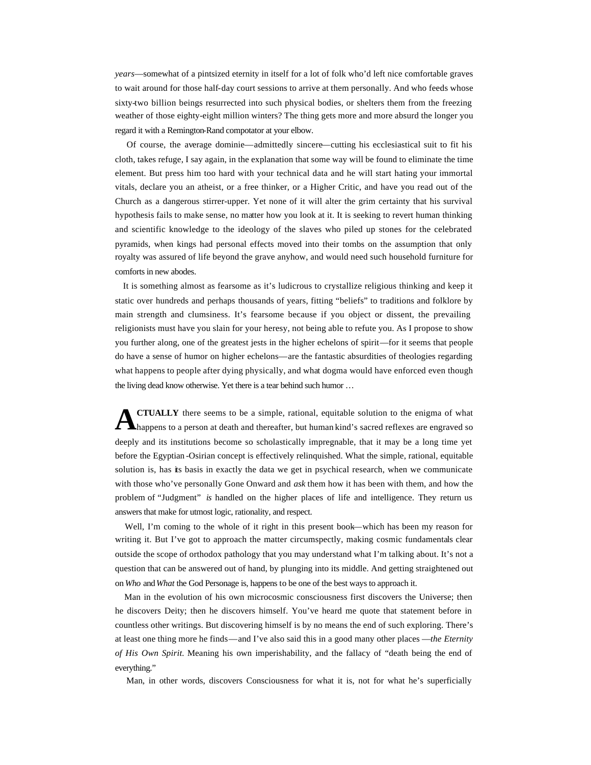*years*—somewhat of a pintsized eternity in itself for a lot of folk who'd left nice comfortable graves to wait around for those half-day court sessions to arrive at them personally. And who feeds whose sixty-two billion beings resurrected into such physical bodies, or shelters them from the freezing weather of those eighty-eight million winters? The thing gets more and more absurd the longer you regard it with a Remington-Rand compotator at your elbow.

 Of course, the average dominie—admittedly sincere—cutting his ecclesiastical suit to fit his cloth, takes refuge, I say again, in the explanation that some way will be found to eliminate the time element. But press him too hard with your technical data and he will start hating your immortal vitals, declare you an atheist, or a free thinker, or a Higher Critic, and have you read out of the Church as a dangerous stirrer-upper. Yet none of it will alter the grim certainty that his survival hypothesis fails to make sense, no matter how you look at it. It is seeking to revert human thinking and scientific knowledge to the ideology of the slaves who piled up stones for the celebrated pyramids, when kings had personal effects moved into their tombs on the assumption that only royalty was assured of life beyond the grave anyhow, and would need such household furniture for comforts in new abodes.

 It is something almost as fearsome as it's ludicrous to crystallize religious thinking and keep it static over hundreds and perhaps thousands of years, fitting "beliefs" to traditions and folklore by main strength and clumsiness. It's fearsome because if you object or dissent, the prevailing religionists must have you slain for your heresy, not being able to refute you. As I propose to show you further along, one of the greatest jests in the higher echelons of spirit—for it seems that people do have a sense of humor on higher echelons—are the fantastic absurdities of theologies regarding what happens to people after dying physically, and what dogma would have enforced even though the living dead know otherwise. Yet there is a tear behind such humor …

**CTUALLY** there seems to be a simple, rational, equitable solution to the enigma of what happens to a person at death and thereafter, but human kind's sacred reflexes are engraved so deeply and its institutions become so scholastically impregnable, that it may be a long time yet before the Egyptian -Osirian concept is effectively relinquished. What the simple, rational, equitable solution is, has its basis in exactly the data we get in psychical research, when we communicate with those who've personally Gone Onward and *ask* them how it has been with them, and how the problem of "Judgment" *is* handled on the higher places of life and intelligence. They return us answers that make for utmost logic, rationality, and respect. **A**

Well, I'm coming to the whole of it right in this present book—which has been my reason for writing it. But I've got to approach the matter circumspectly, making cosmic fundamentals clear outside the scope of orthodox pathology that you may understand what I'm talking about. It's not a question that can be answered out of hand, by plunging into its middle. And getting straightened out on *Who* and *What* the God Personage is, happens to be one of the best ways to approach it.

 Man in the evolution of his own microcosmic consciousness first discovers the Universe; then he discovers Deity; then he discovers himself. You've heard me quote that statement before in countless other writings. But discovering himself is by no means the end of such exploring. There's at least one thing more he finds—and I've also said this in a good many other places —*the Eternity of His Own Spirit.* Meaning his own imperishability, and the fallacy of "death being the end of everything."

Man, in other words, discovers Consciousness for what it is, not for what he's superficially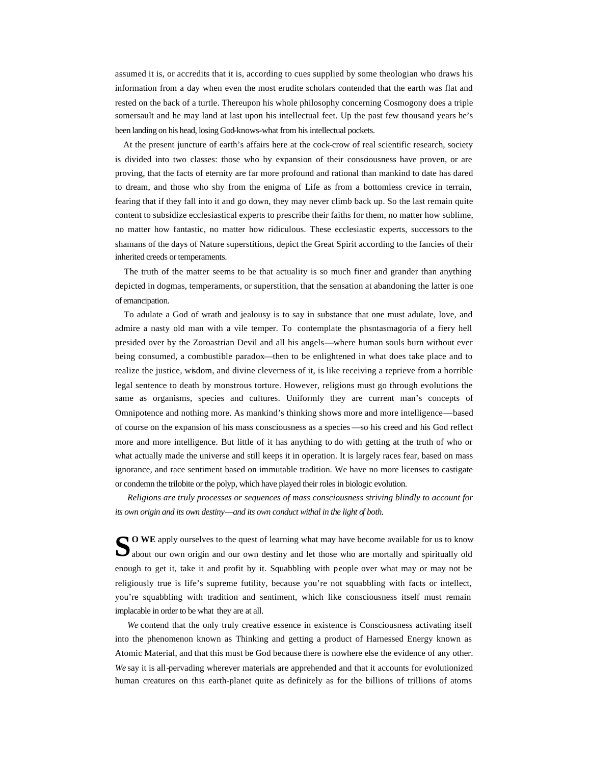assumed it is, or accredits that it is, according to cues supplied by some theologian who draws his information from a day when even the most erudite scholars contended that the earth was flat and rested on the back of a turtle. Thereupon his whole philosophy concerning Cosmogony does a triple somersault and he may land at last upon his intellectual feet. Up the past few thousand years he's been landing on his head, losing God-knows-what from his intellectual pockets.

 At the present juncture of earth's affairs here at the cock-crow of real scientific research, society is divided into two classes: those who by expansion of their consciousness have proven, or are proving, that the facts of eternity are far more profound and rational than mankind to date has dared to dream, and those who shy from the enigma of Life as from a bottomless crevice in terrain, fearing that if they fall into it and go down, they may never climb back up. So the last remain quite content to subsidize ecclesiastical experts to prescribe their faiths for them, no matter how sublime, no matter how fantastic, no matter how ridiculous. These ecclesiastic experts, successors to the shamans of the days of Nature superstitions, depict the Great Spirit according to the fancies of their inherited creeds or temperaments.

 The truth of the matter seems to be that actuality is so much finer and grander than anything depicted in dogmas, temperaments, or superstition, that the sensation at abandoning the latter is one of emancipation.

 To adulate a God of wrath and jealousy is to say in substance that one must adulate, love, and admire a nasty old man with a vile temper. To contemplate the phsntasmagoria of a fiery hell presided over by the Zoroastrian Devil and all his angels—where human souls burn without ever being consumed, a combustible paradox—then to be enlightened in what does take place and to realize the justice, wisdom, and divine cleverness of it, is like receiving a reprieve from a horrible legal sentence to death by monstrous torture. However, religions must go through evolutions the same as organisms, species and cultures. Uniformly they are current man's concepts of Omnipotence and nothing more. As mankind's thinking shows more and more intelligence—based of course on the expansion of his mass consciousness as a species —so his creed and his God reflect more and more intelligence. But little of it has anything to do with getting at the truth of who or what actually made the universe and still keeps it in operation. It is largely races fear, based on mass ignorance, and race sentiment based on immutable tradition. We have no more licenses to castigate or condemn the trilobite or the polyp, which have played their roles in biologic evolution.

 *Religions are truly processes or sequences of mass consciousness striving blindly to account for its own origin and its own destiny—and its own conduct withal in the light of both.*

SO WE apply ourselves to the quest of learning what may have become available for us to know about our own origin and our own destiny and let those who are mortally and spiritually old  $\Box$  about our own origin and our own destiny and let those who are mortally and spiritually old enough to get it, take it and profit by it. Squabbling with people over what may or may not be religiously true is life's supreme futility, because you're not squabbling with facts or intellect, you're squabbling with tradition and sentiment, which like consciousness itself must remain implacable in order to be what they are at all.

 *We* contend that the only truly creative essence in existence is Consciousness activating itself into the phenomenon known as Thinking and getting a product of Harnessed Energy known as Atomic Material, and that this must be God because there is nowhere else the evidence of any other. *We* say it is all-pervading wherever materials are apprehended and that it accounts for evolutionized human creatures on this earth-planet quite as definitely as for the billions of trillions of atoms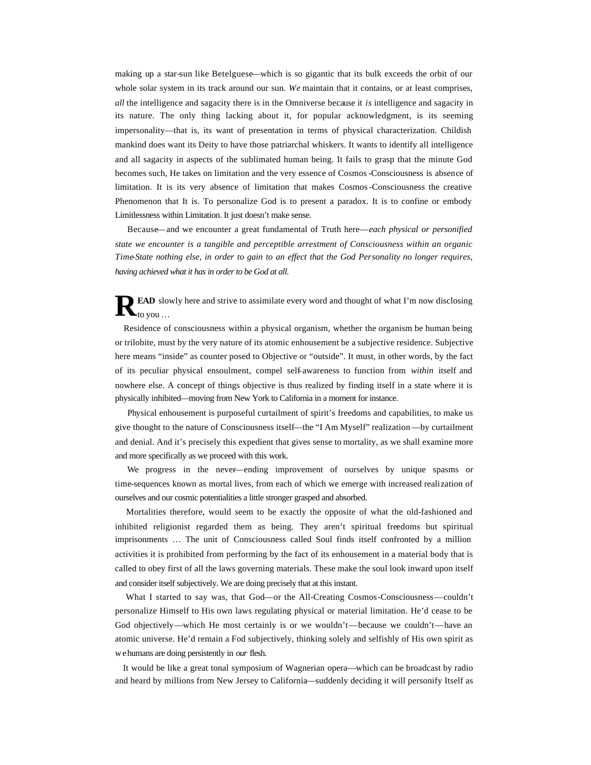making up a star-sun like Betelguese—which is so gigantic that its bulk exceeds the orbit of our whole solar system in its track around our sun. *We* maintain that it contains, or at least comprises, *all* the intelligence and sagacity there is in the Omniverse because it *is* intelligence and sagacity in its nature. The only thing lacking about it, for popular acknowledgment, is its seeming impersonality—that is, its want of presentation in terms of physical characterization. Childish mankind does want its Deity to have those patriarchal whiskers. It wants to identify all intelligence and all sagacity in aspects of the sublimated human being. It fails to grasp that the minute God becomes such, He takes on limitation and the very essence of Cosmos-Consciousness is absence of limitation. It is its very absence of limitation that makes Cosmos-Consciousness the creative Phenomenon that It is. To personalize God is to present a paradox. It is to confine or embody Limitlessness within Limitation. It just doesn't make sense.

 Because—and we encounter a great fundamental of Truth here—*each physical or personified state we encounter is a tangible and perceptible arrestment of Consciousness within an organic Time-State nothing else, in order to gain to an effect that the God Personality no longer requires, having achieved what it has in order to be God at all.*

**EAD** slowly here and strive to assimilate every word and thought of what I'm now disclosing  $\mathbf{R}^{\texttt{EAD} \text{ slo}}_{\text{to you} \dots}$ 

 Residence of consciousness within a physical organism, whether the organism be human being or trilobite, must by the very nature of its atomic enhousement be a subjective residence. Subjective here means "inside" as counter posed to Objective or "outside". It must, in other words, by the fact of its peculiar physical ensoulment, compel self-awareness to function from *within* itself and nowhere else. A concept of things objective is thus realized by finding itself in a state where it is physically inhibited—moving from New York to California in a moment for instance.

 Physical enhousement is purposeful curtailment of spirit's freedoms and capabilities, to make us give thought to the nature of Consciousness itself—the "I Am Myself" realization —by curtailment and denial. And it's precisely this expedient that gives sense to mortality, as we shall examine more and more specifically as we proceed with this work.

 We progress in the never—ending improvement of ourselves by unique spasms or time-sequences known as mortal lives, from each of which we emerge with increased realization of ourselves and our cosmic potentialities a little stronger grasped and absorbed.

 Mortalities therefore, would seem to be exactly the opposite of what the old-fashioned and inhibited religionist regarded them as being. They aren't spiritual freedoms but spiritual imprisonments … The unit of Consciousness called Soul finds itself confronted by a million activities it is prohibited from performing by the fact of its enhousement in a material body that is called to obey first of all the laws governing materials. These make the soul look inward upon itself and consider itself subjectively. We are doing precisely that at this instant.

 What I started to say was, that God—or the All-Creating Cosmos-Consciousness—couldn't personalize Himself to His own laws regulating physical or material limitation. He'd cease to be God objectively—which He most certainly is or we wouldn't—because we couldn't—have an atomic universe. He'd remain a Fod subjectively, thinking solely and selfishly of His own spirit as we humans are doing persistently in *our* flesh.

 It would be like a great tonal symposium of Wagnerian opera—which can be broadcast by radio and heard by millions from New Jersey to California—suddenly deciding it will personify Itself as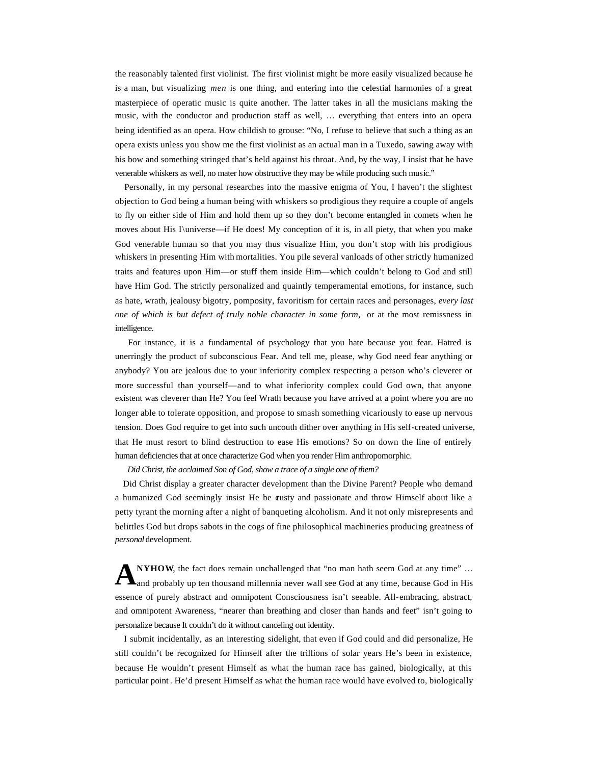the reasonably talented first violinist. The first violinist might be more easily visualized because he is a man, but visualizing *men* is one thing, and entering into the celestial harmonies of a great masterpiece of operatic music is quite another. The latter takes in all the musicians making the music, with the conductor and production staff as well, … everything that enters into an opera being identified as an opera. How childish to grouse: "No, I refuse to believe that such a thing as an opera exists unless you show me the first violinist as an actual man in a Tuxedo, sawing away with his bow and something stringed that's held against his throat. And, by the way, I insist that he have venerable whiskers as well, no mater how obstructive they may be while producing such music."

 Personally, in my personal researches into the massive enigma of You, I haven't the slightest objection to God being a human being with whiskers so prodigious they require a couple of angels to fly on either side of Him and hold them up so they don't become entangled in comets when he moves about His I\universe—if He does! My conception of it is, in all piety, that when you make God venerable human so that you may thus visualize Him, you don't stop with his prodigious whiskers in presenting Him with mortalities. You pile several vanloads of other strictly humanized traits and features upon Him—or stuff them inside Him—which couldn't belong to God and still have Him God. The strictly personalized and quaintly temperamental emotions, for instance, such as hate, wrath, jealousy bigotry, pomposity, favoritism for certain races and personages, *every last one of which is but defect of truly noble character in some form, or at the most remissness in* intelligence.

 For instance, it is a fundamental of psychology that you hate because you fear. Hatred is unerringly the product of subconscious Fear. And tell me, please, why God need fear anything or anybody? You are jealous due to your inferiority complex respecting a person who's cleverer or more successful than yourself—and to what inferiority complex could God own, that anyone existent was cleverer than He? You feel Wrath because you have arrived at a point where you are no longer able to tolerate opposition, and propose to smash something vicariously to ease up nervous tension. Does God require to get into such uncouth dither over anything in His self-created universe, that He must resort to blind destruction to ease His emotions? So on down the line of entirely human deficiencies that at once characterize God when you render Him anthropomorphic.

*Did Christ, the acclaimed Son of God, show a trace of a single one of them?*

 Did Christ display a greater character development than the Divine Parent? People who demand a humanized God seemingly insist He be crusty and passionate and throw Himself about like a petty tyrant the morning after a night of banqueting alcoholism. And it not only misrepresents and belittles God but drops sabots in the cogs of fine philosophical machineries producing greatness of *personal* development.

**NYHOW**, the fact does remain unchallenged that "no man hath seem God at any time" … A NYHOW, the fact does remain unchallenged that "no man hath seem God at any time" ...<br>A and probably up ten thousand millennia never wall see God at any time, because God in His essence of purely abstract and omnipotent Consciousness isn't seeable. All-embracing, abstract, and omnipotent Awareness, "nearer than breathing and closer than hands and feet" isn't going to personalize because It couldn't do it without canceling out identity.

 I submit incidentally, as an interesting sidelight, that even if God could and did personalize, He still couldn't be recognized for Himself after the trillions of solar years He's been in existence, because He wouldn't present Himself as what the human race has gained, biologically, at this particular point . He'd present Himself as what the human race would have evolved to, biologically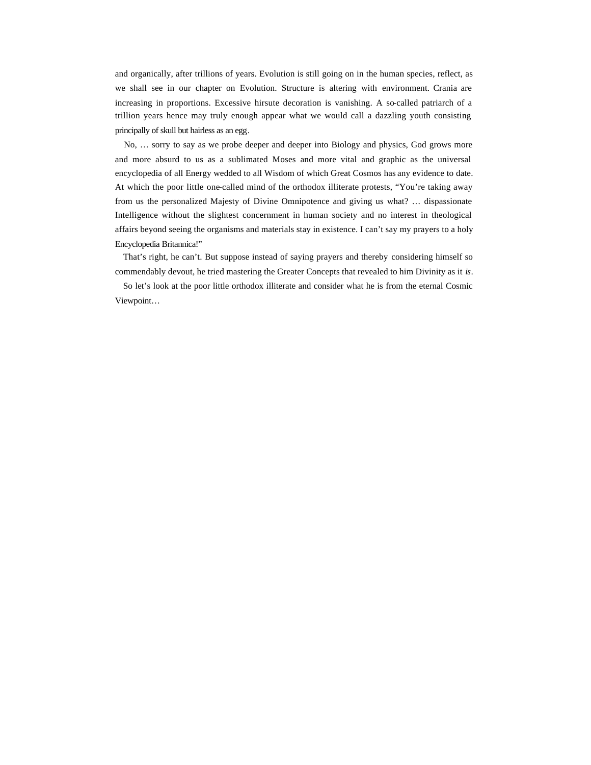and organically, after trillions of years. Evolution is still going on in the human species, reflect, as we shall see in our chapter on Evolution. Structure is altering with environment. Crania are increasing in proportions. Excessive hirsute decoration is vanishing. A so-called patriarch of a trillion years hence may truly enough appear what we would call a dazzling youth consisting principally of skull but hairless as an egg.

 No, … sorry to say as we probe deeper and deeper into Biology and physics, God grows more and more absurd to us as a sublimated Moses and more vital and graphic as the universal encyclopedia of all Energy wedded to all Wisdom of which Great Cosmos has any evidence to date. At which the poor little one-called mind of the orthodox illiterate protests, "You're taking away from us the personalized Majesty of Divine Omnipotence and giving us what? … dispassionate Intelligence without the slightest concernment in human society and no interest in theological affairs beyond seeing the organisms and materials stay in existence. I can't say my prayers to a holy Encyclopedia Britannica!"

 That's right, he can't. But suppose instead of saying prayers and thereby considering himself so commendably devout, he tried mastering the Greater Concepts that revealed to him Divinity as it *is*.

 So let's look at the poor little orthodox illiterate and consider what he is from the eternal Cosmic Viewpoint…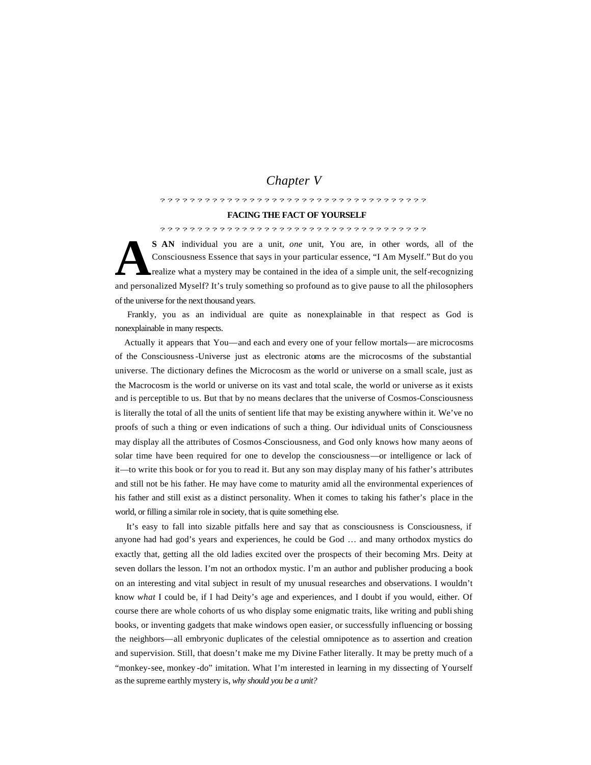# *Chapter V*

### ????????????????????????????????????

## **FACING THE FACT OF YOURSELF**

## ????????????????????????????????????

**S AN** individual you are a unit, *one* unit, You are, in other words, all of the Consciousness Essence that says in your particular essence, "I Am Myself." But do you realize what a mystery may be contained in the idea of a simple unit, the self-recognizing and personalized Myself? It's truly something so profound as to give pause to all the philosophers of the universe for the next thousand years. **A**

 Frankly, you as an individual are quite as nonexplainable in that respect as God is nonexplainable in many respects.

 Actually it appears that You—and each and every one of your fellow mortals—are microcosms of the Consciousness-Universe just as electronic atoms are the microcosms of the substantial universe. The dictionary defines the Microcosm as the world or universe on a small scale, just as the Macrocosm is the world or universe on its vast and total scale, the world or universe as it exists and is perceptible to us. But that by no means declares that the universe of Cosmos-Consciousness is literally the total of all the units of sentient life that may be existing anywhere within it. We've no proofs of such a thing or even indications of such a thing. Our individual units of Consciousness may display all the attributes of Cosmos-Consciousness, and God only knows how many aeons of solar time have been required for one to develop the consciousness—or intelligence or lack of it—to write this book or for you to read it. But any son may display many of his father's attributes and still not be his father. He may have come to maturity amid all the environmental experiences of his father and still exist as a distinct personality. When it comes to taking his father's place in the world, or filling a similar role in society, that is quite something else.

 It's easy to fall into sizable pitfalls here and say that as consciousness is Consciousness, if anyone had had god's years and experiences, he could be God … and many orthodox mystics do exactly that, getting all the old ladies excited over the prospects of their becoming Mrs. Deity at seven dollars the lesson. I'm not an orthodox mystic. I'm an author and publisher producing a book on an interesting and vital subject in result of my unusual researches and observations. I wouldn't know *what* I could be, if I had Deity's age and experiences, and I doubt if you would, either. Of course there are whole cohorts of us who display some enigmatic traits, like writing and publishing books, or inventing gadgets that make windows open easier, or successfully influencing or bossing the neighbors—all embryonic duplicates of the celestial omnipotence as to assertion and creation and supervision. Still, that doesn't make me my Divine Father literally. It may be pretty much of a "monkey-see, monkey -do" imitation. What I'm interested in learning in my dissecting of Yourself as the supreme earthly mystery is, *why should you be a unit?*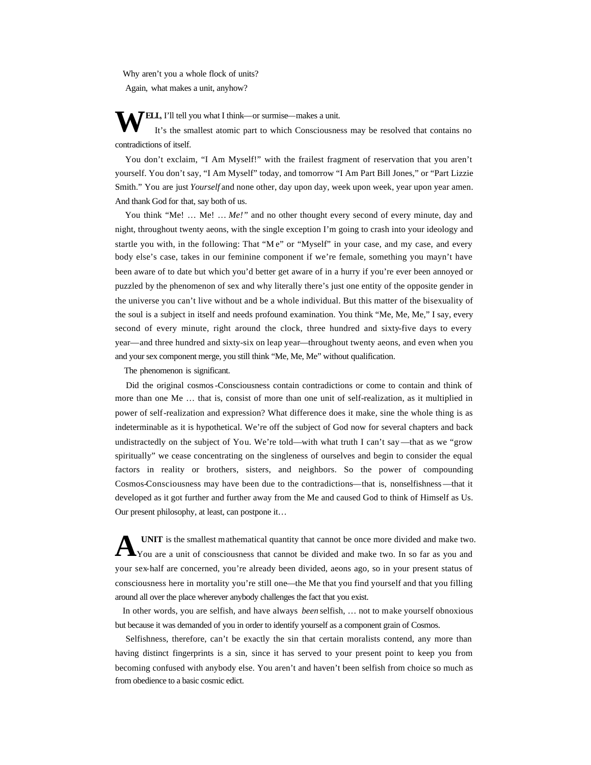Why aren't you a whole flock of units? Again, what makes a unit, anyhow?

**FELL**, I'll tell you what I think—or surmise—makes a unit.

 It's the smallest atomic part to which Consciousness may be resolved that contains no contradictions of itself. **W**

 You don't exclaim, "I Am Myself!" with the frailest fragment of reservation that you aren't yourself. You don't say, "I Am Myself" today, and tomorrow "I Am Part Bill Jones," or "Part Lizzie Smith." You are just *Yourself* and none other, day upon day, week upon week, year upon year amen. And thank God for that, say both of us.

You think "Me! ... Me! ... *Me!*" and no other thought every second of every minute, day and night, throughout twenty aeons, with the single exception I'm going to crash into your ideology and startle you with, in the following: That "M e" or "Myself" in your case, and my case, and every body else's case, takes in our feminine component if we're female, something you mayn't have been aware of to date but which you'd better get aware of in a hurry if you're ever been annoyed or puzzled by the phenomenon of sex and why literally there's just one entity of the opposite gender in the universe you can't live without and be a whole individual. But this matter of the bisexuality of the soul is a subject in itself and needs profound examination. You think "Me, Me, Me," I say, every second of every minute, right around the clock, three hundred and sixty-five days to every year—and three hundred and sixty-six on leap year—throughout twenty aeons, and even when you and your sex component merge, you still think "Me, Me, Me" without qualification.

The phenomenon is significant.

 Did the original cosmos-Consciousness contain contradictions or come to contain and think of more than one Me … that is, consist of more than one unit of self-realization, as it multiplied in power of self-realization and expression? What difference does it make, sine the whole thing is as indeterminable as it is hypothetical. We're off the subject of God now for several chapters and back undistractedly on the subject of You. We're told—with what truth I can't say —that as we "grow spiritually" we cease concentrating on the singleness of ourselves and begin to consider the equal factors in reality or brothers, sisters, and neighbors. So the power of compounding Cosmos-Consciousness may have been due to the contradictions—that is, nonselfishness—that it developed as it got further and further away from the Me and caused God to think of Himself as Us. Our present philosophy, at least, can postpone it…

**UNIT** is the smallest mathematical quantity that cannot be once more divided and make two. You are a unit of consciousness that cannot be divided and make two. In so far as you and your sex-half are concerned, you're already been divided, aeons ago, so in your present status of consciousness here in mortality you're still one—the Me that you find yourself and that you filling around all over the place wherever anybody challenges the fact that you exist. **A**

 In other words, you are selfish, and have always *been* selfish, … not to make yourself obnoxious but because it was demanded of you in order to identify yourself as a component grain of Cosmos.

 Selfishness, therefore, can't be exactly the sin that certain moralists contend, any more than having distinct fingerprints is a sin, since it has served to your present point to keep you from becoming confused with anybody else. You aren't and haven't been selfish from choice so much as from obedience to a basic cosmic edict.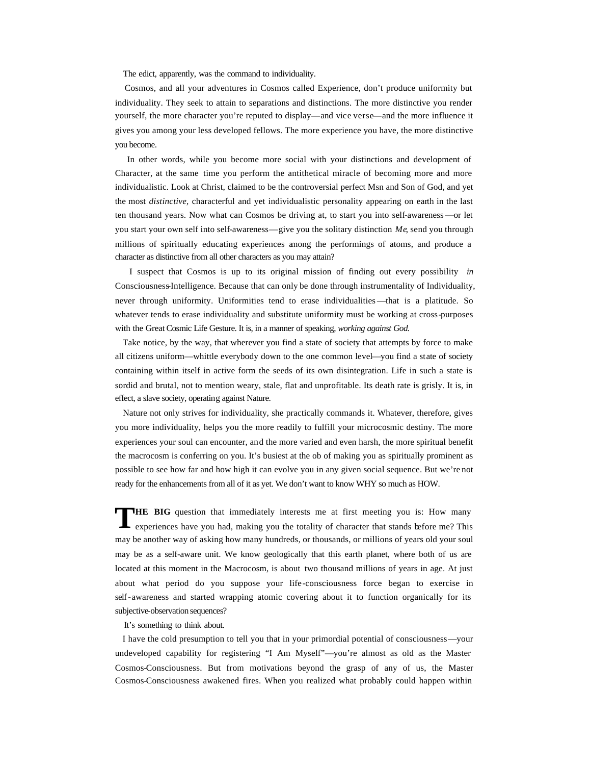The edict, apparently, was the command to individuality.

 Cosmos, and all your adventures in Cosmos called Experience, don't produce uniformity but individuality. They seek to attain to separations and distinctions. The more distinctive you render yourself, the more character you're reputed to display—and vice verse—and the more influence it gives you among your less developed fellows. The more experience you have, the more distinctive you become.

 In other words, while you become more social with your distinctions and development of Character, at the same time you perform the antithetical miracle of becoming more and more individualistic. Look at Christ, claimed to be the controversial perfect Msn and Son of God, and yet the most *distinctive,* characterful and yet individualistic personality appearing on earth in the last ten thousand years. Now what can Cosmos be driving at, to start you into self-awareness—or let you start your own self into self-awareness—give you the solitary distinction *Me*, send you through millions of spiritually educating experiences among the performings of atoms, and produce a character as distinctive from all other characters as you may attain?

 I suspect that Cosmos is up to its original mission of finding out every possibility *in* Consciousness-Intelligence. Because that can only be done through instrumentality of Individuality, never through uniformity. Uniformities tend to erase individualities —that is a platitude. So whatever tends to erase individuality and substitute uniformity must be working at cross-purposes with the Great Cosmic Life Gesture. It is, in a manner of speaking, *working against God.*

 Take notice, by the way, that wherever you find a state of society that attempts by force to make all citizens uniform—whittle everybody down to the one common level—you find a state of society containing within itself in active form the seeds of its own disintegration. Life in such a state is sordid and brutal, not to mention weary, stale, flat and unprofitable. Its death rate is grisly. It is, in effect, a slave society, operating against Nature.

 Nature not only strives for individuality, she practically commands it. Whatever, therefore, gives you more individuality, helps you the more readily to fulfill your microcosmic destiny. The more experiences your soul can encounter, and the more varied and even harsh, the more spiritual benefit the macrocosm is conferring on you. It's busiest at the ob of making you as spiritually prominent as possible to see how far and how high it can evolve you in any given social sequence. But we're not ready for the enhancements from all of it as yet. We don't want to know WHY so much as HOW.

**HE BIG** question that immediately interests me at first meeting you is: How many experiences have you had, making you the totality of character that stands before me? This may be another way of asking how many hundreds, or thousands, or millions of years old your soul may be as a self-aware unit. We know geologically that this earth planet, where both of us are located at this moment in the Macrocosm, is about two thousand millions of years in age. At just about what period do you suppose your life-consciousness force began to exercise in self-awareness and started wrapping atomic covering about it to function organically for its subjective-observation sequences? **T**

It's something to think about.

 I have the cold presumption to tell you that in your primordial potential of consciousness—your undeveloped capability for registering "I Am Myself"—you're almost as old as the Master Cosmos-Consciousness. But from motivations beyond the grasp of any of us, the Master Cosmos-Consciousness awakened fires. When you realized what probably could happen within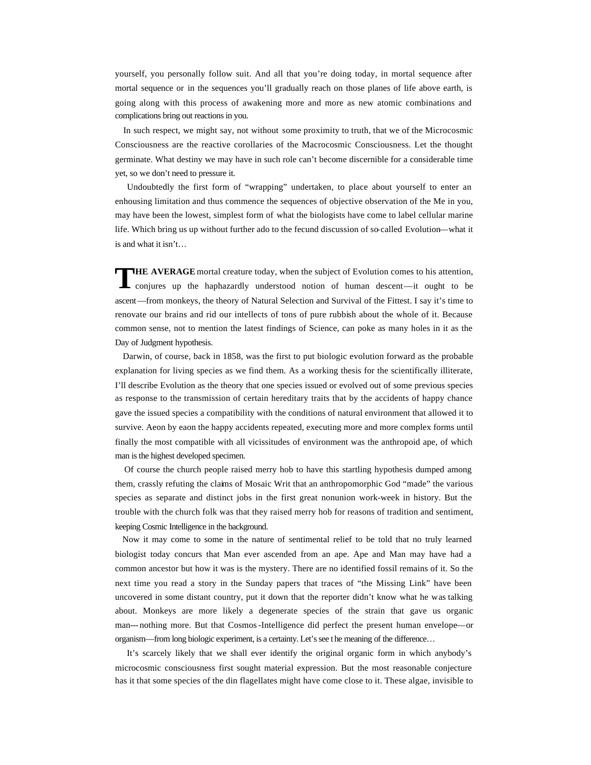yourself, you personally follow suit. And all that you're doing today, in mortal sequence after mortal sequence or in the sequences you'll gradually reach on those planes of life above earth, is going along with this process of awakening more and more as new atomic combinations and complications bring out reactions in you.

 In such respect, we might say, not without some proximity to truth, that we of the Microcosmic Consciousness are the reactive corollaries of the Macrocosmic Consciousness. Let the thought germinate. What destiny we may have in such role can't become discernible for a considerable time yet, so we don't need to pressure it.

 Undoubtedly the first form of "wrapping" undertaken, to place about yourself to enter an enhousing limitation and thus commence the sequences of objective observation of the Me in you, may have been the lowest, simplest form of what the biologists have come to label cellular marine life. Which bring us up without further ado to the fecund discussion of so-called Evolution—what it is and what it isn't…

**HE AVERAGE** mortal creature today, when the subject of Evolution comes to his attention, conjures up the haphazardly understood notion of human descent—it ought to be ascent—from monkeys, the theory of Natural Selection and Survival of the Fittest. I say it's time to renovate our brains and rid our intellects of tons of pure rubbish about the whole of it. Because common sense, not to mention the latest findings of Science, can poke as many holes in it as the Day of Judgment hypothesis. **T**

 Darwin, of course, back in 1858, was the first to put biologic evolution forward as the probable explanation for living species as we find them. As a working thesis for the scientifically illiterate, I'll describe Evolution as the theory that one species issued or evolved out of some previous species as response to the transmission of certain hereditary traits that by the accidents of happy chance gave the issued species a compatibility with the conditions of natural environment that allowed it to survive. Aeon by eaon the happy accidents repeated, executing more and more complex forms until finally the most compatible with all vicissitudes of environment was the anthropoid ape, of which man is the highest developed specimen.

 Of course the church people raised merry hob to have this startling hypothesis dumped among them, crassly refuting the claims of Mosaic Writ that an anthropomorphic God "made" the various species as separate and distinct jobs in the first great nonunion work-week in history. But the trouble with the church folk was that they raised merry hob for reasons of tradition and sentiment, keeping Cosmic Intelligence in the background.

 Now it may come to some in the nature of sentimental relief to be told that no truly learned biologist today concurs that Man ever ascended from an ape. Ape and Man may have had a common ancestor but how it was is the mystery. There are no identified fossil remains of it. So the next time you read a story in the Sunday papers that traces of "the Missing Link" have been uncovered in some distant country, put it down that the reporter didn't know what he was talking about. Monkeys are more likely a degenerate species of the strain that gave us organic man--- nothing more. But that Cosmos-Intelligence did perfect the present human envelope—or organism—from long biologic experiment, is a certainty. Let's see t he meaning of the difference…

 It's scarcely likely that we shall ever identify the original organic form in which anybody's microcosmic consciousness first sought material expression. But the most reasonable conjecture has it that some species of the din flagellates might have come close to it. These algae, invisible to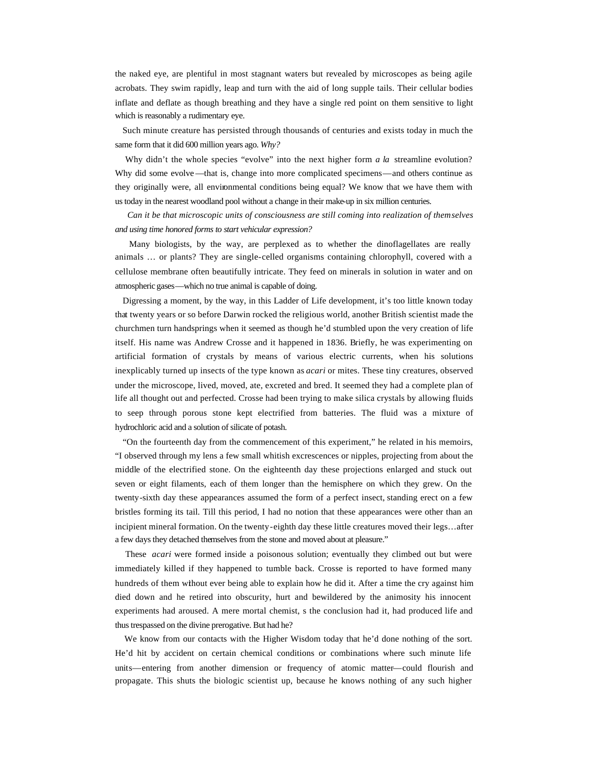the naked eye, are plentiful in most stagnant waters but revealed by microscopes as being agile acrobats. They swim rapidly, leap and turn with the aid of long supple tails. Their cellular bodies inflate and deflate as though breathing and they have a single red point on them sensitive to light which is reasonably a rudimentary eye.

 Such minute creature has persisted through thousands of centuries and exists today in much the same form that it did 600 million years ago. *Why?*

Why didn't the whole species "evolve" into the next higher form *a la* streamline evolution? Why did some evolve—that is, change into more complicated specimens—and others continue as they originally were, all environmental conditions being equal? We know that we have them with us today in the nearest woodland pool without a change in their make-up in six million centuries.

 *Can it be that microscopic units of consciousness are still coming into realization of themselves and using time honored forms to start vehicular expression?*

 Many biologists, by the way, are perplexed as to whether the dinoflagellates are really animals … or plants? They are single-celled organisms containing chlorophyll, covered with a cellulose membrane often beautifully intricate. They feed on minerals in solution in water and on atmospheric gases—which no true animal is capable of doing.

 Digressing a moment, by the way, in this Ladder of Life development, it's too little known today that twenty years or so before Darwin rocked the religious world, another British scientist made the churchmen turn handsprings when it seemed as though he'd stumbled upon the very creation of life itself. His name was Andrew Crosse and it happened in 1836. Briefly, he was experimenting on artificial formation of crystals by means of various electric currents, when his solutions inexplicably turned up insects of the type known as *acari* or mites. These tiny creatures, observed under the microscope, lived, moved, ate, excreted and bred. It seemed they had a complete plan of life all thought out and perfected. Crosse had been trying to make silica crystals by allowing fluids to seep through porous stone kept electrified from batteries. The fluid was a mixture of hydrochloric acid and a solution of silicate of potash.

 "On the fourteenth day from the commencement of this experiment," he related in his memoirs, "I observed through my lens a few small whitish excrescences or nipples, projecting from about the middle of the electrified stone. On the eighteenth day these projections enlarged and stuck out seven or eight filaments, each of them longer than the hemisphere on which they grew. On the twenty-sixth day these appearances assumed the form of a perfect insect, standing erect on a few bristles forming its tail. Till this period, I had no notion that these appearances were other than an incipient mineral formation. On the twenty-eighth day these little creatures moved their legs…after a few days they detached themselves from the stone and moved about at pleasure."

 These *acari* were formed inside a poisonous solution; eventually they climbed out but were immediately killed if they happened to tumble back. Crosse is reported to have formed many hundreds of them without ever being able to explain how he did it. After a time the cry against him died down and he retired into obscurity, hurt and bewildered by the animosity his innocent experiments had aroused. A mere mortal chemist, s the conclusion had it, had produced life and thus trespassed on the divine prerogative. But had he?

 We know from our contacts with the Higher Wisdom today that he'd done nothing of the sort. He'd hit by accident on certain chemical conditions or combinations where such minute life units—entering from another dimension or frequency of atomic matter—could flourish and propagate. This shuts the biologic scientist up, because he knows nothing of any such higher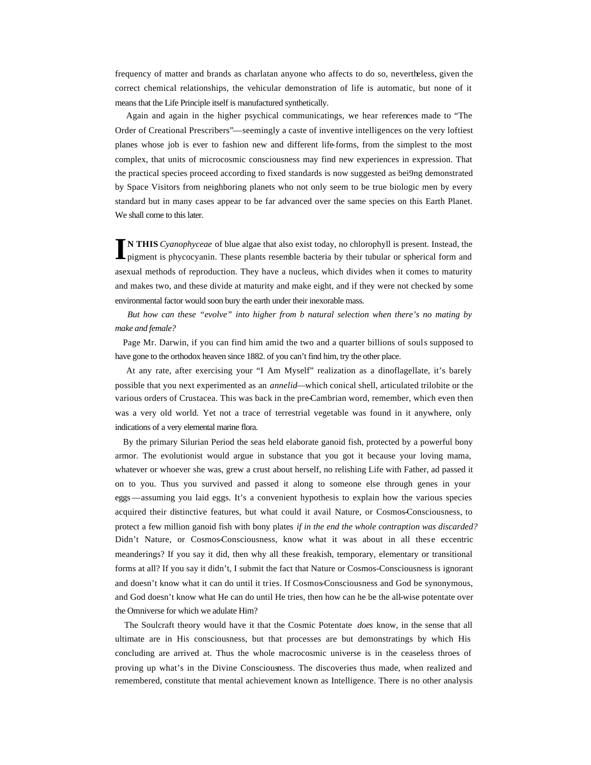frequency of matter and brands as charlatan anyone who affects to do so, nevertheless, given the correct chemical relationships, the vehicular demonstration of life is automatic, but none of it means that the Life Principle itself is manufactured synthetically.

 Again and again in the higher psychical communicatings, we hear references made to "The Order of Creational Prescribers"—seemingly a caste of inventive intelligences on the very loftiest planes whose job is ever to fashion new and different life-forms, from the simplest to the most complex, that units of microcosmic consciousness may find new experiences in expression. That the practical species proceed according to fixed standards is now suggested as bei9ng demonstrated by Space Visitors from neighboring planets who not only seem to be true biologic men by every standard but in many cases appear to be far advanced over the same species on this Earth Planet. We shall come to this later.

**N THIS** *Cyanophyceae* of blue algae that also exist today, no chlorophyll is present. Instead, the pigment is phycocyanin. These plants resemble bacteria by their tubular or spherical form and asexual methods of reproduction. They have a nucleus, which divides when it comes to maturity and makes two, and these divide at maturity and make eight, and if they were not checked by some environmental factor would soon bury the earth under their inexorable mass. **I**

 *But how can these "evolve" into higher from b natural selection when there's no mating by make and female?*

 Page Mr. Darwin, if you can find him amid the two and a quarter billions of souls supposed to have gone to the orthodox heaven since 1882. of you can't find him, try the other place.

 At any rate, after exercising your "I Am Myself" realization as a dinoflagellate, it's barely possible that you next experimented as an *annelid*—which conical shell, articulated trilobite or the various orders of Crustacea. This was back in the pre-Cambrian word, remember, which even then was a very old world. Yet not a trace of terrestrial vegetable was found in it anywhere, only indications of a very elemental marine flora.

 By the primary Silurian Period the seas held elaborate ganoid fish, protected by a powerful bony armor. The evolutionist would argue in substance that you got it because your loving mama, whatever or whoever she was, grew a crust about herself, no relishing Life with Father, ad passed it on to you. Thus you survived and passed it along to someone else through genes in your eggs—assuming you laid eggs. It's a convenient hypothesis to explain how the various species acquired their distinctive features, but what could it avail Nature, or Cosmos-Consciousness, to protect a few million ganoid fish with bony plates *if in the end the whole contraption was discarded?* Didn't Nature, or Cosmos-Consciousness, know what it was about in all these eccentric meanderings? If you say it did, then why all these freakish, temporary, elementary or transitional forms at all? If you say it didn't, I submit the fact that Nature or Cosmos-Consciousness is ignorant and doesn't know what it can do until it tries. If Cosmos-Consciousness and God be synonymous, and God doesn't know what He can do until He tries, then how can he be the all-wise potentate over the Omniverse for which we adulate Him?

 The Soulcraft theory would have it that the Cosmic Potentate *does* know, in the sense that all ultimate are in His consciousness, but that processes are but demonstratings by which His concluding are arrived at. Thus the whole macrocosmic universe is in the ceaseless throes of proving up what's in the Divine Consciousness. The discoveries thus made, when realized and remembered, constitute that mental achievement known as Intelligence. There is no other analysis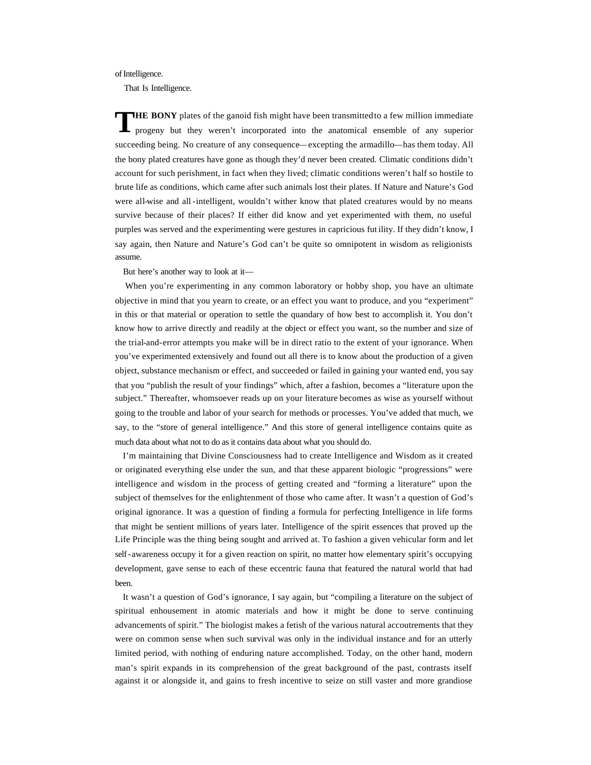### of Intelligence.

That Is Intelligence.

**HE BONY** plates of the ganoid fish might have been transmitted to a few million immediate progeny but they weren't incorporated into the anatomical ensemble of any superior succeeding being. No creature of any consequence—excepting the armadillo—has them today. All the bony plated creatures have gone as though they'd never been created. Climatic conditions didn't account for such perishment, in fact when they lived; climatic conditions weren't half so hostile to brute life as conditions, which came after such animals lost their plates. If Nature and Nature's God were all-wise and all-intelligent, wouldn't wither know that plated creatures would by no means survive because of their places? If either did know and yet experimented with them, no useful purples was served and the experimenting were gestures in capricious fut ility. If they didn't know, I say again, then Nature and Nature's God can't be quite so omnipotent in wisdom as religionists assume. **T**

But here's another way to look at it—

 When you're experimenting in any common laboratory or hobby shop, you have an ultimate objective in mind that you yearn to create, or an effect you want to produce, and you "experiment" in this or that material or operation to settle the quandary of how best to accomplish it. You don't know how to arrive directly and readily at the object or effect you want, so the number and size of the trial-and-error attempts you make will be in direct ratio to the extent of your ignorance. When you've experimented extensively and found out all there is to know about the production of a given object, substance mechanism or effect, and succeeded or failed in gaining your wanted end, you say that you "publish the result of your findings" which, after a fashion, becomes a "literature upon the subject." Thereafter, whomsoever reads up on your literature becomes as wise as yourself without going to the trouble and labor of your search for methods or processes. You've added that much, we say, to the "store of general intelligence." And this store of general intelligence contains quite as much data about what not to do as it contains data about what you should do.

 I'm maintaining that Divine Consciousness had to create Intelligence and Wisdom as it created or originated everything else under the sun, and that these apparent biologic "progressions" were intelligence and wisdom in the process of getting created and "forming a literature" upon the subject of themselves for the enlightenment of those who came after. It wasn't a question of God's original ignorance. It was a question of finding a formula for perfecting Intelligence in life forms that might be sentient millions of years later. Intelligence of the spirit essences that proved up the Life Principle was the thing being sought and arrived at. To fashion a given vehicular form and let self-awareness occupy it for a given reaction on spirit, no matter how elementary spirit's occupying development, gave sense to each of these eccentric fauna that featured the natural world that had been.

 It wasn't a question of God's ignorance, I say again, but "compiling a literature on the subject of spiritual enhousement in atomic materials and how it might be done to serve continuing advancements of spirit." The biologist makes a fetish of the various natural accoutrements that they were on common sense when such survival was only in the individual instance and for an utterly limited period, with nothing of enduring nature accomplished. Today, on the other hand, modern man's spirit expands in its comprehension of the great background of the past, contrasts itself against it or alongside it, and gains to fresh incentive to seize on still vaster and more grandiose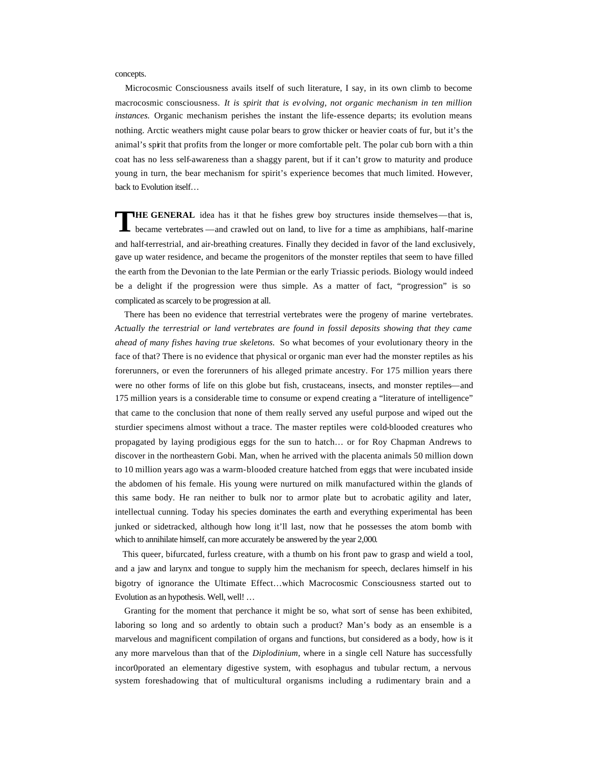concepts.

 Microcosmic Consciousness avails itself of such literature, I say, in its own climb to become macrocosmic consciousness. *It is spirit that is ev olving, not organic mechanism in ten million instances.* Organic mechanism perishes the instant the life-essence departs; its evolution means nothing. Arctic weathers might cause polar bears to grow thicker or heavier coats of fur, but it's the animal's spirit that profits from the longer or more comfortable pelt. The polar cub born with a thin coat has no less self-awareness than a shaggy parent, but if it can't grow to maturity and produce young in turn, the bear mechanism for spirit's experience becomes that much limited. However, back to Evolution itself…

**HE GENERAL** idea has it that he fishes grew boy structures inside themselves—that is, became vertebrates —and crawled out on land, to live for a time as amphibians, half-marine and half-terrestrial, and air-breathing creatures. Finally they decided in favor of the land exclusively, gave up water residence, and became the progenitors of the monster reptiles that seem to have filled the earth from the Devonian to the late Permian or the early Triassic periods. Biology would indeed be a delight if the progression were thus simple. As a matter of fact, "progression" is so complicated as scarcely to be progression at all. **T**

 There has been no evidence that terrestrial vertebrates were the progeny of marine vertebrates. *Actually the terrestrial or land vertebrates are found in fossil deposits showing that they came ahead of many fishes having true skeletons.* So what becomes of your evolutionary theory in the face of that? There is no evidence that physical or organic man ever had the monster reptiles as his forerunners, or even the forerunners of his alleged primate ancestry. For 175 million years there were no other forms of life on this globe but fish, crustaceans, insects, and monster reptiles—and 175 million years is a considerable time to consume or expend creating a "literature of intelligence" that came to the conclusion that none of them really served any useful purpose and wiped out the sturdier specimens almost without a trace. The master reptiles were cold-blooded creatures who propagated by laying prodigious eggs for the sun to hatch… or for Roy Chapman Andrews to discover in the northeastern Gobi. Man, when he arrived with the placenta animals 50 million down to 10 million years ago was a warm-blooded creature hatched from eggs that were incubated inside the abdomen of his female. His young were nurtured on milk manufactured within the glands of this same body. He ran neither to bulk nor to armor plate but to acrobatic agility and later, intellectual cunning. Today his species dominates the earth and everything experimental has been junked or sidetracked, although how long it'll last, now that he possesses the atom bomb with which to annihilate himself, can more accurately be answered by the year 2,000.

 This queer, bifurcated, furless creature, with a thumb on his front paw to grasp and wield a tool, and a jaw and larynx and tongue to supply him the mechanism for speech, declares himself in his bigotry of ignorance the Ultimate Effect…which Macrocosmic Consciousness started out to Evolution as an hypothesis. Well, well! …

 Granting for the moment that perchance it might be so, what sort of sense has been exhibited, laboring so long and so ardently to obtain such a product? Man's body as an ensemble is a marvelous and magnificent compilation of organs and functions, but considered as a body, how is it any more marvelous than that of the *Diplodinium,* where in a single cell Nature has successfully incor0porated an elementary digestive system, with esophagus and tubular rectum, a nervous system foreshadowing that of multicultural organisms including a rudimentary brain and a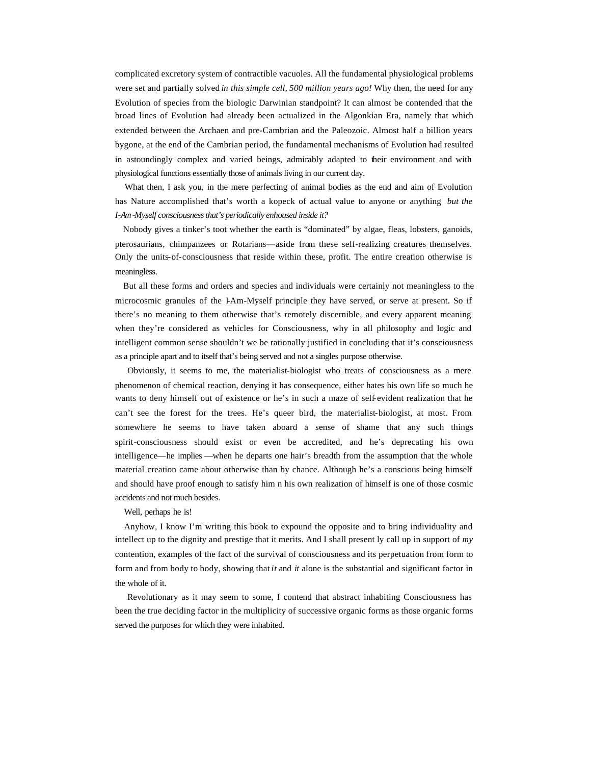complicated excretory system of contractible vacuoles. All the fundamental physiological problems were set and partially solved *in this simple cell, 500 million years ago!* Why then, the need for any Evolution of species from the biologic Darwinian standpoint? It can almost be contended that the broad lines of Evolution had already been actualized in the Algonkian Era, namely that which extended between the Archaen and pre-Cambrian and the Paleozoic. Almost half a billion years bygone, at the end of the Cambrian period, the fundamental mechanisms of Evolution had resulted in astoundingly complex and varied beings, admirably adapted to their environment and with physiological functions essentially those of animals living in our current day.

 What then, I ask you, in the mere perfecting of animal bodies as the end and aim of Evolution has Nature accomplished that's worth a kopeck of actual value to anyone or anything *but the I-Am-Myself consciousness that's periodically enhoused inside it?*

 Nobody gives a tinker's toot whether the earth is "dominated" by algae, fleas, lobsters, ganoids, pterosaurians, chimpanzees or Rotarians—aside from these self-realizing creatures themselves. Only the units-of-consciousness that reside within these, profit. The entire creation otherwise is meaningless.

 But all these forms and orders and species and individuals were certainly not meaningless to the microcosmic granules of the I-Am-Myself principle they have served, or serve at present. So if there's no meaning to them otherwise that's remotely discernible, and every apparent meaning when they're considered as vehicles for Consciousness, why in all philosophy and logic and intelligent common sense shouldn't we be rationally justified in concluding that it's consciousness as a principle apart and to itself that's being served and not a singles purpose otherwise.

 Obviously, it seems to me, the materialist-biologist who treats of consciousness as a mere phenomenon of chemical reaction, denying it has consequence, either hates his own life so much he wants to deny himself out of existence or he's in such a maze of self-evident realization that he can't see the forest for the trees. He's queer bird, the materialist-biologist, at most. From somewhere he seems to have taken aboard a sense of shame that any such things spirit-consciousness should exist or even be accredited, and he's deprecating his own intelligence—he implies —when he departs one hair's breadth from the assumption that the whole material creation came about otherwise than by chance. Although he's a conscious being himself and should have proof enough to satisfy him n his own realization of himself is one of those cosmic accidents and not much besides.

Well, perhaps he is!

 Anyhow, I know I'm writing this book to expound the opposite and to bring individuality and intellect up to the dignity and prestige that it merits. And I shall present ly call up in support of *my*  contention, examples of the fact of the survival of consciousness and its perpetuation from form to form and from body to body, showing that *it* and *it* alone is the substantial and significant factor in the whole of it.

 Revolutionary as it may seem to some, I contend that abstract inhabiting Consciousness has been the true deciding factor in the multiplicity of successive organic forms as those organic forms served the purposes for which they were inhabited.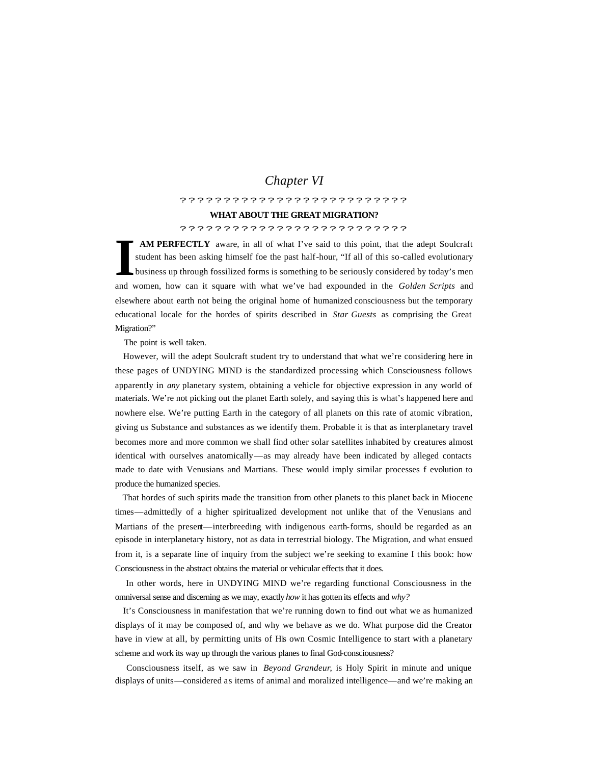# *Chapter VI*

## ??????????????????????????

## **WHAT ABOUT THE GREAT MIGRATION?**

# ??????????????????????????

**AM PERFECTLY** aware, in all of what I've said to this point, that the adept Soulcraft student has been asking himself foe the past half-hour, "If all of this so-called evolutionary business up through fossilized forms is something to be seriously considered by today's men and women, how can it square with what we've had expounded in the *Golden Scripts* and elsewhere about earth not being the original home of humanized consciousness but the temporary educational locale for the hordes of spirits described in *Star Guests* as comprising the Great Migration?" **I**

The point is well taken.

 However, will the adept Soulcraft student try to understand that what we're considering here in these pages of UNDYING MIND is the standardized processing which Consciousness follows apparently in *any* planetary system, obtaining a vehicle for objective expression in any world of materials. We're not picking out the planet Earth solely, and saying this is what's happened here and nowhere else. We're putting Earth in the category of all planets on this rate of atomic vibration, giving us Substance and substances as we identify them. Probable it is that as interplanetary travel becomes more and more common we shall find other solar satellites inhabited by creatures almost identical with ourselves anatomically—as may already have been indicated by alleged contacts made to date with Venusians and Martians. These would imply similar processes f evolution to produce the humanized species.

 That hordes of such spirits made the transition from other planets to this planet back in Miocene times—admittedly of a higher spiritualized development not unlike that of the Venusians and Martians of the present—interbreeding with indigenous earth-forms, should be regarded as an episode in interplanetary history, not as data in terrestrial biology. The Migration, and what ensued from it, is a separate line of inquiry from the subject we're seeking to examine I this book: how Consciousness in the abstract obtains the material or vehicular effects that it does.

 In other words, here in UNDYING MIND we're regarding functional Consciousness in the omniversal sense and discerning as we may, exactly *how* it has gotten its effects and *why?*

 It's Consciousness in manifestation that we're running down to find out what we as humanized displays of it may be composed of, and why we behave as we do. What purpose did the Creator have in view at all, by permitting units of His own Cosmic Intelligence to start with a planetary scheme and work its way up through the various planes to final God-consciousness?

 Consciousness itself, as we saw in *Beyond Grandeur*, is Holy Spirit in minute and unique displays of units—considered as items of animal and moralized intelligence—and we're making an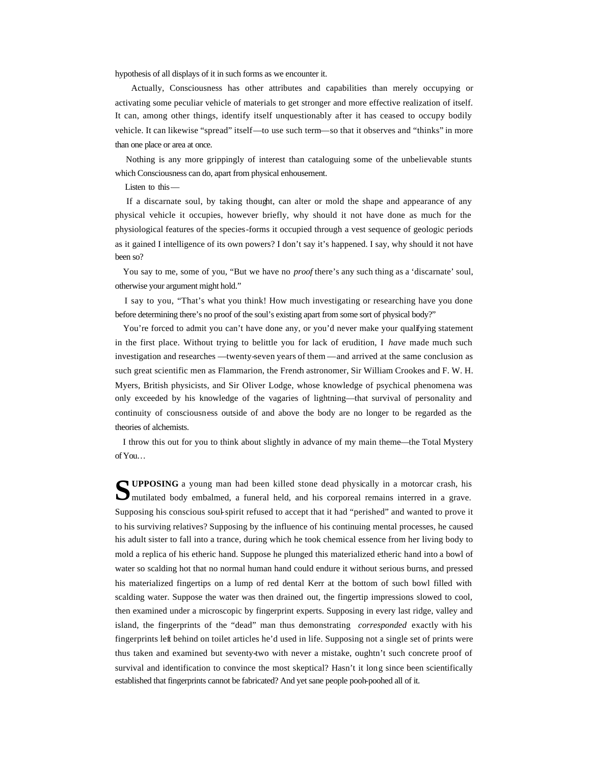hypothesis of all displays of it in such forms as we encounter it.

 Actually, Consciousness has other attributes and capabilities than merely occupying or activating some peculiar vehicle of materials to get stronger and more effective realization of itself. It can, among other things, identify itself unquestionably after it has ceased to occupy bodily vehicle. It can likewise "spread" itself—to use such term—so that it observes and "thinks" in more than one place or area at once.

 Nothing is any more grippingly of interest than cataloguing some of the unbelievable stunts which Consciousness can do, apart from physical enhousement.

Listen to this—

 If a discarnate soul, by taking thought, can alter or mold the shape and appearance of any physical vehicle it occupies, however briefly, why should it not have done as much for the physiological features of the species-forms it occupied through a vest sequence of geologic periods as it gained I intelligence of its own powers? I don't say it's happened. I say, why should it not have been so?

You say to me, some of you, "But we have no *proof* there's any such thing as a 'discarnate' soul, otherwise your argument might hold."

 I say to you, "That's what you think! How much investigating or researching have you done before determining there's no proof of the soul's existing apart from some sort of physical body?"

You're forced to admit you can't have done any, or you'd never make your qualifying statement in the first place. Without trying to belittle you for lack of erudition, I *have* made much such investigation and researches —twenty-seven years of them —and arrived at the same conclusion as such great scientific men as Flammarion, the French astronomer, Sir William Crookes and F. W. H. Myers, British physicists, and Sir Oliver Lodge, whose knowledge of psychical phenomena was only exceeded by his knowledge of the vagaries of lightning—that survival of personality and continuity of consciousness outside of and above the body are no longer to be regarded as the theories of alchemists.

 I throw this out for you to think about slightly in advance of my main theme—the Total Mystery of You…

**UPPOSING** a young man had been killed stone dead physically in a motorcar crash, his **SUPPOSING** a young man had been killed stone dead physically in a motorcar crash, his mutilated body embalmed, a funeral held, and his corporeal remains interred in a grave. Supposing his conscious soul-spirit refused to accept that it had "perished" and wanted to prove it to his surviving relatives? Supposing by the influence of his continuing mental processes, he caused his adult sister to fall into a trance, during which he took chemical essence from her living body to mold a replica of his etheric hand. Suppose he plunged this materialized etheric hand into a bowl of water so scalding hot that no normal human hand could endure it without serious burns, and pressed his materialized fingertips on a lump of red dental Kerr at the bottom of such bowl filled with scalding water. Suppose the water was then drained out, the fingertip impressions slowed to cool, then examined under a microscopic by fingerprint experts. Supposing in every last ridge, valley and island, the fingerprints of the "dead" man thus demonstrating *corresponded* exactly with his fingerprints left behind on toilet articles he'd used in life. Supposing not a single set of prints were thus taken and examined but seventy-two with never a mistake, oughtn't such concrete proof of survival and identification to convince the most skeptical? Hasn't it long since been scientifically established that fingerprints cannot be fabricated? And yet sane people pooh-poohed all of it.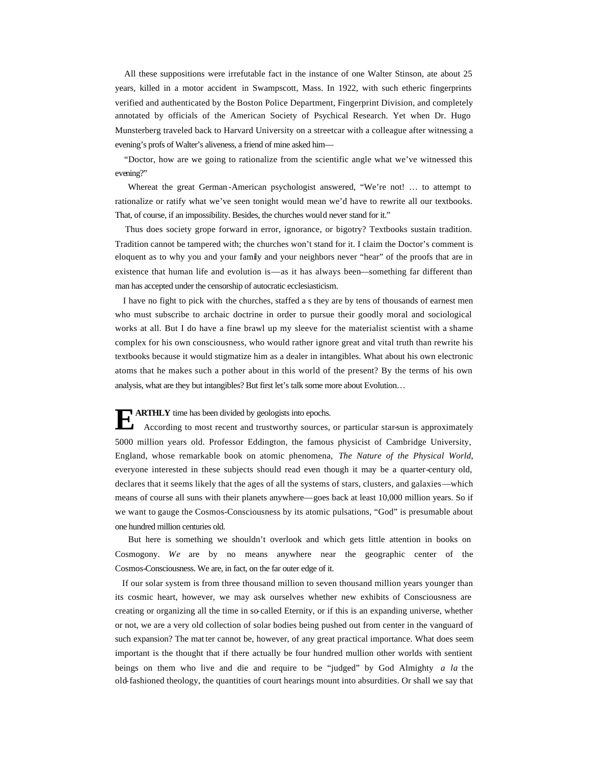All these suppositions were irrefutable fact in the instance of one Walter Stinson, ate about 25 years, killed in a motor accident in Swampscott, Mass. In 1922, with such etheric fingerprints verified and authenticated by the Boston Police Department, Fingerprint Division, and completely annotated by officials of the American Society of Psychical Research. Yet when Dr. Hugo Munsterberg traveled back to Harvard University on a streetcar with a colleague after witnessing a evening's profs of Walter's aliveness, a friend of mine asked him—

 "Doctor, how are we going to rationalize from the scientific angle what we've witnessed this evening?"

 Whereat the great German -American psychologist answered, "We're not! … to attempt to rationalize or ratify what we've seen tonight would mean we'd have to rewrite all our textbooks. That, of course, if an impossibility. Besides, the churches would never stand for it."

 Thus does society grope forward in error, ignorance, or bigotry? Textbooks sustain tradition. Tradition cannot be tampered with; the churches won't stand for it. I claim the Doctor's comment is eloquent as to why you and your family and your neighbors never "hear" of the proofs that are in existence that human life and evolution is—as it has always been—something far different than man has accepted under the censorship of autocratic ecclesiasticism.

 I have no fight to pick with the churches, staffed a s they are by tens of thousands of earnest men who must subscribe to archaic doctrine in order to pursue their goodly moral and sociological works at all. But I do have a fine brawl up my sleeve for the materialist scientist with a shame complex for his own consciousness, who would rather ignore great and vital truth than rewrite his textbooks because it would stigmatize him as a dealer in intangibles. What about his own electronic atoms that he makes such a pother about in this world of the present? By the terms of his own analysis, what are they but intangibles? But first let's talk some more about Evolution…

**ARTHLY** time has been divided by geologists into epochs.<br>According to most recent and trustworthy sources, According to most recent and trustworthy sources, or particular star-sun is approximately 5000 million years old. Professor Eddington, the famous physicist of Cambridge University, England, whose remarkable book on atomic phenomena, *The Nature of the Physical World,* everyone interested in these subjects should read even though it may be a quarter-century old, declares that it seems likely that the ages of all the systems of stars, clusters, and galaxies—which means of course all suns with their planets anywhere—goes back at least 10,000 million years. So if we want to gauge the Cosmos-Consciousness by its atomic pulsations, "God" is presumable about one hundred million centuries old.

 But here is something we shouldn't overlook and which gets little attention in books on Cosmogony. *We* are by no means anywhere near the geographic center of the Cosmos-Consciousness. We are, in fact, on the far outer edge of it.

 If our solar system is from three thousand million to seven thousand million years younger than its cosmic heart, however, we may ask ourselves whether new exhibits of Consciousness are creating or organizing all the time in so-called Eternity, or if this is an expanding universe, whether or not, we are a very old collection of solar bodies being pushed out from center in the vanguard of such expansion? The mat ter cannot be, however, of any great practical importance. What does seem important is the thought that if there actually be four hundred mullion other worlds with sentient beings on them who live and die and require to be "judged" by God Almighty *a la* the old-fashioned theology, the quantities of court hearings mount into absurdities. Or shall we say that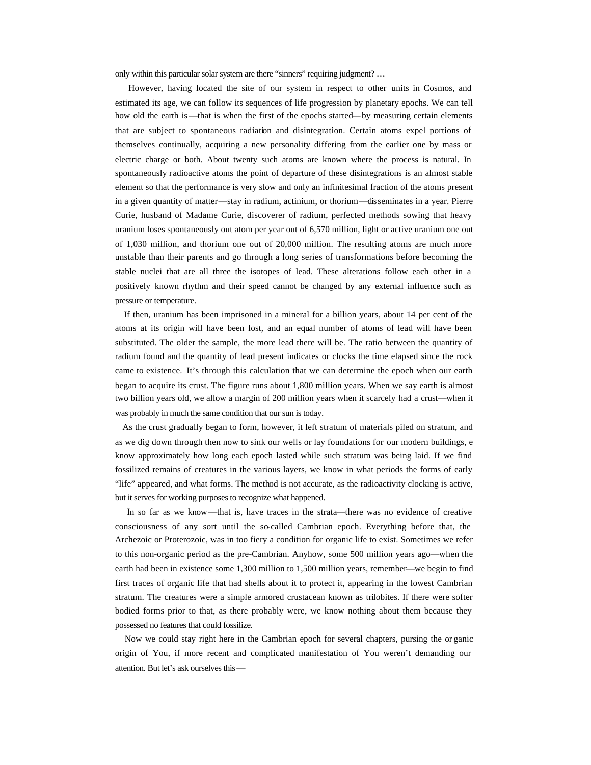only within this particular solar system are there "sinners" requiring judgment? …

 However, having located the site of our system in respect to other units in Cosmos, and estimated its age, we can follow its sequences of life progression by planetary epochs. We can tell how old the earth is—that is when the first of the epochs started—by measuring certain elements that are subject to spontaneous radiation and disintegration. Certain atoms expel portions of themselves continually, acquiring a new personality differing from the earlier one by mass or electric charge or both. About twenty such atoms are known where the process is natural. In spontaneously radioactive atoms the point of departure of these disintegrations is an almost stable element so that the performance is very slow and only an infinitesimal fraction of the atoms present in a given quantity of matter—stay in radium, actinium, or thorium—disseminates in a year. Pierre Curie, husband of Madame Curie, discoverer of radium, perfected methods sowing that heavy uranium loses spontaneously out atom per year out of 6,570 million, light or active uranium one out of 1,030 million, and thorium one out of 20,000 million. The resulting atoms are much more unstable than their parents and go through a long series of transformations before becoming the stable nuclei that are all three the isotopes of lead. These alterations follow each other in a positively known rhythm and their speed cannot be changed by any external influence such as pressure or temperature.

 If then, uranium has been imprisoned in a mineral for a billion years, about 14 per cent of the atoms at its origin will have been lost, and an equal number of atoms of lead will have been substituted. The older the sample, the more lead there will be. The ratio between the quantity of radium found and the quantity of lead present indicates or clocks the time elapsed since the rock came to existence. It's through this calculation that we can determine the epoch when our earth began to acquire its crust. The figure runs about 1,800 million years. When we say earth is almost two billion years old, we allow a margin of 200 million years when it scarcely had a crust—when it was probably in much the same condition that our sun is today.

 As the crust gradually began to form, however, it left stratum of materials piled on stratum, and as we dig down through then now to sink our wells or lay foundations for our modern buildings, e know approximately how long each epoch lasted while such stratum was being laid. If we find fossilized remains of creatures in the various layers, we know in what periods the forms of early "life" appeared, and what forms. The method is not accurate, as the radioactivity clocking is active, but it serves for working purposes to recognize what happened.

 In so far as we know—that is, have traces in the strata—there was no evidence of creative consciousness of any sort until the so-called Cambrian epoch. Everything before that, the Archezoic or Proterozoic, was in too fiery a condition for organic life to exist. Sometimes we refer to this non-organic period as the pre-Cambrian. Anyhow, some 500 million years ago—when the earth had been in existence some 1,300 million to 1,500 million years, remember—we begin to find first traces of organic life that had shells about it to protect it, appearing in the lowest Cambrian stratum. The creatures were a simple armored crustacean known as trilobites. If there were softer bodied forms prior to that, as there probably were, we know nothing about them because they possessed no features that could fossilize.

 Now we could stay right here in the Cambrian epoch for several chapters, pursing the or ganic origin of You, if more recent and complicated manifestation of You weren't demanding our attention. But let's ask ourselves this—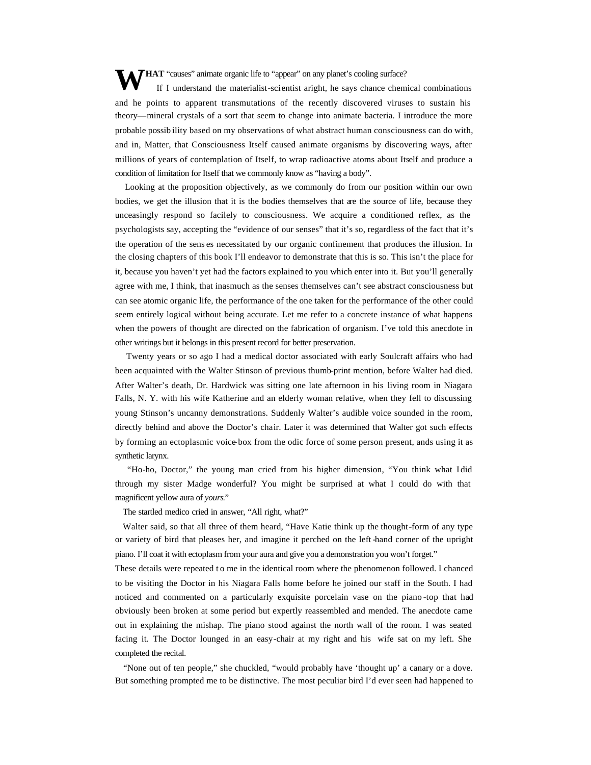**WHAT** "causes" animate organic life to "appear" on any planet's cooling surface?<br>If I understand the materialist-scientist aright, he says chance chem If I understand the materialist-scientist aright, he says chance chemical combinations and he points to apparent transmutations of the recently discovered viruses to sustain his theory—mineral crystals of a sort that seem to change into animate bacteria. I introduce the more probable possib ility based on my observations of what abstract human consciousness can do with, and in, Matter, that Consciousness Itself caused animate organisms by discovering ways, after millions of years of contemplation of Itself, to wrap radioactive atoms about Itself and produce a condition of limitation for Itself that we commonly know as "having a body".

 Looking at the proposition objectively, as we commonly do from our position within our own bodies, we get the illusion that it is the bodies themselves that are the source of life, because they unceasingly respond so facilely to consciousness. We acquire a conditioned reflex, as the psychologists say, accepting the "evidence of our senses" that it's so, regardless of the fact that it's the operation of the sens es necessitated by our organic confinement that produces the illusion. In the closing chapters of this book I'll endeavor to demonstrate that this is so. This isn't the place for it, because you haven't yet had the factors explained to you which enter into it. But you'll generally agree with me, I think, that inasmuch as the senses themselves can't see abstract consciousness but can see atomic organic life, the performance of the one taken for the performance of the other could seem entirely logical without being accurate. Let me refer to a concrete instance of what happens when the powers of thought are directed on the fabrication of organism. I've told this anecdote in other writings but it belongs in this present record for better preservation.

 Twenty years or so ago I had a medical doctor associated with early Soulcraft affairs who had been acquainted with the Walter Stinson of previous thumb-print mention, before Walter had died. After Walter's death, Dr. Hardwick was sitting one late afternoon in his living room in Niagara Falls, N. Y. with his wife Katherine and an elderly woman relative, when they fell to discussing young Stinson's uncanny demonstrations. Suddenly Walter's audible voice sounded in the room, directly behind and above the Doctor's chair. Later it was determined that Walter got such effects by forming an ectoplasmic voice-box from the odic force of some person present, ands using it as synthetic larynx.

 "Ho-ho, Doctor," the young man cried from his higher dimension, "You think what I did through my sister Madge wonderful? You might be surprised at what I could do with that magnificent yellow aura of *yours*."

The startled medico cried in answer, "All right, what?"

 Walter said, so that all three of them heard, "Have Katie think up the thought-form of any type or variety of bird that pleases her, and imagine it perched on the left -hand corner of the upright piano. I'll coat it with ectoplasm from your aura and give you a demonstration you won't forget."

These details were repeated to me in the identical room where the phenomenon followed. I chanced to be visiting the Doctor in his Niagara Falls home before he joined our staff in the South. I had noticed and commented on a particularly exquisite porcelain vase on the piano -top that had obviously been broken at some period but expertly reassembled and mended. The anecdote came out in explaining the mishap. The piano stood against the north wall of the room. I was seated facing it. The Doctor lounged in an easy-chair at my right and his wife sat on my left. She completed the recital.

 "None out of ten people," she chuckled, "would probably have 'thought up' a canary or a dove. But something prompted me to be distinctive. The most peculiar bird I'd ever seen had happened to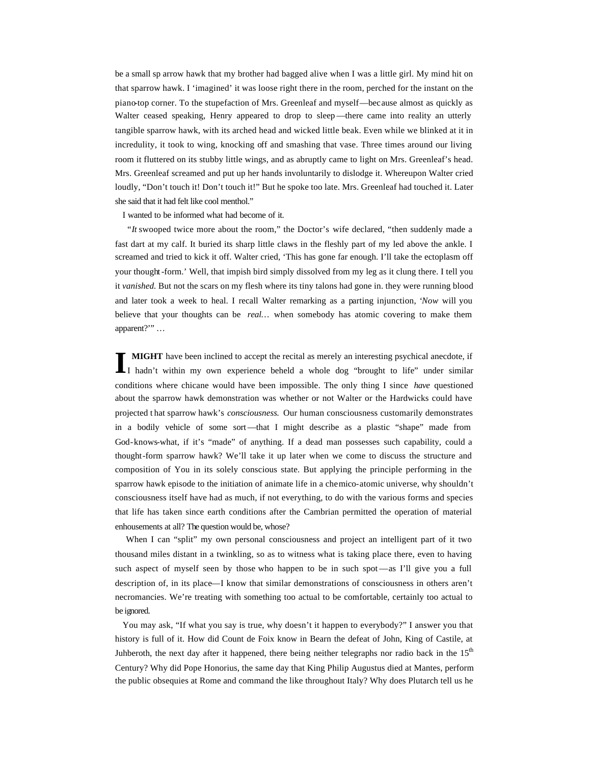be a small sp arrow hawk that my brother had bagged alive when I was a little girl. My mind hit on that sparrow hawk. I 'imagined' it was loose right there in the room, perched for the instant on the piano-top corner. To the stupefaction of Mrs. Greenleaf and myself—because almost as quickly as Walter ceased speaking, Henry appeared to drop to sleep—there came into reality an utterly tangible sparrow hawk, with its arched head and wicked little beak. Even while we blinked at it in incredulity, it took to wing, knocking off and smashing that vase. Three times around our living room it fluttered on its stubby little wings, and as abruptly came to light on Mrs. Greenleaf's head. Mrs. Greenleaf screamed and put up her hands involuntarily to dislodge it. Whereupon Walter cried loudly, "Don't touch it! Don't touch it!" But he spoke too late. Mrs. Greenleaf had touched it. Later she said that it had felt like cool menthol."

I wanted to be informed what had become of it.

 "*It* swooped twice more about the room," the Doctor's wife declared, "then suddenly made a fast dart at my calf. It buried its sharp little claws in the fleshly part of my led above the ankle. I screamed and tried to kick it off. Walter cried, 'This has gone far enough. I'll take the ectoplasm off your thought-form.' Well, that impish bird simply dissolved from my leg as it clung there. I tell you it *vanished.* But not the scars on my flesh where its tiny talons had gone in. they were running blood and later took a week to heal. I recall Walter remarking as a parting injunction, '*Now* will you believe that your thoughts can be *real…* when somebody has atomic covering to make them apparent?'" …

**MIGHT** have been inclined to accept the recital as merely an interesting psychical anecdote, if **I MIGHT** have been inclined to accept the recital as merely an interesting psychical anecdote, if I hadn't within my own experience beheld a whole dog "brought to life" under similar conditions where chicane would have been impossible. The only thing I since *have* questioned about the sparrow hawk demonstration was whether or not Walter or the Hardwicks could have projected t hat sparrow hawk's *consciousness.* Our human consciousness customarily demonstrates in a bodily vehicle of some sort—that I might describe as a plastic "shape" made from God-knows-what, if it's "made" of anything. If a dead man possesses such capability, could a thought-form sparrow hawk? We'll take it up later when we come to discuss the structure and composition of You in its solely conscious state. But applying the principle performing in the sparrow hawk episode to the initiation of animate life in a chemico-atomic universe, why shouldn't consciousness itself have had as much, if not everything, to do with the various forms and species that life has taken since earth conditions after the Cambrian permitted the operation of material enhousements at all? The question would be, whose?

 When I can "split" my own personal consciousness and project an intelligent part of it two thousand miles distant in a twinkling, so as to witness what is taking place there, even to having such aspect of myself seen by those who happen to be in such spot —as I'll give you a full description of, in its place—I know that similar demonstrations of consciousness in others aren't necromancies. We're treating with something too actual to be comfortable, certainly too actual to be ignored.

You may ask, "If what you say is true, why doesn't it happen to everybody?" I answer you that history is full of it. How did Count de Foix know in Bearn the defeat of John, King of Castile, at Juhberoth, the next day after it happened, there being neither telegraphs nor radio back in the  $15<sup>th</sup>$ Century? Why did Pope Honorius, the same day that King Philip Augustus died at Mantes, perform the public obsequies at Rome and command the like throughout Italy? Why does Plutarch tell us he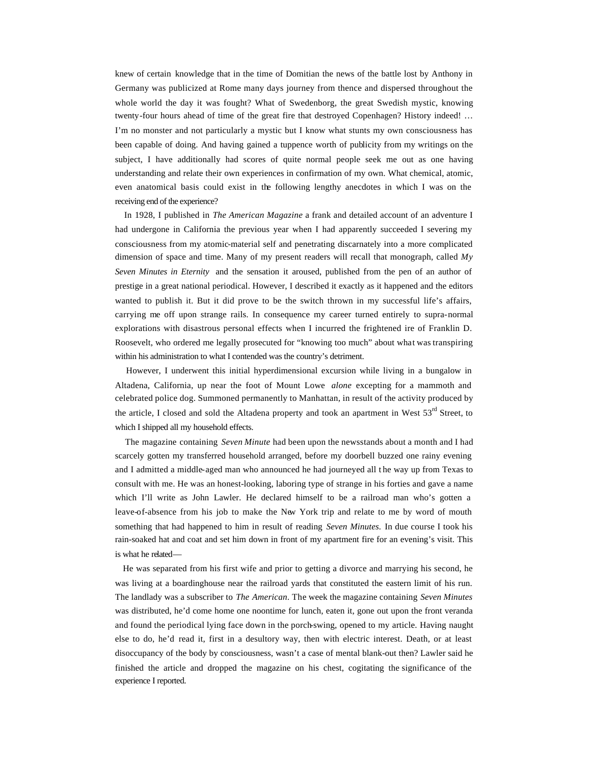knew of certain knowledge that in the time of Domitian the news of the battle lost by Anthony in Germany was publicized at Rome many days journey from thence and dispersed throughout the whole world the day it was fought? What of Swedenborg, the great Swedish mystic, knowing twenty-four hours ahead of time of the great fire that destroyed Copenhagen? History indeed! … I'm no monster and not particularly a mystic but I know what stunts my own consciousness has been capable of doing. And having gained a tuppence worth of publicity from my writings on the subject, I have additionally had scores of quite normal people seek me out as one having understanding and relate their own experiences in confirmation of my own. What chemical, atomic, even anatomical basis could exist in the following lengthy anecdotes in which I was on the receiving end of the experience?

 In 1928, I published in *The American Magazine* a frank and detailed account of an adventure I had undergone in California the previous year when I had apparently succeeded I severing my consciousness from my atomic-material self and penetrating discarnately into a more complicated dimension of space and time. Many of my present readers will recall that monograph, called *My Seven Minutes in Eternity* and the sensation it aroused, published from the pen of an author of prestige in a great national periodical. However, I described it exactly as it happened and the editors wanted to publish it. But it did prove to be the switch thrown in my successful life's affairs, carrying me off upon strange rails. In consequence my career turned entirely to supra-normal explorations with disastrous personal effects when I incurred the frightened ire of Franklin D. Roosevelt, who ordered me legally prosecuted for "knowing too much" about what was transpiring within his administration to what I contended was the country's detriment.

 However, I underwent this initial hyperdimensional excursion while living in a bungalow in Altadena, California, up near the foot of Mount Lowe *alone* excepting for a mammoth and celebrated police dog. Summoned permanently to Manhattan, in result of the activity produced by the article, I closed and sold the Altadena property and took an apartment in West 53<sup>rd</sup> Street, to which I shipped all my household effects.

 The magazine containing *Seven Minute* had been upon the newsstands about a month and I had scarcely gotten my transferred household arranged, before my doorbell buzzed one rainy evening and I admitted a middle-aged man who announced he had journeyed all t he way up from Texas to consult with me. He was an honest-looking, laboring type of strange in his forties and gave a name which I'll write as John Lawler. He declared himself to be a railroad man who's gotten a leave-of-absence from his job to make the New York trip and relate to me by word of mouth something that had happened to him in result of reading *Seven Minutes.* In due course I took his rain-soaked hat and coat and set him down in front of my apartment fire for an evening's visit. This is what he related—

 He was separated from his first wife and prior to getting a divorce and marrying his second, he was living at a boardinghouse near the railroad yards that constituted the eastern limit of his run. The landlady was a subscriber to *The American*. The week the magazine containing *Seven Minutes* was distributed, he'd come home one noontime for lunch, eaten it, gone out upon the front veranda and found the periodical lying face down in the porch-swing, opened to my article. Having naught else to do, he'd read it, first in a desultory way, then with electric interest. Death, or at least disoccupancy of the body by consciousness, wasn't a case of mental blank-out then? Lawler said he finished the article and dropped the magazine on his chest, cogitating the significance of the experience I reported.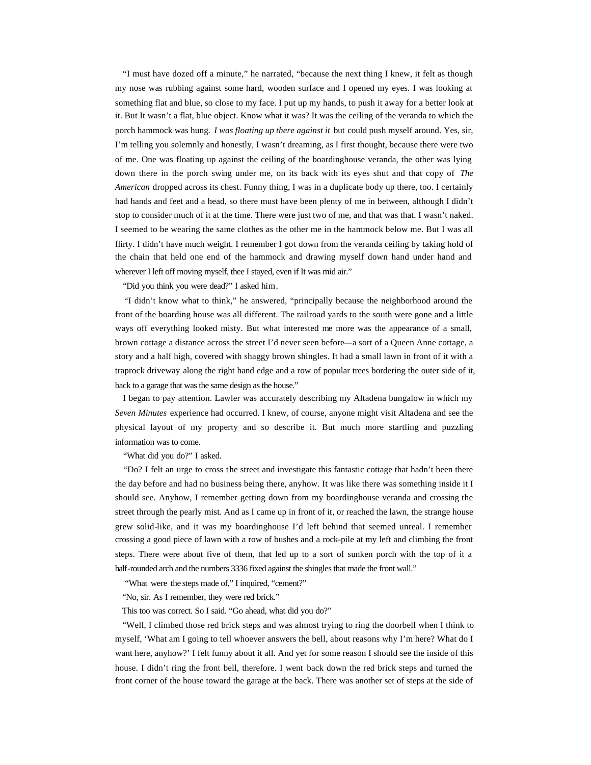"I must have dozed off a minute," he narrated, "because the next thing I knew, it felt as though my nose was rubbing against some hard, wooden surface and I opened my eyes. I was looking at something flat and blue, so close to my face. I put up my hands, to push it away for a better look at it. But It wasn't a flat, blue object. Know what it was? It was the ceiling of the veranda to which the porch hammock was hung. *I was floating up there against it* but could push myself around. Yes, sir, I'm telling you solemnly and honestly, I wasn't dreaming, as I first thought, because there were two of me. One was floating up against the ceiling of the boardinghouse veranda, the other was lying down there in the porch swing under me, on its back with its eyes shut and that copy of *The American* dropped across its chest. Funny thing, I was in a duplicate body up there, too. I certainly had hands and feet and a head, so there must have been plenty of me in between, although I didn't stop to consider much of it at the time. There were just two of me, and that was that. I wasn't naked. I seemed to be wearing the same clothes as the other me in the hammock below me. But I was all flirty. I didn't have much weight. I remember I got down from the veranda ceiling by taking hold of the chain that held one end of the hammock and drawing myself down hand under hand and wherever I left off moving myself, thee I stayed, even if It was mid air."

"Did you think you were dead?" I asked him.

 "I didn't know what to think," he answered, "principally because the neighborhood around the front of the boarding house was all different. The railroad yards to the south were gone and a little ways off everything looked misty. But what interested me more was the appearance of a small, brown cottage a distance across the street I'd never seen before—a sort of a Queen Anne cottage, a story and a half high, covered with shaggy brown shingles. It had a small lawn in front of it with a traprock driveway along the right hand edge and a row of popular trees bordering the outer side of it, back to a garage that was the same design as the house."

 I began to pay attention. Lawler was accurately describing my Altadena bungalow in which my *Seven Minutes* experience had occurred. I knew, of course, anyone might visit Altadena and see the physical layout of my property and so describe it. But much more startling and puzzling information was to come.

"What did you do?" I asked.

 "Do? I felt an urge to cross the street and investigate this fantastic cottage that hadn't been there the day before and had no business being there, anyhow. It was like there was something inside it I should see. Anyhow, I remember getting down from my boardinghouse veranda and crossing the street through the pearly mist. And as I came up in front of it, or reached the lawn, the strange house grew solid-like, and it was my boardinghouse I'd left behind that seemed unreal. I remember crossing a good piece of lawn with a row of bushes and a rock-pile at my left and climbing the front steps. There were about five of them, that led up to a sort of sunken porch with the top of it a half-rounded arch and the numbers 3336 fixed against the shingles that made the front wall."

"What were the steps made of," I inquired, "cement?"

"No, sir. As I remember, they were red brick."

This too was correct. So I said. "Go ahead, what did you do?"

 "Well, I climbed those red brick steps and was almost trying to ring the doorbell when I think to myself, 'What am I going to tell whoever answers the bell, about reasons why I'm here? What do I want here, anyhow?' I felt funny about it all. And yet for some reason I should see the inside of this house. I didn't ring the front bell, therefore. I went back down the red brick steps and turned the front corner of the house toward the garage at the back. There was another set of steps at the side of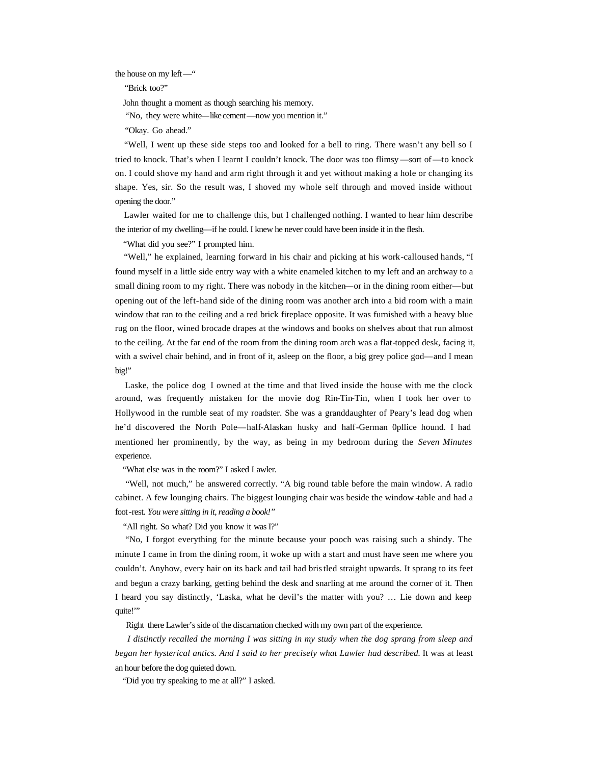the house on my left—"

"Brick too?"

John thought a moment as though searching his memory.

"No, they were white—like cement—now you mention it."

"Okay. Go ahead."

 "Well, I went up these side steps too and looked for a bell to ring. There wasn't any bell so I tried to knock. That's when I learnt I couldn't knock. The door was too flimsy —sort of—to knock on. I could shove my hand and arm right through it and yet without making a hole or changing its shape. Yes, sir. So the result was, I shoved my whole self through and moved inside without opening the door."

 Lawler waited for me to challenge this, but I challenged nothing. I wanted to hear him describe the interior of my dwelling—if he could. I knew he never could have been inside it in the flesh.

"What did you see?" I prompted him.

 "Well," he explained, learning forward in his chair and picking at his work-calloused hands, "I found myself in a little side entry way with a white enameled kitchen to my left and an archway to a small dining room to my right. There was nobody in the kitchen—or in the dining room either—but opening out of the left-hand side of the dining room was another arch into a bid room with a main window that ran to the ceiling and a red brick fireplace opposite. It was furnished with a heavy blue rug on the floor, wined brocade drapes at the windows and books on shelves about that run almost to the ceiling. At the far end of the room from the dining room arch was a flat-topped desk, facing it, with a swivel chair behind, and in front of it, asleep on the floor, a big grey police god—and I mean big!"

 Laske, the police dog I owned at the time and that lived inside the house with me the clock around, was frequently mistaken for the movie dog Rin-Tin-Tin, when I took her over to Hollywood in the rumble seat of my roadster. She was a granddaughter of Peary's lead dog when he'd discovered the North Pole—half-Alaskan husky and half-German 0pllice hound. I had mentioned her prominently, by the way, as being in my bedroom during the *Seven Minutes*  experience.

"What else was in the room?" I asked Lawler.

 "Well, not much," he answered correctly. "A big round table before the main window. A radio cabinet. A few lounging chairs. The biggest lounging chair was beside the window -table and had a foot-rest. *You were sitting in it, reading a book!"*

"All right. So what? Did you know it was I?"

 "No, I forgot everything for the minute because your pooch was raising such a shindy. The minute I came in from the dining room, it woke up with a start and must have seen me where you couldn't. Anyhow, every hair on its back and tail had bristled straight upwards. It sprang to its feet and begun a crazy barking, getting behind the desk and snarling at me around the corner of it. Then I heard you say distinctly, 'Laska, what he devil's the matter with you? … Lie down and keep quite!"

Right there Lawler's side of the discarnation checked with my own part of the experience.

 *I distinctly recalled the morning I was sitting in my study when the dog sprang from sleep and*  began her hysterical antics. And I said to her precisely what Lawler had described. It was at least an hour before the dog quieted down.

"Did you try speaking to me at all?" I asked.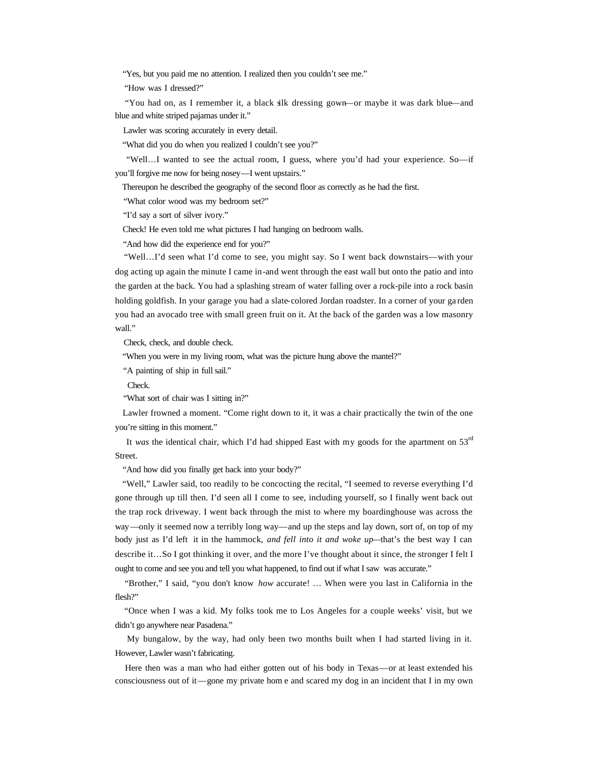"Yes, but you paid me no attention. I realized then you couldn't see me."

"How was I dressed?"

 "You had on, as I remember it, a black silk dressing gown—or maybe it was dark blue—and blue and white striped pajamas under it."

Lawler was scoring accurately in every detail.

"What did you do when you realized I couldn't see you?"

 "Well…I wanted to see the actual room, I guess, where you'd had your experience. So—if you'll forgive me now for being nosey—I went upstairs."

Thereupon he described the geography of the second floor as correctly as he had the first.

"What color wood was my bedroom set?"

"I'd say a sort of silver ivory."

Check! He even told me what pictures I had hanging on bedroom walls.

"And how did the experience end for you?"

 "Well…I'd seen what I'd come to see, you might say. So I went back downstairs—with your dog acting up again the minute I came in-and went through the east wall but onto the patio and into the garden at the back. You had a splashing stream of water falling over a rock-pile into a rock basin holding goldfish. In your garage you had a slate-colored Jordan roadster. In a corner of your ga rden you had an avocado tree with small green fruit on it. At the back of the garden was a low masonry wall."

Check, check, and double check.

"When you were in my living room, what was the picture hung above the mantel?"

"A painting of ship in full sail."

Check.

"What sort of chair was I sitting in?"

 Lawler frowned a moment. "Come right down to it, it was a chair practically the twin of the one you're sitting in this moment."

 It *was* the identical chair, which I'd had shipped East with my goods for the apartment on 53rd Street.

"And how did you finally get back into your body?"

 "Well," Lawler said, too readily to be concocting the recital, "I seemed to reverse everything I'd gone through up till then. I'd seen all I come to see, including yourself, so I finally went back out the trap rock driveway. I went back through the mist to where my boardinghouse was across the way—only it seemed now a terribly long way—and up the steps and lay down, sort of, on top of my body just as I'd left it in the hammock, *and fell into it and woke up—*that's the best way I can describe it…So I got thinking it over, and the more I've thought about it since, the stronger I felt I ought to come and see you and tell you what happened, to find out if what I saw was accurate."

 "Brother," I said, "you don't know *how* accurate! … When were you last in California in the flesh?"

 "Once when I was a kid. My folks took me to Los Angeles for a couple weeks' visit, but we didn't go anywhere near Pasadena."

 My bungalow, by the way, had only been two months built when I had started living in it. However, Lawler wasn't fabricating.

 Here then was a man who had either gotten out of his body in Texas—or at least extended his consciousness out of it—gone my private hom e and scared my dog in an incident that I in my own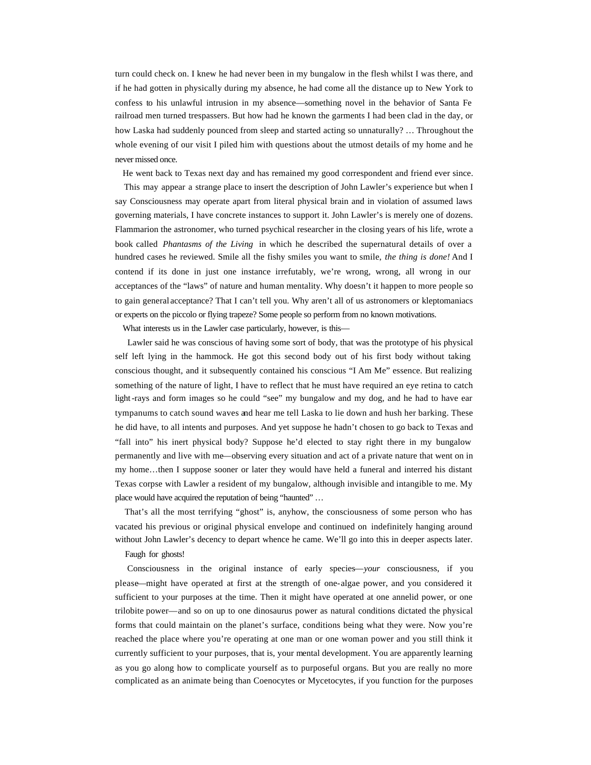turn could check on. I knew he had never been in my bungalow in the flesh whilst I was there, and if he had gotten in physically during my absence, he had come all the distance up to New York to confess to his unlawful intrusion in my absence—something novel in the behavior of Santa Fe railroad men turned trespassers. But how had he known the garments I had been clad in the day, or how Laska had suddenly pounced from sleep and started acting so unnaturally? … Throughout the whole evening of our visit I piled him with questions about the utmost details of my home and he never missed once.

He went back to Texas next day and has remained my good correspondent and friend ever since.

 This may appear a strange place to insert the description of John Lawler's experience but when I say Consciousness may operate apart from literal physical brain and in violation of assumed laws governing materials, I have concrete instances to support it. John Lawler's is merely one of dozens. Flammarion the astronomer, who turned psychical researcher in the closing years of his life, wrote a book called *Phantasms of the Living* in which he described the supernatural details of over a hundred cases he reviewed. Smile all the fishy smiles you want to smile, *the thing is done!* And I contend if its done in just one instance irrefutably, we're wrong, wrong, all wrong in our acceptances of the "laws" of nature and human mentality. Why doesn't it happen to more people so to gain general acceptance? That I can't tell you. Why aren't all of us astronomers or kleptomaniacs or experts on the piccolo or flying trapeze? Some people so perform from no known motivations.

What interests us in the Lawler case particularly, however, is this—

 Lawler said he was conscious of having some sort of body, that was the prototype of his physical self left lying in the hammock. He got this second body out of his first body without taking conscious thought, and it subsequently contained his conscious "I Am Me" essence. But realizing something of the nature of light, I have to reflect that he must have required an eye retina to catch light-rays and form images so he could "see" my bungalow and my dog, and he had to have ear tympanums to catch sound waves and hear me tell Laska to lie down and hush her barking. These he did have, to all intents and purposes. And yet suppose he hadn't chosen to go back to Texas and "fall into" his inert physical body? Suppose he'd elected to stay right there in my bungalow permanently and live with me—observing every situation and act of a private nature that went on in my home…then I suppose sooner or later they would have held a funeral and interred his distant Texas corpse with Lawler a resident of my bungalow, although invisible and intangible to me. My place would have acquired the reputation of being "haunted" …

 That's all the most terrifying "ghost" is, anyhow, the consciousness of some person who has vacated his previous or original physical envelope and continued on indefinitely hanging around without John Lawler's decency to depart whence he came. We'll go into this in deeper aspects later.

Faugh for ghosts!

 Consciousness in the original instance of early species—*your* consciousness, if you please—might have operated at first at the strength of one-algae power, and you considered it sufficient to your purposes at the time. Then it might have operated at one annelid power, or one trilobite power—and so on up to one dinosaurus power as natural conditions dictated the physical forms that could maintain on the planet's surface, conditions being what they were. Now you're reached the place where you're operating at one man or one woman power and you still think it currently sufficient to your purposes, that is, your mental development. You are apparently learning as you go along how to complicate yourself as to purposeful organs. But you are really no more complicated as an animate being than Coenocytes or Mycetocytes, if you function for the purposes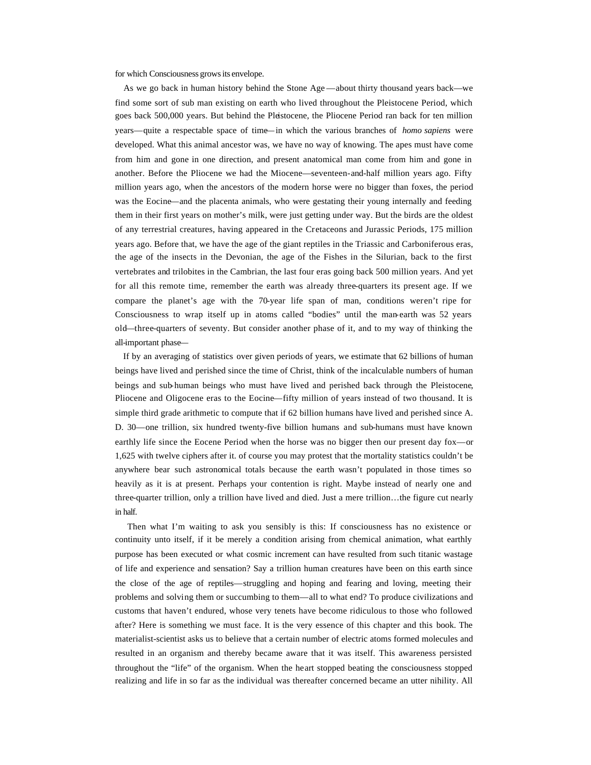for which Consciousness grows its envelope.

 As we go back in human history behind the Stone Age —about thirty thousand years back—we find some sort of sub man existing on earth who lived throughout the Pleistocene Period, which goes back 500,000 years. But behind the Pleistocene, the Pliocene Period ran back for ten million years—quite a respectable space of time—in which the various branches of *homo sapiens* were developed. What this animal ancestor was, we have no way of knowing. The apes must have come from him and gone in one direction, and present anatomical man come from him and gone in another. Before the Pliocene we had the Miocene—seventeen-and-half million years ago. Fifty million years ago, when the ancestors of the modern horse were no bigger than foxes, the period was the Eocine—and the placenta animals, who were gestating their young internally and feeding them in their first years on mother's milk, were just getting under way. But the birds are the oldest of any terrestrial creatures, having appeared in the Cretaceons and Jurassic Periods, 175 million years ago. Before that, we have the age of the giant reptiles in the Triassic and Carboniferous eras, the age of the insects in the Devonian, the age of the Fishes in the Silurian, back to the first vertebrates and trilobites in the Cambrian, the last four eras going back 500 million years. And yet for all this remote time, remember the earth was already three-quarters its present age. If we compare the planet's age with the 70-year life span of man, conditions weren't ripe for Consciousness to wrap itself up in atoms called "bodies" until the man-earth was 52 years old—three-quarters of seventy. But consider another phase of it, and to my way of thinking the all-important phase—

 If by an averaging of statistics over given periods of years, we estimate that 62 billions of human beings have lived and perished since the time of Christ, think of the incalculable numbers of human beings and sub-human beings who must have lived and perished back through the Pleistocene, Pliocene and Oligocene eras to the Eocine—fifty million of years instead of two thousand. It is simple third grade arithmetic to compute that if 62 billion humans have lived and perished since A. D. 30—one trillion, six hundred twenty-five billion humans and sub-humans must have known earthly life since the Eocene Period when the horse was no bigger then our present day fox—or 1,625 with twelve ciphers after it. of course you may protest that the mortality statistics couldn't be anywhere bear such astronomical totals because the earth wasn't populated in those times so heavily as it is at present. Perhaps your contention is right. Maybe instead of nearly one and three-quarter trillion, only a trillion have lived and died. Just a mere trillion…the figure cut nearly in half.

 Then what I'm waiting to ask you sensibly is this: If consciousness has no existence or continuity unto itself, if it be merely a condition arising from chemical animation, what earthly purpose has been executed or what cosmic increment can have resulted from such titanic wastage of life and experience and sensation? Say a trillion human creatures have been on this earth since the close of the age of reptiles—struggling and hoping and fearing and loving, meeting their problems and solving them or succumbing to them—all to what end? To produce civilizations and customs that haven't endured, whose very tenets have become ridiculous to those who followed after? Here is something we must face. It is the very essence of this chapter and this book. The materialist-scientist asks us to believe that a certain number of electric atoms formed molecules and resulted in an organism and thereby became aware that it was itself. This awareness persisted throughout the "life" of the organism. When the heart stopped beating the consciousness stopped realizing and life in so far as the individual was thereafter concerned became an utter nihility. All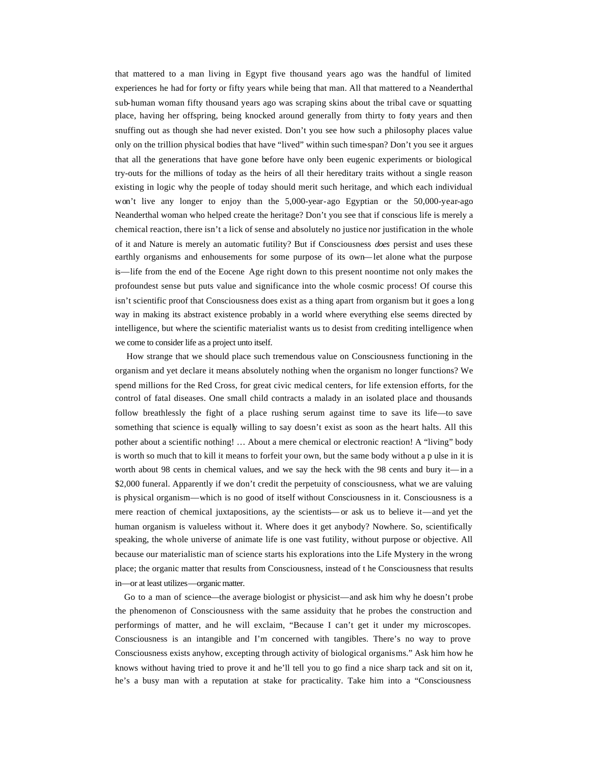that mattered to a man living in Egypt five thousand years ago was the handful of limited experiences he had for forty or fifty years while being that man. All that mattered to a Neanderthal sub-human woman fifty thousand years ago was scraping skins about the tribal cave or squatting place, having her offspring, being knocked around generally from thirty to forty years and then snuffing out as though she had never existed. Don't you see how such a philosophy places value only on the trillion physical bodies that have "lived" within such time-span? Don't you see it argues that all the generations that have gone before have only been eugenic experiments or biological try-outs for the millions of today as the heirs of all their hereditary traits without a single reason existing in logic why the people of today should merit such heritage, and which each individual won't live any longer to enjoy than the 5,000-year-ago Egyptian or the 50,000-year-ago Neanderthal woman who helped create the heritage? Don't you see that if conscious life is merely a chemical reaction, there isn't a lick of sense and absolutely no justice nor justification in the whole of it and Nature is merely an automatic futility? But if Consciousness *does* persist and uses these earthly organisms and enhousements for some purpose of its own—let alone what the purpose is—life from the end of the Eocene Age right down to this present noontime not only makes the profoundest sense but puts value and significance into the whole cosmic process! Of course this isn't scientific proof that Consciousness does exist as a thing apart from organism but it goes a long way in making its abstract existence probably in a world where everything else seems directed by intelligence, but where the scientific materialist wants us to desist from crediting intelligence when we come to consider life as a project unto itself.

 How strange that we should place such tremendous value on Consciousness functioning in the organism and yet declare it means absolutely nothing when the organism no longer functions? We spend millions for the Red Cross, for great civic medical centers, for life extension efforts, for the control of fatal diseases. One small child contracts a malady in an isolated place and thousands follow breathlessly the fight of a place rushing serum against time to save its life—to save something that science is equally willing to say doesn't exist as soon as the heart halts. All this pother about a scientific nothing! … About a mere chemical or electronic reaction! A "living" body is worth so much that to kill it means to forfeit your own, but the same body without a p ulse in it is worth about 98 cents in chemical values, and we say the heck with the 98 cents and bury it—in a \$2,000 funeral. Apparently if we don't credit the perpetuity of consciousness, what we are valuing is physical organism—which is no good of itself without Consciousness in it. Consciousness is a mere reaction of chemical juxtapositions, ay the scientists—or ask us to believe it—and yet the human organism is valueless without it. Where does it get anybody? Nowhere. So, scientifically speaking, the whole universe of animate life is one vast futility, without purpose or objective. All because our materialistic man of science starts his explorations into the Life Mystery in the wrong place; the organic matter that results from Consciousness, instead of t he Consciousness that results in—or at least utilizes—organic matter.

 Go to a man of science—the average biologist or physicist—and ask him why he doesn't probe the phenomenon of Consciousness with the same assiduity that he probes the construction and performings of matter, and he will exclaim, "Because I can't get it under my microscopes. Consciousness is an intangible and I'm concerned with tangibles. There's no way to prove Consciousness exists anyhow, excepting through activity of biological organisms." Ask him how he knows without having tried to prove it and he'll tell you to go find a nice sharp tack and sit on it, he's a busy man with a reputation at stake for practicality. Take him into a "Consciousness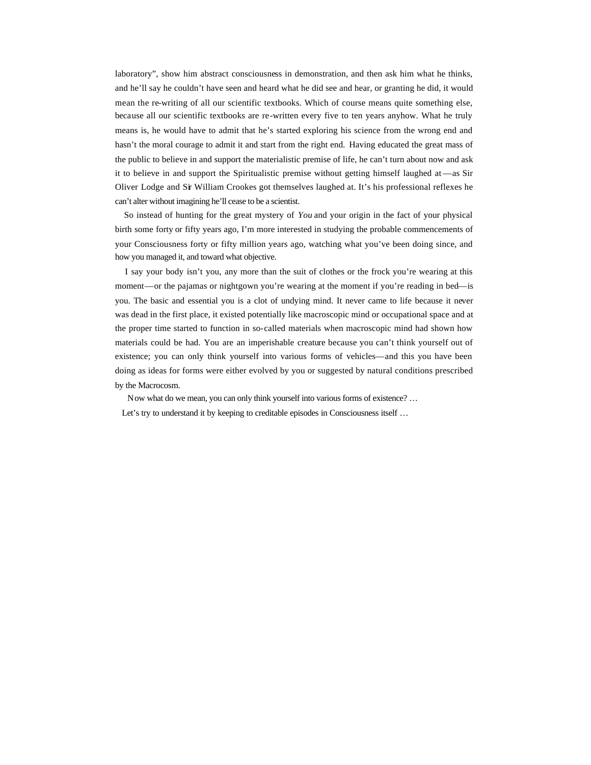laboratory", show him abstract consciousness in demonstration, and then ask him what he thinks, and he'll say he couldn't have seen and heard what he did see and hear, or granting he did, it would mean the re-writing of all our scientific textbooks. Which of course means quite something else, because all our scientific textbooks are re-written every five to ten years anyhow. What he truly means is, he would have to admit that he's started exploring his science from the wrong end and hasn't the moral courage to admit it and start from the right end. Having educated the great mass of the public to believe in and support the materialistic premise of life, he can't turn about now and ask it to believe in and support the Spiritualistic premise without getting himself laughed at —as Sir Oliver Lodge and Sir William Crookes got themselves laughed at. It's his professional reflexes he can't alter without imagining he'll cease to be a scientist.

 So instead of hunting for the great mystery of *You* and your origin in the fact of your physical birth some forty or fifty years ago, I'm more interested in studying the probable commencements of your Consciousness forty or fifty million years ago, watching what you've been doing since, and how you managed it, and toward what objective.

 I say your body isn't you, any more than the suit of clothes or the frock you're wearing at this moment—or the pajamas or nightgown you're wearing at the moment if you're reading in bed—is you. The basic and essential you is a clot of undying mind. It never came to life because it never was dead in the first place, it existed potentially like macroscopic mind or occupational space and at the proper time started to function in so-called materials when macroscopic mind had shown how materials could be had. You are an imperishable creature because you can't think yourself out of existence; you can only think yourself into various forms of vehicles—and this you have been doing as ideas for forms were either evolved by you or suggested by natural conditions prescribed by the Macrocosm.

 Now what do we mean, you can only think yourself into various forms of existence? … Let's try to understand it by keeping to creditable episodes in Consciousness itself ...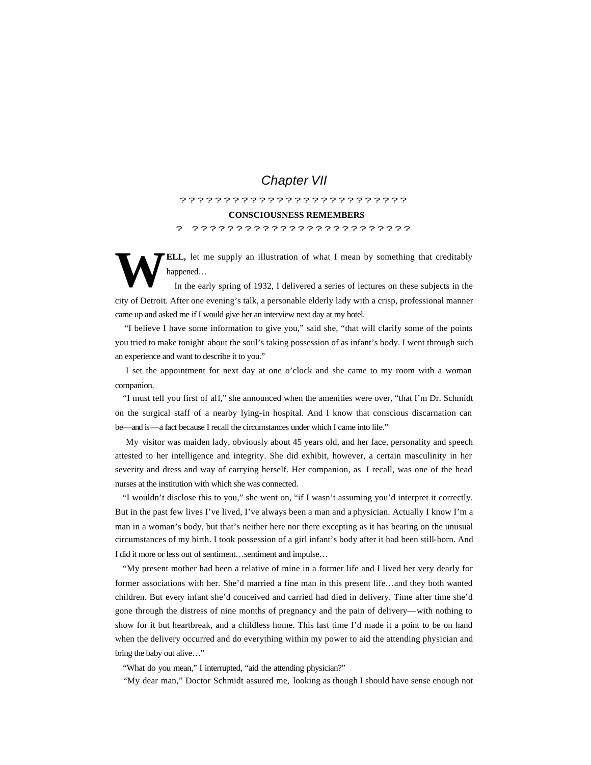# *Chapter VII*

# ?????????????????????????? **CONSCIOUSNESS REMEMBERS** ? ?????????????????????????

**ELL,** let me supply an illustration of what I mean by something that creditably happened… **W**

 In the early spring of 1932, I delivered a series of lectures on these subjects in the city of Detroit. After one evening's talk, a personable elderly lady with a crisp, professional manner came up and asked me if I would give her an interview next day at my hotel.

 "I believe I have some information to give you," said she, "that will clarify some of the points you tried to make tonight about the soul's taking possession of as infant's body. I went through such an experience and want to describe it to you."

 I set the appointment for next day at one o'clock and she came to my room with a woman companion.

 "I must tell you first of all," she announced when the amenities were over, "that I'm Dr. Schmidt on the surgical staff of a nearby lying-in hospital. And I know that conscious discarnation can be—and is—a fact because I recall the circumstances under which I came into life."

 My visitor was maiden lady, obviously about 45 years old, and her face, personality and speech attested to her intelligence and integrity. She did exhibit, however, a certain masculinity in her severity and dress and way of carrying herself. Her companion, as I recall, was one of the head nurses at the institution with which she was connected.

 "I wouldn't disclose this to you," she went on, "if I wasn't assuming you'd interpret it correctly. But in the past few lives I've lived, I've always been a man and a physician. Actually I know I'm a man in a woman's body, but that's neither here nor there excepting as it has bearing on the unusual circumstances of my birth. I took possession of a girl infant's body after it had been still-born. And I did it more or less out of sentiment…sentiment and impulse…

 "My present mother had been a relative of mine in a former life and I lived her very dearly for former associations with her. She'd married a fine man in this present life…and they both wanted children. But every infant she'd conceived and carried had died in delivery. Time after time she'd gone through the distress of nine months of pregnancy and the pain of delivery—with nothing to show for it but heartbreak, and a childless home. This last time I'd made it a point to be on hand when the delivery occurred and do everything within my power to aid the attending physician and bring the baby out alive…"

"What do you mean," I interrupted, "aid the attending physician?"

"My dear man," Doctor Schmidt assured me, looking as though I should have sense enough not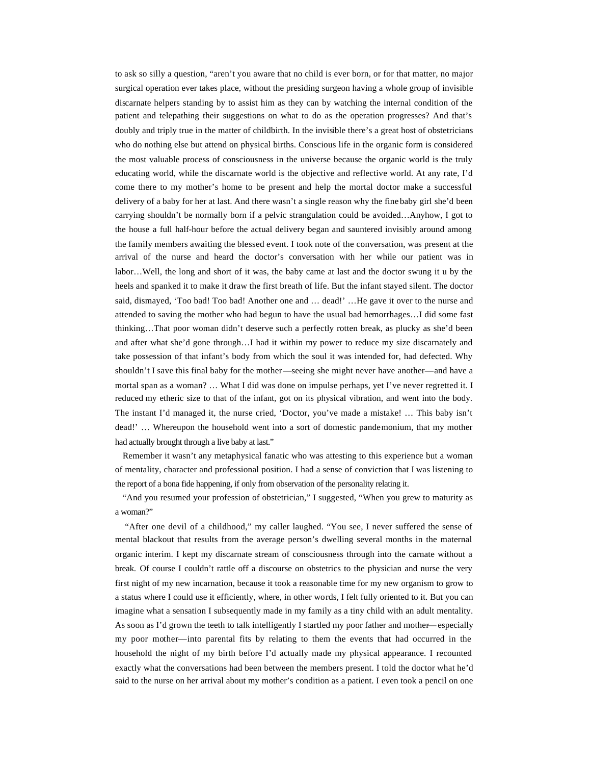to ask so silly a question, "aren't you aware that no child is ever born, or for that matter, no major surgical operation ever takes place, without the presiding surgeon having a whole group of invisible discarnate helpers standing by to assist him as they can by watching the internal condition of the patient and telepathing their suggestions on what to do as the operation progresses? And that's doubly and triply true in the matter of childbirth. In the invisible there's a great host of obstetricians who do nothing else but attend on physical births. Conscious life in the organic form is considered the most valuable process of consciousness in the universe because the organic world is the truly educating world, while the discarnate world is the objective and reflective world. At any rate, I'd come there to my mother's home to be present and help the mortal doctor make a successful delivery of a baby for her at last. And there wasn't a single reason why the fine baby girl she'd been carrying shouldn't be normally born if a pelvic strangulation could be avoided…Anyhow, I got to the house a full half-hour before the actual delivery began and sauntered invisibly around among the family members awaiting the blessed event. I took note of the conversation, was present at the arrival of the nurse and heard the doctor's conversation with her while our patient was in labor…Well, the long and short of it was, the baby came at last and the doctor swung it u by the heels and spanked it to make it draw the first breath of life. But the infant stayed silent. The doctor said, dismayed, 'Too bad! Too bad! Another one and … dead!' …He gave it over to the nurse and attended to saving the mother who had begun to have the usual bad hemorrhages…I did some fast thinking…That poor woman didn't deserve such a perfectly rotten break, as plucky as she'd been and after what she'd gone through…I had it within my power to reduce my size discarnately and take possession of that infant's body from which the soul it was intended for, had defected. Why shouldn't I save this final baby for the mother—seeing she might never have another—and have a mortal span as a woman? … What I did was done on impulse perhaps, yet I've never regretted it. I reduced my etheric size to that of the infant, got on its physical vibration, and went into the body. The instant I'd managed it, the nurse cried, 'Doctor, you've made a mistake! … This baby isn't dead!' … Whereupon the household went into a sort of domestic pandemonium, that my mother had actually brought through a live baby at last."

 Remember it wasn't any metaphysical fanatic who was attesting to this experience but a woman of mentality, character and professional position. I had a sense of conviction that I was listening to the report of a bona fide happening, if only from observation of the personality relating it.

 "And you resumed your profession of obstetrician," I suggested, "When you grew to maturity as a woman?"

 "After one devil of a childhood," my caller laughed. "You see, I never suffered the sense of mental blackout that results from the average person's dwelling several months in the maternal organic interim. I kept my discarnate stream of consciousness through into the carnate without a break. Of course I couldn't rattle off a discourse on obstetrics to the physician and nurse the very first night of my new incarnation, because it took a reasonable time for my new organism to grow to a status where I could use it efficiently, where, in other words, I felt fully oriented to it. But you can imagine what a sensation I subsequently made in my family as a tiny child with an adult mentality. As soon as I'd grown the teeth to talk intelligently I startled my poor father and mother—especially my poor mother—into parental fits by relating to them the events that had occurred in the household the night of my birth before I'd actually made my physical appearance. I recounted exactly what the conversations had been between the members present. I told the doctor what he'd said to the nurse on her arrival about my mother's condition as a patient. I even took a pencil on one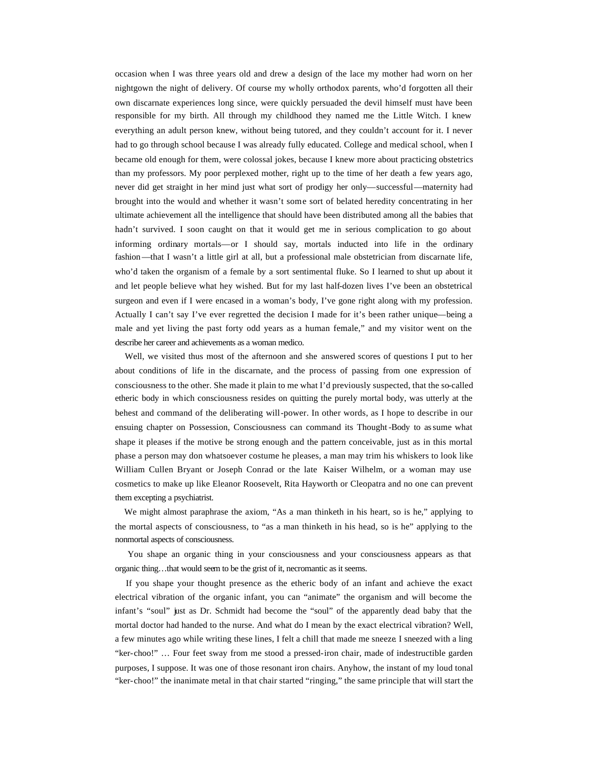occasion when I was three years old and drew a design of the lace my mother had worn on her nightgown the night of delivery. Of course my wholly orthodox parents, who'd forgotten all their own discarnate experiences long since, were quickly persuaded the devil himself must have been responsible for my birth. All through my childhood they named me the Little Witch. I knew everything an adult person knew, without being tutored, and they couldn't account for it. I never had to go through school because I was already fully educated. College and medical school, when I became old enough for them, were colossal jokes, because I knew more about practicing obstetrics than my professors. My poor perplexed mother, right up to the time of her death a few years ago, never did get straight in her mind just what sort of prodigy her only—successful—maternity had brought into the would and whether it wasn't some sort of belated heredity concentrating in her ultimate achievement all the intelligence that should have been distributed among all the babies that hadn't survived. I soon caught on that it would get me in serious complication to go about informing ordinary mortals—or I should say, mortals inducted into life in the ordinary fashion—that I wasn't a little girl at all, but a professional male obstetrician from discarnate life, who'd taken the organism of a female by a sort sentimental fluke. So I learned to shut up about it and let people believe what hey wished. But for my last half-dozen lives I've been an obstetrical surgeon and even if I were encased in a woman's body, I've gone right along with my profession. Actually I can't say I've ever regretted the decision I made for it's been rather unique—being a male and yet living the past forty odd years as a human female," and my visitor went on the describe her career and achievements as a woman medico.

 Well, we visited thus most of the afternoon and she answered scores of questions I put to her about conditions of life in the discarnate, and the process of passing from one expression of consciousness to the other. She made it plain to me what I'd previously suspected, that the so-called etheric body in which consciousness resides on quitting the purely mortal body, was utterly at the behest and command of the deliberating will-power. In other words, as I hope to describe in our ensuing chapter on Possession, Consciousness can command its Thought -Body to assume what shape it pleases if the motive be strong enough and the pattern conceivable, just as in this mortal phase a person may don whatsoever costume he pleases, a man may trim his whiskers to look like William Cullen Bryant or Joseph Conrad or the late Kaiser Wilhelm, or a woman may use cosmetics to make up like Eleanor Roosevelt, Rita Hayworth or Cleopatra and no one can prevent them excepting a psychiatrist.

We might almost paraphrase the axiom, "As a man thinketh in his heart, so is he," applying to the mortal aspects of consciousness, to "as a man thinketh in his head, so is he" applying to the nonmortal aspects of consciousness.

 You shape an organic thing in your consciousness and your consciousness appears as that organic thing…that would seem to be the grist of it, necromantic as it seems.

 If you shape your thought presence as the etheric body of an infant and achieve the exact electrical vibration of the organic infant, you can "animate" the organism and will become the infant's "soul" just as Dr. Schmidt had become the "soul" of the apparently dead baby that the mortal doctor had handed to the nurse. And what do I mean by the exact electrical vibration? Well, a few minutes ago while writing these lines, I felt a chill that made me sneeze. I sneezed with a ling "ker-choo!" … Four feet sway from me stood a pressed-iron chair, made of indestructible garden purposes, I suppose. It was one of those resonant iron chairs. Anyhow, the instant of my loud tonal "ker-choo!" the inanimate metal in that chair started "ringing," the same principle that will start the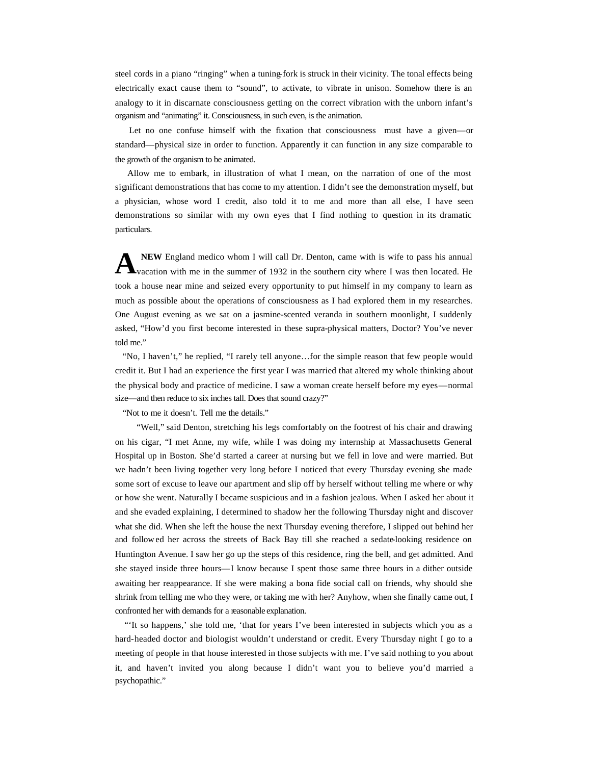steel cords in a piano "ringing" when a tuning-fork is struck in their vicinity. The tonal effects being electrically exact cause them to "sound", to activate, to vibrate in unison. Somehow there is an analogy to it in discarnate consciousness getting on the correct vibration with the unborn infant's organism and "animating" it. Consciousness, in such even, is the animation.

 Let no one confuse himself with the fixation that consciousness must have a given—or standard—physical size in order to function. Apparently it can function in any size comparable to the growth of the organism to be animated.

 Allow me to embark, in illustration of what I mean, on the narration of one of the most significant demonstrations that has come to my attention. I didn't see the demonstration myself, but a physician, whose word I credit, also told it to me and more than all else, I have seen demonstrations so similar with my own eyes that I find nothing to question in its dramatic particulars.

**NEW** England medico whom I will call Dr. Denton, came with is wife to pass his annual vacation with me in the summer of 1932 in the southern city where I was then located. He took a house near mine and seized every opportunity to put himself in my company to learn as much as possible about the operations of consciousness as I had explored them in my researches. One August evening as we sat on a jasmine-scented veranda in southern moonlight, I suddenly asked, "How'd you first become interested in these supra-physical matters, Doctor? You've never told me." **A**

 "No, I haven't," he replied, "I rarely tell anyone…for the simple reason that few people would credit it. But I had an experience the first year I was married that altered my whole thinking about the physical body and practice of medicine. I saw a woman create herself before my eyes—normal size—and then reduce to six inches tall. Does that sound crazy?"

"Not to me it doesn't. Tell me the details."

"Well," said Denton, stretching his legs comfortably on the footrest of his chair and drawing on his cigar, "I met Anne, my wife, while I was doing my internship at Massachusetts General Hospital up in Boston. She'd started a career at nursing but we fell in love and were married. But we hadn't been living together very long before I noticed that every Thursday evening she made some sort of excuse to leave our apartment and slip off by herself without telling me where or why or how she went. Naturally I became suspicious and in a fashion jealous. When I asked her about it and she evaded explaining, I determined to shadow her the following Thursday night and discover what she did. When she left the house the next Thursday evening therefore, I slipped out behind her and follow ed her across the streets of Back Bay till she reached a sedate-looking residence on Huntington Avenue. I saw her go up the steps of this residence, ring the bell, and get admitted. And she stayed inside three hours—I know because I spent those same three hours in a dither outside awaiting her reappearance. If she were making a bona fide social call on friends, why should she shrink from telling me who they were, or taking me with her? Anyhow, when she finally came out, I confronted her with demands for a reasonable explanation.

 "'It so happens,' she told me, 'that for years I've been interested in subjects which you as a hard-headed doctor and biologist wouldn't understand or credit. Every Thursday night I go to a meeting of people in that house interested in those subjects with me. I've said nothing to you about it, and haven't invited you along because I didn't want you to believe you'd married a psychopathic."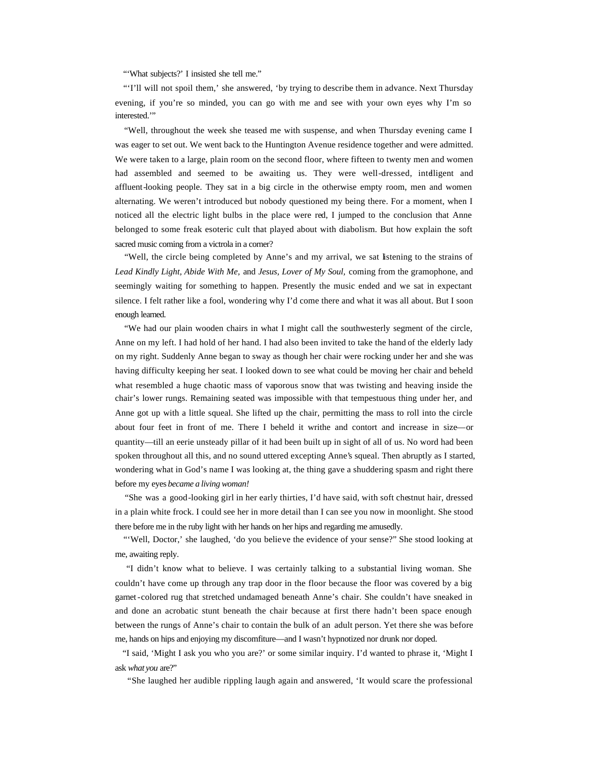"'What subjects?' I insisted she tell me."

 "'I'll will not spoil them,' she answered, 'by trying to describe them in advance. Next Thursday evening, if you're so minded, you can go with me and see with your own eyes why I'm so interested."

 "Well, throughout the week she teased me with suspense, and when Thursday evening came I was eager to set out. We went back to the Huntington Avenue residence together and were admitted. We were taken to a large, plain room on the second floor, where fifteen to twenty men and women had assembled and seemed to be awaiting us. They were well-dressed, intelligent and affluent-looking people. They sat in a big circle in the otherwise empty room, men and women alternating. We weren't introduced but nobody questioned my being there. For a moment, when I noticed all the electric light bulbs in the place were red, I jumped to the conclusion that Anne belonged to some freak esoteric cult that played about with diabolism. But how explain the soft sacred music coming from a victrola in a corner?

 "Well, the circle being completed by Anne's and my arrival, we sat listening to the strains of *Lead Kindly Light, Abide With Me,* and *Jesus, Lover of My Soul,* coming from the gramophone, and seemingly waiting for something to happen. Presently the music ended and we sat in expectant silence. I felt rather like a fool, wondering why I'd come there and what it was all about. But I soon enough learned.

 "We had our plain wooden chairs in what I might call the southwesterly segment of the circle, Anne on my left. I had hold of her hand. I had also been invited to take the hand of the elderly lady on my right. Suddenly Anne began to sway as though her chair were rocking under her and she was having difficulty keeping her seat. I looked down to see what could be moving her chair and beheld what resembled a huge chaotic mass of vaporous snow that was twisting and heaving inside the chair's lower rungs. Remaining seated was impossible with that tempestuous thing under her, and Anne got up with a little squeal. She lifted up the chair, permitting the mass to roll into the circle about four feet in front of me. There I beheld it writhe and contort and increase in size—or quantity—till an eerie unsteady pillar of it had been built up in sight of all of us. No word had been spoken throughout all this, and no sound uttered excepting Anne's squeal. Then abruptly as I started, wondering what in God's name I was looking at, the thing gave a shuddering spasm and right there before my eyes *became a living woman!*

 "She was a good-looking girl in her early thirties, I'd have said, with soft chestnut hair, dressed in a plain white frock. I could see her in more detail than I can see you now in moonlight. She stood there before me in the ruby light with her hands on her hips and regarding me amusedly.

 "'Well, Doctor,' she laughed, 'do you believe the evidence of your sense?" She stood looking at me, awaiting reply.

 "I didn't know what to believe. I was certainly talking to a substantial living woman. She couldn't have come up through any trap door in the floor because the floor was covered by a big garnet-colored rug that stretched undamaged beneath Anne's chair. She couldn't have sneaked in and done an acrobatic stunt beneath the chair because at first there hadn't been space enough between the rungs of Anne's chair to contain the bulk of an adult person. Yet there she was before me, hands on hips and enjoying my discomfiture—and I wasn't hypnotized nor drunk nor doped.

 "I said, 'Might I ask you who you are?' or some similar inquiry. I'd wanted to phrase it, 'Might I ask *what you* are?"

"She laughed her audible rippling laugh again and answered, 'It would scare the professional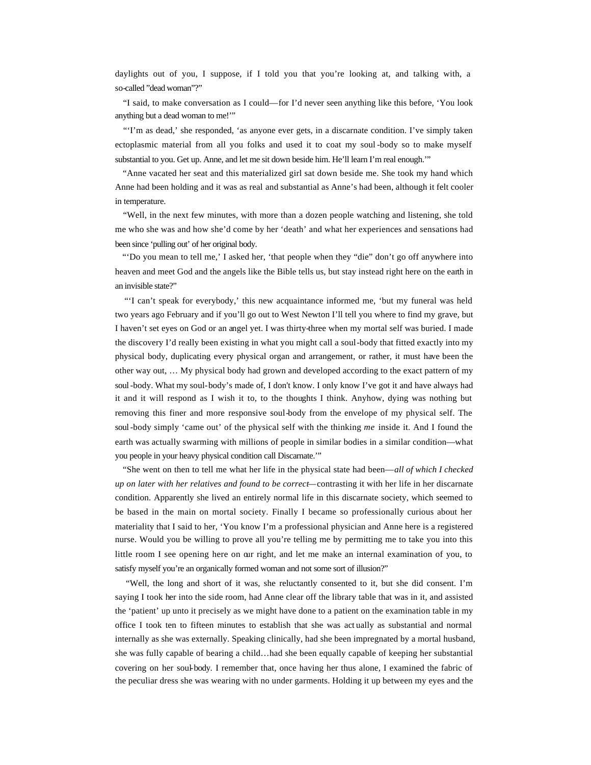daylights out of you, I suppose, if I told you that you're looking at, and talking with, a so-called "dead woman"?"

 "I said, to make conversation as I could—for I'd never seen anything like this before, 'You look anything but a dead woman to me!'"

 "'I'm as dead,' she responded, 'as anyone ever gets, in a discarnate condition. I've simply taken ectoplasmic material from all you folks and used it to coat my soul -body so to make myself substantial to you. Get up. Anne, and let me sit down beside him. He'll learn I'm real enough."

 "Anne vacated her seat and this materialized girl sat down beside me. She took my hand which Anne had been holding and it was as real and substantial as Anne's had been, although it felt cooler in temperature.

 "Well, in the next few minutes, with more than a dozen people watching and listening, she told me who she was and how she'd come by her 'death' and what her experiences and sensations had been since 'pulling out' of her original body.

 "'Do you mean to tell me,' I asked her, 'that people when they "die" don't go off anywhere into heaven and meet God and the angels like the Bible tells us, but stay instead right here on the earth in an invisible state?"

 "'I can't speak for everybody,' this new acquaintance informed me, 'but my funeral was held two years ago February and if you'll go out to West Newton I'll tell you where to find my grave, but I haven't set eyes on God or an angel yet. I was thirty-three when my mortal self was buried. I made the discovery I'd really been existing in what you might call a soul-body that fitted exactly into my physical body, duplicating every physical organ and arrangement, or rather, it must have been the other way out, … My physical body had grown and developed according to the exact pattern of my soul-body. What my soul-body's made of, I don't know. I only know I've got it and have always had it and it will respond as I wish it to, to the thoughts I think. Anyhow, dying was nothing but removing this finer and more responsive soul-body from the envelope of my physical self. The soul-body simply 'came out' of the physical self with the thinking *me* inside it. And I found the earth was actually swarming with millions of people in similar bodies in a similar condition—what you people in your heavy physical condition call Discarnate.'"

 "She went on then to tell me what her life in the physical state had been—*all of which I checked up on later with her relatives and found to be correct—*contrasting it with her life in her discarnate condition. Apparently she lived an entirely normal life in this discarnate society, which seemed to be based in the main on mortal society. Finally I became so professionally curious about her materiality that I said to her, 'You know I'm a professional physician and Anne here is a registered nurse. Would you be willing to prove all you're telling me by permitting me to take you into this little room I see opening here on our right, and let me make an internal examination of you, to satisfy myself you're an organically formed woman and not some sort of illusion?"

 "Well, the long and short of it was, she reluctantly consented to it, but she did consent. I'm saying I took her into the side room, had Anne clear off the library table that was in it, and assisted the 'patient' up unto it precisely as we might have done to a patient on the examination table in my office I took ten to fifteen minutes to establish that she was act ually as substantial and normal internally as she was externally. Speaking clinically, had she been impregnated by a mortal husband, she was fully capable of bearing a child…had she been equally capable of keeping her substantial covering on her soul-body. I remember that, once having her thus alone, I examined the fabric of the peculiar dress she was wearing with no under garments. Holding it up between my eyes and the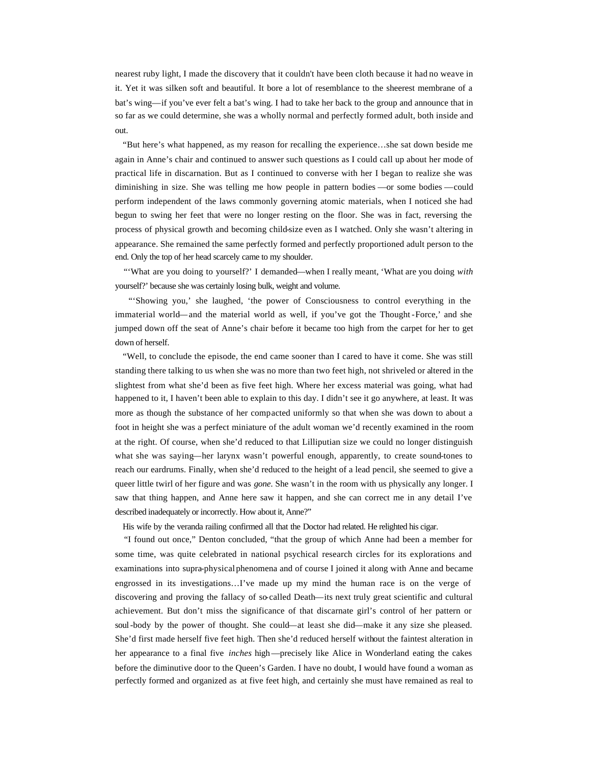nearest ruby light, I made the discovery that it couldn't have been cloth because it had no weave in it. Yet it was silken soft and beautiful. It bore a lot of resemblance to the sheerest membrane of a bat's wing—if you've ever felt a bat's wing. I had to take her back to the group and announce that in so far as we could determine, she was a wholly normal and perfectly formed adult, both inside and out.

 "But here's what happened, as my reason for recalling the experience…she sat down beside me again in Anne's chair and continued to answer such questions as I could call up about her mode of practical life in discarnation. But as I continued to converse with her I began to realize she was diminishing in size. She was telling me how people in pattern bodies —or some bodies —could perform independent of the laws commonly governing atomic materials, when I noticed she had begun to swing her feet that were no longer resting on the floor. She was in fact, reversing the process of physical growth and becoming child-size even as I watched. Only she wasn't altering in appearance. She remained the same perfectly formed and perfectly proportioned adult person to the end. Only the top of her head scarcely came to my shoulder.

 "'What are you doing to yourself?' I demanded—when I really meant, 'What are you doing *with*  yourself?' because she was certainly losing bulk, weight and volume.

 "'Showing you,' she laughed, 'the power of Consciousness to control everything in the immaterial world—and the material world as well, if you've got the Thought -Force,' and she jumped down off the seat of Anne's chair before it became too high from the carpet for her to get down of herself.

 "Well, to conclude the episode, the end came sooner than I cared to have it come. She was still standing there talking to us when she was no more than two feet high, not shriveled or altered in the slightest from what she'd been as five feet high. Where her excess material was going, what had happened to it, I haven't been able to explain to this day. I didn't see it go anywhere, at least. It was more as though the substance of her compacted uniformly so that when she was down to about a foot in height she was a perfect miniature of the adult woman we'd recently examined in the room at the right. Of course, when she'd reduced to that Lilliputian size we could no longer distinguish what she was saying—her larynx wasn't powerful enough, apparently, to create sound-tones to reach our eardrums. Finally, when she'd reduced to the height of a lead pencil, she seemed to give a queer little twirl of her figure and was *gone*. She wasn't in the room with us physically any longer. I saw that thing happen, and Anne here saw it happen, and she can correct me in any detail I've described inadequately or incorrectly. How about it, Anne?"

His wife by the veranda railing confirmed all that the Doctor had related. He relighted his cigar.

 "I found out once," Denton concluded, "that the group of which Anne had been a member for some time, was quite celebrated in national psychical research circles for its explorations and examinations into supra-physical phenomena and of course I joined it along with Anne and became engrossed in its investigations…I've made up my mind the human race is on the verge of discovering and proving the fallacy of so-called Death—its next truly great scientific and cultural achievement. But don't miss the significance of that discarnate girl's control of her pattern or soul-body by the power of thought. She could—at least she did—make it any size she pleased. She'd first made herself five feet high. Then she'd reduced herself without the faintest alteration in her appearance to a final five *inches* high—precisely like Alice in Wonderland eating the cakes before the diminutive door to the Queen's Garden. I have no doubt, I would have found a woman as perfectly formed and organized as at five feet high, and certainly she must have remained as real to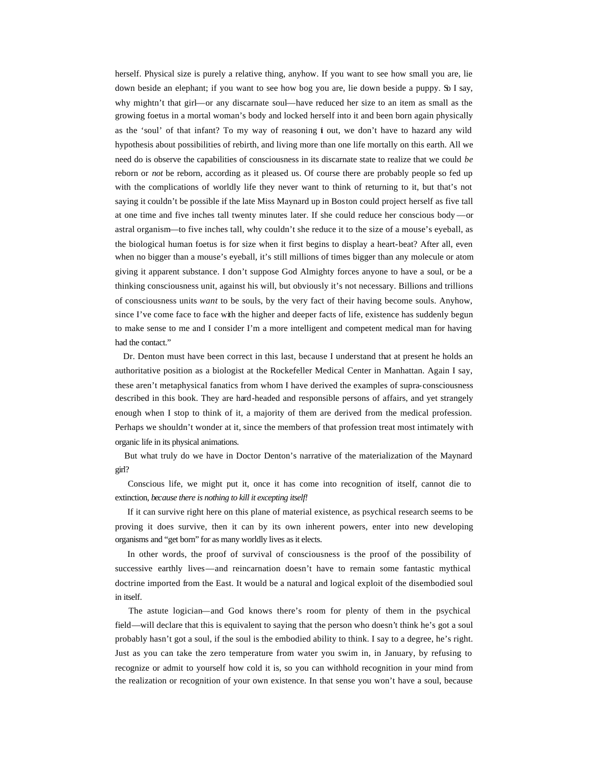herself. Physical size is purely a relative thing, anyhow. If you want to see how small you are, lie down beside an elephant; if you want to see how bog you are, lie down beside a puppy. So I say, why mightn't that girl—or any discarnate soul—have reduced her size to an item as small as the growing foetus in a mortal woman's body and locked herself into it and been born again physically as the 'soul' of that infant? To my way of reasoning  $\mathbf i$  out, we don't have to hazard any wild hypothesis about possibilities of rebirth, and living more than one life mortally on this earth. All we need do is observe the capabilities of consciousness in its discarnate state to realize that we could *be*  reborn or *not* be reborn, according as it pleased us. Of course there are probably people so fed up with the complications of worldly life they never want to think of returning to it, but that's not saying it couldn't be possible if the late Miss Maynard up in Boston could project herself as five tall at one time and five inches tall twenty minutes later. If she could reduce her conscious body —or astral organism—to five inches tall, why couldn't she reduce it to the size of a mouse's eyeball, as the biological human foetus is for size when it first begins to display a heart-beat? After all, even when no bigger than a mouse's eyeball, it's still millions of times bigger than any molecule or atom giving it apparent substance. I don't suppose God Almighty forces anyone to have a soul, or be a thinking consciousness unit, against his will, but obviously it's not necessary. Billions and trillions of consciousness units *want* to be souls, by the very fact of their having become souls. Anyhow, since I've come face to face with the higher and deeper facts of life, existence has suddenly begun to make sense to me and I consider I'm a more intelligent and competent medical man for having had the contact."

 Dr. Denton must have been correct in this last, because I understand that at present he holds an authoritative position as a biologist at the Rockefeller Medical Center in Manhattan. Again I say, these aren't metaphysical fanatics from whom I have derived the examples of supra-consciousness described in this book. They are hard-headed and responsible persons of affairs, and yet strangely enough when I stop to think of it, a majority of them are derived from the medical profession. Perhaps we shouldn't wonder at it, since the members of that profession treat most intimately with organic life in its physical animations.

 But what truly do we have in Doctor Denton's narrative of the materialization of the Maynard girl?

 Conscious life, we might put it, once it has come into recognition of itself, cannot die to extinction, *because there is nothing to kill it excepting itself!*

If it can survive right here on this plane of material existence, as psychical research seems to be proving it does survive, then it can by its own inherent powers, enter into new developing organisms and "get born" for as many worldly lives as it elects.

 In other words, the proof of survival of consciousness is the proof of the possibility of successive earthly lives—and reincarnation doesn't have to remain some fantastic mythical doctrine imported from the East. It would be a natural and logical exploit of the disembodied soul in itself.

 The astute logician—and God knows there's room for plenty of them in the psychical field—will declare that this is equivalent to saying that the person who doesn't think he's got a soul probably hasn't got a soul, if the soul is the embodied ability to think. I say to a degree, he's right. Just as you can take the zero temperature from water you swim in, in January, by refusing to recognize or admit to yourself how cold it is, so you can withhold recognition in your mind from the realization or recognition of your own existence. In that sense you won't have a soul, because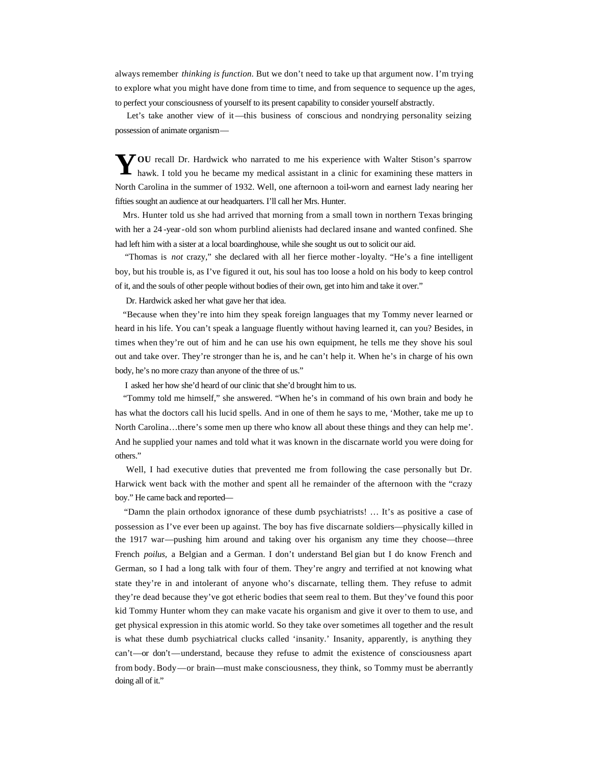always remember *thinking is function.* But we don't need to take up that argument now. I'm trying to explore what you might have done from time to time, and from sequence to sequence up the ages, to perfect your consciousness of yourself to its present capability to consider yourself abstractly.

 Let's take another view of it—this business of conscious and nondrying personality seizing possession of animate organism—

You recall Dr. Hardwick who narrated to me his experience with Walter Stison's sparrow hawk. I told you he became my medical assistant in a clinic for examining these matters in hawk. I told you he became my medical assistant in a clinic for examining these matters in North Carolina in the summer of 1932. Well, one afternoon a toil-worn and earnest lady nearing her fifties sought an audience at our headquarters. I'll call her Mrs. Hunter.

 Mrs. Hunter told us she had arrived that morning from a small town in northern Texas bringing with her a 24 -year-old son whom purblind alienists had declared insane and wanted confined. She had left him with a sister at a local boardinghouse, while she sought us out to solicit our aid.

 "Thomas is *not* crazy," she declared with all her fierce mother-loyalty. "He's a fine intelligent boy, but his trouble is, as I've figured it out, his soul has too loose a hold on his body to keep control of it, and the souls of other people without bodies of their own, get into him and take it over."

Dr. Hardwick asked her what gave her that idea.

 "Because when they're into him they speak foreign languages that my Tommy never learned or heard in his life. You can't speak a language fluently without having learned it, can you? Besides, in times when they're out of him and he can use his own equipment, he tells me they shove his soul out and take over. They're stronger than he is, and he can't help it. When he's in charge of his own body, he's no more crazy than anyone of the three of us."

I asked her how she'd heard of our clinic that she'd brought him to us.

 "Tommy told me himself," she answered. "When he's in command of his own brain and body he has what the doctors call his lucid spells. And in one of them he says to me, 'Mother, take me up to North Carolina…there's some men up there who know all about these things and they can help me'. And he supplied your names and told what it was known in the discarnate world you were doing for others."

 Well, I had executive duties that prevented me from following the case personally but Dr. Harwick went back with the mother and spent all he remainder of the afternoon with the "crazy boy." He came back and reported—

 "Damn the plain orthodox ignorance of these dumb psychiatrists! … It's as positive a case of possession as I've ever been up against. The boy has five discarnate soldiers—physically killed in the 1917 war—pushing him around and taking over his organism any time they choose—three French *poilus,* a Belgian and a German. I don't understand Bel gian but I do know French and German, so I had a long talk with four of them. They're angry and terrified at not knowing what state they're in and intolerant of anyone who's discarnate, telling them. They refuse to admit they're dead because they've got etheric bodies that seem real to them. But they've found this poor kid Tommy Hunter whom they can make vacate his organism and give it over to them to use, and get physical expression in this atomic world. So they take over sometimes all together and the result is what these dumb psychiatrical clucks called 'insanity.' Insanity, apparently, is anything they can't—or don't—understand, because they refuse to admit the existence of consciousness apart from body. Body—or brain—must make consciousness, they think, so Tommy must be aberrantly doing all of it."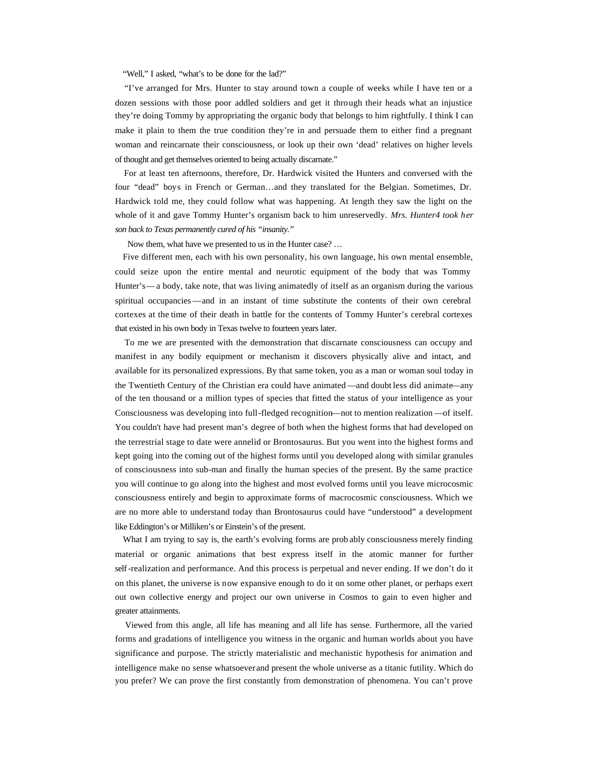"Well," I asked, "what's to be done for the lad?"

 "I've arranged for Mrs. Hunter to stay around town a couple of weeks while I have ten or a dozen sessions with those poor addled soldiers and get it through their heads what an injustice they're doing Tommy by appropriating the organic body that belongs to him rightfully. I think I can make it plain to them the true condition they're in and persuade them to either find a pregnant woman and reincarnate their consciousness, or look up their own 'dead' relatives on higher levels of thought and get themselves oriented to being actually discarnate."

 For at least ten afternoons, therefore, Dr. Hardwick visited the Hunters and conversed with the four "dead" boys in French or German…and they translated for the Belgian. Sometimes, Dr. Hardwick told me, they could follow what was happening. At length they saw the light on the whole of it and gave Tommy Hunter's organism back to him unreservedly. *Mrs. Hunter4 took her son back to Texas permanently cured of his "insanity."*

Now them, what have we presented to us in the Hunter case? ...

 Five different men, each with his own personality, his own language, his own mental ensemble, could seize upon the entire mental and neurotic equipment of the body that was Tommy Hunter's—a body, take note, that was living animatedly of itself as an organism during the various spiritual occupancies—and in an instant of time substitute the contents of their own cerebral cortexes at the time of their death in battle for the contents of Tommy Hunter's cerebral cortexes that existed in his own body in Texas twelve to fourteen years later.

 To me we are presented with the demonstration that discarnate consciousness can occupy and manifest in any bodily equipment or mechanism it discovers physically alive and intact, and available for its personalized expressions. By that same token, you as a man or woman soul today in the Twentieth Century of the Christian era could have animated —and doubt less did animate—any of the ten thousand or a million types of species that fitted the status of your intelligence as your Consciousness was developing into full-fledged recognition—not to mention realization —of itself. You couldn't have had present man's degree of both when the highest forms that had developed on the terrestrial stage to date were annelid or Brontosaurus. But you went into the highest forms and kept going into the coming out of the highest forms until you developed along with similar granules of consciousness into sub-man and finally the human species of the present. By the same practice you will continue to go along into the highest and most evolved forms until you leave microcosmic consciousness entirely and begin to approximate forms of macrocosmic consciousness. Which we are no more able to understand today than Brontosaurus could have "understood" a development like Eddington's or Milliken's or Einstein's of the present.

What I am trying to say is, the earth's evolving forms are probably consciousness merely finding material or organic animations that best express itself in the atomic manner for further self-realization and performance. And this process is perpetual and never ending. If we don't do it on this planet, the universe is now expansive enough to do it on some other planet, or perhaps exert out own collective energy and project our own universe in Cosmos to gain to even higher and greater attainments.

 Viewed from this angle, all life has meaning and all life has sense. Furthermore, all the varied forms and gradations of intelligence you witness in the organic and human worlds about you have significance and purpose. The strictly materialistic and mechanistic hypothesis for animation and intelligence make no sense whatsoever and present the whole universe as a titanic futility. Which do you prefer? We can prove the first constantly from demonstration of phenomena. You can't prove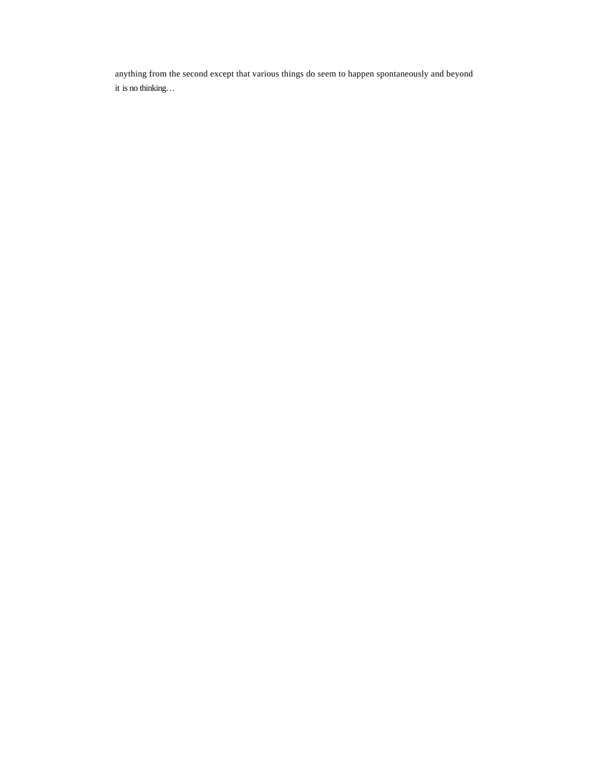anything from the second except that various things do seem to happen spontaneously and beyond it is no thinking…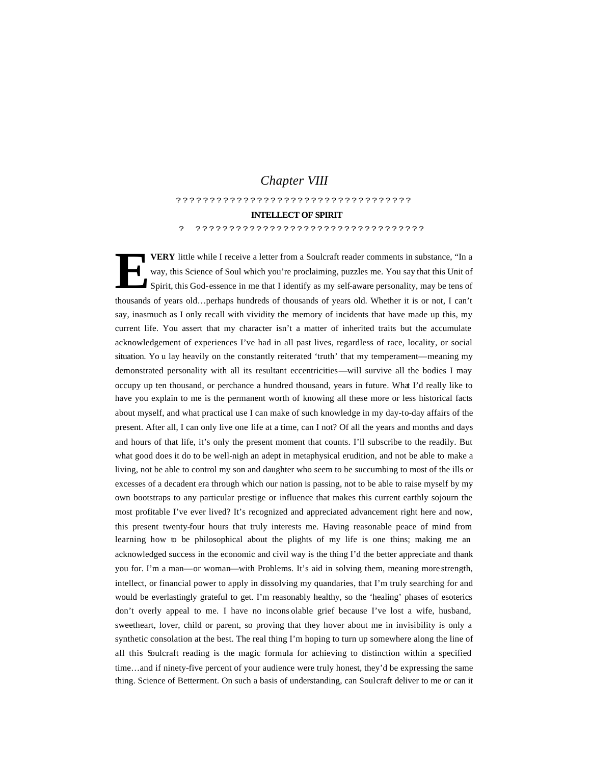# *Chapter VIII*

???????????????????????????????????

## **INTELLECT OF SPIRIT**

? ??????????????????????????????????

**VERY** little while I receive a letter from a Soulcraft reader comments in substance, "In a way, this Science of Soul which you're proclaiming, puzzles me. You say that this Unit of Spirit, this God-essence in me that I identify as my self-aware personality, may be tens of thousands of years old…perhaps hundreds of thousands of years old. Whether it is or not, I can't say, inasmuch as I only recall with vividity the memory of incidents that have made up this, my current life. You assert that my character isn't a matter of inherited traits but the accumulate acknowledgement of experiences I've had in all past lives, regardless of race, locality, or social situation. Yo u lay heavily on the constantly reiterated 'truth' that my temperament—meaning my demonstrated personality with all its resultant eccentricities—will survive all the bodies I may occupy up ten thousand, or perchance a hundred thousand, years in future. What I'd really like to have you explain to me is the permanent worth of knowing all these more or less historical facts about myself, and what practical use I can make of such knowledge in my day-to-day affairs of the present. After all, I can only live one life at a time, can I not? Of all the years and months and days and hours of that life, it's only the present moment that counts. I'll subscribe to the readily. But what good does it do to be well-nigh an adept in metaphysical erudition, and not be able to make a living, not be able to control my son and daughter who seem to be succumbing to most of the ills or excesses of a decadent era through which our nation is passing, not to be able to raise myself by my own bootstraps to any particular prestige or influence that makes this current earthly sojourn the most profitable I've ever lived? It's recognized and appreciated advancement right here and now, this present twenty-four hours that truly interests me. Having reasonable peace of mind from learning how to be philosophical about the plights of my life is one thins; making me an acknowledged success in the economic and civil way is the thing I'd the better appreciate and thank you for. I'm a man—or woman—with Problems. It's aid in solving them, meaning more strength, intellect, or financial power to apply in dissolving my quandaries, that I'm truly searching for and would be everlastingly grateful to get. I'm reasonably healthy, so the 'healing' phases of esoterics don't overly appeal to me. I have no incons olable grief because I've lost a wife, husband, sweetheart, lover, child or parent, so proving that they hover about me in invisibility is only a synthetic consolation at the best. The real thing I'm hoping to turn up somewhere along the line of all this Soulcraft reading is the magic formula for achieving to distinction within a specified time…and if ninety-five percent of your audience were truly honest, they'd be expressing the same thing. Science of Betterment. On such a basis of understanding, can Soulcraft deliver to me or can it **E**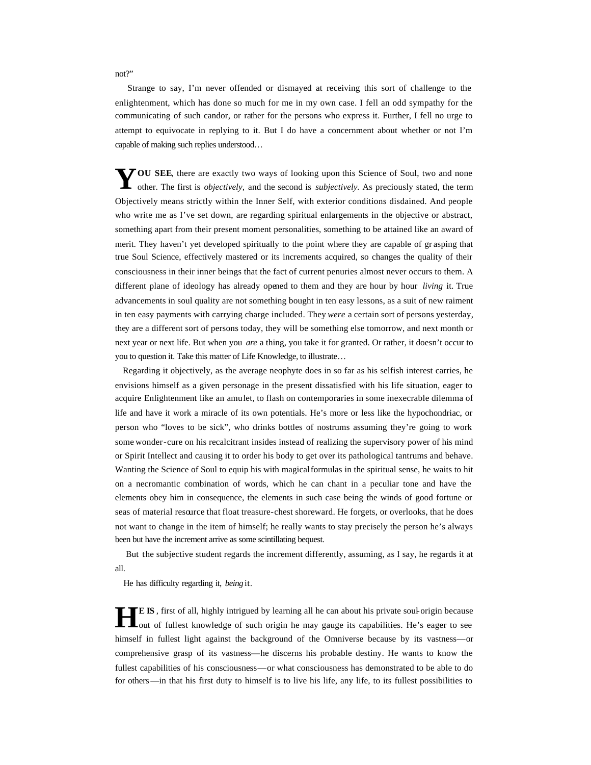not?"

 Strange to say, I'm never offended or dismayed at receiving this sort of challenge to the enlightenment, which has done so much for me in my own case. I fell an odd sympathy for the communicating of such candor, or rather for the persons who express it. Further, I fell no urge to attempt to equivocate in replying to it. But I do have a concernment about whether or not I'm capable of making such replies understood…

**TOU SEE**, there are exactly two ways of looking upon this Science of Soul, two and none YOU SEE, there are exactly two ways of looking upon this Science of Soul, two and none other. The first is *objectively*, and the second is *subjectively*. As preciously stated, the term Objectively means strictly within the Inner Self, with exterior conditions disdained. And people who write me as I've set down, are regarding spiritual enlargements in the objective or abstract, something apart from their present moment personalities, something to be attained like an award of merit. They haven't yet developed spiritually to the point where they are capable of gr asping that true Soul Science, effectively mastered or its increments acquired, so changes the quality of their consciousness in their inner beings that the fact of current penuries almost never occurs to them. A different plane of ideology has already opened to them and they are hour by hour *living* it. True advancements in soul quality are not something bought in ten easy lessons, as a suit of new raiment in ten easy payments with carrying charge included. They *were* a certain sort of persons yesterday, they are a different sort of persons today, they will be something else tomorrow, and next month or next year or next life. But when you *are* a thing, you take it for granted. Or rather, it doesn't occur to you to question it. Take this matter of Life Knowledge, to illustrate…

 Regarding it objectively, as the average neophyte does in so far as his selfish interest carries, he envisions himself as a given personage in the present dissatisfied with his life situation, eager to acquire Enlightenment like an amulet, to flash on contemporaries in some inexecrable dilemma of life and have it work a miracle of its own potentials. He's more or less like the hypochondriac, or person who "loves to be sick", who drinks bottles of nostrums assuming they're going to work some wonder-cure on his recalcitrant insides instead of realizing the supervisory power of his mind or Spirit Intellect and causing it to order his body to get over its pathological tantrums and behave. Wanting the Science of Soul to equip his with magical formulas in the spiritual sense, he waits to hit on a necromantic combination of words, which he can chant in a peculiar tone and have the elements obey him in consequence, the elements in such case being the winds of good fortune or seas of material resource that float treasure-chest shoreward. He forgets, or overlooks, that he does not want to change in the item of himself; he really wants to stay precisely the person he's always been but have the increment arrive as some scintillating bequest.

 But the subjective student regards the increment differently, assuming, as I say, he regards it at all.

He has difficulty regarding it, *being* it.

**E IS** , first of all, highly intrigued by learning all he can about his private soul-origin because **HEIS**, first of all, highly intrigued by learning all he can about his private soul-origin because out of fullest knowledge of such origin he may gauge its capabilities. He's eager to see himself in fullest light against the background of the Omniverse because by its vastness—or comprehensive grasp of its vastness—he discerns his probable destiny. He wants to know the fullest capabilities of his consciousness—or what consciousness has demonstrated to be able to do for others—in that his first duty to himself is to live his life, any life, to its fullest possibilities to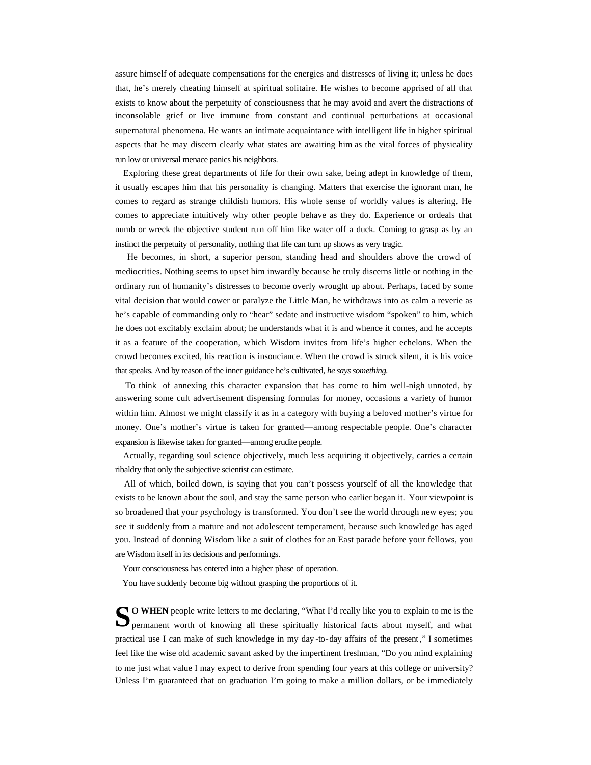assure himself of adequate compensations for the energies and distresses of living it; unless he does that, he's merely cheating himself at spiritual solitaire. He wishes to become apprised of all that exists to know about the perpetuity of consciousness that he may avoid and avert the distractions of inconsolable grief or live immune from constant and continual perturbations at occasional supernatural phenomena. He wants an intimate acquaintance with intelligent life in higher spiritual aspects that he may discern clearly what states are awaiting him as the vital forces of physicality run low or universal menace panics his neighbors.

 Exploring these great departments of life for their own sake, being adept in knowledge of them, it usually escapes him that his personality is changing. Matters that exercise the ignorant man, he comes to regard as strange childish humors. His whole sense of worldly values is altering. He comes to appreciate intuitively why other people behave as they do. Experience or ordeals that numb or wreck the objective student ru n off him like water off a duck. Coming to grasp as by an instinct the perpetuity of personality, nothing that life can turn up shows as very tragic.

 He becomes, in short, a superior person, standing head and shoulders above the crowd of mediocrities. Nothing seems to upset him inwardly because he truly discerns little or nothing in the ordinary run of humanity's distresses to become overly wrought up about. Perhaps, faced by some vital decision that would cower or paralyze the Little Man, he withdraws into as calm a reverie as he's capable of commanding only to "hear" sedate and instructive wisdom "spoken" to him, which he does not excitably exclaim about; he understands what it is and whence it comes, and he accepts it as a feature of the cooperation, which Wisdom invites from life's higher echelons. When the crowd becomes excited, his reaction is insouciance. When the crowd is struck silent, it is his voice that speaks. And by reason of the inner guidance he's cultivated, *he says something.*

 To think of annexing this character expansion that has come to him well-nigh unnoted, by answering some cult advertisement dispensing formulas for money, occasions a variety of humor within him. Almost we might classify it as in a category with buying a beloved mother's virtue for money. One's mother's virtue is taken for granted—among respectable people. One's character expansion is likewise taken for granted—among erudite people.

 Actually, regarding soul science objectively, much less acquiring it objectively, carries a certain ribaldry that only the subjective scientist can estimate.

 All of which, boiled down, is saying that you can't possess yourself of all the knowledge that exists to be known about the soul, and stay the same person who earlier began it. Your viewpoint is so broadened that your psychology is transformed. You don't see the world through new eyes; you see it suddenly from a mature and not adolescent temperament, because such knowledge has aged you. Instead of donning Wisdom like a suit of clothes for an East parade before your fellows, you are Wisdom itself in its decisions and performings.

Your consciousness has entered into a higher phase of operation.

You have suddenly become big without grasping the proportions of it.

**O WHEN** people write letters to me declaring, "What I'd really like you to explain to me is the **SO** WHEN people write letters to me declaring, "What I'd really like you to explain to me is the permanent worth of knowing all these spiritually historical facts about myself, and what practical use I can make of such knowledge in my day -to-day affairs of the present ," I sometimes feel like the wise old academic savant asked by the impertinent freshman, "Do you mind explaining to me just what value I may expect to derive from spending four years at this college or university? Unless I'm guaranteed that on graduation I'm going to make a million dollars, or be immediately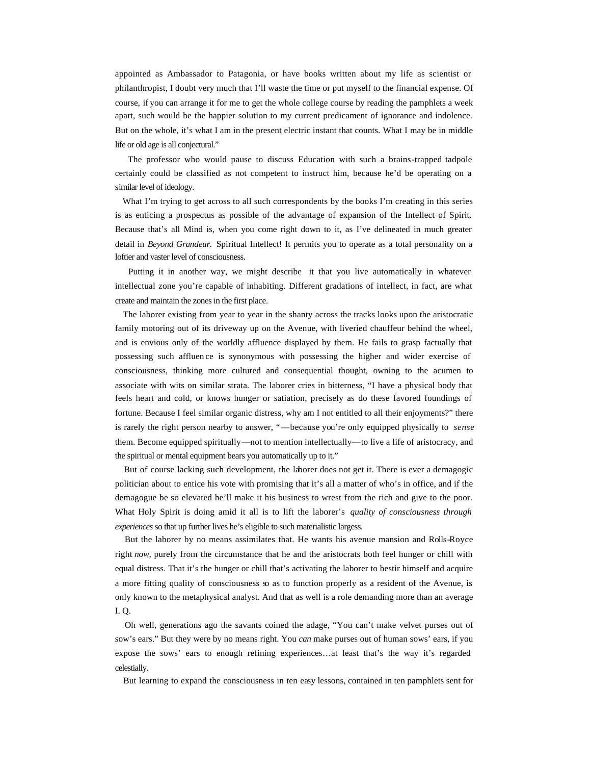appointed as Ambassador to Patagonia, or have books written about my life as scientist or philanthropist, I doubt very much that I'll waste the time or put myself to the financial expense. Of course, if you can arrange it for me to get the whole college course by reading the pamphlets a week apart, such would be the happier solution to my current predicament of ignorance and indolence. But on the whole, it's what I am in the present electric instant that counts. What I may be in middle life or old age is all conjectural."

 The professor who would pause to discuss Education with such a brains-trapped tadpole certainly could be classified as not competent to instruct him, because he'd be operating on a similar level of ideology.

What I'm trying to get across to all such correspondents by the books I'm creating in this series is as enticing a prospectus as possible of the advantage of expansion of the Intellect of Spirit. Because that's all Mind is, when you come right down to it, as I've delineated in much greater detail in *Beyond Grandeur.* Spiritual Intellect! It permits you to operate as a total personality on a loftier and vaster level of consciousness.

 Putting it in another way, we might describe it that you live automatically in whatever intellectual zone you're capable of inhabiting. Different gradations of intellect, in fact, are what create and maintain the zones in the first place.

 The laborer existing from year to year in the shanty across the tracks looks upon the aristocratic family motoring out of its driveway up on the Avenue, with liveried chauffeur behind the wheel, and is envious only of the worldly affluence displayed by them. He fails to grasp factually that possessing such affluen ce is synonymous with possessing the higher and wider exercise of consciousness, thinking more cultured and consequential thought, owning to the acumen to associate with wits on similar strata. The laborer cries in bitterness, "I have a physical body that feels heart and cold, or knows hunger or satiation, precisely as do these favored foundings of fortune. Because I feel similar organic distress, why am I not entitled to all their enjoyments?" there is rarely the right person nearby to answer, "—because you're only equipped physically to *sense* them. Become equipped spiritually—not to mention intellectually—to live a life of aristocracy, and the spiritual or mental equipment bears you automatically up to it."

 But of course lacking such development, the laborer does not get it. There is ever a demagogic politician about to entice his vote with promising that it's all a matter of who's in office, and if the demagogue be so elevated he'll make it his business to wrest from the rich and give to the poor. What Holy Spirit is doing amid it all is to lift the laborer's *quality of consciousness through experiences* so that up further lives he's eligible to such materialistic largess.

 But the laborer by no means assimilates that. He wants his avenue mansion and Rolls-Royce right *now,* purely from the circumstance that he and the aristocrats both feel hunger or chill with equal distress. That it's the hunger or chill that's activating the laborer to bestir himself and acquire a more fitting quality of consciousness so as to function properly as a resident of the Avenue, is only known to the metaphysical analyst. And that as well is a role demanding more than an average I. Q.

 Oh well, generations ago the savants coined the adage, "You can't make velvet purses out of sow's ears." But they were by no means right. You *can* make purses out of human sows' ears, if you expose the sows' ears to enough refining experiences…at least that's the way it's regarded celestially.

But learning to expand the consciousness in ten easy lessons, contained in ten pamphlets sent for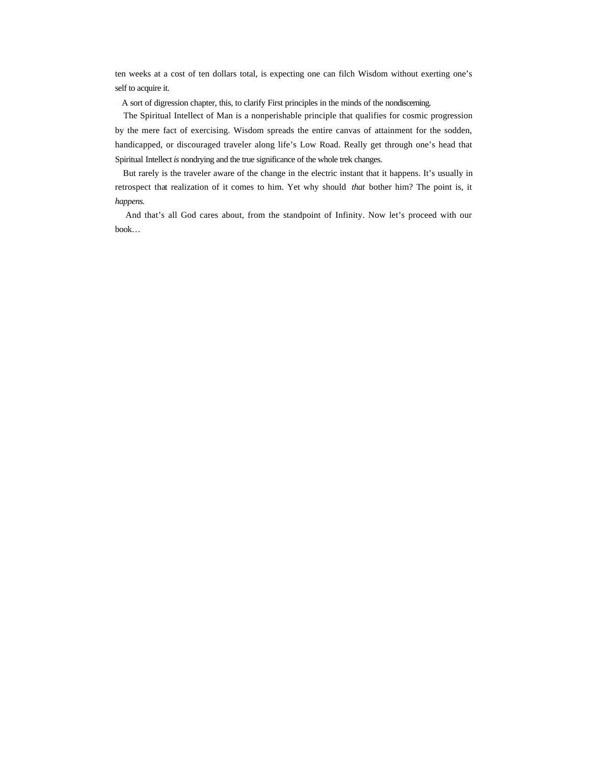ten weeks at a cost of ten dollars total, is expecting one can filch Wisdom without exerting one's self to acquire it.

A sort of digression chapter, this, to clarify First principles in the minds of the nondiscerning.

 The Spiritual Intellect of Man is a nonperishable principle that qualifies for cosmic progression by the mere fact of exercising. Wisdom spreads the entire canvas of attainment for the sodden, handicapped, or discouraged traveler along life's Low Road. Really get through one's head that Spiritual Intellect *is* nondrying and the true significance of the whole trek changes.

 But rarely is the traveler aware of the change in the electric instant that it happens. It's usually in retrospect that realization of it comes to him. Yet why should *that* bother him? The point is, it *happens.*

 And that's all God cares about, from the standpoint of Infinity. Now let's proceed with our book…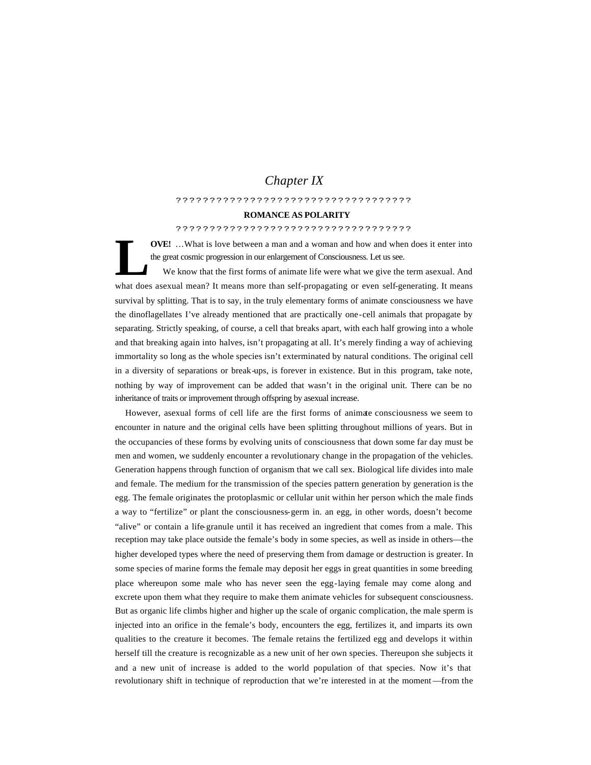# *Chapter IX*

## ???????????????????????????????????

#### **ROMANCE AS POLARITY**

#### ???????????????????????????????????

**OVE!** …What is love between a man and a woman and how and when does it enter into the great cosmic progression in our enlargement of Consciousness. Let us see.

 We know that the first forms of animate life were what we give the term asexual. And what does asexual mean? It means more than self-propagating or even self-generating. It means survival by splitting. That is to say, in the truly elementary forms of animate consciousness we have the dinoflagellates I've already mentioned that are practically one-cell animals that propagate by separating. Strictly speaking, of course, a cell that breaks apart, with each half growing into a whole and that breaking again into halves, isn't propagating at all. It's merely finding a way of achieving immortality so long as the whole species isn't exterminated by natural conditions. The original cell in a diversity of separations or break-ups, is forever in existence. But in this program, take note, nothing by way of improvement can be added that wasn't in the original unit. There can be no inheritance of traits or improvement through offspring by asexual increase. **L**

 However, asexual forms of cell life are the first forms of animate consciousness we seem to encounter in nature and the original cells have been splitting throughout millions of years. But in the occupancies of these forms by evolving units of consciousness that down some far day must be men and women, we suddenly encounter a revolutionary change in the propagation of the vehicles. Generation happens through function of organism that we call sex. Biological life divides into male and female. The medium for the transmission of the species pattern generation by generation is the egg. The female originates the protoplasmic or cellular unit within her person which the male finds a way to "fertilize" or plant the consciousness-germ in. an egg, in other words, doesn't become "alive" or contain a life-granule until it has received an ingredient that comes from a male. This reception may take place outside the female's body in some species, as well as inside in others—the higher developed types where the need of preserving them from damage or destruction is greater. In some species of marine forms the female may deposit her eggs in great quantities in some breeding place whereupon some male who has never seen the egg-laying female may come along and excrete upon them what they require to make them animate vehicles for subsequent consciousness. But as organic life climbs higher and higher up the scale of organic complication, the male sperm is injected into an orifice in the female's body, encounters the egg, fertilizes it, and imparts its own qualities to the creature it becomes. The female retains the fertilized egg and develops it within herself till the creature is recognizable as a new unit of her own species. Thereupon she subjects it and a new unit of increase is added to the world population of that species. Now it's that revolutionary shift in technique of reproduction that we're interested in at the moment —from the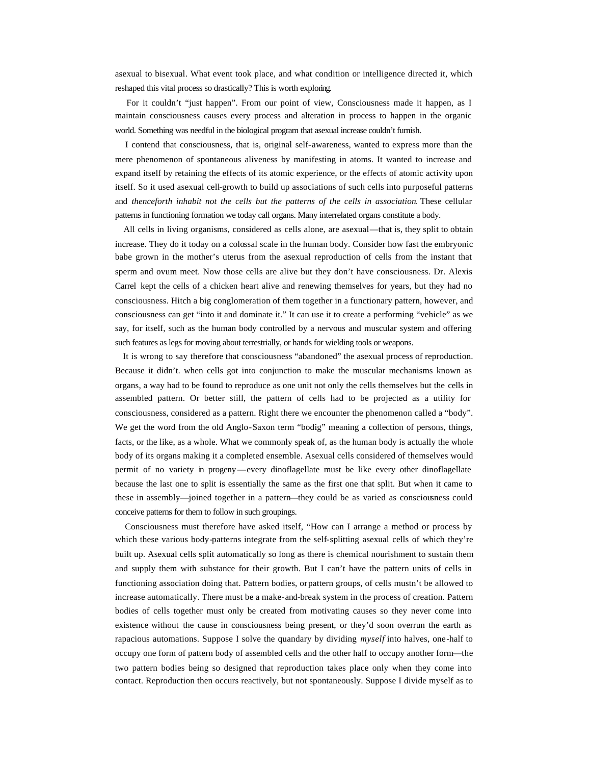asexual to bisexual. What event took place, and what condition or intelligence directed it, which reshaped this vital process so drastically? This is worth exploring.

 For it couldn't "just happen". From our point of view, Consciousness made it happen, as I maintain consciousness causes every process and alteration in process to happen in the organic world. Something was needful in the biological program that asexual increase couldn't furnish.

 I contend that consciousness, that is, original self-awareness, wanted to express more than the mere phenomenon of spontaneous aliveness by manifesting in atoms. It wanted to increase and expand itself by retaining the effects of its atomic experience, or the effects of atomic activity upon itself. So it used asexual cell-growth to build up associations of such cells into purposeful patterns and *thenceforth inhabit not the cells but the patterns of the cells in association.* These cellular patterns in functioning formation we today call organs. Many interrelated organs constitute a body.

 All cells in living organisms, considered as cells alone, are asexual—that is, they split to obtain increase. They do it today on a colossal scale in the human body. Consider how fast the embryonic babe grown in the mother's uterus from the asexual reproduction of cells from the instant that sperm and ovum meet. Now those cells are alive but they don't have consciousness. Dr. Alexis Carrel kept the cells of a chicken heart alive and renewing themselves for years, but they had no consciousness. Hitch a big conglomeration of them together in a functionary pattern, however, and consciousness can get "into it and dominate it." It can use it to create a performing "vehicle" as we say, for itself, such as the human body controlled by a nervous and muscular system and offering such features as legs for moving about terrestrially, or hands for wielding tools or weapons.

 It is wrong to say therefore that consciousness "abandoned" the asexual process of reproduction. Because it didn't. when cells got into conjunction to make the muscular mechanisms known as organs, a way had to be found to reproduce as one unit not only the cells themselves but the cells in assembled pattern. Or better still, the pattern of cells had to be projected as a utility for consciousness, considered as a pattern. Right there we encounter the phenomenon called a "body". We get the word from the old Anglo-Saxon term "bodig" meaning a collection of persons, things, facts, or the like, as a whole. What we commonly speak of, as the human body is actually the whole body of its organs making it a completed ensemble. Asexual cells considered of themselves would permit of no variety in progeny—every dinoflagellate must be like every other dinoflagellate because the last one to split is essentially the same as the first one that split. But when it came to these in assembly—joined together in a pattern—they could be as varied as consciousness could conceive patterns for them to follow in such groupings.

 Consciousness must therefore have asked itself, "How can I arrange a method or process by which these various body-patterns integrate from the self-splitting asexual cells of which they're built up. Asexual cells split automatically so long as there is chemical nourishment to sustain them and supply them with substance for their growth. But I can't have the pattern units of cells in functioning association doing that. Pattern bodies, or pattern groups, of cells mustn't be allowed to increase automatically. There must be a make-and-break system in the process of creation. Pattern bodies of cells together must only be created from motivating causes so they never come into existence without the cause in consciousness being present, or they'd soon overrun the earth as rapacious automations. Suppose I solve the quandary by dividing *myself* into halves, one-half to occupy one form of pattern body of assembled cells and the other half to occupy another form—the two pattern bodies being so designed that reproduction takes place only when they come into contact. Reproduction then occurs reactively, but not spontaneously. Suppose I divide myself as to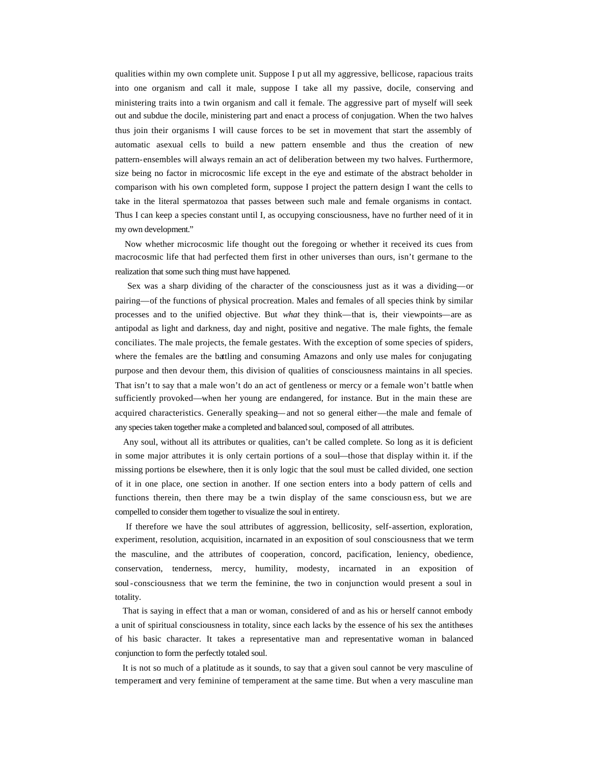qualities within my own complete unit. Suppose I p ut all my aggressive, bellicose, rapacious traits into one organism and call it male, suppose I take all my passive, docile, conserving and ministering traits into a twin organism and call it female. The aggressive part of myself will seek out and subdue the docile, ministering part and enact a process of conjugation. When the two halves thus join their organisms I will cause forces to be set in movement that start the assembly of automatic asexual cells to build a new pattern ensemble and thus the creation of new pattern-ensembles will always remain an act of deliberation between my two halves. Furthermore, size being no factor in microcosmic life except in the eye and estimate of the abstract beholder in comparison with his own completed form, suppose I project the pattern design I want the cells to take in the literal spermatozoa that passes between such male and female organisms in contact. Thus I can keep a species constant until I, as occupying consciousness, have no further need of it in my own development."

 Now whether microcosmic life thought out the foregoing or whether it received its cues from macrocosmic life that had perfected them first in other universes than ours, isn't germane to the realization that some such thing must have happened.

 Sex was a sharp dividing of the character of the consciousness just as it was a dividing—or pairing—of the functions of physical procreation. Males and females of all species think by similar processes and to the unified objective. But *what* they think—that is, their viewpoints—are as antipodal as light and darkness, day and night, positive and negative. The male fights, the female conciliates. The male projects, the female gestates. With the exception of some species of spiders, where the females are the battling and consuming Amazons and only use males for conjugating purpose and then devour them, this division of qualities of consciousness maintains in all species. That isn't to say that a male won't do an act of gentleness or mercy or a female won't battle when sufficiently provoked—when her young are endangered, for instance. But in the main these are acquired characteristics. Generally speaking—and not so general either—the male and female of any species taken together make a completed and balanced soul, composed of all attributes.

 Any soul, without all its attributes or qualities, can't be called complete. So long as it is deficient in some major attributes it is only certain portions of a soul—those that display within it. if the missing portions be elsewhere, then it is only logic that the soul must be called divided, one section of it in one place, one section in another. If one section enters into a body pattern of cells and functions therein, then there may be a twin display of the same consciousn ess, but we are compelled to consider them together to visualize the soul in entirety.

 If therefore we have the soul attributes of aggression, bellicosity, self-assertion, exploration, experiment, resolution, acquisition, incarnated in an exposition of soul consciousness that we term the masculine, and the attributes of cooperation, concord, pacification, leniency, obedience, conservation, tenderness, mercy, humility, modesty, incarnated in an exposition of soul-consciousness that we term the feminine, the two in conjunction would present a soul in totality.

 That is saying in effect that a man or woman, considered of and as his or herself cannot embody a unit of spiritual consciousness in totality, since each lacks by the essence of his sex the antitheses of his basic character. It takes a representative man and representative woman in balanced conjunction to form the perfectly totaled soul.

 It is not so much of a platitude as it sounds, to say that a given soul cannot be very masculine of temperament and very feminine of temperament at the same time. But when a very masculine man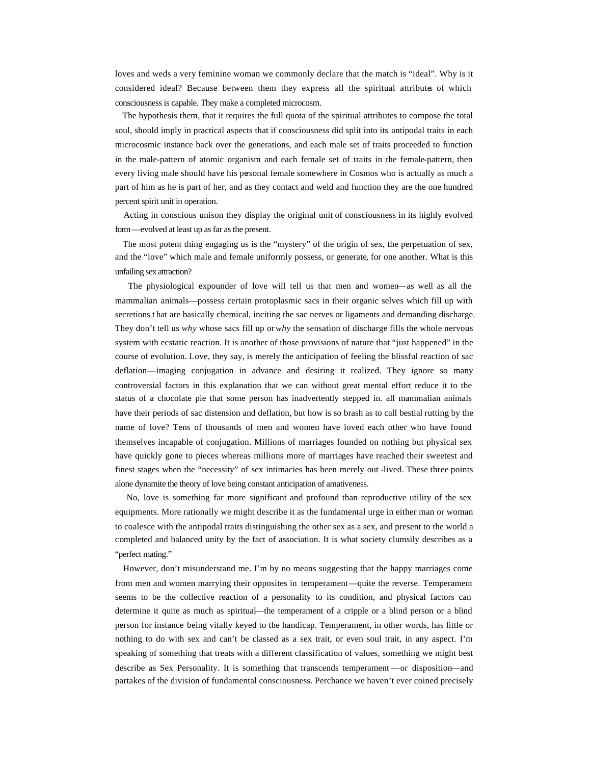loves and weds a very feminine woman we commonly declare that the match is "ideal". Why is it considered ideal? Because between them they express all the spiritual attributes of which consciousness is capable. They make a completed microcosm.

 The hypothesis them, that it requires the full quota of the spiritual attributes to compose the total soul, should imply in practical aspects that if consciousness did split into its antipodal traits in each microcosmic instance back over the generations, and each male set of traits proceeded to function in the male-pattern of atomic organism and each female set of traits in the female-pattern, then every living male should have his personal female somewhere in Cosmos who is actually as much a part of him as he is part of her, and as they contact and weld and function they are the one hundred percent spirit unit in operation.

 Acting in conscious unison they display the original unit of consciousness in its highly evolved form—evolved at least up as far as the present.

 The most potent thing engaging us is the "mystery" of the origin of sex, the perpetuation of sex, and the "love" which male and female uniformly possess, or generate, for one another. What is this unfailing sex attraction?

 The physiological expounder of love will tell us that men and women—as well as all the mammalian animals—possess certain protoplasmic sacs in their organic selves which fill up with secretions t hat are basically chemical, inciting the sac nerves or ligaments and demanding discharge. They don't tell us *why* whose sacs fill up or *why* the sensation of discharge fills the whole nervous system with ecstatic reaction. It is another of those provisions of nature that "just happened" in the course of evolution. Love, they say, is merely the anticipation of feeling the blissful reaction of sac deflation—imaging conjugation in advance and desiring it realized. They ignore so many controversial factors in this explanation that we can without great mental effort reduce it to the status of a chocolate pie that some person has inadvertently stepped in. all mammalian animals have their periods of sac distension and deflation, but how is so brash as to call bestial rutting by the name of love? Tens of thousands of men and women have loved each other who have found themselves incapable of conjugation. Millions of marriages founded on nothing but physical sex have quickly gone to pieces whereas millions more of marriages have reached their sweetest and finest stages when the "necessity" of sex intimacies has been merely out -lived. These three points alone dynamite the theory of love being constant anticipation of amativeness.

 No, love is something far more significant and profound than reproductive utility of the sex equipments. More rationally we might describe it as the fundamental urge in either man or woman to coalesce with the antipodal traits distinguishing the other sex as a sex, and present to the world a completed and balanced unity by the fact of association. It is what society clumsily describes as a "perfect mating."

 However, don't misunderstand me. I'm by no means suggesting that the happy marriages come from men and women marrying their opposites in temperament—quite the reverse. Temperament seems to be the collective reaction of a personality to its condition, and physical factors can determine it quite as much as spiritual—the temperament of a cripple or a blind person or a blind person for instance being vitally keyed to the handicap. Temperament, in other words, has little or nothing to do with sex and can't be classed as a sex trait, or even soul trait, in any aspect. I'm speaking of something that treats with a different classification of values, something we might best describe as Sex Personality. It is something that transcends temperament —or disposition—and partakes of the division of fundamental consciousness. Perchance we haven't ever coined precisely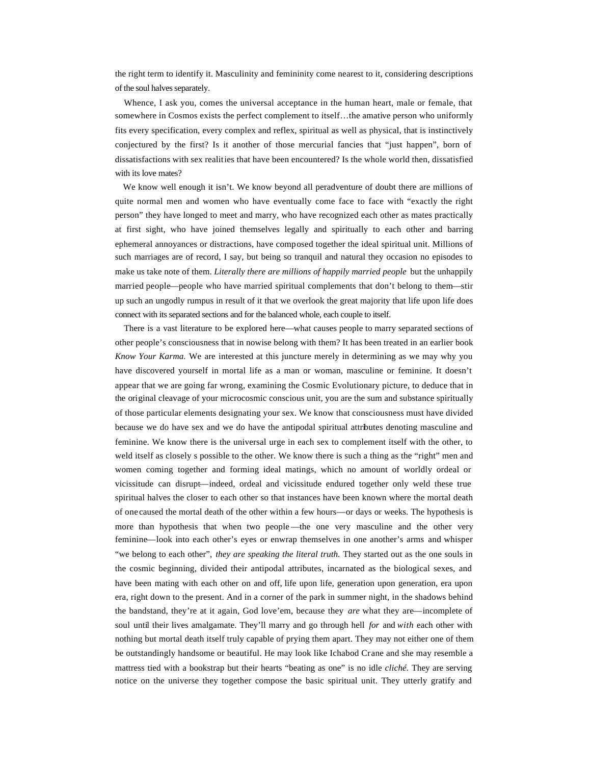the right term to identify it. Masculinity and femininity come nearest to it, considering descriptions of the soul halves separately.

 Whence, I ask you, comes the universal acceptance in the human heart, male or female, that somewhere in Cosmos exists the perfect complement to itself...the amative person who uniformly fits every specification, every complex and reflex, spiritual as well as physical, that is instinctively conjectured by the first? Is it another of those mercurial fancies that "just happen", born of dissatisfactions with sex realities that have been encountered? Is the whole world then, dissatisfied with its love mates?

We know well enough it isn't. We know beyond all peradventure of doubt there are millions of quite normal men and women who have eventually come face to face with "exactly the right person" they have longed to meet and marry, who have recognized each other as mates practically at first sight, who have joined themselves legally and spiritually to each other and barring ephemeral annoyances or distractions, have composed together the ideal spiritual unit. Millions of such marriages are of record, I say, but being so tranquil and natural they occasion no episodes to make us take note of them. *Literally there are millions of happily married people* but the unhappily married people—people who have married spiritual complements that don't belong to them—stir up such an ungodly rumpus in result of it that we overlook the great majority that life upon life does connect with its separated sections and for the balanced whole, each couple to itself.

 There is a vast literature to be explored here—what causes people to marry separated sections of other people's consciousness that in nowise belong with them? It has been treated in an earlier book *Know Your Karma.* We are interested at this juncture merely in determining as we may why you have discovered yourself in mortal life as a man or woman, masculine or feminine. It doesn't appear that we are going far wrong, examining the Cosmic Evolutionary picture, to deduce that in the original cleavage of your microcosmic conscious unit, you are the sum and substance spiritually of those particular elements designating your sex. We know that consciousness must have divided because we do have sex and we do have the antipodal spiritual attributes denoting masculine and feminine. We know there is the universal urge in each sex to complement itself with the other, to weld itself as closely s possible to the other. We know there is such a thing as the "right" men and women coming together and forming ideal matings, which no amount of worldly ordeal or vicissitude can disrupt—indeed, ordeal and vicissitude endured together only weld these true spiritual halves the closer to each other so that instances have been known where the mortal death of one caused the mortal death of the other within a few hours—or days or weeks. The hypothesis is more than hypothesis that when two people —the one very masculine and the other very feminine—look into each other's eyes or enwrap themselves in one another's arms and whisper "we belong to each other", *they are speaking the literal truth.* They started out as the one souls in the cosmic beginning, divided their antipodal attributes, incarnated as the biological sexes, and have been mating with each other on and off, life upon life, generation upon generation, era upon era, right down to the present. And in a corner of the park in summer night, in the shadows behind the bandstand, they're at it again, God love'em, because they *are* what they are—incomplete of soul until their lives amalgamate. They'll marry and go through hell *for* and *with* each other with nothing but mortal death itself truly capable of prying them apart. They may not either one of them be outstandingly handsome or beautiful. He may look like Ichabod Crane and she may resemble a mattress tied with a bookstrap but their hearts "beating as one" is no idle *cliché.* They are serving notice on the universe they together compose the basic spiritual unit. They utterly gratify and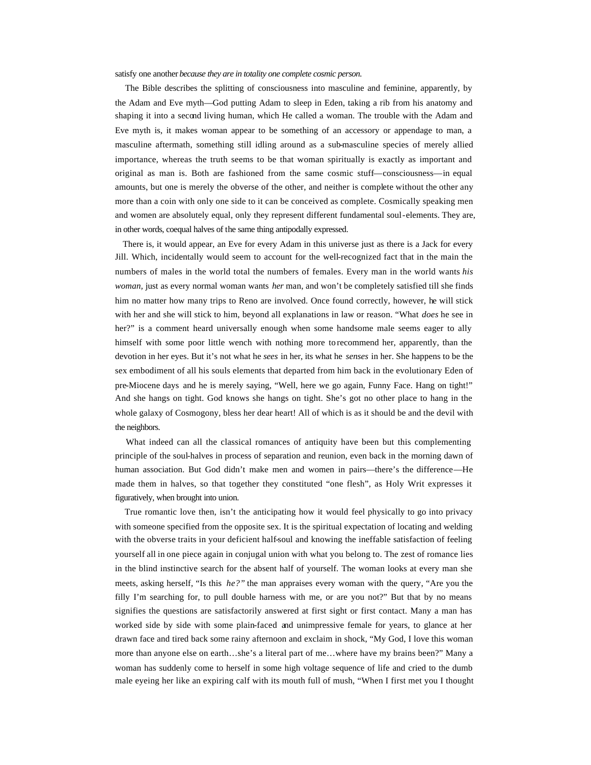satisfy one another *because they are in totality one complete cosmic person.*

 The Bible describes the splitting of consciousness into masculine and feminine, apparently, by the Adam and Eve myth—God putting Adam to sleep in Eden, taking a rib from his anatomy and shaping it into a second living human, which He called a woman. The trouble with the Adam and Eve myth is, it makes woman appear to be something of an accessory or appendage to man, a masculine aftermath, something still idling around as a sub-masculine species of merely allied importance, whereas the truth seems to be that woman spiritually is exactly as important and original as man is. Both are fashioned from the same cosmic stuff—consciousness—in equal amounts, but one is merely the obverse of the other, and neither is complete without the other any more than a coin with only one side to it can be conceived as complete. Cosmically speaking men and women are absolutely equal, only they represent different fundamental soul-elements. They are, in other words, coequal halves of the same thing antipodally expressed.

 There is, it would appear, an Eve for every Adam in this universe just as there is a Jack for every Jill. Which, incidentally would seem to account for the well-recognized fact that in the main the numbers of males in the world total the numbers of females. Every man in the world wants *his woman,* just as every normal woman wants *her* man, and won't be completely satisfied till she finds him no matter how many trips to Reno are involved. Once found correctly, however, he will stick with her and she will stick to him, beyond all explanations in law or reason. "What *does* he see in her?" is a comment heard universally enough when some handsome male seems eager to ally himself with some poor little wench with nothing more to recommend her, apparently, than the devotion in her eyes. But it's not what he *sees* in her, its what he *senses* in her. She happens to be the sex embodiment of all his souls elements that departed from him back in the evolutionary Eden of pre-Miocene days and he is merely saying, "Well, here we go again, Funny Face. Hang on tight!" And she hangs on tight. God knows she hangs on tight. She's got no other place to hang in the whole galaxy of Cosmogony, bless her dear heart! All of which is as it should be and the devil with the neighbors.

 What indeed can all the classical romances of antiquity have been but this complementing principle of the soul-halves in process of separation and reunion, even back in the morning dawn of human association. But God didn't make men and women in pairs—there's the difference—He made them in halves, so that together they constituted "one flesh", as Holy Writ expresses it figuratively, when brought into union.

 True romantic love then, isn't the anticipating how it would feel physically to go into privacy with someone specified from the opposite sex. It is the spiritual expectation of locating and welding with the obverse traits in your deficient half-soul and knowing the ineffable satisfaction of feeling yourself all in one piece again in conjugal union with what you belong to. The zest of romance lies in the blind instinctive search for the absent half of yourself. The woman looks at every man she meets, asking herself, "Is this *he?"* the man appraises every woman with the query, "Are you the filly I'm searching for, to pull double harness with me, or are you not?" But that by no means signifies the questions are satisfactorily answered at first sight or first contact. Many a man has worked side by side with some plain-faced and unimpressive female for years, to glance at her drawn face and tired back some rainy afternoon and exclaim in shock, "My God, I love this woman more than anyone else on earth…she's a literal part of me…where have my brains been?" Many a woman has suddenly come to herself in some high voltage sequence of life and cried to the dumb male eyeing her like an expiring calf with its mouth full of mush, "When I first met you I thought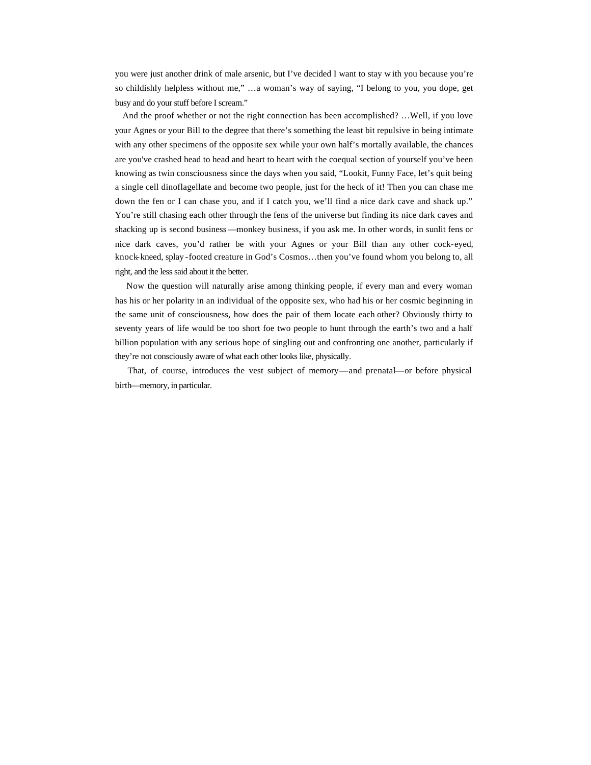you were just another drink of male arsenic, but I've decided I want to stay w ith you because you're so childishly helpless without me," …a woman's way of saying, "I belong to you, you dope, get busy and do your stuff before I scream."

 And the proof whether or not the right connection has been accomplished? …Well, if you love your Agnes or your Bill to the degree that there's something the least bit repulsive in being intimate with any other specimens of the opposite sex while your own half's mortally available, the chances are you've crashed head to head and heart to heart with the coequal section of yourself you've been knowing as twin consciousness since the days when you said, "Lookit, Funny Face, let's quit being a single cell dinoflagellate and become two people, just for the heck of it! Then you can chase me down the fen or I can chase you, and if I catch you, we'll find a nice dark cave and shack up." You're still chasing each other through the fens of the universe but finding its nice dark caves and shacking up is second business—monkey business, if you ask me. In other words, in sunlit fens or nice dark caves, you'd rather be with your Agnes or your Bill than any other cock-eyed, knock-kneed, splay -footed creature in God's Cosmos…then you've found whom you belong to, all right, and the less said about it the better.

 Now the question will naturally arise among thinking people, if every man and every woman has his or her polarity in an individual of the opposite sex, who had his or her cosmic beginning in the same unit of consciousness, how does the pair of them locate each other? Obviously thirty to seventy years of life would be too short foe two people to hunt through the earth's two and a half billion population with any serious hope of singling out and confronting one another, particularly if they're not consciously aware of what each other looks like, physically.

 That, of course, introduces the vest subject of memory—and prenatal—or before physical birth—memory, in particular.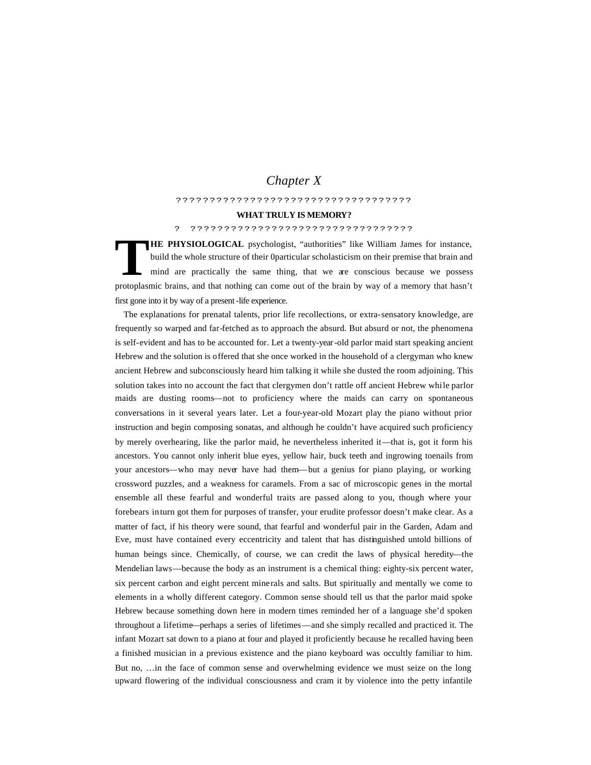# *Chapter X*

#### ???????????????????????????????????

#### **WHAT TRULY IS MEMORY?**

### ? ?????????????????????????????????

**HE PHYSIOLOGICAL** psychologist, "authorities" like William James for instance, build the whole structure of their 0particular scholasticism on their premise that brain and mind are practically the same thing, that we are conscious because we possess protoplasmic brains, and that nothing can come out of the brain by way of a memory that hasn't first gone into it by way of a present-life experience. **T**

 The explanations for prenatal talents, prior life recollections, or extra-sensatory knowledge, are frequently so warped and far-fetched as to approach the absurd. But absurd or not, the phenomena is self-evident and has to be accounted for. Let a twenty-year-old parlor maid start speaking ancient Hebrew and the solution is offered that she once worked in the household of a clergyman who knew ancient Hebrew and subconsciously heard him talking it while she dusted the room adjoining. This solution takes into no account the fact that clergymen don't rattle off ancient Hebrew while parlor maids are dusting rooms—not to proficiency where the maids can carry on spontaneous conversations in it several years later. Let a four-year-old Mozart play the piano without prior instruction and begin composing sonatas, and although he couldn't have acquired such proficiency by merely overhearing, like the parlor maid, he nevertheless inherited it—that is, got it form his ancestors. You cannot only inherit blue eyes, yellow hair, buck teeth and ingrowing toenails from your ancestors—who may never have had them—but a genius for piano playing, or working crossword puzzles, and a weakness for caramels. From a sac of microscopic genes in the mortal ensemble all these fearful and wonderful traits are passed along to you, though where your forebears in turn got them for purposes of transfer, your erudite professor doesn't make clear. As a matter of fact, if his theory were sound, that fearful and wonderful pair in the Garden, Adam and Eve, must have contained every eccentricity and talent that has distinguished untold billions of human beings since. Chemically, of course, we can credit the laws of physical heredity—the Mendelian laws—because the body as an instrument is a chemical thing: eighty-six percent water, six percent carbon and eight percent minerals and salts. But spiritually and mentally we come to elements in a wholly different category. Common sense should tell us that the parlor maid spoke Hebrew because something down here in modern times reminded her of a language she'd spoken throughout a lifetime—perhaps a series of lifetimes—and she simply recalled and practiced it. The infant Mozart sat down to a piano at four and played it proficiently because he recalled having been a finished musician in a previous existence and the piano keyboard was occultly familiar to him. But no, …in the face of common sense and overwhelming evidence we must seize on the long upward flowering of the individual consciousness and cram it by violence into the petty infantile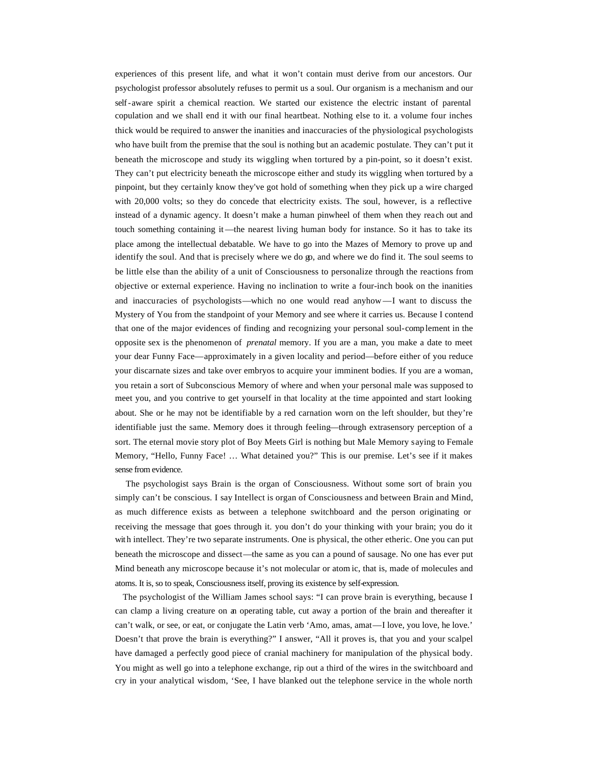experiences of this present life, and what it won't contain must derive from our ancestors. Our psychologist professor absolutely refuses to permit us a soul. Our organism is a mechanism and our self-aware spirit a chemical reaction. We started our existence the electric instant of parental copulation and we shall end it with our final heartbeat. Nothing else to it. a volume four inches thick would be required to answer the inanities and inaccuracies of the physiological psychologists who have built from the premise that the soul is nothing but an academic postulate. They can't put it beneath the microscope and study its wiggling when tortured by a pin-point, so it doesn't exist. They can't put electricity beneath the microscope either and study its wiggling when tortured by a pinpoint, but they certainly know they've got hold of something when they pick up a wire charged with 20,000 volts; so they do concede that electricity exists. The soul, however, is a reflective instead of a dynamic agency. It doesn't make a human pinwheel of them when they reach out and touch something containing it—the nearest living human body for instance. So it has to take its place among the intellectual debatable. We have to go into the Mazes of Memory to prove up and identify the soul. And that is precisely where we do go, and where we do find it. The soul seems to be little else than the ability of a unit of Consciousness to personalize through the reactions from objective or external experience. Having no inclination to write a four-inch book on the inanities and inaccuracies of psychologists—which no one would read anyhow —I want to discuss the Mystery of You from the standpoint of your Memory and see where it carries us. Because I contend that one of the major evidences of finding and recognizing your personal soul-comp lement in the opposite sex is the phenomenon of *prenatal* memory. If you are a man, you make a date to meet your dear Funny Face—approximately in a given locality and period—before either of you reduce your discarnate sizes and take over embryos to acquire your imminent bodies. If you are a woman, you retain a sort of Subconscious Memory of where and when your personal male was supposed to meet you, and you contrive to get yourself in that locality at the time appointed and start looking about. She or he may not be identifiable by a red carnation worn on the left shoulder, but they're identifiable just the same. Memory does it through feeling—through extrasensory perception of a sort. The eternal movie story plot of Boy Meets Girl is nothing but Male Memory saying to Female Memory, "Hello, Funny Face! … What detained you?" This is our premise. Let's see if it makes sense from evidence.

 The psychologist says Brain is the organ of Consciousness. Without some sort of brain you simply can't be conscious. I say Intellect is organ of Consciousness and between Brain and Mind, as much difference exists as between a telephone switchboard and the person originating or receiving the message that goes through it. you don't do your thinking with your brain; you do it with intellect. They're two separate instruments. One is physical, the other etheric. One you can put beneath the microscope and dissect—the same as you can a pound of sausage. No one has ever put Mind beneath any microscope because it's not molecular or atom ic, that is, made of molecules and atoms. It is, so to speak, Consciousness itself, proving its existence by self-expression.

 The psychologist of the William James school says: "I can prove brain is everything, because I can clamp a living creature on an operating table, cut away a portion of the brain and thereafter it can't walk, or see, or eat, or conjugate the Latin verb 'Amo, amas, amat—I love, you love, he love.' Doesn't that prove the brain is everything?" I answer, "All it proves is, that you and your scalpel have damaged a perfectly good piece of cranial machinery for manipulation of the physical body. You might as well go into a telephone exchange, rip out a third of the wires in the switchboard and cry in your analytical wisdom, 'See, I have blanked out the telephone service in the whole north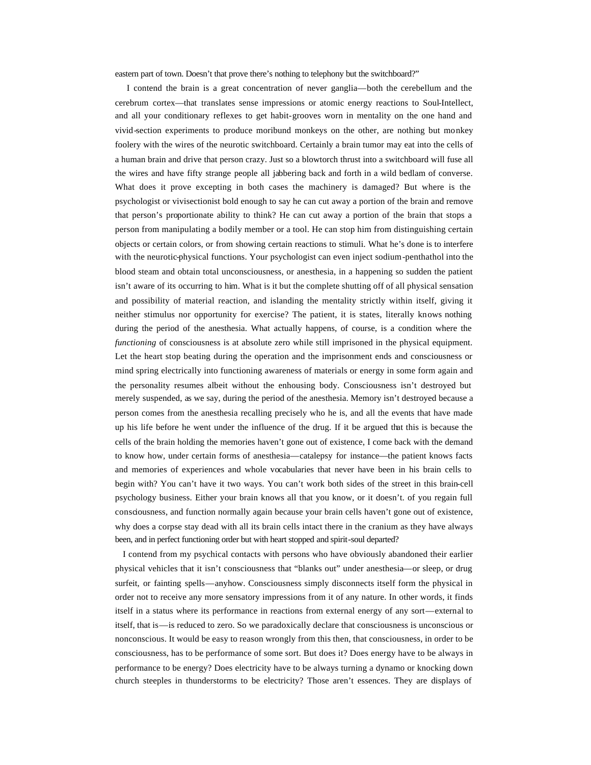eastern part of town. Doesn't that prove there's nothing to telephony but the switchboard?"

 I contend the brain is a great concentration of never ganglia—both the cerebellum and the cerebrum cortex—that translates sense impressions or atomic energy reactions to Soul-Intellect, and all your conditionary reflexes to get habit-grooves worn in mentality on the one hand and vivid-section experiments to produce moribund monkeys on the other, are nothing but monkey foolery with the wires of the neurotic switchboard. Certainly a brain tumor may eat into the cells of a human brain and drive that person crazy. Just so a blowtorch thrust into a switchboard will fuse all the wires and have fifty strange people all jabbering back and forth in a wild bedlam of converse. What does it prove excepting in both cases the machinery is damaged? But where is the psychologist or vivisectionist bold enough to say he can cut away a portion of the brain and remove that person's proportionate ability to think? He can cut away a portion of the brain that stops a person from manipulating a bodily member or a tool. He can stop him from distinguishing certain objects or certain colors, or from showing certain reactions to stimuli. What he's done is to interfere with the neurotic-physical functions. Your psychologist can even inject sodium-penthathol into the blood steam and obtain total unconsciousness, or anesthesia, in a happening so sudden the patient isn't aware of its occurring to him. What is it but the complete shutting off of all physical sensation and possibility of material reaction, and islanding the mentality strictly within itself, giving it neither stimulus nor opportunity for exercise? The patient, it is states, literally knows nothing during the period of the anesthesia. What actually happens, of course, is a condition where the *functioning* of consciousness is at absolute zero while still imprisoned in the physical equipment. Let the heart stop beating during the operation and the imprisonment ends and consciousness or mind spring electrically into functioning awareness of materials or energy in some form again and the personality resumes albeit without the enhousing body. Consciousness isn't destroyed but merely suspended, as we say, during the period of the anesthesia. Memory isn't destroyed because a person comes from the anesthesia recalling precisely who he is, and all the events that have made up his life before he went under the influence of the drug. If it be argued that this is because the cells of the brain holding the memories haven't gone out of existence, I come back with the demand to know how, under certain forms of anesthesia—catalepsy for instance—the patient knows facts and memories of experiences and whole vocabularies that never have been in his brain cells to begin with? You can't have it two ways. You can't work both sides of the street in this brain-cell psychology business. Either your brain knows all that you know, or it doesn't. of you regain full consciousness, and function normally again because your brain cells haven't gone out of existence, why does a corpse stay dead with all its brain cells intact there in the cranium as they have always been, and in perfect functioning order but with heart stopped and spirit-soul departed?

 I contend from my psychical contacts with persons who have obviously abandoned their earlier physical vehicles that it isn't consciousness that "blanks out" under anesthesia—or sleep, or drug surfeit, or fainting spells—anyhow. Consciousness simply disconnects itself form the physical in order not to receive any more sensatory impressions from it of any nature. In other words, it finds itself in a status where its performance in reactions from external energy of any sort—external to itself, that is—is reduced to zero. So we paradoxically declare that consciousness is unconscious or nonconscious. It would be easy to reason wrongly from this then, that consciousness, in order to be consciousness, has to be performance of some sort. But does it? Does energy have to be always in performance to be energy? Does electricity have to be always turning a dynamo or knocking down church steeples in thunderstorms to be electricity? Those aren't essences. They are displays of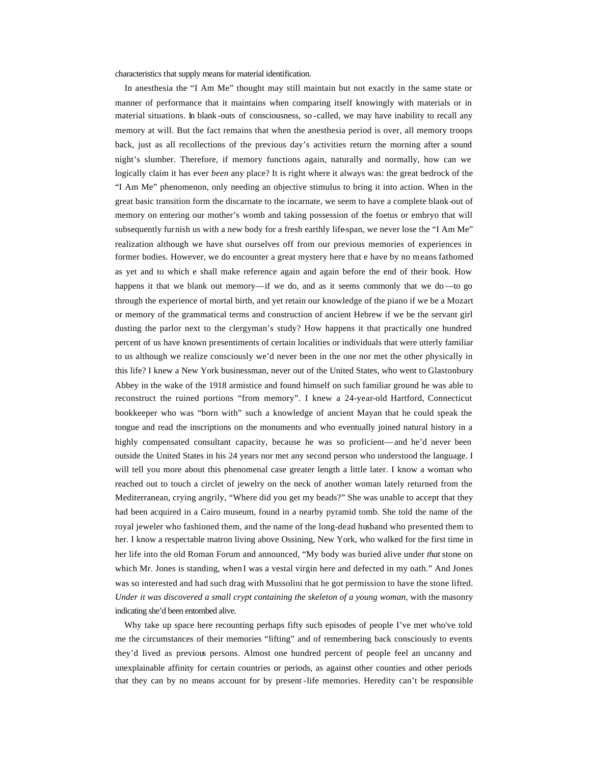characteristics that supply means for material identification.

 In anesthesia the "I Am Me" thought may still maintain but not exactly in the same state or manner of performance that it maintains when comparing itself knowingly with materials or in material situations. In blank -outs of consciousness, so -called, we may have inability to recall any memory at will. But the fact remains that when the anesthesia period is over, all memory troops back, just as all recollections of the previous day's activities return the morning after a sound night's slumber. Therefore, if memory functions again, naturally and normally, how can we logically claim it has ever *been* any place? It is right where it always was: the great bedrock of the "I Am Me" phenomenon, only needing an objective stimulus to bring it into action. When in the great basic transition form the discarnate to the incarnate, we seem to have a complete blank-out of memory on entering our mother's womb and taking possession of the foetus or embryo that will subsequently furnish us with a new body for a fresh earthly life-span, we never lose the "I Am Me" realization although we have shut ourselves off from our previous memories of experiences in former bodies. However, we do encounter a great mystery here that e have by no means fathomed as yet and to which e shall make reference again and again before the end of their book. How happens it that we blank out memory—if we do, and as it seems commonly that we do—to go through the experience of mortal birth, and yet retain our knowledge of the piano if we be a Mozart or memory of the grammatical terms and construction of ancient Hebrew if we be the servant girl dusting the parlor next to the clergyman's study? How happens it that practically one hundred percent of us have known presentiments of certain localities or individuals that were utterly familiar to us although we realize consciously we'd never been in the one nor met the other physically in this life? I knew a New York businessman, never out of the United States, who went to Glastonbury Abbey in the wake of the 1918 armistice and found himself on such familiar ground he was able to reconstruct the ruined portions "from memory". I knew a 24-year-old Hartford, Connecticut bookkeeper who was "born with" such a knowledge of ancient Mayan that he could speak the tongue and read the inscriptions on the monuments and who eventually joined natural history in a highly compensated consultant capacity, because he was so proficient—and he'd never been outside the United States in his 24 years nor met any second person who understood the language. I will tell you more about this phenomenal case greater length a little later. I know a woman who reached out to touch a circlet of jewelry on the neck of another woman lately returned from the Mediterranean, crying angrily, "Where did you get my beads?" She was unable to accept that they had been acquired in a Cairo museum, found in a nearby pyramid tomb. She told the name of the royal jeweler who fashioned them, and the name of the long-dead husband who presented them to her. I know a respectable matron living above Ossining, New York, who walked for the first time in her life into the old Roman Forum and announced, "My body was buried alive under *that* stone on which Mr. Jones is standing, when I was a vestal virgin here and defected in my oath." And Jones was so interested and had such drag with Mussolini that he got permission to have the stone lifted. *Under it was discovered a small crypt containing the skeleton of a young woman,* with the masonry indicating she'd been entombed alive.

 Why take up space here recounting perhaps fifty such episodes of people I've met who've told me the circumstances of their memories "lifting" and of remembering back consciously to events they'd lived as previous persons. Almost one hundred percent of people feel an uncanny and unexplainable affinity for certain countries or periods, as against other counties and other periods that they can by no means account for by present -life memories. Heredity can't be responsible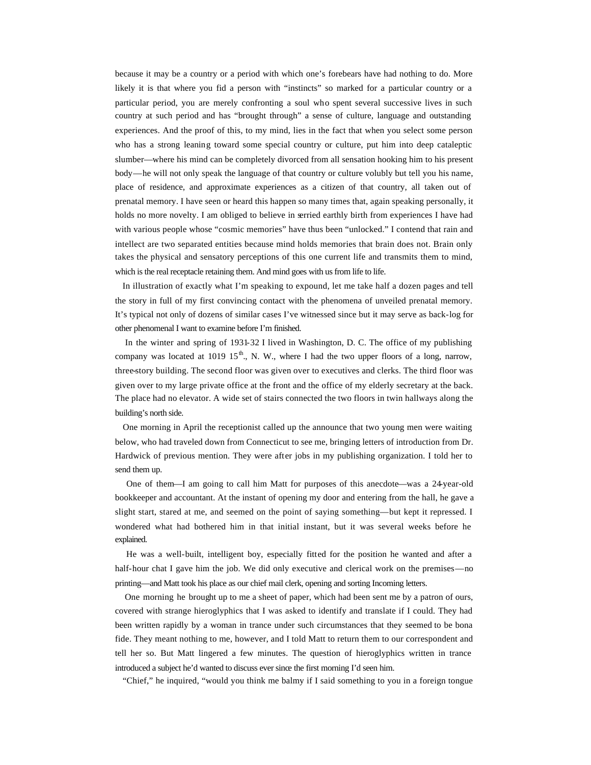because it may be a country or a period with which one's forebears have had nothing to do. More likely it is that where you fid a person with "instincts" so marked for a particular country or a particular period, you are merely confronting a soul who spent several successive lives in such country at such period and has "brought through" a sense of culture, language and outstanding experiences. And the proof of this, to my mind, lies in the fact that when you select some person who has a strong leaning toward some special country or culture, put him into deep cataleptic slumber—where his mind can be completely divorced from all sensation hooking him to his present body—he will not only speak the language of that country or culture volubly but tell you his name, place of residence, and approximate experiences as a citizen of that country, all taken out of prenatal memory. I have seen or heard this happen so many times that, again speaking personally, it holds no more novelty. I am obliged to believe in serried earthly birth from experiences I have had with various people whose "cosmic memories" have thus been "unlocked." I contend that rain and intellect are two separated entities because mind holds memories that brain does not. Brain only takes the physical and sensatory perceptions of this one current life and transmits them to mind, which is the real receptacle retaining them. And mind goes with us from life to life.

 In illustration of exactly what I'm speaking to expound, let me take half a dozen pages and tell the story in full of my first convincing contact with the phenomena of unveiled prenatal memory. It's typical not only of dozens of similar cases I've witnessed since but it may serve as back-log for other phenomenal I want to examine before I'm finished.

 In the winter and spring of 1931-32 I lived in Washington, D. C. The office of my publishing company was located at 1019 15<sup>th</sup>., N. W., where I had the two upper floors of a long, narrow, three-story building. The second floor was given over to executives and clerks. The third floor was given over to my large private office at the front and the office of my elderly secretary at the back. The place had no elevator. A wide set of stairs connected the two floors in twin hallways along the building's north side.

 One morning in April the receptionist called up the announce that two young men were waiting below, who had traveled down from Connecticut to see me, bringing letters of introduction from Dr. Hardwick of previous mention. They were after jobs in my publishing organization. I told her to send them up.

 One of them—I am going to call him Matt for purposes of this anecdote—was a 24-year-old bookkeeper and accountant. At the instant of opening my door and entering from the hall, he gave a slight start, stared at me, and seemed on the point of saying something—but kept it repressed. I wondered what had bothered him in that initial instant, but it was several weeks before he explained.

 He was a well-built, intelligent boy, especially fitted for the position he wanted and after a half-hour chat I gave him the job. We did only executive and clerical work on the premises—no printing—and Matt took his place as our chief mail clerk, opening and sorting Incoming letters.

 One morning he brought up to me a sheet of paper, which had been sent me by a patron of ours, covered with strange hieroglyphics that I was asked to identify and translate if I could. They had been written rapidly by a woman in trance under such circumstances that they seemed to be bona fide. They meant nothing to me, however, and I told Matt to return them to our correspondent and tell her so. But Matt lingered a few minutes. The question of hieroglyphics written in trance introduced a subject he'd wanted to discuss ever since the first morning I'd seen him.

"Chief," he inquired, "would you think me balmy if I said something to you in a foreign tongue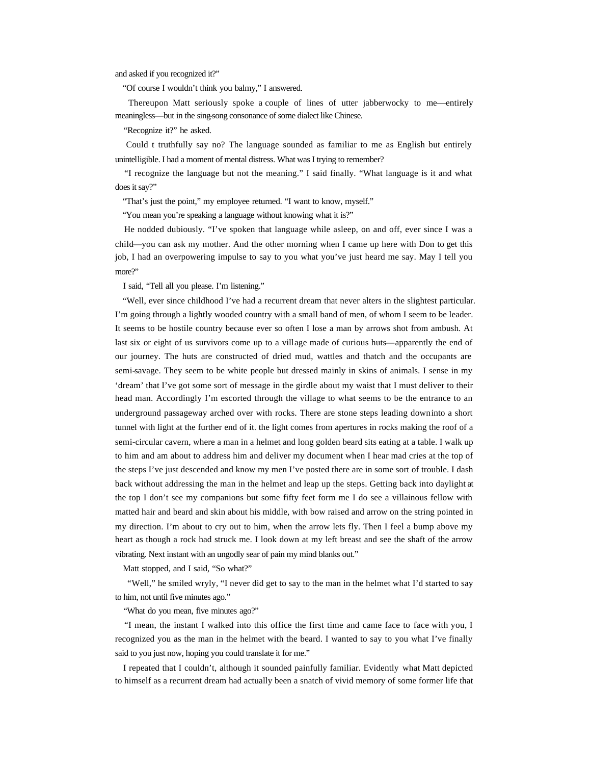and asked if you recognized it?"

"Of course I wouldn't think you balmy," I answered.

 Thereupon Matt seriously spoke a couple of lines of utter jabberwocky to me—entirely meaningless—but in the sing-song consonance of some dialect like Chinese.

"Recognize it?" he asked.

 Could t truthfully say no? The language sounded as familiar to me as English but entirely unintelligible. I had a moment of mental distress. What was I trying to remember?

 "I recognize the language but not the meaning." I said finally. "What language is it and what does it say?"

"That's just the point," my employee returned. "I want to know, myself."

"You mean you're speaking a language without knowing what it is?"

 He nodded dubiously. "I've spoken that language while asleep, on and off, ever since I was a child—you can ask my mother. And the other morning when I came up here with Don to get this job, I had an overpowering impulse to say to you what you've just heard me say. May I tell you more?"

I said, "Tell all you please. I'm listening."

 "Well, ever since childhood I've had a recurrent dream that never alters in the slightest particular. I'm going through a lightly wooded country with a small band of men, of whom I seem to be leader. It seems to be hostile country because ever so often I lose a man by arrows shot from ambush. At last six or eight of us survivors come up to a village made of curious huts—apparently the end of our journey. The huts are constructed of dried mud, wattles and thatch and the occupants are semi-savage. They seem to be white people but dressed mainly in skins of animals. I sense in my 'dream' that I've got some sort of message in the girdle about my waist that I must deliver to their head man. Accordingly I'm escorted through the village to what seems to be the entrance to an underground passageway arched over with rocks. There are stone steps leading down into a short tunnel with light at the further end of it. the light comes from apertures in rocks making the roof of a semi-circular cavern, where a man in a helmet and long golden beard sits eating at a table. I walk up to him and am about to address him and deliver my document when I hear mad cries at the top of the steps I've just descended and know my men I've posted there are in some sort of trouble. I dash back without addressing the man in the helmet and leap up the steps. Getting back into daylight at the top I don't see my companions but some fifty feet form me I do see a villainous fellow with matted hair and beard and skin about his middle, with bow raised and arrow on the string pointed in my direction. I'm about to cry out to him, when the arrow lets fly. Then I feel a bump above my heart as though a rock had struck me. I look down at my left breast and see the shaft of the arrow vibrating. Next instant with an ungodly sear of pain my mind blanks out."

Matt stopped, and I said, "So what?"

 "Well," he smiled wryly, "I never did get to say to the man in the helmet what I'd started to say to him, not until five minutes ago."

"What do you mean, five minutes ago?"

 "I mean, the instant I walked into this office the first time and came face to face with you, I recognized you as the man in the helmet with the beard. I wanted to say to you what I've finally said to you just now, hoping you could translate it for me."

 I repeated that I couldn't, although it sounded painfully familiar. Evidently what Matt depicted to himself as a recurrent dream had actually been a snatch of vivid memory of some former life that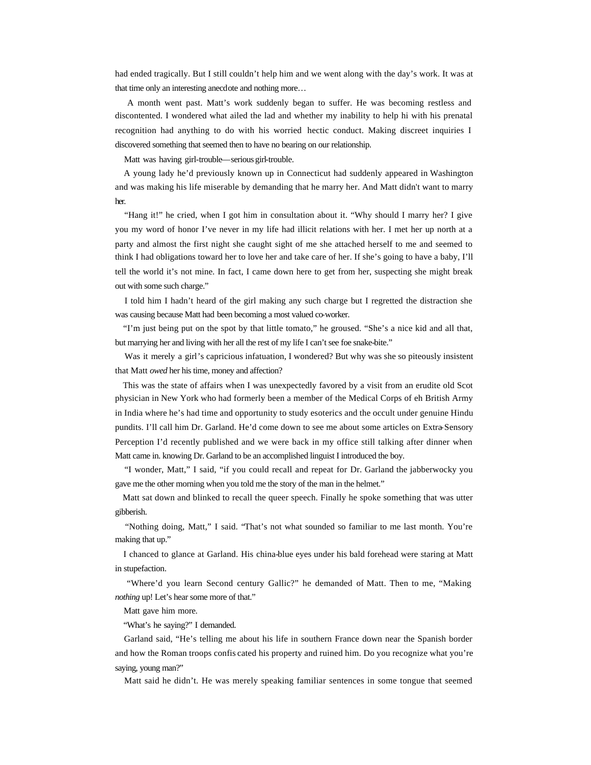had ended tragically. But I still couldn't help him and we went along with the day's work. It was at that time only an interesting anecdote and nothing more…

 A month went past. Matt's work suddenly began to suffer. He was becoming restless and discontented. I wondered what ailed the lad and whether my inability to help hi with his prenatal recognition had anything to do with his worried hectic conduct. Making discreet inquiries I discovered something that seemed then to have no bearing on our relationship.

Matt was having girl-trouble—serious girl-trouble.

 A young lady he'd previously known up in Connecticut had suddenly appeared in Washington and was making his life miserable by demanding that he marry her. And Matt didn't want to marry her.

 "Hang it!" he cried, when I got him in consultation about it. "Why should I marry her? I give you my word of honor I've never in my life had illicit relations with her. I met her up north at a party and almost the first night she caught sight of me she attached herself to me and seemed to think I had obligations toward her to love her and take care of her. If she's going to have a baby, I'll tell the world it's not mine. In fact, I came down here to get from her, suspecting she might break out with some such charge."

 I told him I hadn't heard of the girl making any such charge but I regretted the distraction she was causing because Matt had been becoming a most valued co-worker.

 "I'm just being put on the spot by that little tomato," he groused. "She's a nice kid and all that, but marrying her and living with her all the rest of my life I can't see foe snake-bite."

 Was it merely a girl's capricious infatuation, I wondered? But why was she so piteously insistent that Matt *owed* her his time, money and affection?

 This was the state of affairs when I was unexpectedly favored by a visit from an erudite old Scot physician in New York who had formerly been a member of the Medical Corps of eh British Army in India where he's had time and opportunity to study esoterics and the occult under genuine Hindu pundits. I'll call him Dr. Garland. He'd come down to see me about some articles on Extra-Sensory Perception I'd recently published and we were back in my office still talking after dinner when Matt came in. knowing Dr. Garland to be an accomplished linguist I introduced the boy.

 "I wonder, Matt," I said, "if you could recall and repeat for Dr. Garland the jabberwocky you gave me the other morning when you told me the story of the man in the helmet."

 Matt sat down and blinked to recall the queer speech. Finally he spoke something that was utter gibberish.

 "Nothing doing, Matt," I said. "That's not what sounded so familiar to me last month. You're making that up."

 I chanced to glance at Garland. His china-blue eyes under his bald forehead were staring at Matt in stupefaction.

 "Where'd you learn Second century Gallic?" he demanded of Matt. Then to me, "Making *nothing up!* Let's hear some more of that."

Matt gave him more.

"What's he saying?" I demanded.

 Garland said, "He's telling me about his life in southern France down near the Spanish border and how the Roman troops confis cated his property and ruined him. Do you recognize what you're saying, young man?"

Matt said he didn't. He was merely speaking familiar sentences in some tongue that seemed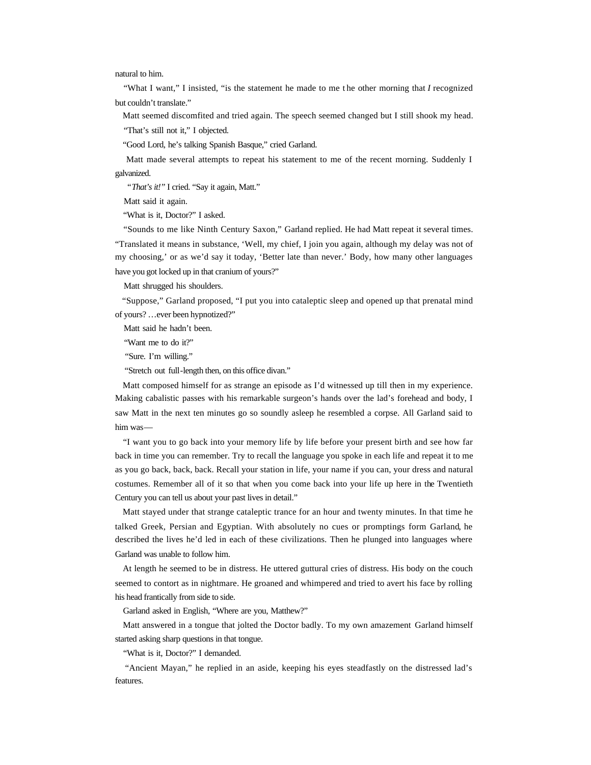natural to him.

 "What I want," I insisted, "is the statement he made to me t he other morning that *I* recognized but couldn't translate."

Matt seemed discomfited and tried again. The speech seemed changed but I still shook my head.

"That's still not it," I objected.

"Good Lord, he's talking Spanish Basque," cried Garland.

 Matt made several attempts to repeat his statement to me of the recent morning. Suddenly I galvanized.

"That's it!" I cried. "Say it again, Matt."

Matt said it again.

"What is it, Doctor?" I asked.

 "Sounds to me like Ninth Century Saxon," Garland replied. He had Matt repeat it several times. "Translated it means in substance, 'Well, my chief, I join you again, although my delay was not of my choosing,' or as we'd say it today, 'Better late than never.' Body, how many other languages have you got locked up in that cranium of yours?"

Matt shrugged his shoulders.

 "Suppose," Garland proposed, "I put you into cataleptic sleep and opened up that prenatal mind of yours? …ever been hypnotized?"

Matt said he hadn't been.

"Want me to do it?"

"Sure. I'm willing."

"Stretch out full-length then, on this office divan."

 Matt composed himself for as strange an episode as I'd witnessed up till then in my experience. Making cabalistic passes with his remarkable surgeon's hands over the lad's forehead and body, I saw Matt in the next ten minutes go so soundly asleep he resembled a corpse. All Garland said to him was—

 "I want you to go back into your memory life by life before your present birth and see how far back in time you can remember. Try to recall the language you spoke in each life and repeat it to me as you go back, back, back. Recall your station in life, your name if you can, your dress and natural costumes. Remember all of it so that when you come back into your life up here in the Twentieth Century you can tell us about your past lives in detail."

 Matt stayed under that strange cataleptic trance for an hour and twenty minutes. In that time he talked Greek, Persian and Egyptian. With absolutely no cues or promptings form Garland, he described the lives he'd led in each of these civilizations. Then he plunged into languages where Garland was unable to follow him.

 At length he seemed to be in distress. He uttered guttural cries of distress. His body on the couch seemed to contort as in nightmare. He groaned and whimpered and tried to avert his face by rolling his head frantically from side to side.

Garland asked in English, "Where are you, Matthew?"

 Matt answered in a tongue that jolted the Doctor badly. To my own amazement Garland himself started asking sharp questions in that tongue.

"What is it, Doctor?" I demanded.

 "Ancient Mayan," he replied in an aside, keeping his eyes steadfastly on the distressed lad's features.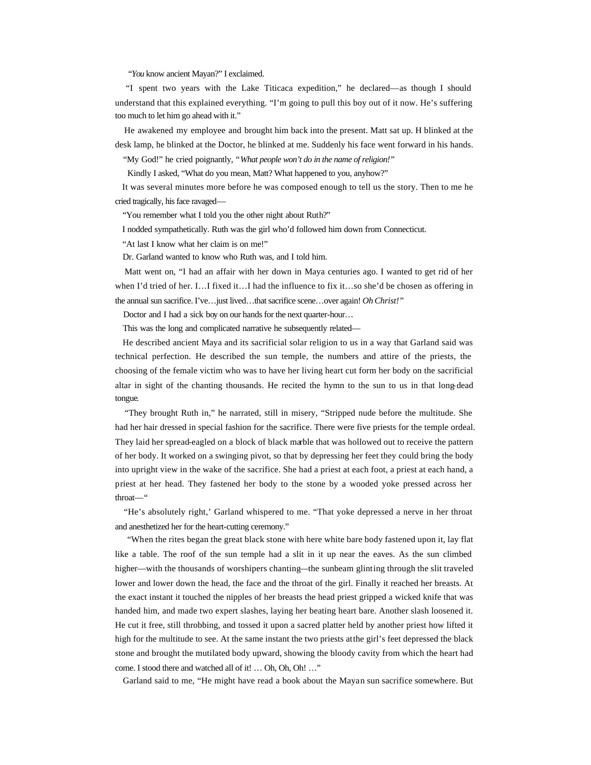*"You* know ancient Mayan?" I exclaimed.

 "I spent two years with the Lake Titicaca expedition," he declared—as though I should understand that this explained everything. "I'm going to pull this boy out of it now. He's suffering too much to let him go ahead with it."

 He awakened my employee and brought him back into the present. Matt sat up. H blinked at the desk lamp, he blinked at the Doctor, he blinked at me. Suddenly his face went forward in his hands.

"My God!" he cried poignantly, "*What people won't do in the name of religion!"*

Kindly I asked, "What do you mean, Matt? What happened to you, anyhow?"

 It was several minutes more before he was composed enough to tell us the story. Then to me he cried tragically, his face ravaged—

"You remember what I told you the other night about Ruth?"

I nodded sympathetically. Ruth was the girl who'd followed him down from Connecticut.

"At last I know what her claim is on me!"

Dr. Garland wanted to know who Ruth was, and I told him.

 Matt went on, "I had an affair with her down in Maya centuries ago. I wanted to get rid of her when I'd tried of her. I…I fixed it…I had the influence to fix it…so she'd be chosen as offering in the annual sun sacrifice. I've…just lived…that sacrifice scene…over again! *Oh Christ!"*

Doctor and I had a sick boy on our hands for the next quarter-hour…

This was the long and complicated narrative he subsequently related—

 He described ancient Maya and its sacrificial solar religion to us in a way that Garland said was technical perfection. He described the sun temple, the numbers and attire of the priests, the choosing of the female victim who was to have her living heart cut form her body on the sacrificial altar in sight of the chanting thousands. He recited the hymn to the sun to us in that long-dead tongue.

 "They brought Ruth in," he narrated, still in misery, "Stripped nude before the multitude. She had her hair dressed in special fashion for the sacrifice. There were five priests for the temple ordeal. They laid her spread-eagled on a block of black marble that was hollowed out to receive the pattern of her body. It worked on a swinging pivot, so that by depressing her feet they could bring the body into upright view in the wake of the sacrifice. She had a priest at each foot, a priest at each hand, a priest at her head. They fastened her body to the stone by a wooded yoke pressed across her throat—"

 "He's absolutely right,' Garland whispered to me. "That yoke depressed a nerve in her throat and anesthetized her for the heart-cutting ceremony."

 "When the rites began the great black stone with here white bare body fastened upon it, lay flat like a table. The roof of the sun temple had a slit in it up near the eaves. As the sun climbed higher—with the thousands of worshipers chanting—the sunbeam glinting through the slit traveled lower and lower down the head, the face and the throat of the girl. Finally it reached her breasts. At the exact instant it touched the nipples of her breasts the head priest gripped a wicked knife that was handed him, and made two expert slashes, laying her beating heart bare. Another slash loosened it. He cut it free, still throbbing, and tossed it upon a sacred platter held by another priest how lifted it high for the multitude to see. At the same instant the two priests at the girl's feet depressed the black stone and brought the mutilated body upward, showing the bloody cavity from which the heart had come. I stood there and watched all of it! … Oh, Oh, Oh! …"

Garland said to me, "He might have read a book about the Mayan sun sacrifice somewhere. But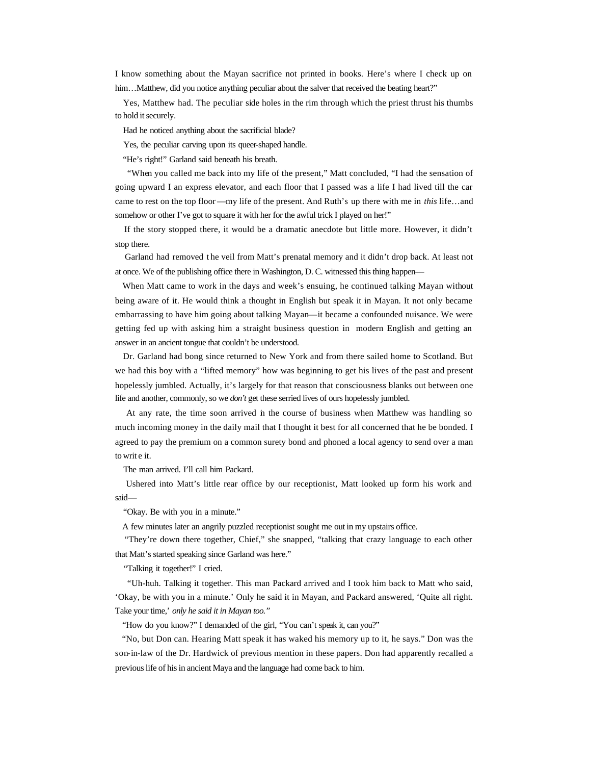I know something about the Mayan sacrifice not printed in books. Here's where I check up on him…Matthew, did you notice anything peculiar about the salver that received the beating heart?"

 Yes, Matthew had. The peculiar side holes in the rim through which the priest thrust his thumbs to hold it securely.

Had he noticed anything about the sacrificial blade?

Yes, the peculiar carving upon its queer-shaped handle.

"He's right!" Garland said beneath his breath.

 "When you called me back into my life of the present," Matt concluded, "I had the sensation of going upward I an express elevator, and each floor that I passed was a life I had lived till the car came to rest on the top floor —my life of the present. And Ruth's up there with me in *this* life…and somehow or other I've got to square it with her for the awful trick I played on her!"

 If the story stopped there, it would be a dramatic anecdote but little more. However, it didn't stop there.

Garland had removed the veil from Matt's prenatal memory and it didn't drop back. At least not at once. We of the publishing office there in Washington, D. C. witnessed this thing happen—

 When Matt came to work in the days and week's ensuing, he continued talking Mayan without being aware of it. He would think a thought in English but speak it in Mayan. It not only became embarrassing to have him going about talking Mayan—it became a confounded nuisance. We were getting fed up with asking him a straight business question in modern English and getting an answer in an ancient tongue that couldn't be understood.

 Dr. Garland had bong since returned to New York and from there sailed home to Scotland. But we had this boy with a "lifted memory" how was beginning to get his lives of the past and present hopelessly jumbled. Actually, it's largely for that reason that consciousness blanks out between one life and another, commonly, so we *don't* get these serried lives of ours hopelessly jumbled.

 At any rate, the time soon arrived in the course of business when Matthew was handling so much incoming money in the daily mail that I thought it best for all concerned that he be bonded. I agreed to pay the premium on a common surety bond and phoned a local agency to send over a man to writ e it.

The man arrived. I'll call him Packard.

 Ushered into Matt's little rear office by our receptionist, Matt looked up form his work and said—

"Okay. Be with you in a minute."

A few minutes later an angrily puzzled receptionist sought me out in my upstairs office.

 "They're down there together, Chief," she snapped, "talking that crazy language to each other that Matt's started speaking since Garland was here."

"Talking it together!" I cried.

 "Uh-huh. Talking it together. This man Packard arrived and I took him back to Matt who said, 'Okay, be with you in a minute.' Only he said it in Mayan, and Packard answered, 'Quite all right. Take your time,' *only he said it in Mayan too."*

"How do you know?" I demanded of the girl, "You can't speak it, can you?"

 "No, but Don can. Hearing Matt speak it has waked his memory up to it, he says." Don was the son-in-law of the Dr. Hardwick of previous mention in these papers. Don had apparently recalled a previous life of his in ancient Maya and the language had come back to him.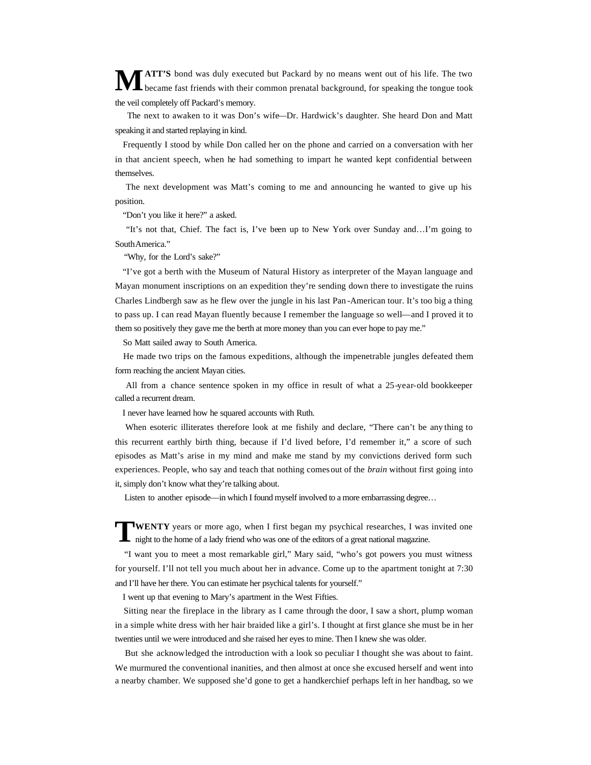**ATT'S** bond was duly executed but Packard by no means went out of his life. The two became fast friends with their common prenatal background, for speaking the tongue took the veil completely off Packard's memory. **M**

 The next to awaken to it was Don's wife—Dr. Hardwick's daughter. She heard Don and Matt speaking it and started replaying in kind.

 Frequently I stood by while Don called her on the phone and carried on a conversation with her in that ancient speech, when he had something to impart he wanted kept confidential between themselves.

 The next development was Matt's coming to me and announcing he wanted to give up his position.

"Don't you like it here?" a asked.

 "It's not that, Chief. The fact is, I've been up to New York over Sunday and…I'm going to South America."

"Why, for the Lord's sake?"

 "I've got a berth with the Museum of Natural History as interpreter of the Mayan language and Mayan monument inscriptions on an expedition they're sending down there to investigate the ruins Charles Lindbergh saw as he flew over the jungle in his last Pan -American tour. It's too big a thing to pass up. I can read Mayan fluently because I remember the language so well—and I proved it to them so positively they gave me the berth at more money than you can ever hope to pay me."

So Matt sailed away to South America.

 He made two trips on the famous expeditions, although the impenetrable jungles defeated them form reaching the ancient Mayan cities.

 All from a chance sentence spoken in my office in result of what a 25-year-old bookkeeper called a recurrent dream.

I never have learned how he squared accounts with Ruth.

 When esoteric illiterates therefore look at me fishily and declare, "There can't be any thing to this recurrent earthly birth thing, because if I'd lived before, I'd remember it," a score of such episodes as Matt's arise in my mind and make me stand by my convictions derived form such experiences. People, who say and teach that nothing comes out of the *brain* without first going into it, simply don't know what they're talking about.

Listen to another episode—in which I found myself involved to a more embarrassing degree...

**WENTY** years or more ago, when I first began my psychical researches, I was invited one night to the home of a lady friend who was one of the editors of a great national magazine. night to the home of a lady friend who was one of the editors of a great national magazine.

 "I want you to meet a most remarkable girl," Mary said, "who's got powers you must witness for yourself. I'll not tell you much about her in advance. Come up to the apartment tonight at 7:30 and I'll have her there. You can estimate her psychical talents for yourself."

I went up that evening to Mary's apartment in the West Fifties.

 Sitting near the fireplace in the library as I came through the door, I saw a short, plump woman in a simple white dress with her hair braided like a girl's. I thought at first glance she must be in her twenties until we were introduced and she raised her eyes to mine. Then I knew she was older.

 But she acknowledged the introduction with a look so peculiar I thought she was about to faint. We murmured the conventional inanities, and then almost at once she excused herself and went into a nearby chamber. We supposed she'd gone to get a handkerchief perhaps left in her handbag, so we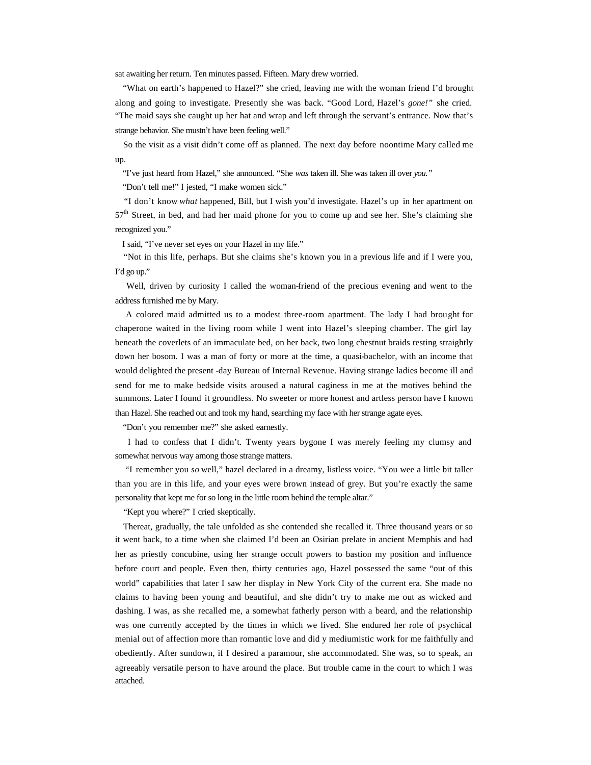sat awaiting her return. Ten minutes passed. Fifteen. Mary drew worried.

 "What on earth's happened to Hazel?" she cried, leaving me with the woman friend I'd brought along and going to investigate. Presently she was back. "Good Lord, Hazel's *gone!"* she cried. "The maid says she caught up her hat and wrap and left through the servant's entrance. Now that's strange behavior. She mustn't have been feeling well."

 So the visit as a visit didn't come off as planned. The next day before noontime Mary called me up.

"I've just heard from Hazel," she announced. "She *was* taken ill. She was taken ill over *you."* 

"Don't tell me!" I jested, "I make women sick."

 "I don't know *what* happened, Bill, but I wish you'd investigate. Hazel's up in her apartment on  $57<sup>th</sup>$  Street, in bed, and had her maid phone for you to come up and see her. She's claiming she recognized you."

I said, "I've never set eyes on your Hazel in my life."

 "Not in this life, perhaps. But she claims she's known you in a previous life and if I were you, I'd go up."

 Well, driven by curiosity I called the woman-friend of the precious evening and went to the address furnished me by Mary.

 A colored maid admitted us to a modest three-room apartment. The lady I had brought for chaperone waited in the living room while I went into Hazel's sleeping chamber. The girl lay beneath the coverlets of an immaculate bed, on her back, two long chestnut braids resting straightly down her bosom. I was a man of forty or more at the time, a quasi-bachelor, with an income that would delighted the present -day Bureau of Internal Revenue. Having strange ladies become ill and send for me to make bedside visits aroused a natural caginess in me at the motives behind the summons. Later I found it groundless. No sweeter or more honest and artless person have I known than Hazel. She reached out and took my hand, searching my face with her strange agate eyes.

"Don't you remember me?" she asked earnestly.

 I had to confess that I didn't. Twenty years bygone I was merely feeling my clumsy and somewhat nervous way among those strange matters.

 "I remember you *so* well," hazel declared in a dreamy, listless voice. "You wee a little bit taller than you are in this life, and your eyes were brown instead of grey. But you're exactly the same personality that kept me for so long in the little room behind the temple altar."

"Kept you where?" I cried skeptically.

 Thereat, gradually, the tale unfolded as she contended she recalled it. Three thousand years or so it went back, to a time when she claimed I'd been an Osirian prelate in ancient Memphis and had her as priestly concubine, using her strange occult powers to bastion my position and influence before court and people. Even then, thirty centuries ago, Hazel possessed the same "out of this world" capabilities that later I saw her display in New York City of the current era. She made no claims to having been young and beautiful, and she didn't try to make me out as wicked and dashing. I was, as she recalled me, a somewhat fatherly person with a beard, and the relationship was one currently accepted by the times in which we lived. She endured her role of psychical menial out of affection more than romantic love and did y mediumistic work for me faithfully and obediently. After sundown, if I desired a paramour, she accommodated. She was, so to speak, an agreeably versatile person to have around the place. But trouble came in the court to which I was attached.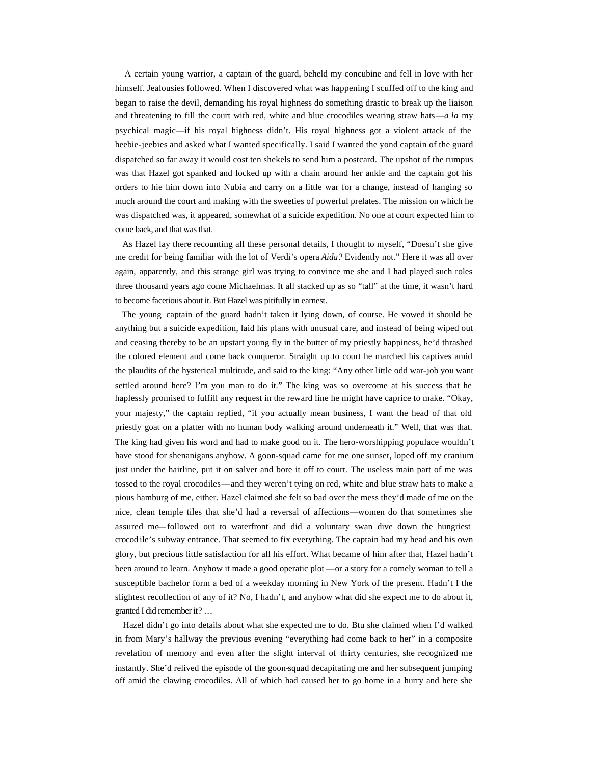A certain young warrior, a captain of the guard, beheld my concubine and fell in love with her himself. Jealousies followed. When I discovered what was happening I scuffed off to the king and began to raise the devil, demanding his royal highness do something drastic to break up the liaison and threatening to fill the court with red, white and blue crocodiles wearing straw hats—*a la* my psychical magic—if his royal highness didn't. His royal highness got a violent attack of the heebie-jeebies and asked what I wanted specifically. I said I wanted the yond captain of the guard dispatched so far away it would cost ten shekels to send him a postcard. The upshot of the rumpus was that Hazel got spanked and locked up with a chain around her ankle and the captain got his orders to hie him down into Nubia and carry on a little war for a change, instead of hanging so much around the court and making with the sweeties of powerful prelates. The mission on which he was dispatched was, it appeared, somewhat of a suicide expedition. No one at court expected him to come back, and that was that.

 As Hazel lay there recounting all these personal details, I thought to myself, "Doesn't she give me credit for being familiar with the lot of Verdi's opera *Aida?* Evidently not." Here it was all over again, apparently, and this strange girl was trying to convince me she and I had played such roles three thousand years ago come Michaelmas. It all stacked up as so "tall" at the time, it wasn't hard to become facetious about it. But Hazel was pitifully in earnest.

 The young captain of the guard hadn't taken it lying down, of course. He vowed it should be anything but a suicide expedition, laid his plans with unusual care, and instead of being wiped out and ceasing thereby to be an upstart young fly in the butter of my priestly happiness, he'd thrashed the colored element and come back conqueror. Straight up to court he marched his captives amid the plaudits of the hysterical multitude, and said to the king: "Any other little odd war-job you want settled around here? I'm you man to do it." The king was so overcome at his success that he haplessly promised to fulfill any request in the reward line he might have caprice to make. "Okay, your majesty," the captain replied, "if you actually mean business, I want the head of that old priestly goat on a platter with no human body walking around underneath it." Well, that was that. The king had given his word and had to make good on it. The hero-worshipping populace wouldn't have stood for shenanigans anyhow. A goon-squad came for me one sunset, loped off my cranium just under the hairline, put it on salver and bore it off to court. The useless main part of me was tossed to the royal crocodiles—and they weren't tying on red, white and blue straw hats to make a pious hamburg of me, either. Hazel claimed she felt so bad over the mess they'd made of me on the nice, clean temple tiles that she'd had a reversal of affections—women do that sometimes she assured me—followed out to waterfront and did a voluntary swan dive down the hungriest crocod ile's subway entrance. That seemed to fix everything. The captain had my head and his own glory, but precious little satisfaction for all his effort. What became of him after that, Hazel hadn't been around to learn. Anyhow it made a good operatic plot—or a story for a comely woman to tell a susceptible bachelor form a bed of a weekday morning in New York of the present. Hadn't I the slightest recollection of any of it? No, I hadn't, and anyhow what did she expect me to do about it, granted I did remember it? …

 Hazel didn't go into details about what she expected me to do. Btu she claimed when I'd walked in from Mary's hallway the previous evening "everything had come back to her" in a composite revelation of memory and even after the slight interval of thirty centuries, she recognized me instantly. She'd relived the episode of the goon-squad decapitating me and her subsequent jumping off amid the clawing crocodiles. All of which had caused her to go home in a hurry and here she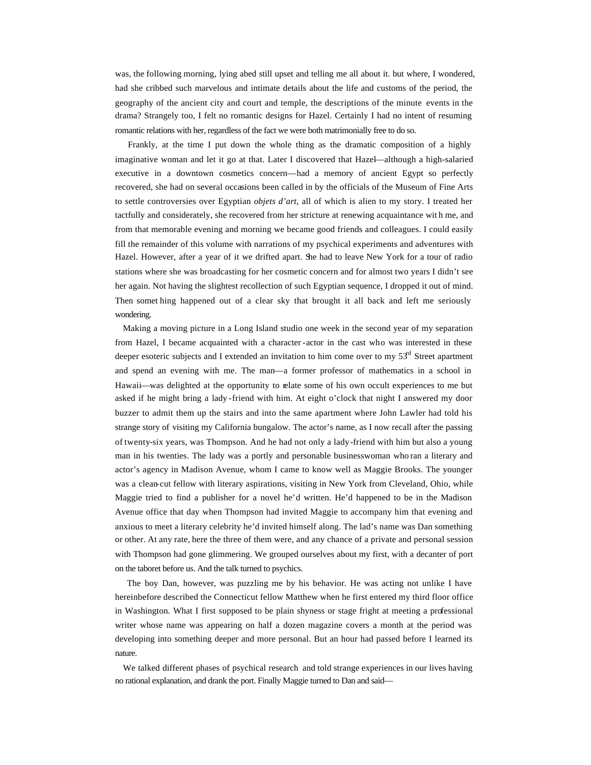was, the following morning, lying abed still upset and telling me all about it. but where, I wondered, had she cribbed such marvelous and intimate details about the life and customs of the period, the geography of the ancient city and court and temple, the descriptions of the minute events in the drama? Strangely too, I felt no romantic designs for Hazel. Certainly I had no intent of resuming romantic relations with her, regardless of the fact we were both matrimonially free to do so.

 Frankly, at the time I put down the whole thing as the dramatic composition of a highly imaginative woman and let it go at that. Later I discovered that Hazel—although a high-salaried executive in a downtown cosmetics concern—had a memory of ancient Egypt so perfectly recovered, she had on several occasions been called in by the officials of the Museum of Fine Arts to settle controversies over Egyptian *objets d'art,* all of which is alien to my story. I treated her tactfully and considerately, she recovered from her stricture at renewing acquaintance wit h me, and from that memorable evening and morning we became good friends and colleagues. I could easily fill the remainder of this volume with narrations of my psychical experiments and adventures with Hazel. However, after a year of it we drifted apart. She had to leave New York for a tour of radio stations where she was broadcasting for her cosmetic concern and for almost two years I didn't see her again. Not having the slightest recollection of such Egyptian sequence, I dropped it out of mind. Then somet hing happened out of a clear sky that brought it all back and left me seriously wondering.

 Making a moving picture in a Long Island studio one week in the second year of my separation from Hazel, I became acquainted with a character-actor in the cast who was interested in these deeper esoteric subjects and I extended an invitation to him come over to my  $53<sup>rd</sup>$  Street apartment and spend an evening with me. The man—a former professor of mathematics in a school in Hawaii—was delighted at the opportunity to relate some of his own occult experiences to me but asked if he might bring a lady -friend with him. At eight o'clock that night I answered my door buzzer to admit them up the stairs and into the same apartment where John Lawler had told his strange story of visiting my California bungalow. The actor's name, as I now recall after the passing of twenty-six years, was Thompson. And he had not only a lady-friend with him but also a young man in his twenties. The lady was a portly and personable businesswoman who ran a literary and actor's agency in Madison Avenue, whom I came to know well as Maggie Brooks. The younger was a clean-cut fellow with literary aspirations, visiting in New York from Cleveland, Ohio, while Maggie tried to find a publisher for a novel he'd written. He'd happened to be in the Madison Avenue office that day when Thompson had invited Maggie to accompany him that evening and anxious to meet a literary celebrity he'd invited himself along. The lad's name was Dan something or other. At any rate, here the three of them were, and any chance of a private and personal session with Thompson had gone glimmering. We grouped ourselves about my first, with a decanter of port on the taboret before us. And the talk turned to psychics.

 The boy Dan, however, was puzzling me by his behavior. He was acting not unlike I have hereinbefore described the Connecticut fellow Matthew when he first entered my third floor office in Washington. What I first supposed to be plain shyness or stage fright at meeting a professional writer whose name was appearing on half a dozen magazine covers a month at the period was developing into something deeper and more personal. But an hour had passed before I learned its nature.

 We talked different phases of psychical research and told strange experiences in our lives having no rational explanation, and drank the port. Finally Maggie turned to Dan and said—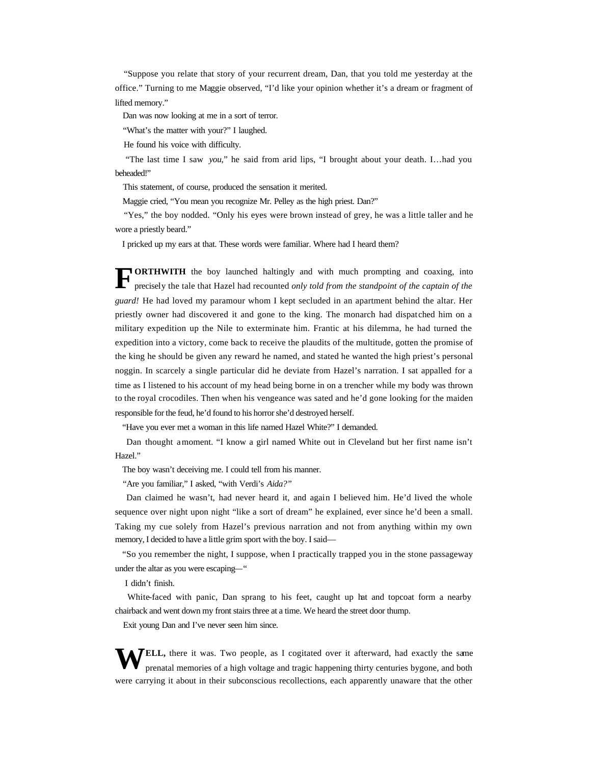"Suppose you relate that story of your recurrent dream, Dan, that you told me yesterday at the office." Turning to me Maggie observed, "I'd like your opinion whether it's a dream or fragment of lifted memory."

Dan was now looking at me in a sort of terror.

"What's the matter with your?" I laughed.

He found his voice with difficulty.

 "The last time I saw *you*," he said from arid lips, "I brought about your death. I…had you beheaded!"

This statement, of course, produced the sensation it merited.

Maggie cried, "You mean you recognize Mr. Pelley as the high priest. Dan?"

 "Yes," the boy nodded. "Only his eyes were brown instead of grey, he was a little taller and he wore a priestly beard."

I pricked up my ears at that. These words were familiar. Where had I heard them?

**ORTHWITH** the boy launched haltingly and with much prompting and coaxing, into precisely the tale that Hazel had recounted *only told from the standpoint of the captain of the guard!* He had loved my paramour whom I kept secluded in an apartment behind the altar. Her priestly owner had discovered it and gone to the king. The monarch had dispatched him on a military expedition up the Nile to exterminate him. Frantic at his dilemma, he had turned the expedition into a victory, come back to receive the plaudits of the multitude, gotten the promise of the king he should be given any reward he named, and stated he wanted the high priest's personal noggin. In scarcely a single particular did he deviate from Hazel's narration. I sat appalled for a time as I listened to his account of my head being borne in on a trencher while my body was thrown to the royal crocodiles. Then when his vengeance was sated and he'd gone looking for the maiden responsible for the feud, he'd found to his horror she'd destroyed herself. **F**

"Have you ever met a woman in this life named Hazel White?" I demanded.

 Dan thought a moment. "I know a girl named White out in Cleveland but her first name isn't Hazel."

The boy wasn't deceiving me. I could tell from his manner.

"Are you familiar," I asked, "with Verdi's *Aida?"*

 Dan claimed he wasn't, had never heard it, and again I believed him. He'd lived the whole sequence over night upon night "like a sort of dream" he explained, ever since he'd been a small. Taking my cue solely from Hazel's previous narration and not from anything within my own memory, I decided to have a little grim sport with the boy. I said—

 "So you remember the night, I suppose, when I practically trapped you in the stone passageway under the altar as you were escaping—"

I didn't finish.

 White-faced with panic, Dan sprang to his feet, caught up hat and topcoat form a nearby chairback and went down my front stairs three at a time. We heard the street door thump.

Exit young Dan and I've never seen him since.

WELL, there it was. Two people, as I cogitated over it afterward, had exactly the same prenatal memories of a high voltage and tragic happening thirty centuries bygone, and both prenatal memories of a high voltage and tragic happening thirty centuries bygone, and both were carrying it about in their subconscious recollections, each apparently unaware that the other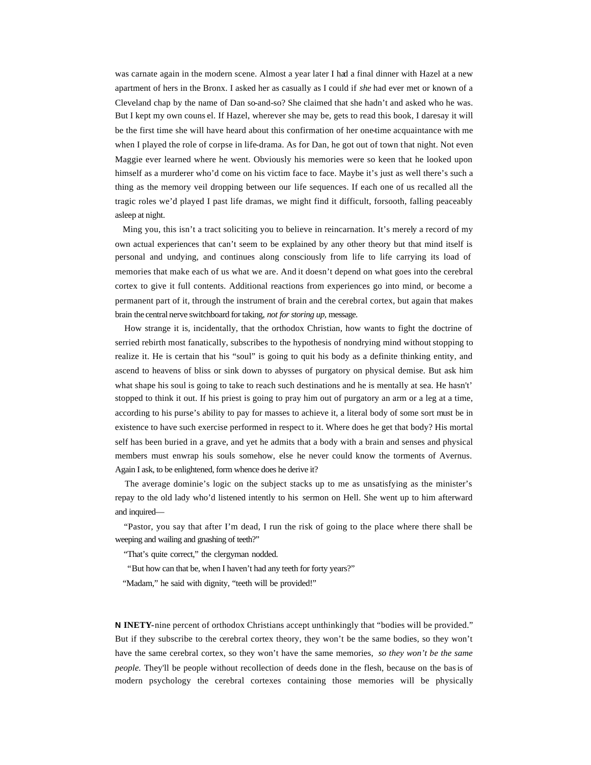was carnate again in the modern scene. Almost a year later I had a final dinner with Hazel at a new apartment of hers in the Bronx. I asked her as casually as I could if *she* had ever met or known of a Cleveland chap by the name of Dan so-and-so? She claimed that she hadn't and asked who he was. But I kept my own couns el. If Hazel, wherever she may be, gets to read this book, I daresay it will be the first time she will have heard about this confirmation of her one-time acquaintance with me when I played the role of corpse in life-drama. As for Dan, he got out of town that night. Not even Maggie ever learned where he went. Obviously his memories were so keen that he looked upon himself as a murderer who'd come on his victim face to face. Maybe it's just as well there's such a thing as the memory veil dropping between our life sequences. If each one of us recalled all the tragic roles we'd played I past life dramas, we might find it difficult, forsooth, falling peaceably asleep at night.

 Ming you, this isn't a tract soliciting you to believe in reincarnation. It's merely a record of my own actual experiences that can't seem to be explained by any other theory but that mind itself is personal and undying, and continues along consciously from life to life carrying its load of memories that make each of us what we are. And it doesn't depend on what goes into the cerebral cortex to give it full contents. Additional reactions from experiences go into mind, or become a permanent part of it, through the instrument of brain and the cerebral cortex, but again that makes brain the central nerve switchboard for taking, *not for storing up,* message.

 How strange it is, incidentally, that the orthodox Christian, how wants to fight the doctrine of serried rebirth most fanatically, subscribes to the hypothesis of nondrying mind without stopping to realize it. He is certain that his "soul" is going to quit his body as a definite thinking entity, and ascend to heavens of bliss or sink down to abysses of purgatory on physical demise. But ask him what shape his soul is going to take to reach such destinations and he is mentally at sea. He hasn't' stopped to think it out. If his priest is going to pray him out of purgatory an arm or a leg at a time, according to his purse's ability to pay for masses to achieve it, a literal body of some sort must be in existence to have such exercise performed in respect to it. Where does he get that body? His mortal self has been buried in a grave, and yet he admits that a body with a brain and senses and physical members must enwrap his souls somehow, else he never could know the torments of Avernus. Again I ask, to be enlightened, form whence does he derive it?

 The average dominie's logic on the subject stacks up to me as unsatisfying as the minister's repay to the old lady who'd listened intently to his sermon on Hell. She went up to him afterward and inquired—

 "Pastor, you say that after I'm dead, I run the risk of going to the place where there shall be weeping and wailing and gnashing of teeth?"

"That's quite correct," the clergyman nodded.

"But how can that be, when I haven't had any teeth for forty years?"

"Madam," he said with dignity, "teeth will be provided!"

**N INETY-**nine percent of orthodox Christians accept unthinkingly that "bodies will be provided." But if they subscribe to the cerebral cortex theory, they won't be the same bodies, so they won't have the same cerebral cortex, so they won't have the same memories, *so they won't be the same people.* They'll be people without recollection of deeds done in the flesh, because on the basis of modern psychology the cerebral cortexes containing those memories will be physically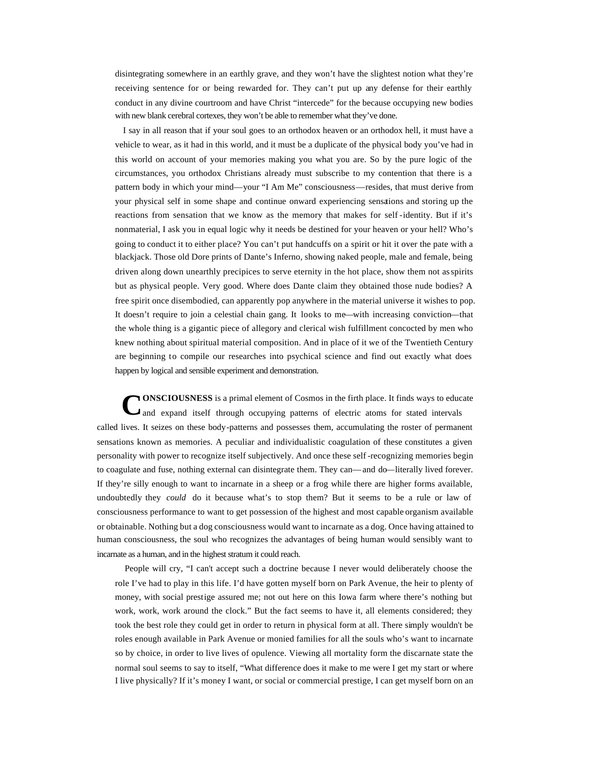disintegrating somewhere in an earthly grave, and they won't have the slightest notion what they're receiving sentence for or being rewarded for. They can't put up any defense for their earthly conduct in any divine courtroom and have Christ "intercede" for the because occupying new bodies with new blank cerebral cortexes, they won't be able to remember what they've done.

 I say in all reason that if your soul goes to an orthodox heaven or an orthodox hell, it must have a vehicle to wear, as it had in this world, and it must be a duplicate of the physical body you've had in this world on account of your memories making you what you are. So by the pure logic of the circumstances, you orthodox Christians already must subscribe to my contention that there is a pattern body in which your mind—your "I Am Me" consciousness—resides, that must derive from your physical self in some shape and continue onward experiencing sensations and storing up the reactions from sensation that we know as the memory that makes for self -identity. But if it's nonmaterial, I ask you in equal logic why it needs be destined for your heaven or your hell? Who's going to conduct it to either place? You can't put handcuffs on a spirit or hit it over the pate with a blackjack. Those old Dore prints of Dante's Inferno, showing naked people, male and female, being driven along down unearthly precipices to serve eternity in the hot place, show them not as spirits but as physical people. Very good. Where does Dante claim they obtained those nude bodies? A free spirit once disembodied, can apparently pop anywhere in the material universe it wishes to pop. It doesn't require to join a celestial chain gang. It looks to me—with increasing conviction—that the whole thing is a gigantic piece of allegory and clerical wish fulfillment concocted by men who knew nothing about spiritual material composition. And in place of it we of the Twentieth Century are beginning to compile our researches into psychical science and find out exactly what does happen by logical and sensible experiment and demonstration.

**ONSCIOUSNESS** is a primal element of Cosmos in the firth place. It finds ways to educate and expand itself through occupying patterns of electric atoms for stated intervals called lives. It seizes on these body-patterns and possesses them, accumulating the roster of permanent sensations known as memories. A peculiar and individualistic coagulation of these constitutes a given personality with power to recognize itself subjectively. And once these self -recognizing memories begin to coagulate and fuse, nothing external can disintegrate them. They can—and do—literally lived forever. If they're silly enough to want to incarnate in a sheep or a frog while there are higher forms available, undoubtedly they *could* do it because what's to stop them? But it seems to be a rule or law of consciousness performance to want to get possession of the highest and most capable organism available or obtainable. Nothing but a dog consciousness would want to incarnate as a dog. Once having attained to human consciousness, the soul who recognizes the advantages of being human would sensibly want to incarnate as a human, and in the highest stratum it could reach. **C**

 People will cry, "I can't accept such a doctrine because I never would deliberately choose the role I've had to play in this life. I'd have gotten myself born on Park Avenue, the heir to plenty of money, with social prestige assured me; not out here on this Iowa farm where there's nothing but work, work, work around the clock." But the fact seems to have it, all elements considered; they took the best role they could get in order to return in physical form at all. There simply wouldn't be roles enough available in Park Avenue or monied families for all the souls who's want to incarnate so by choice, in order to live lives of opulence. Viewing all mortality form the discarnate state the normal soul seems to say to itself, "What difference does it make to me were I get my start or where I live physically? If it's money I want, or social or commercial prestige, I can get myself born on an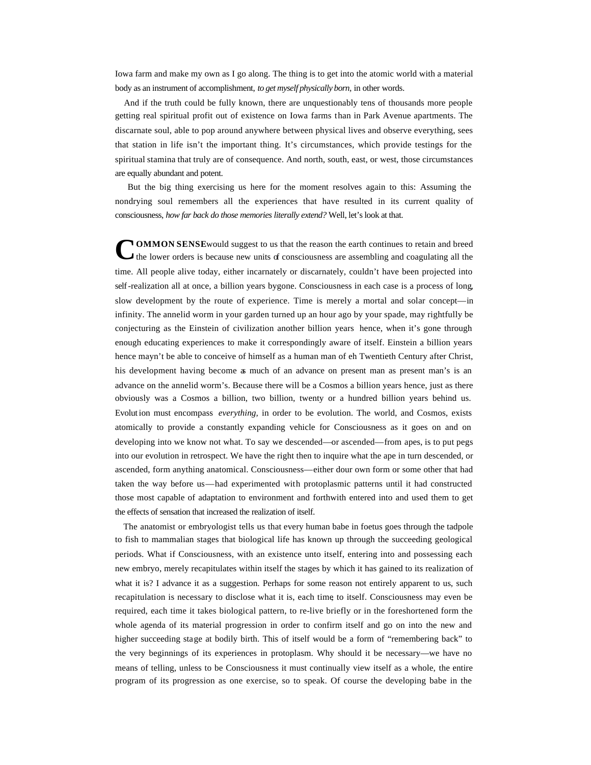Iowa farm and make my own as I go along. The thing is to get into the atomic world with a material body as an instrument of accomplishment, *to get myself physically born,* in other words.

 And if the truth could be fully known, there are unquestionably tens of thousands more people getting real spiritual profit out of existence on Iowa farms than in Park Avenue apartments. The discarnate soul, able to pop around anywhere between physical lives and observe everything, sees that station in life isn't the important thing. It's circumstances, which provide testings for the spiritual stamina that truly are of consequence. And north, south, east, or west, those circumstances are equally abundant and potent.

 But the big thing exercising us here for the moment resolves again to this: Assuming the nondrying soul remembers all the experiences that have resulted in its current quality of consciousness, *how far back do those memories literally extend?* Well, let's look at that.

**NOMMON SENSE** would suggest to us that the reason the earth continues to retain and breed the lower orders is because new units of consciousness are assembling and coagulating all the time. All people alive today, either incarnately or discarnately, couldn't have been projected into self-realization all at once, a billion years bygone. Consciousness in each case is a process of long, slow development by the route of experience. Time is merely a mortal and solar concept—in infinity. The annelid worm in your garden turned up an hour ago by your spade, may rightfully be conjecturing as the Einstein of civilization another billion years hence, when it's gone through enough educating experiences to make it correspondingly aware of itself. Einstein a billion years hence mayn't be able to conceive of himself as a human man of eh Twentieth Century after Christ, his development having become as much of an advance on present man as present man's is an advance on the annelid worm's. Because there will be a Cosmos a billion years hence, just as there obviously was a Cosmos a billion, two billion, twenty or a hundred billion years behind us. Evolut ion must encompass *everything,* in order to be evolution. The world, and Cosmos, exists atomically to provide a constantly expanding vehicle for Consciousness as it goes on and on developing into we know not what. To say we descended—or ascended—from apes, is to put pegs into our evolution in retrospect. We have the right then to inquire what the ape in turn descended, or ascended, form anything anatomical. Consciousness—either dour own form or some other that had taken the way before us—had experimented with protoplasmic patterns until it had constructed those most capable of adaptation to environment and forthwith entered into and used them to get the effects of sensation that increased the realization of itself. **C**

 The anatomist or embryologist tells us that every human babe in foetus goes through the tadpole to fish to mammalian stages that biological life has known up through the succeeding geological periods. What if Consciousness, with an existence unto itself, entering into and possessing each new embryo, merely recapitulates within itself the stages by which it has gained to its realization of what it is? I advance it as a suggestion. Perhaps for some reason not entirely apparent to us, such recapitulation is necessary to disclose what it is, each time, to itself. Consciousness may even be required, each time it takes biological pattern, to re-live briefly or in the foreshortened form the whole agenda of its material progression in order to confirm itself and go on into the new and higher succeeding stage at bodily birth. This of itself would be a form of "remembering back" to the very beginnings of its experiences in protoplasm. Why should it be necessary—we have no means of telling, unless to be Consciousness it must continually view itself as a whole, the entire program of its progression as one exercise, so to speak. Of course the developing babe in the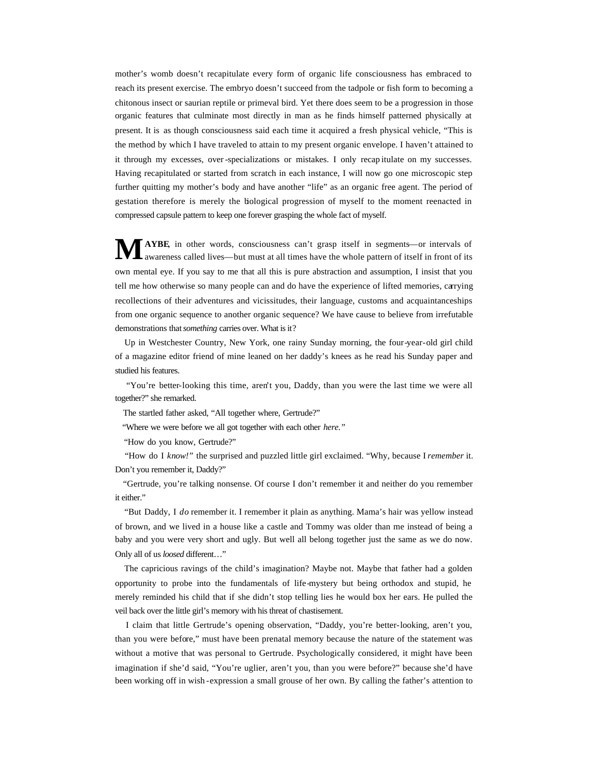mother's womb doesn't recapitulate every form of organic life consciousness has embraced to reach its present exercise. The embryo doesn't succeed from the tadpole or fish form to becoming a chitonous insect or saurian reptile or primeval bird. Yet there does seem to be a progression in those organic features that culminate most directly in man as he finds himself patterned physically at present. It is as though consciousness said each time it acquired a fresh physical vehicle, "This is the method by which I have traveled to attain to my present organic envelope. I haven't attained to it through my excesses, over-specializations or mistakes. I only recap itulate on my successes. Having recapitulated or started from scratch in each instance, I will now go one microscopic step further quitting my mother's body and have another "life" as an organic free agent. The period of gestation therefore is merely the biological progression of myself to the moment reenacted in compressed capsule pattern to keep one forever grasping the whole fact of myself.

**AYBE**, in other words, consciousness can't grasp itself in segments—or intervals of awareness called lives—but must at all times have the whole pattern of itself in front of its own mental eye. If you say to me that all this is pure abstraction and assumption, I insist that you tell me how otherwise so many people can and do have the experience of lifted memories, carrying recollections of their adventures and vicissitudes, their language, customs and acquaintanceships from one organic sequence to another organic sequence? We have cause to believe from irrefutable demonstrations that *something* carries over. What is it? **M**

 Up in Westchester Country, New York, one rainy Sunday morning, the four-year-old girl child of a magazine editor friend of mine leaned on her daddy's knees as he read his Sunday paper and studied his features.

 "You're better-looking this time, aren't you, Daddy, than you were the last time we were all together?" she remarked.

The startled father asked, "All together where, Gertrude?"

"Where we were before we all got together with each other *here."*

"How do you know, Gertrude?"

 "How do I *know!"* the surprised and puzzled little girl exclaimed. "Why, because I *remember* it. Don't you remember it, Daddy?"

 "Gertrude, you're talking nonsense. Of course I don't remember it and neither do you remember it either."

 "But Daddy, I *do* remember it. I remember it plain as anything. Mama's hair was yellow instead of brown, and we lived in a house like a castle and Tommy was older than me instead of being a baby and you were very short and ugly. But well all belong together just the same as we do now. Only all of us *loosed* different…"

 The capricious ravings of the child's imagination? Maybe not. Maybe that father had a golden opportunity to probe into the fundamentals of life-mystery but being orthodox and stupid, he merely reminded his child that if she didn't stop telling lies he would box her ears. He pulled the veil back over the little girl's memory with his threat of chastisement.

 I claim that little Gertrude's opening observation, "Daddy, you're better-looking, aren't you, than you were before," must have been prenatal memory because the nature of the statement was without a motive that was personal to Gertrude. Psychologically considered, it might have been imagination if she'd said, "You're uglier, aren't you, than you were before?" because she'd have been working off in wish -expression a small grouse of her own. By calling the father's attention to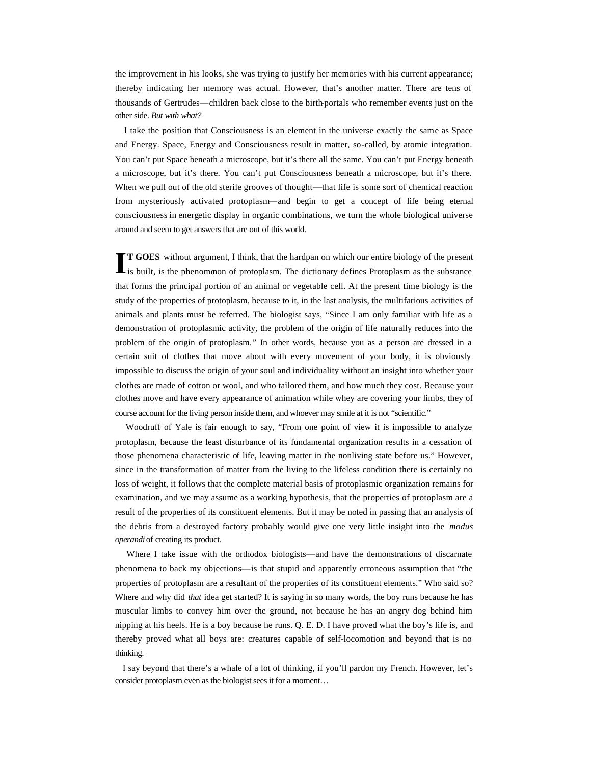the improvement in his looks, she was trying to justify her memories with his current appearance; thereby indicating her memory was actual. However, that's another matter. There are tens of thousands of Gertrudes—children back close to the birth-portals who remember events just on the other side. *But with what?*

 I take the position that Consciousness is an element in the universe exactly the same as Space and Energy. Space, Energy and Consciousness result in matter, so-called, by atomic integration. You can't put Space beneath a microscope, but it's there all the same. You can't put Energy beneath a microscope, but it's there. You can't put Consciousness beneath a microscope, but it's there. When we pull out of the old sterile grooves of thought—that life is some sort of chemical reaction from mysteriously activated protoplasm—and begin to get a concept of life being eternal consciousness in energetic display in organic combinations, we turn the whole biological universe around and seem to get answers that are out of this world.

**T GOES** without argument, I think, that the hardpan on which our entire biology of the present If GOES without argument, I think, that the hardpan on which our entire biology of the present is built, is the phenomenon of protoplasm. The dictionary defines Protoplasm as the substance that forms the principal portion of an animal or vegetable cell. At the present time biology is the study of the properties of protoplasm, because to it, in the last analysis, the multifarious activities of animals and plants must be referred. The biologist says, "Since I am only familiar with life as a demonstration of protoplasmic activity, the problem of the origin of life naturally reduces into the problem of the origin of protoplasm." In other words, because you as a person are dressed in a certain suit of clothes that move about with every movement of your body, it is obviously impossible to discuss the origin of your soul and individuality without an insight into whether your clothes are made of cotton or wool, and who tailored them, and how much they cost. Because your clothes move and have every appearance of animation while whey are covering your limbs, they of course account for the living person inside them, and whoever may smile at it is not "scientific."

 Woodruff of Yale is fair enough to say, "From one point of view it is impossible to analyze protoplasm, because the least disturbance of its fundamental organization results in a cessation of those phenomena characteristic of life, leaving matter in the nonliving state before us." However, since in the transformation of matter from the living to the lifeless condition there is certainly no loss of weight, it follows that the complete material basis of protoplasmic organization remains for examination, and we may assume as a working hypothesis, that the properties of protoplasm are a result of the properties of its constituent elements. But it may be noted in passing that an analysis of the debris from a destroyed factory probably would give one very little insight into the *modus operandi* of creating its product.

Where I take issue with the orthodox biologists—and have the demonstrations of discarnate phenomena to back my objections—is that stupid and apparently erroneous assumption that "the properties of protoplasm are a resultant of the properties of its constituent elements." Who said so? Where and why did *that* idea get started? It is saying in so many words, the boy runs because he has muscular limbs to convey him over the ground, not because he has an angry dog behind him nipping at his heels. He is a boy because he runs. Q. E. D. I have proved what the boy's life is, and thereby proved what all boys are: creatures capable of self-locomotion and beyond that is no thinking.

 I say beyond that there's a whale of a lot of thinking, if you'll pardon my French. However, let's consider protoplasm even as the biologist sees it for a moment…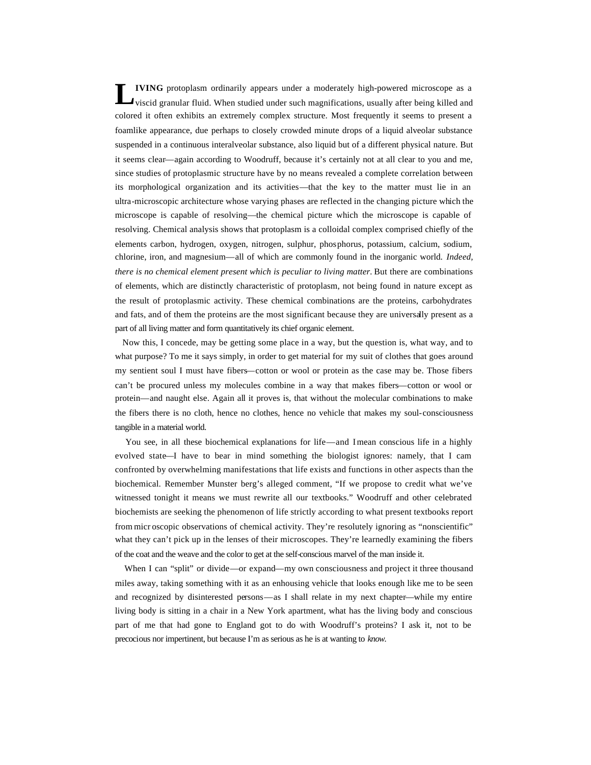**IVING** protoplasm ordinarily appears under a moderately high-powered microscope as a viscid granular fluid. When studied under such magnifications, usually after being killed and colored it often exhibits an extremely complex structure. Most frequently it seems to present a foamlike appearance, due perhaps to closely crowded minute drops of a liquid alveolar substance suspended in a continuous interalveolar substance, also liquid but of a different physical nature. But it seems clear—again according to Woodruff, because it's certainly not at all clear to you and me, since studies of protoplasmic structure have by no means revealed a complete correlation between its morphological organization and its activities—that the key to the matter must lie in an ultra-microscopic architecture whose varying phases are reflected in the changing picture which the microscope is capable of resolving—the chemical picture which the microscope is capable of resolving. Chemical analysis shows that protoplasm is a colloidal complex comprised chiefly of the elements carbon, hydrogen, oxygen, nitrogen, sulphur, phosphorus, potassium, calcium, sodium, chlorine, iron, and magnesium—all of which are commonly found in the inorganic world. *Indeed, there is no chemical element present which is peculiar to living matter.* But there are combinations of elements, which are distinctly characteristic of protoplasm, not being found in nature except as the result of protoplasmic activity. These chemical combinations are the proteins, carbohydrates and fats, and of them the proteins are the most significant because they are universally present as a part of all living matter and form quantitatively its chief organic element. **L**

 Now this, I concede, may be getting some place in a way, but the question is, what way, and to what purpose? To me it says simply, in order to get material for my suit of clothes that goes around my sentient soul I must have fibers—cotton or wool or protein as the case may be. Those fibers can't be procured unless my molecules combine in a way that makes fibers—cotton or wool or protein—and naught else. Again all it proves is, that without the molecular combinations to make the fibers there is no cloth, hence no clothes, hence no vehicle that makes my soul-consciousness tangible in a material world.

 You see, in all these biochemical explanations for life—and I mean conscious life in a highly evolved state—I have to bear in mind something the biologist ignores: namely, that I cam confronted by overwhelming manifestations that life exists and functions in other aspects than the biochemical. Remember Munster berg's alleged comment, "If we propose to credit what we've witnessed tonight it means we must rewrite all our textbooks." Woodruff and other celebrated biochemists are seeking the phenomenon of life strictly according to what present textbooks report from micr oscopic observations of chemical activity. They're resolutely ignoring as "nonscientific" what they can't pick up in the lenses of their microscopes. They're learnedly examining the fibers of the coat and the weave and the color to get at the self-conscious marvel of the man inside it.

 When I can "split" or divide—or expand—my own consciousness and project it three thousand miles away, taking something with it as an enhousing vehicle that looks enough like me to be seen and recognized by disinterested persons—as I shall relate in my next chapter—while my entire living body is sitting in a chair in a New York apartment, what has the living body and conscious part of me that had gone to England got to do with Woodruff's proteins? I ask it, not to be precocious nor impertinent, but because I'm as serious as he is at wanting to *know.*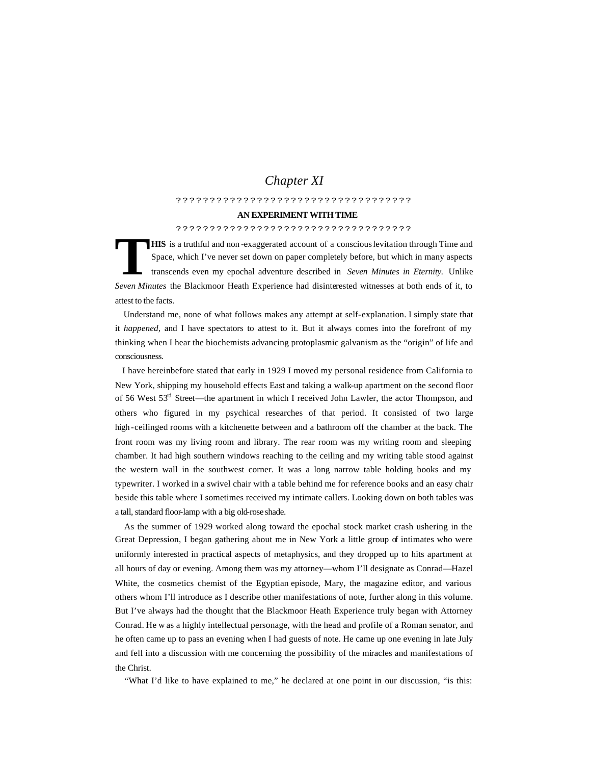# *Chapter XI*

## ???????????????????????????????????

#### **AN EXPERIMENT WITH TIME**

### ???????????????????????????????????

**HIS** is a truthful and non -exaggerated account of a conscious levitation through Time and Space, which I've never set down on paper completely before, but which in many aspects transcends even my epochal adventure described in *Seven Minutes in Eternity.* Unlike *Seven Minutes* the Blackmoor Heath Experience had disinterested witnesses at both ends of it, to attest to the facts. **T**

 Understand me, none of what follows makes any attempt at self-explanation. I simply state that it *happened,* and I have spectators to attest to it. But it always comes into the forefront of my thinking when I hear the biochemists advancing protoplasmic galvanism as the "origin" of life and consciousness.

 I have hereinbefore stated that early in 1929 I moved my personal residence from California to New York, shipping my household effects East and taking a walk-up apartment on the second floor of 56 West 53<sup>rd</sup> Street—the apartment in which I received John Lawler, the actor Thompson, and others who figured in my psychical researches of that period. It consisted of two large high -ceilinged rooms with a kitchenette between and a bathroom off the chamber at the back. The front room was my living room and library. The rear room was my writing room and sleeping chamber. It had high southern windows reaching to the ceiling and my writing table stood against the western wall in the southwest corner. It was a long narrow table holding books and my typewriter. I worked in a swivel chair with a table behind me for reference books and an easy chair beside this table where I sometimes received my intimate callers. Looking down on both tables was a tall, standard floor-lamp with a big old-rose shade.

 As the summer of 1929 worked along toward the epochal stock market crash ushering in the Great Depression, I began gathering about me in New York a little group of intimates who were uniformly interested in practical aspects of metaphysics, and they dropped up to hits apartment at all hours of day or evening. Among them was my attorney—whom I'll designate as Conrad—Hazel White, the cosmetics chemist of the Egyptian episode, Mary, the magazine editor, and various others whom I'll introduce as I describe other manifestations of note, further along in this volume. But I've always had the thought that the Blackmoor Heath Experience truly began with Attorney Conrad. He w as a highly intellectual personage, with the head and profile of a Roman senator, and he often came up to pass an evening when I had guests of note. He came up one evening in late July and fell into a discussion with me concerning the possibility of the miracles and manifestations of the Christ.

"What I'd like to have explained to me," he declared at one point in our discussion, "is this: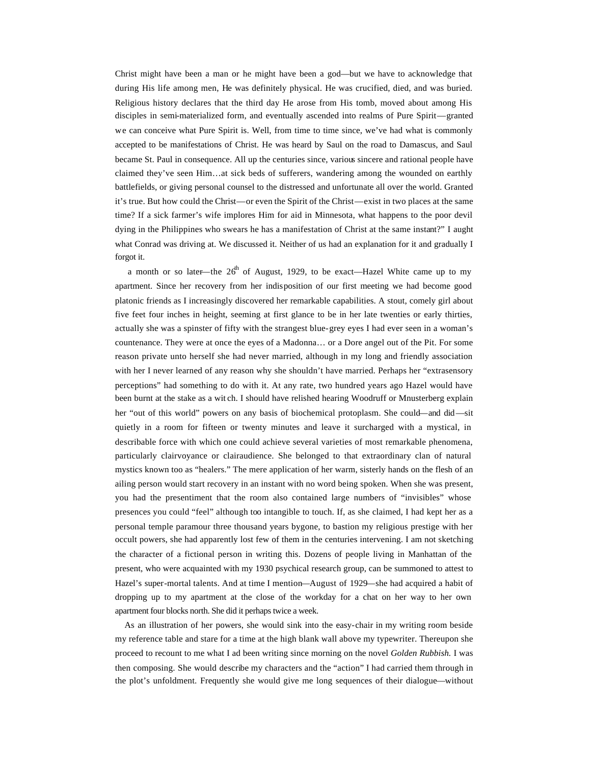Christ might have been a man or he might have been a god—but we have to acknowledge that during His life among men, He was definitely physical. He was crucified, died, and was buried. Religious history declares that the third day He arose from His tomb, moved about among His disciples in semi-materialized form, and eventually ascended into realms of Pure Spirit—granted we can conceive what Pure Spirit is. Well, from time to time since, we've had what is commonly accepted to be manifestations of Christ. He was heard by Saul on the road to Damascus, and Saul became St. Paul in consequence. All up the centuries since, various sincere and rational people have claimed they've seen Him…at sick beds of sufferers, wandering among the wounded on earthly battlefields, or giving personal counsel to the distressed and unfortunate all over the world. Granted it's true. But how could the Christ—or even the Spirit of the Christ—exist in two places at the same time? If a sick farmer's wife implores Him for aid in Minnesota, what happens to the poor devil dying in the Philippines who swears he has a manifestation of Christ at the same instant?" I aught what Conrad was driving at. We discussed it. Neither of us had an explanation for it and gradually I forgot it.

a month or so later—the  $26<sup>th</sup>$  of August, 1929, to be exact—Hazel White came up to my apartment. Since her recovery from her indisposition of our first meeting we had become good platonic friends as I increasingly discovered her remarkable capabilities. A stout, comely girl about five feet four inches in height, seeming at first glance to be in her late twenties or early thirties, actually she was a spinster of fifty with the strangest blue-grey eyes I had ever seen in a woman's countenance. They were at once the eyes of a Madonna… or a Dore angel out of the Pit. For some reason private unto herself she had never married, although in my long and friendly association with her I never learned of any reason why she shouldn't have married. Perhaps her "extrasensory perceptions" had something to do with it. At any rate, two hundred years ago Hazel would have been burnt at the stake as a wit ch. I should have relished hearing Woodruff or Mnusterberg explain her "out of this world" powers on any basis of biochemical protoplasm. She could—and did—sit quietly in a room for fifteen or twenty minutes and leave it surcharged with a mystical, in describable force with which one could achieve several varieties of most remarkable phenomena, particularly clairvoyance or clairaudience. She belonged to that extraordinary clan of natural mystics known too as "healers." The mere application of her warm, sisterly hands on the flesh of an ailing person would start recovery in an instant with no word being spoken. When she was present, you had the presentiment that the room also contained large numbers of "invisibles" whose presences you could "feel" although too intangible to touch. If, as she claimed, I had kept her as a personal temple paramour three thousand years bygone, to bastion my religious prestige with her occult powers, she had apparently lost few of them in the centuries intervening. I am not sketching the character of a fictional person in writing this. Dozens of people living in Manhattan of the present, who were acquainted with my 1930 psychical research group, can be summoned to attest to Hazel's super-mortal talents. And at time I mention—August of 1929—she had acquired a habit of dropping up to my apartment at the close of the workday for a chat on her way to her own apartment four blocks north. She did it perhaps twice a week.

 As an illustration of her powers, she would sink into the easy-chair in my writing room beside my reference table and stare for a time at the high blank wall above my typewriter. Thereupon she proceed to recount to me what I ad been writing since morning on the novel *Golden Rubbish.* I was then composing. She would describe my characters and the "action" I had carried them through in the plot's unfoldment. Frequently she would give me long sequences of their dialogue—without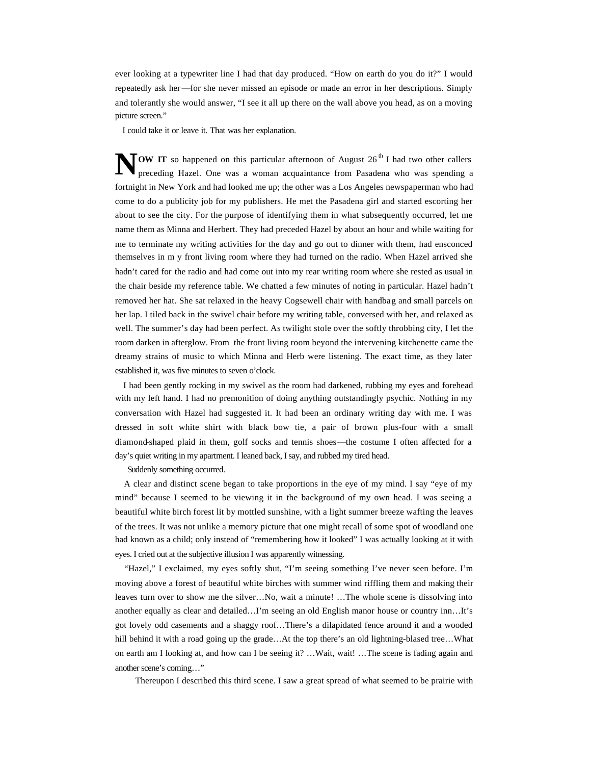ever looking at a typewriter line I had that day produced. "How on earth do you do it?" I would repeatedly ask her—for she never missed an episode or made an error in her descriptions. Simply and tolerantly she would answer, "I see it all up there on the wall above you head, as on a moving picture screen."

I could take it or leave it. That was her explanation.

**OW IT** so happened on this particular afternoon of August 26<sup>th</sup> I had two other callers preceding Hazel. One was a woman acquaintance from Pasadena who was spending a preceding Hazel. One was a woman acquaintance from Pasadena who was spending a fortnight in New York and had looked me up; the other was a Los Angeles newspaperman who had come to do a publicity job for my publishers. He met the Pasadena girl and started escorting her about to see the city. For the purpose of identifying them in what subsequently occurred, let me name them as Minna and Herbert. They had preceded Hazel by about an hour and while waiting for me to terminate my writing activities for the day and go out to dinner with them, had ensconced themselves in m y front living room where they had turned on the radio. When Hazel arrived she hadn't cared for the radio and had come out into my rear writing room where she rested as usual in the chair beside my reference table. We chatted a few minutes of noting in particular. Hazel hadn't removed her hat. She sat relaxed in the heavy Cogsewell chair with handbag and small parcels on her lap. I tiled back in the swivel chair before my writing table, conversed with her, and relaxed as well. The summer's day had been perfect. As twilight stole over the softly throbbing city, I let the room darken in afterglow. From the front living room beyond the intervening kitchenette came the dreamy strains of music to which Minna and Herb were listening. The exact time, as they later established it, was five minutes to seven o'clock.

 I had been gently rocking in my swivel as the room had darkened, rubbing my eyes and forehead with my left hand. I had no premonition of doing anything outstandingly psychic. Nothing in my conversation with Hazel had suggested it. It had been an ordinary writing day with me. I was dressed in soft white shirt with black bow tie, a pair of brown plus-four with a small diamond-shaped plaid in them, golf socks and tennis shoes—the costume I often affected for a day's quiet writing in my apartment. I leaned back, I say, and rubbed my tired head.

Suddenly something occurred.

 A clear and distinct scene began to take proportions in the eye of my mind. I say "eye of my mind" because I seemed to be viewing it in the background of my own head. I was seeing a beautiful white birch forest lit by mottled sunshine, with a light summer breeze wafting the leaves of the trees. It was not unlike a memory picture that one might recall of some spot of woodland one had known as a child; only instead of "remembering how it looked" I was actually looking at it with eyes. I cried out at the subjective illusion I was apparently witnessing.

 "Hazel," I exclaimed, my eyes softly shut, "I'm seeing something I've never seen before. I'm moving above a forest of beautiful white birches with summer wind riffling them and making their leaves turn over to show me the silver…No, wait a minute! …The whole scene is dissolving into another equally as clear and detailed…I'm seeing an old English manor house or country inn…It's got lovely odd casements and a shaggy roof…There's a dilapidated fence around it and a wooded hill behind it with a road going up the grade...At the top there's an old lightning-blased tree...What on earth am I looking at, and how can I be seeing it? …Wait, wait! …The scene is fading again and another scene's coming…"

Thereupon I described this third scene. I saw a great spread of what seemed to be prairie with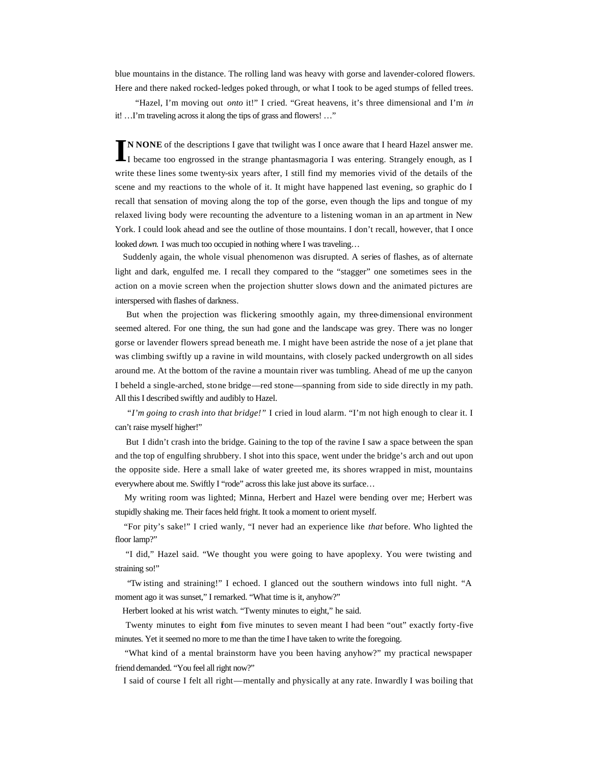blue mountains in the distance. The rolling land was heavy with gorse and lavender-colored flowers. Here and there naked rocked-ledges poked through, or what I took to be aged stumps of felled trees.

"Hazel, I'm moving out *onto* it!" I cried. "Great heavens, it's three dimensional and I'm *in*  it! …I'm traveling across it along the tips of grass and flowers! …"

**N NONE** of the descriptions I gave that twilight was I once aware that I heard Hazel answer me. I became too engrossed in the strange phantasmagoria I was entering. Strangely enough, as I write these lines some twenty-six years after, I still find my memories vivid of the details of the scene and my reactions to the whole of it. It might have happened last evening, so graphic do I recall that sensation of moving along the top of the gorse, even though the lips and tongue of my relaxed living body were recounting the adventure to a listening woman in an ap artment in New York. I could look ahead and see the outline of those mountains. I don't recall, however, that I once looked *down*. I was much too occupied in nothing where I was traveling... **I**

 Suddenly again, the whole visual phenomenon was disrupted. A series of flashes, as of alternate light and dark, engulfed me. I recall they compared to the "stagger" one sometimes sees in the action on a movie screen when the projection shutter slows down and the animated pictures are interspersed with flashes of darkness.

 But when the projection was flickering smoothly again, my three-dimensional environment seemed altered. For one thing, the sun had gone and the landscape was grey. There was no longer gorse or lavender flowers spread beneath me. I might have been astride the nose of a jet plane that was climbing swiftly up a ravine in wild mountains, with closely packed undergrowth on all sides around me. At the bottom of the ravine a mountain river was tumbling. Ahead of me up the canyon I beheld a single-arched, stone bridge—red stone—spanning from side to side directly in my path. All this I described swiftly and audibly to Hazel.

 "*I'm going to crash into that bridge!"* I cried in loud alarm. "I'm not high enough to clear it. I can't raise myself higher!"

 But I didn't crash into the bridge. Gaining to the top of the ravine I saw a space between the span and the top of engulfing shrubbery. I shot into this space, went under the bridge's arch and out upon the opposite side. Here a small lake of water greeted me, its shores wrapped in mist, mountains everywhere about me. Swiftly I "rode" across this lake just above its surface…

 My writing room was lighted; Minna, Herbert and Hazel were bending over me; Herbert was stupidly shaking me. Their faces held fright. It took a moment to orient myself.

 "For pity's sake!" I cried wanly, "I never had an experience like *that* before. Who lighted the floor lamp?"

 "I did," Hazel said. "We thought you were going to have apoplexy. You were twisting and straining so!"

 "Tw isting and straining!" I echoed. I glanced out the southern windows into full night. "A moment ago it was sunset," I remarked. "What time is it, anyhow?"

Herbert looked at his wrist watch. "Twenty minutes to eight," he said.

Twenty minutes to eight from five minutes to seven meant I had been "out" exactly forty-five minutes. Yet it seemed no more to me than the time I have taken to write the foregoing.

 "What kind of a mental brainstorm have you been having anyhow?" my practical newspaper friend demanded. "You feel all right now?"

I said of course I felt all right—mentally and physically at any rate. Inwardly I was boiling that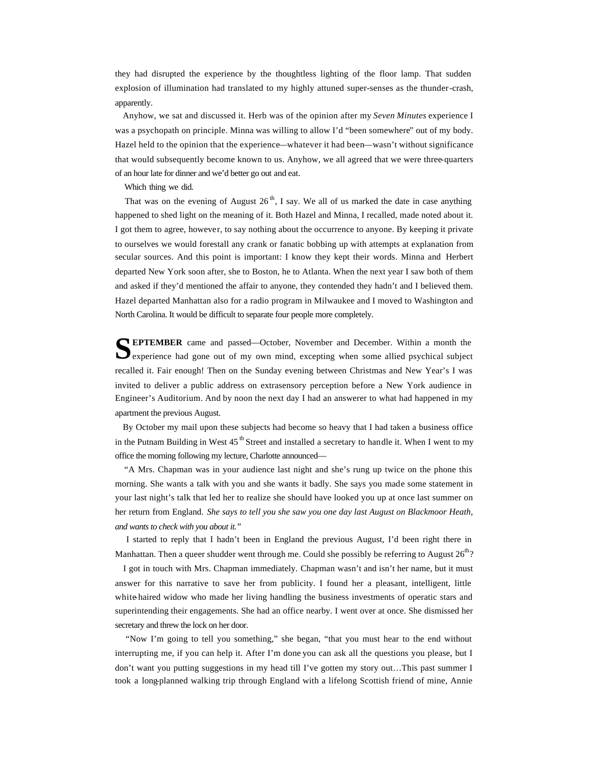they had disrupted the experience by the thoughtless lighting of the floor lamp. That sudden explosion of illumination had translated to my highly attuned super-senses as the thunder-crash, apparently.

 Anyhow, we sat and discussed it. Herb was of the opinion after my *Seven Minutes* experience I was a psychopath on principle. Minna was willing to allow I'd "been somewhere" out of my body. Hazel held to the opinion that the experience—whatever it had been—wasn't without significance that would subsequently become known to us. Anyhow, we all agreed that we were three-quarters of an hour late for dinner and we'd better go out and eat.

Which thing we did.

That was on the evening of August  $26<sup>th</sup>$ , I say. We all of us marked the date in case anything happened to shed light on the meaning of it. Both Hazel and Minna, I recalled, made noted about it. I got them to agree, however, to say nothing about the occurrence to anyone. By keeping it private to ourselves we would forestall any crank or fanatic bobbing up with attempts at explanation from secular sources. And this point is important: I know they kept their words. Minna and Herbert departed New York soon after, she to Boston, he to Atlanta. When the next year I saw both of them and asked if they'd mentioned the affair to anyone, they contended they hadn't and I believed them. Hazel departed Manhattan also for a radio program in Milwaukee and I moved to Washington and North Carolina. It would be difficult to separate four people more completely.

**EPTEMBER** came and passed—October, November and December. Within a month the experience had gone out of my own mind, excepting when some allied psychical subject  $\blacktriangleright$  experience had gone out of my own mind, excepting when some allied psychical subject recalled it. Fair enough! Then on the Sunday evening between Christmas and New Year's I was invited to deliver a public address on extrasensory perception before a New York audience in Engineer's Auditorium. And by noon the next day I had an answerer to what had happened in my apartment the previous August.

 By October my mail upon these subjects had become so heavy that I had taken a business office in the Putnam Building in West  $45<sup>th</sup>$  Street and installed a secretary to handle it. When I went to my office the morning following my lecture, Charlotte announced—

 "A Mrs. Chapman was in your audience last night and she's rung up twice on the phone this morning. She wants a talk with you and she wants it badly. She says you made some statement in your last night's talk that led her to realize she should have looked you up at once last summer on her return from England. *She says to tell you she saw you one day last August on Blackmoor Heath, and wants to check with you about it."*

 I started to reply that I hadn't been in England the previous August, I'd been right there in Manhattan. Then a queer shudder went through me. Could she possibly be referring to August  $26<sup>th</sup>$ ?

 I got in touch with Mrs. Chapman immediately. Chapman wasn't and isn't her name, but it must answer for this narrative to save her from publicity. I found her a pleasant, intelligent, little white-haired widow who made her living handling the business investments of operatic stars and superintending their engagements. She had an office nearby. I went over at once. She dismissed her secretary and threw the lock on her door.

 "Now I'm going to tell you something," she began, "that you must hear to the end without interrupting me, if you can help it. After I'm done you can ask all the questions you please, but I don't want you putting suggestions in my head till I've gotten my story out…This past summer I took a long-planned walking trip through England with a lifelong Scottish friend of mine, Annie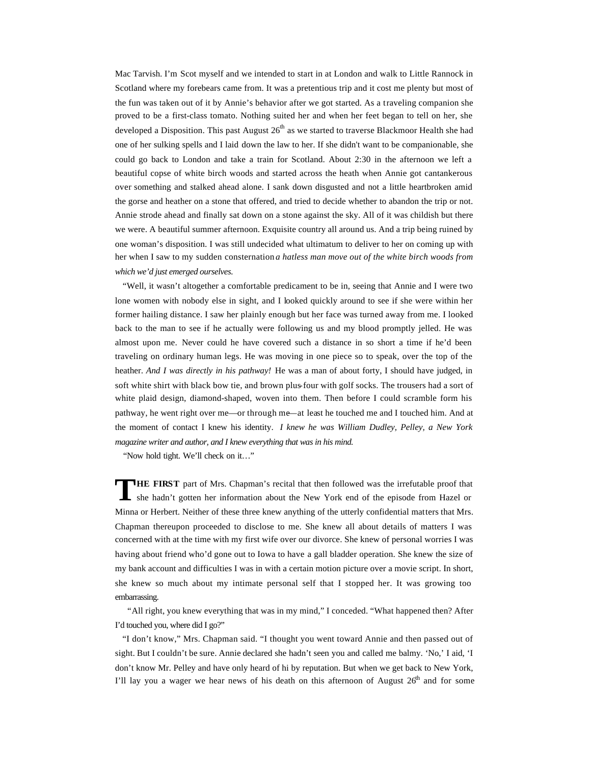Mac Tarvish. I'm Scot myself and we intended to start in at London and walk to Little Rannock in Scotland where my forebears came from. It was a pretentious trip and it cost me plenty but most of the fun was taken out of it by Annie's behavior after we got started. As a traveling companion she proved to be a first-class tomato. Nothing suited her and when her feet began to tell on her, she developed a Disposition. This past August  $26<sup>th</sup>$  as we started to traverse Blackmoor Health she had one of her sulking spells and I laid down the law to her. If she didn't want to be companionable, she could go back to London and take a train for Scotland. About 2:30 in the afternoon we left a beautiful copse of white birch woods and started across the heath when Annie got cantankerous over something and stalked ahead alone. I sank down disgusted and not a little heartbroken amid the gorse and heather on a stone that offered, and tried to decide whether to abandon the trip or not. Annie strode ahead and finally sat down on a stone against the sky. All of it was childish but there we were. A beautiful summer afternoon. Exquisite country all around us. And a trip being ruined by one woman's disposition. I was still undecided what ultimatum to deliver to her on coming up with her when I saw to my sudden consternation *a hatless man move out of the white birch woods from which we'd just emerged ourselves.*

 "Well, it wasn't altogether a comfortable predicament to be in, seeing that Annie and I were two lone women with nobody else in sight, and I looked quickly around to see if she were within her former hailing distance. I saw her plainly enough but her face was turned away from me. I looked back to the man to see if he actually were following us and my blood promptly jelled. He was almost upon me. Never could he have covered such a distance in so short a time if he'd been traveling on ordinary human legs. He was moving in one piece so to speak, over the top of the heather. *And I was directly in his pathway!* He was a man of about forty, I should have judged, in soft white shirt with black bow tie, and brown plus-four with golf socks. The trousers had a sort of white plaid design, diamond-shaped, woven into them. Then before I could scramble form his pathway, he went right over me—or through me—at least he touched me and I touched him. And at the moment of contact I knew his identity. *I knew he was William Dudley, Pelley, a New York magazine writer and author, and I knew everything that was in his mind.*

"Now hold tight. We'll check on it…"

**HE FIRST** part of Mrs. Chapman's recital that then followed was the irrefutable proof that she hadn't gotten her information about the New York end of the episode from Hazel or Minna or Herbert. Neither of these three knew anything of the utterly confidential matters that Mrs. Chapman thereupon proceeded to disclose to me. She knew all about details of matters I was concerned with at the time with my first wife over our divorce. She knew of personal worries I was having about friend who'd gone out to Iowa to have a gall bladder operation. She knew the size of my bank account and difficulties I was in with a certain motion picture over a movie script. In short, she knew so much about my intimate personal self that I stopped her. It was growing too embarrassing. **T**

 "All right, you knew everything that was in my mind," I conceded. "What happened then? After I'd touched you, where did I go?"

 "I don't know," Mrs. Chapman said. "I thought you went toward Annie and then passed out of sight. But I couldn't be sure. Annie declared she hadn't seen you and called me balmy. 'No,' I aid, 'I don't know Mr. Pelley and have only heard of hi by reputation. But when we get back to New York, I'll lay you a wager we hear news of his death on this afternoon of August  $26<sup>th</sup>$  and for some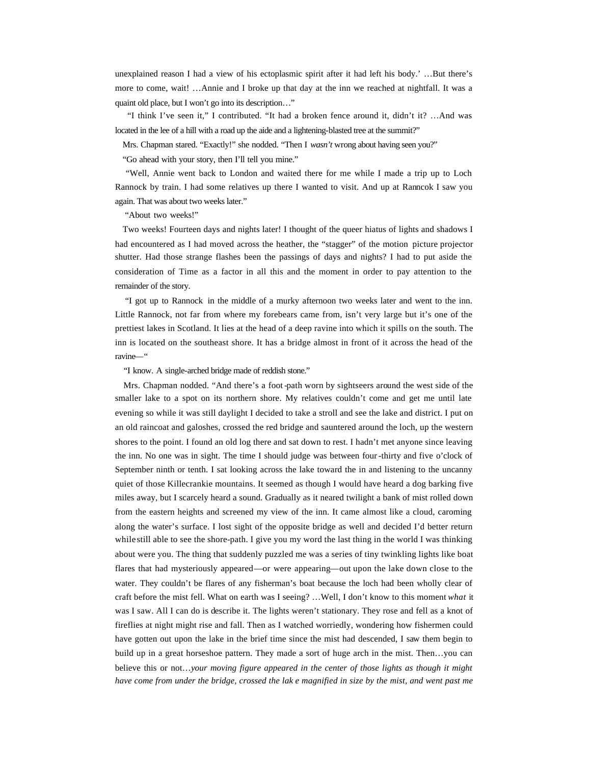unexplained reason I had a view of his ectoplasmic spirit after it had left his body.' …But there's more to come, wait! …Annie and I broke up that day at the inn we reached at nightfall. It was a quaint old place, but I won't go into its description…"

 "I think I've seen it," I contributed. "It had a broken fence around it, didn't it? …And was located in the lee of a hill with a road up the aide and a lightening-blasted tree at the summit?"

Mrs. Chapman stared. "Exactly!" she nodded. "Then I *wasn't* wrong about having seen you?"

"Go ahead with your story, then I'll tell you mine."

 "Well, Annie went back to London and waited there for me while I made a trip up to Loch Rannock by train. I had some relatives up there I wanted to visit. And up at Ranncok I saw you again. That was about two weeks later."

"About two weeks!"

 Two weeks! Fourteen days and nights later! I thought of the queer hiatus of lights and shadows I had encountered as I had moved across the heather, the "stagger" of the motion picture projector shutter. Had those strange flashes been the passings of days and nights? I had to put aside the consideration of Time as a factor in all this and the moment in order to pay attention to the remainder of the story.

 "I got up to Rannock in the middle of a murky afternoon two weeks later and went to the inn. Little Rannock, not far from where my forebears came from, isn't very large but it's one of the prettiest lakes in Scotland. It lies at the head of a deep ravine into which it spills on the south. The inn is located on the southeast shore. It has a bridge almost in front of it across the head of the ravine—"

"I know. A single-arched bridge made of reddish stone."

 Mrs. Chapman nodded. "And there's a foot -path worn by sightseers around the west side of the smaller lake to a spot on its northern shore. My relatives couldn't come and get me until late evening so while it was still daylight I decided to take a stroll and see the lake and district. I put on an old raincoat and galoshes, crossed the red bridge and sauntered around the loch, up the western shores to the point. I found an old log there and sat down to rest. I hadn't met anyone since leaving the inn. No one was in sight. The time I should judge was between four-thirty and five o'clock of September ninth or tenth. I sat looking across the lake toward the in and listening to the uncanny quiet of those Killecrankie mountains. It seemed as though I would have heard a dog barking five miles away, but I scarcely heard a sound. Gradually as it neared twilight a bank of mist rolled down from the eastern heights and screened my view of the inn. It came almost like a cloud, caroming along the water's surface. I lost sight of the opposite bridge as well and decided I'd better return while still able to see the shore-path. I give you my word the last thing in the world I was thinking about were you. The thing that suddenly puzzled me was a series of tiny twinkling lights like boat flares that had mysteriously appeared—or were appearing—out upon the lake down close to the water. They couldn't be flares of any fisherman's boat because the loch had been wholly clear of craft before the mist fell. What on earth was I seeing? …Well, I don't know to this moment *what* it was I saw. All I can do is describe it. The lights weren't stationary. They rose and fell as a knot of fireflies at night might rise and fall. Then as I watched worriedly, wondering how fishermen could have gotten out upon the lake in the brief time since the mist had descended, I saw them begin to build up in a great horseshoe pattern. They made a sort of huge arch in the mist. Then…you can believe this or not…*your moving figure appeared in the center of those lights as though it might have come from under the bridge, crossed the lak e magnified in size by the mist, and went past me*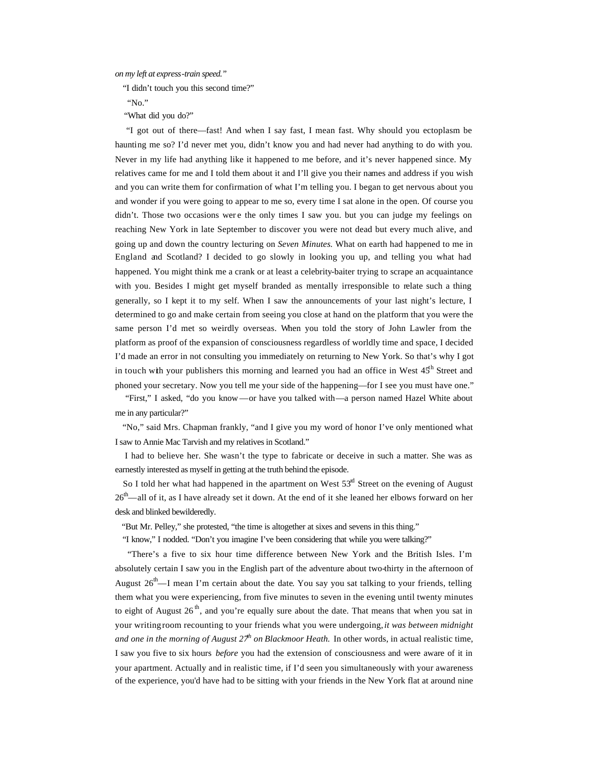*on my left at express-train speed."*

"I didn't touch you this second time?"

"No."

"What did you do?"

 "I got out of there—fast! And when I say fast, I mean fast. Why should you ectoplasm be haunting me so? I'd never met you, didn't know you and had never had anything to do with you. Never in my life had anything like it happened to me before, and it's never happened since. My relatives came for me and I told them about it and I'll give you their names and address if you wish and you can write them for confirmation of what I'm telling you. I began to get nervous about you and wonder if you were going to appear to me so, every time I sat alone in the open. Of course you didn't. Those two occasions wer e the only times I saw you. but you can judge my feelings on reaching New York in late September to discover you were not dead but every much alive, and going up and down the country lecturing on *Seven Minutes.* What on earth had happened to me in England and Scotland? I decided to go slowly in looking you up, and telling you what had happened. You might think me a crank or at least a celebrity-baiter trying to scrape an acquaintance with you. Besides I might get myself branded as mentally irresponsible to relate such a thing generally, so I kept it to my self. When I saw the announcements of your last night's lecture, I determined to go and make certain from seeing you close at hand on the platform that you were the same person I'd met so weirdly overseas. When you told the story of John Lawler from the platform as proof of the expansion of consciousness regardless of worldly time and space, I decided I'd made an error in not consulting you immediately on returning to New York. So that's why I got in touch with your publishers this morning and learned you had an office in West  $45<sup>th</sup>$  Street and phoned your secretary. Now you tell me your side of the happening—for I see you must have one."

 "First," I asked, "do you know—or have you talked with—a person named Hazel White about me in any particular?"

 "No," said Mrs. Chapman frankly, "and I give you my word of honor I've only mentioned what I saw to Annie Mac Tarvish and my relatives in Scotland."

 I had to believe her. She wasn't the type to fabricate or deceive in such a matter. She was as earnestly interested as myself in getting at the truth behind the episode.

So I told her what had happened in the apartment on West  $53<sup>nt</sup>$  Street on the evening of August  $26<sup>th</sup>$ —all of it, as I have already set it down. At the end of it she leaned her elbows forward on her desk and blinked bewilderedly.

"But Mr. Pelley," she protested, "the time is altogether at sixes and sevens in this thing."

"I know," I nodded. "Don't you imagine I've been considering that while you were talking?"

 "There's a five to six hour time difference between New York and the British Isles. I'm absolutely certain I saw you in the English part of the adventure about two-thirty in the afternoon of August  $26<sup>th</sup>$ —I mean I'm certain about the date. You say you sat talking to your friends, telling them what you were experiencing, from five minutes to seven in the evening until twenty minutes to eight of August 26<sup>th</sup>, and you're equally sure about the date. That means that when you sat in your writing room recounting to your friends what you were undergoing, *it was between midnight and one in the morning of August*  $27<sup>h</sup>$  *on Blackmoor Heath.* In other words, in actual realistic time, I saw you five to six hours *before* you had the extension of consciousness and were aware of it in your apartment. Actually and in realistic time, if I'd seen you simultaneously with your awareness of the experience, you'd have had to be sitting with your friends in the New York flat at around nine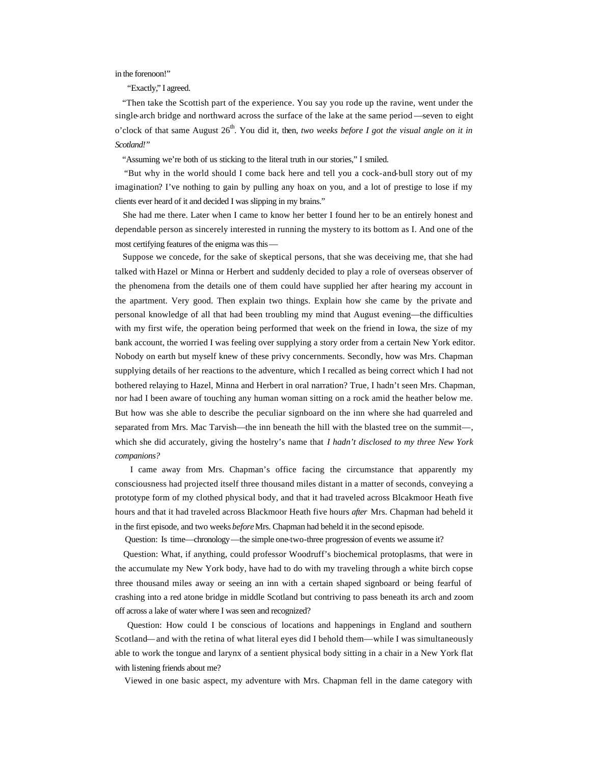in the forenoon!"

"Exactly," I agreed.

 "Then take the Scottish part of the experience. You say you rode up the ravine, went under the single-arch bridge and northward across the surface of the lake at the same period —seven to eight o'clock of that same August  $26<sup>th</sup>$ . You did it, then, *two weeks before I got the visual angle on it in Scotland!"*

"Assuming we're both of us sticking to the literal truth in our stories," I smiled.

 "But why in the world should I come back here and tell you a cock-and-bull story out of my imagination? I've nothing to gain by pulling any hoax on you, and a lot of prestige to lose if my clients ever heard of it and decided I was slipping in my brains."

 She had me there. Later when I came to know her better I found her to be an entirely honest and dependable person as sincerely interested in running the mystery to its bottom as I. And one of the most certifying features of the enigma was this—

 Suppose we concede, for the sake of skeptical persons, that she was deceiving me, that she had talked with Hazel or Minna or Herbert and suddenly decided to play a role of overseas observer of the phenomena from the details one of them could have supplied her after hearing my account in the apartment. Very good. Then explain two things. Explain how she came by the private and personal knowledge of all that had been troubling my mind that August evening—the difficulties with my first wife, the operation being performed that week on the friend in Iowa, the size of my bank account, the worried I was feeling over supplying a story order from a certain New York editor. Nobody on earth but myself knew of these privy concernments. Secondly, how was Mrs. Chapman supplying details of her reactions to the adventure, which I recalled as being correct which I had not bothered relaying to Hazel, Minna and Herbert in oral narration? True, I hadn't seen Mrs. Chapman, nor had I been aware of touching any human woman sitting on a rock amid the heather below me. But how was she able to describe the peculiar signboard on the inn where she had quarreled and separated from Mrs. Mac Tarvish—the inn beneath the hill with the blasted tree on the summit—, which she did accurately, giving the hostelry's name that *I hadn't disclosed to my three New York companions?*

 I came away from Mrs. Chapman's office facing the circumstance that apparently my consciousness had projected itself three thousand miles distant in a matter of seconds, conveying a prototype form of my clothed physical body, and that it had traveled across Blcakmoor Heath five hours and that it had traveled across Blackmoor Heath five hours *after* Mrs. Chapman had beheld it in the first episode, and two weeks *before* Mrs. Chapman had beheld it in the second episode.

Question: Is time—chronology—the simple one-two-three progression of events we assume it?

 Question: What, if anything, could professor Woodruff's biochemical protoplasms, that were in the accumulate my New York body, have had to do with my traveling through a white birch copse three thousand miles away or seeing an inn with a certain shaped signboard or being fearful of crashing into a red atone bridge in middle Scotland but contriving to pass beneath its arch and zoom off across a lake of water where I was seen and recognized?

 Question: How could I be conscious of locations and happenings in England and southern Scotland—and with the retina of what literal eyes did I behold them—while I was simultaneously able to work the tongue and larynx of a sentient physical body sitting in a chair in a New York flat with listening friends about me?

Viewed in one basic aspect, my adventure with Mrs. Chapman fell in the dame category with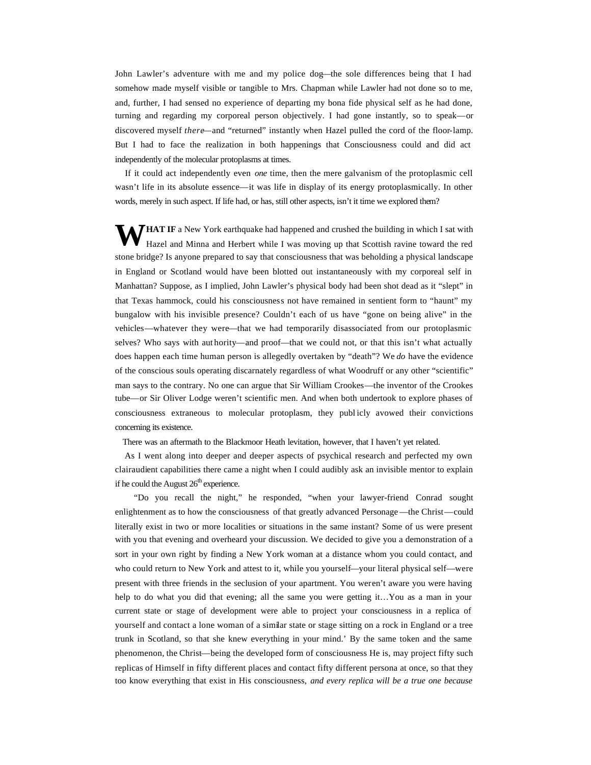John Lawler's adventure with me and my police dog—the sole differences being that I had somehow made myself visible or tangible to Mrs. Chapman while Lawler had not done so to me, and, further, I had sensed no experience of departing my bona fide physical self as he had done, turning and regarding my corporeal person objectively. I had gone instantly, so to speak—or discovered myself *there*—and "returned" instantly when Hazel pulled the cord of the floor-lamp. But I had to face the realization in both happenings that Consciousness could and did act independently of the molecular protoplasms at times.

 If it could act independently even *one* time, then the mere galvanism of the protoplasmic cell wasn't life in its absolute essence—it was life in display of its energy protoplasmically. In other words, merely in such aspect. If life had, or has, still other aspects, isn't it time we explored them?

**HAT IF** a New York earthquake had happened and crushed the building in which I sat with Hazel and Minna and Herbert while I was moving up that Scottish ravine toward the red Hazel and Minna and Herbert while I was moving up that Scottish ravine toward the red stone bridge? Is anyone prepared to say that consciousness that was beholding a physical landscape in England or Scotland would have been blotted out instantaneously with my corporeal self in Manhattan? Suppose, as I implied, John Lawler's physical body had been shot dead as it "slept" in that Texas hammock, could his consciousness not have remained in sentient form to "haunt" my bungalow with his invisible presence? Couldn't each of us have "gone on being alive" in the vehicles—whatever they were—that we had temporarily disassociated from our protoplasmic selves? Who says with aut hority—and proof—that we could not, or that this isn't what actually does happen each time human person is allegedly overtaken by "death"? We *do* have the evidence of the conscious souls operating discarnately regardless of what Woodruff or any other "scientific" man says to the contrary. No one can argue that Sir William Crookes—the inventor of the Crookes tube—or Sir Oliver Lodge weren't scientific men. And when both undertook to explore phases of consciousness extraneous to molecular protoplasm, they publ icly avowed their convictions concerning its existence.

There was an aftermath to the Blackmoor Heath levitation, however, that I haven't yet related.

 As I went along into deeper and deeper aspects of psychical research and perfected my own clairaudient capabilities there came a night when I could audibly ask an invisible mentor to explain if he could the August  $26<sup>th</sup>$  experience.

 "Do you recall the night," he responded, "when your lawyer-friend Conrad sought enlightenment as to how the consciousness of that greatly advanced Personage—the Christ—could literally exist in two or more localities or situations in the same instant? Some of us were present with you that evening and overheard your discussion. We decided to give you a demonstration of a sort in your own right by finding a New York woman at a distance whom you could contact, and who could return to New York and attest to it, while you yourself—your literal physical self—were present with three friends in the seclusion of your apartment. You weren't aware you were having help to do what you did that evening; all the same you were getting it…You as a man in your current state or stage of development were able to project your consciousness in a replica of yourself and contact a lone woman of a similar state or stage sitting on a rock in England or a tree trunk in Scotland, so that she knew everything in your mind.' By the same token and the same phenomenon, the Christ—being the developed form of consciousness He is, may project fifty such replicas of Himself in fifty different places and contact fifty different persona at once, so that they too know everything that exist in His consciousness, *and every replica will be a true one because*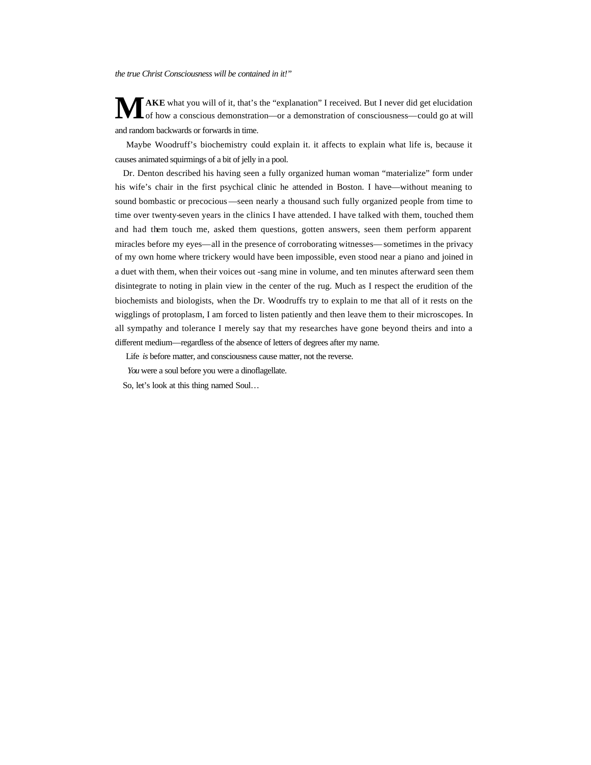*the true Christ Consciousness will be contained in it!"*

**AKE** what you will of it, that's the "explanation" I received. But I never did get elucidation of how a conscious demonstration—or a demonstration of consciousness—could go at will and random backwards or forwards in time. **M**

 Maybe Woodruff's biochemistry could explain it. it affects to explain what life is, because it causes animated squirmings of a bit of jelly in a pool.

 Dr. Denton described his having seen a fully organized human woman "materialize" form under his wife's chair in the first psychical clinic he attended in Boston. I have—without meaning to sound bombastic or precocious —seen nearly a thousand such fully organized people from time to time over twenty-seven years in the clinics I have attended. I have talked with them, touched them and had them touch me, asked them questions, gotten answers, seen them perform apparent miracles before my eyes—all in the presence of corroborating witnesses—sometimes in the privacy of my own home where trickery would have been impossible, even stood near a piano and joined in a duet with them, when their voices out -sang mine in volume, and ten minutes afterward seen them disintegrate to noting in plain view in the center of the rug. Much as I respect the erudition of the biochemists and biologists, when the Dr. Woodruffs try to explain to me that all of it rests on the wigglings of protoplasm, I am forced to listen patiently and then leave them to their microscopes. In all sympathy and tolerance I merely say that my researches have gone beyond theirs and into a different medium—regardless of the absence of letters of degrees after my name.

Life *is* before matter, and consciousness cause matter, not the reverse.

*You* were a soul before you were a dinoflagellate.

So, let's look at this thing named Soul…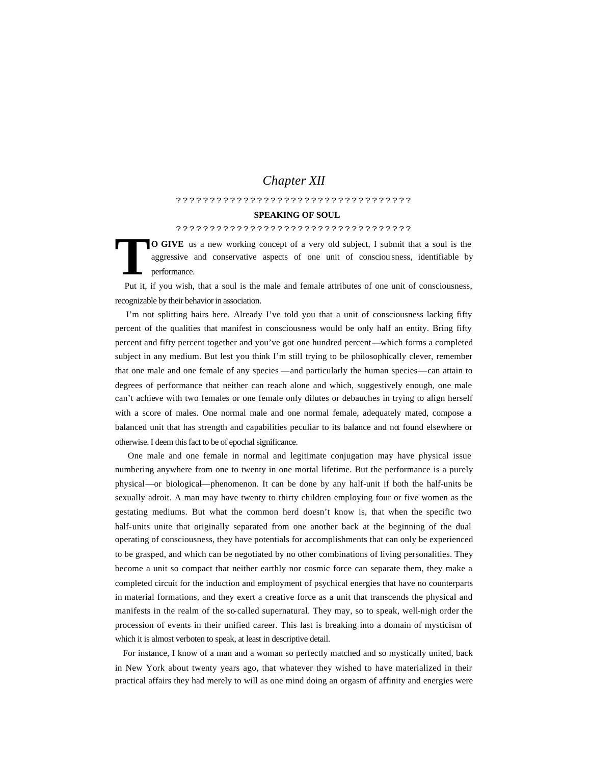# *Chapter XII*

# ???????????????????????????????????

### **SPEAKING OF SOUL**

#### ???????????????????????????????????

**O GIVE** us a new working concept of a very old subject, I submit that a soul is the aggressive and conservative aspects of one unit of consciou sness, identifiable by performance. **T**

 Put it, if you wish, that a soul is the male and female attributes of one unit of consciousness, recognizable by their behavior in association.

 I'm not splitting hairs here. Already I've told you that a unit of consciousness lacking fifty percent of the qualities that manifest in consciousness would be only half an entity. Bring fifty percent and fifty percent together and you've got one hundred percent—which forms a completed subject in any medium. But lest you think I'm still trying to be philosophically clever, remember that one male and one female of any species —and particularly the human species—can attain to degrees of performance that neither can reach alone and which, suggestively enough, one male can't achieve with two females or one female only dilutes or debauches in trying to align herself with a score of males. One normal male and one normal female, adequately mated, compose a balanced unit that has strength and capabilities peculiar to its balance and not found elsewhere or otherwise. I deem this fact to be of epochal significance.

 One male and one female in normal and legitimate conjugation may have physical issue numbering anywhere from one to twenty in one mortal lifetime. But the performance is a purely physical—or biological—phenomenon. It can be done by any half-unit if both the half-units be sexually adroit. A man may have twenty to thirty children employing four or five women as the gestating mediums. But what the common herd doesn't know is, that when the specific two half-units unite that originally separated from one another back at the beginning of the dual operating of consciousness, they have potentials for accomplishments that can only be experienced to be grasped, and which can be negotiated by no other combinations of living personalities. They become a unit so compact that neither earthly nor cosmic force can separate them, they make a completed circuit for the induction and employment of psychical energies that have no counterparts in material formations, and they exert a creative force as a unit that transcends the physical and manifests in the realm of the so-called supernatural. They may, so to speak, well-nigh order the procession of events in their unified career. This last is breaking into a domain of mysticism of which it is almost verboten to speak, at least in descriptive detail.

 For instance, I know of a man and a woman so perfectly matched and so mystically united, back in New York about twenty years ago, that whatever they wished to have materialized in their practical affairs they had merely to will as one mind doing an orgasm of affinity and energies were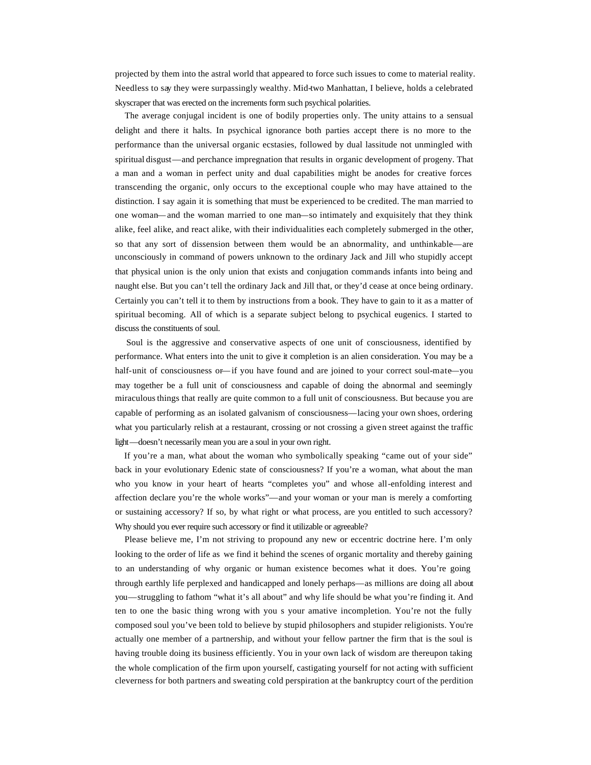projected by them into the astral world that appeared to force such issues to come to material reality. Needless to say they were surpassingly wealthy. Mid-two Manhattan, I believe, holds a celebrated skyscraper that was erected on the increments form such psychical polarities.

 The average conjugal incident is one of bodily properties only. The unity attains to a sensual delight and there it halts. In psychical ignorance both parties accept there is no more to the performance than the universal organic ecstasies, followed by dual lassitude not unmingled with spiritual disgust—and perchance impregnation that results in organic development of progeny. That a man and a woman in perfect unity and dual capabilities might be anodes for creative forces transcending the organic, only occurs to the exceptional couple who may have attained to the distinction. I say again it is something that must be experienced to be credited. The man married to one woman—and the woman married to one man—so intimately and exquisitely that they think alike, feel alike, and react alike, with their individualities each completely submerged in the other, so that any sort of dissension between them would be an abnormality, and unthinkable—are unconsciously in command of powers unknown to the ordinary Jack and Jill who stupidly accept that physical union is the only union that exists and conjugation commands infants into being and naught else. But you can't tell the ordinary Jack and Jill that, or they'd cease at once being ordinary. Certainly you can't tell it to them by instructions from a book. They have to gain to it as a matter of spiritual becoming. All of which is a separate subject belong to psychical eugenics. I started to discuss the constituents of soul.

 Soul is the aggressive and conservative aspects of one unit of consciousness, identified by performance. What enters into the unit to give it completion is an alien consideration. You may be a half-unit of consciousness or—if you have found and are joined to your correct soul-mate—you may together be a full unit of consciousness and capable of doing the abnormal and seemingly miraculous things that really are quite common to a full unit of consciousness. But because you are capable of performing as an isolated galvanism of consciousness—lacing your own shoes, ordering what you particularly relish at a restaurant, crossing or not crossing a given street against the traffic light—doesn't necessarily mean you are a soul in your own right.

 If you're a man, what about the woman who symbolically speaking "came out of your side" back in your evolutionary Edenic state of consciousness? If you're a woman, what about the man who you know in your heart of hearts "completes you" and whose all-enfolding interest and affection declare you're the whole works"—and your woman or your man is merely a comforting or sustaining accessory? If so, by what right or what process, are you entitled to such accessory? Why should you ever require such accessory or find it utilizable or agreeable?

 Please believe me, I'm not striving to propound any new or eccentric doctrine here. I'm only looking to the order of life as we find it behind the scenes of organic mortality and thereby gaining to an understanding of why organic or human existence becomes what it does. You're going through earthly life perplexed and handicapped and lonely perhaps—as millions are doing all about you—struggling to fathom "what it's all about" and why life should be what you're finding it. And ten to one the basic thing wrong with you s your amative incompletion. You're not the fully composed soul you've been told to believe by stupid philosophers and stupider religionists. You're actually one member of a partnership, and without your fellow partner the firm that is the soul is having trouble doing its business efficiently. You in your own lack of wisdom are thereupon taking the whole complication of the firm upon yourself, castigating yourself for not acting with sufficient cleverness for both partners and sweating cold perspiration at the bankruptcy court of the perdition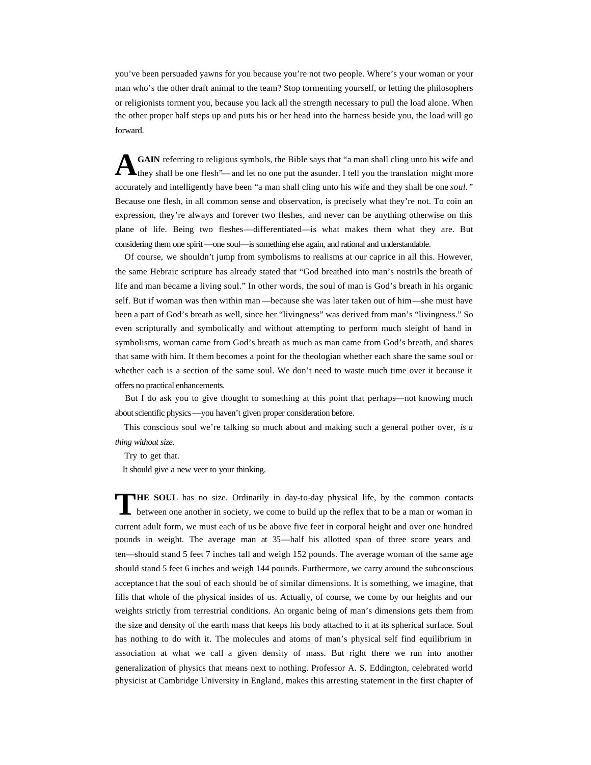you've been persuaded yawns for you because you're not two people. Where's your woman or your man who's the other draft animal to the team? Stop tormenting yourself, or letting the philosophers or religionists torment you, because you lack all the strength necessary to pull the load alone. When the other proper half steps up and puts his or her head into the harness beside you, the load will go forward.

**GAIN** referring to religious symbols, the Bible says that "a man shall cling unto his wife and they shall be one flesh"—and let no one put the asunder. I tell you the translation might more accurately and intelligently have been "a man shall cling unto his wife and they shall be one *soul."* Because one flesh, in all common sense and observation, is precisely what they're not. To coin an expression, they're always and forever two fleshes, and never can be anything otherwise on this plane of life. Being two fleshes—differentiated—is what makes them what they are. But considering them one spirit—one soul—is something else again, and rational and understandable. **A**

 Of course, we shouldn't jump from symbolisms to realisms at our caprice in all this. However, the same Hebraic scripture has already stated that "God breathed into man's nostrils the breath of life and man became a living soul." In other words, the soul of man is God's breath in his organic self. But if woman was then within man —because she was later taken out of him—she must have been a part of God's breath as well, since her "livingness" was derived from man's "livingness." So even scripturally and symbolically and without attempting to perform much sleight of hand in symbolisms, woman came from God's breath as much as man came from God's breath, and shares that same with him. It them becomes a point for the theologian whether each share the same soul or whether each is a section of the same soul. We don't need to waste much time over it because it offers no practical enhancements.

 But I do ask you to give thought to something at this point that perhaps—not knowing much about scientific physics—you haven't given proper consideration before.

 This conscious soul we're talking so much about and making such a general pother over, *is a thing without size.*

Try to get that.

It should give a new veer to your thinking.

**HE SOUL** has no size. Ordinarily in day-to-day physical life, by the common contacts between one another in society, we come to build up the reflex that to be a man or woman in current adult form, we must each of us be above five feet in corporal height and over one hundred pounds in weight. The average man at 35—half his allotted span of three score years and ten—should stand 5 feet 7 inches tall and weigh 152 pounds. The average woman of the same age should stand 5 feet 6 inches and weigh 144 pounds. Furthermore, we carry around the subconscious acceptance t hat the soul of each should be of similar dimensions. It is something, we imagine, that fills that whole of the physical insides of us. Actually, of course, we come by our heights and our weights strictly from terrestrial conditions. An organic being of man's dimensions gets them from the size and density of the earth mass that keeps his body attached to it at its spherical surface. Soul has nothing to do with it. The molecules and atoms of man's physical self find equilibrium in association at what we call a given density of mass. But right there we run into another generalization of physics that means next to nothing. Professor A. S. Eddington, celebrated world physicist at Cambridge University in England, makes this arresting statement in the first chapter of **T**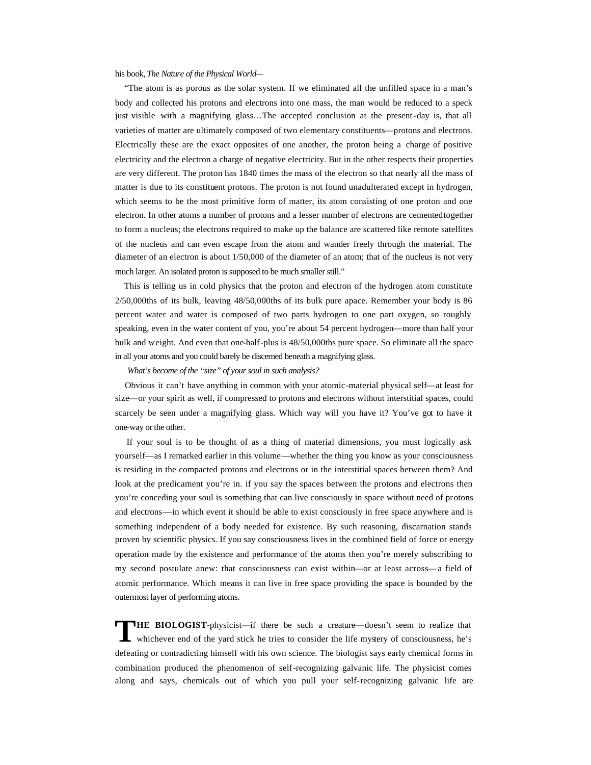his book, *The Nature of the Physical World—*

 "The atom is as porous as the solar system. If we eliminated all the unfilled space in a man's body and collected his protons and electrons into one mass, the man would be reduced to a speck just visible with a magnifying glass…The accepted conclusion at the present-day is, that all varieties of matter are ultimately composed of two elementary constituents—protons and electrons. Electrically these are the exact opposites of one another, the proton being a charge of positive electricity and the electron a charge of negative electricity. But in the other respects their properties are very different. The proton has 1840 times the mass of the electron so that nearly all the mass of matter is due to its constituent protons. The proton is not found unadulterated except in hydrogen, which seems to be the most primitive form of matter, its atom consisting of one proton and one electron. In other atoms a number of protons and a lesser number of electrons are cemented together to form a nucleus; the electrons required to make up the balance are scattered like remote satellites of the nucleus and can even escape from the atom and wander freely through the material. The diameter of an electron is about 1/50,000 of the diameter of an atom; that of the nucleus is not very much larger. An isolated proton is supposed to be much smaller still."

 This is telling us in cold physics that the proton and electron of the hydrogen atom constitute 2/50,000ths of its bulk, leaving 48/50,000ths of its bulk pure apace. Remember your body is 86 percent water and water is composed of two parts hydrogen to one part oxygen, so roughly speaking, even in the water content of you, you're about 54 percent hydrogen—more than half your bulk and weight. And even that one-half-plus is 48/50,000ths pure space. So eliminate all the space in all your atoms and you could barely be discerned beneath a magnifying glass.

*What's become of the "size" of your soul in such analysis?*

 Obvious it can't have anything in common with your atomic-material physical self—at least for size—or your spirit as well, if compressed to protons and electrons without interstitial spaces, could scarcely be seen under a magnifying glass. Which way will you have it? You've got to have it one-way or the other.

 If your soul is to be thought of as a thing of material dimensions, you must logically ask yourself—as I remarked earlier in this volume—whether the thing you know as your consciousness is residing in the compacted protons and electrons or in the interstitial spaces between them? And look at the predicament you're in. if you say the spaces between the protons and electrons then you're conceding your soul is something that can live consciously in space without need of protons and electrons—in which event it should be able to exist consciously in free space anywhere and is something independent of a body needed for existence. By such reasoning, discarnation stands proven by scientific physics. If you say consciousness lives in the combined field of force or energy operation made by the existence and performance of the atoms then you're merely subscribing to my second postulate anew: that consciousness can exist within—or at least across—a field of atomic performance. Which means it can live in free space providing the space is bounded by the outermost layer of performing atoms.

**HE BIOLOGIST**-physicist—if there be such a creature—doesn't seem to realize that whichever end of the yard stick he tries to consider the life mystery of consciousness, he's defeating or contradicting himself with his own science. The biologist says early chemical forms in combination produced the phenomenon of self-recognizing galvanic life. The physicist comes along and says, chemicals out of which you pull your self-recognizing galvanic life are **T**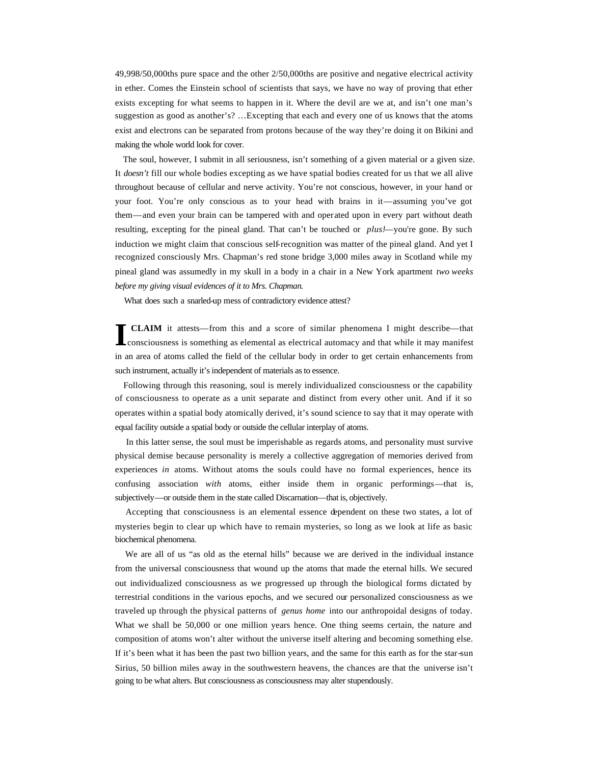49,998/50,000ths pure space and the other 2/50,000ths are positive and negative electrical activity in ether. Comes the Einstein school of scientists that says, we have no way of proving that ether exists excepting for what seems to happen in it. Where the devil are we at, and isn't one man's suggestion as good as another's? …Excepting that each and every one of us knows that the atoms exist and electrons can be separated from protons because of the way they're doing it on Bikini and making the whole world look for cover.

 The soul, however, I submit in all seriousness, isn't something of a given material or a given size. It *doesn't* fill our whole bodies excepting as we have spatial bodies created for us that we all alive throughout because of cellular and nerve activity. You're not conscious, however, in your hand or your foot. You're only conscious as to your head with brains in it—assuming you've got them—and even your brain can be tampered with and operated upon in every part without death resulting, excepting for the pineal gland. That can't be touched or *plus!*—you're gone. By such induction we might claim that conscious self-recognition was matter of the pineal gland. And yet I recognized consciously Mrs. Chapman's red stone bridge 3,000 miles away in Scotland while my pineal gland was assumedly in my skull in a body in a chair in a New York apartment *two weeks before my giving visual evidences of it to Mrs. Chapman.* 

What does such a snarled-up mess of contradictory evidence attest?

 **CLAIM** it attests—from this and a score of similar phenomena I might describe—that **ICLAIM** it attests—from this and a score of similar phenomena I might describe—that consciousness is something as elemental as electrical automacy and that while it may manifest in an area of atoms called the field of the cellular body in order to get certain enhancements from such instrument, actually it's independent of materials as to essence.

 Following through this reasoning, soul is merely individualized consciousness or the capability of consciousness to operate as a unit separate and distinct from every other unit. And if it so operates within a spatial body atomically derived, it's sound science to say that it may operate with equal facility outside a spatial body or outside the cellular interplay of atoms.

 In this latter sense, the soul must be imperishable as regards atoms, and personality must survive physical demise because personality is merely a collective aggregation of memories derived from experiences *in* atoms. Without atoms the souls could have no formal experiences, hence its confusing association *with* atoms, either inside them in organic performings—that is, subjectively—or outside them in the state called Discarnation—that is, objectively.

 Accepting that consciousness is an elemental essence dependent on these two states, a lot of mysteries begin to clear up which have to remain mysteries, so long as we look at life as basic biochemical phenomena.

 We are all of us "as old as the eternal hills" because we are derived in the individual instance from the universal consciousness that wound up the atoms that made the eternal hills. We secured out individualized consciousness as we progressed up through the biological forms dictated by terrestrial conditions in the various epochs, and we secured our personalized consciousness as we traveled up through the physical patterns of *genus home* into our anthropoidal designs of today. What we shall be 50,000 or one million years hence. One thing seems certain, the nature and composition of atoms won't alter without the universe itself altering and becoming something else. If it's been what it has been the past two billion years, and the same for this earth as for the star-sun Sirius, 50 billion miles away in the southwestern heavens, the chances are that the universe isn't going to be what alters. But consciousness as consciousness may alter stupendously.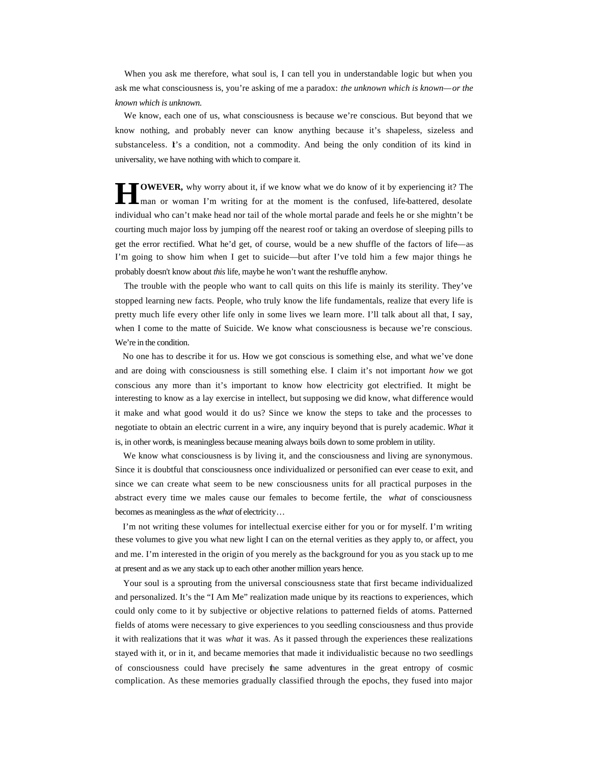When you ask me therefore, what soul is, I can tell you in understandable logic but when you ask me what consciousness is, you're asking of me a paradox: *the unknown which is known—or the known which is unknown.*

 We know, each one of us, what consciousness is because we're conscious. But beyond that we know nothing, and probably never can know anything because it's shapeless, sizeless and substanceless. I's a condition, not a commodity. And being the only condition of its kind in universality, we have nothing with which to compare it.

**OWEVER,** why worry about it, if we know what we do know of it by experiencing it? The man or woman I'm writing for at the moment is the confused, life-battered, desolate individual who can't make head nor tail of the whole mortal parade and feels he or she mightn't be courting much major loss by jumping off the nearest roof or taking an overdose of sleeping pills to get the error rectified. What he'd get, of course, would be a new shuffle of the factors of life—as I'm going to show him when I get to suicide—but after I've told him a few major things he probably doesn't know about *this* life, maybe he won't want the reshuffle anyhow. **H**

 The trouble with the people who want to call quits on this life is mainly its sterility. They've stopped learning new facts. People, who truly know the life fundamentals, realize that every life is pretty much life every other life only in some lives we learn more. I'll talk about all that, I say, when I come to the matte of Suicide. We know what consciousness is because we're conscious. We're in the condition.

 No one has to describe it for us. How we got conscious is something else, and what we've done and are doing with consciousness is still something else. I claim it's not important *how* we got conscious any more than it's important to know how electricity got electrified. It might be interesting to know as a lay exercise in intellect, but supposing we did know, what difference would it make and what good would it do us? Since we know the steps to take and the processes to negotiate to obtain an electric current in a wire, any inquiry beyond that is purely academic. *What* it is, in other words, is meaningless because meaning always boils down to some problem in utility.

We know what consciousness is by living it, and the consciousness and living are synonymous. Since it is doubtful that consciousness once individualized or personified can ever cease to exit, and since we can create what seem to be new consciousness units for all practical purposes in the abstract every time we males cause our females to become fertile, the *what* of consciousness becomes as meaningless as the *what* of electricity…

 I'm not writing these volumes for intellectual exercise either for you or for myself. I'm writing these volumes to give you what new light I can on the eternal verities as they apply to, or affect, you and me. I'm interested in the origin of you merely as the background for you as you stack up to me at present and as we any stack up to each other another million years hence.

 Your soul is a sprouting from the universal consciousness state that first became individualized and personalized. It's the "I Am Me" realization made unique by its reactions to experiences, which could only come to it by subjective or objective relations to patterned fields of atoms. Patterned fields of atoms were necessary to give experiences to you seedling consciousness and thus provide it with realizations that it was *what* it was. As it passed through the experiences these realizations stayed with it, or in it, and became memories that made it individualistic because no two seedlings of consciousness could have precisely the same adventures in the great entropy of cosmic complication. As these memories gradually classified through the epochs, they fused into major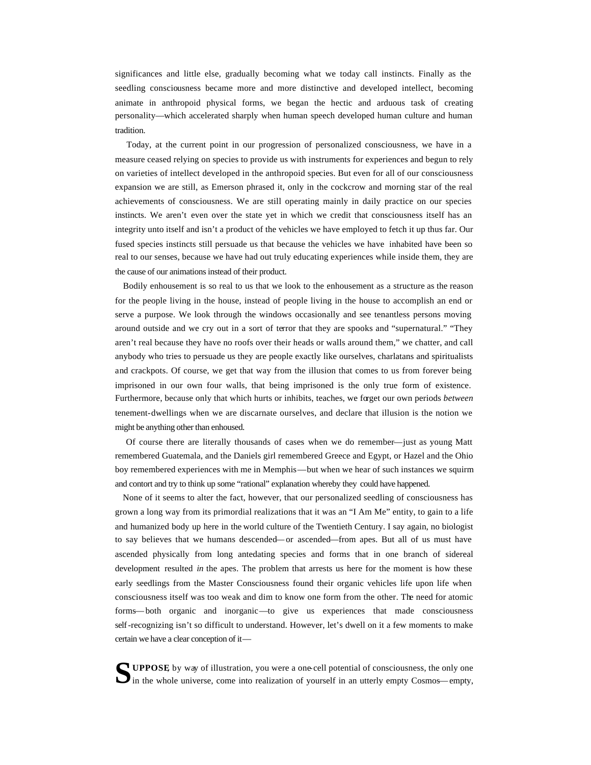significances and little else, gradually becoming what we today call instincts. Finally as the seedling consciousness became more and more distinctive and developed intellect, becoming animate in anthropoid physical forms, we began the hectic and arduous task of creating personality—which accelerated sharply when human speech developed human culture and human tradition.

 Today, at the current point in our progression of personalized consciousness, we have in a measure ceased relying on species to provide us with instruments for experiences and begun to rely on varieties of intellect developed in the anthropoid species. But even for all of our consciousness expansion we are still, as Emerson phrased it, only in the cockcrow and morning star of the real achievements of consciousness. We are still operating mainly in daily practice on our species instincts. We aren't even over the state yet in which we credit that consciousness itself has an integrity unto itself and isn't a product of the vehicles we have employed to fetch it up thus far. Our fused species instincts still persuade us that because the vehicles we have inhabited have been so real to our senses, because we have had out truly educating experiences while inside them, they are the cause of our animations instead of their product.

 Bodily enhousement is so real to us that we look to the enhousement as a structure as the reason for the people living in the house, instead of people living in the house to accomplish an end or serve a purpose. We look through the windows occasionally and see tenantless persons moving around outside and we cry out in a sort of terror that they are spooks and "supernatural." "They aren't real because they have no roofs over their heads or walls around them," we chatter, and call anybody who tries to persuade us they are people exactly like ourselves, charlatans and spiritualists and crackpots. Of course, we get that way from the illusion that comes to us from forever being imprisoned in our own four walls, that being imprisoned is the only true form of existence. Furthermore, because only that which hurts or inhibits, teaches, we forget our own periods *between*  tenement-dwellings when we are discarnate ourselves, and declare that illusion is the notion we might be anything other than enhoused.

 Of course there are literally thousands of cases when we do remember—just as young Matt remembered Guatemala, and the Daniels girl remembered Greece and Egypt, or Hazel and the Ohio boy remembered experiences with me in Memphis—but when we hear of such instances we squirm and contort and try to think up some "rational" explanation whereby they could have happened.

 None of it seems to alter the fact, however, that our personalized seedling of consciousness has grown a long way from its primordial realizations that it was an "I Am Me" entity, to gain to a life and humanized body up here in the world culture of the Twentieth Century. I say again, no biologist to say believes that we humans descended—or ascended—from apes. But all of us must have ascended physically from long antedating species and forms that in one branch of sidereal development resulted *in* the apes. The problem that arrests us here for the moment is how these early seedlings from the Master Consciousness found their organic vehicles life upon life when consciousness itself was too weak and dim to know one form from the other. The need for atomic forms—both organic and inorganic—to give us experiences that made consciousness self-recognizing isn't so difficult to understand. However, let's dwell on it a few moments to make certain we have a clear conception of it—

**UPPOSE**, by way of illustration, you were a one-cell potential of consciousness, the only one **S**in the whole universe, come into realization of yourself in an utterly empty Cosmos—empty,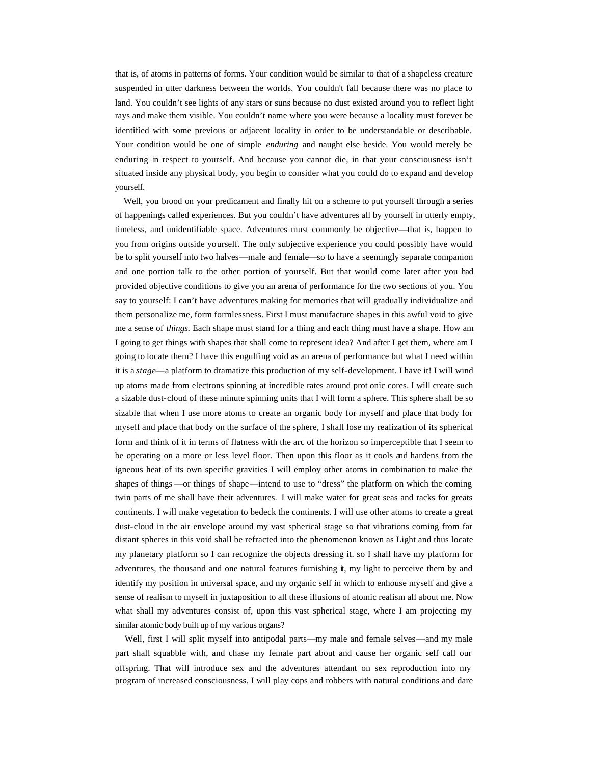that is, of atoms in patterns of forms. Your condition would be similar to that of a shapeless creature suspended in utter darkness between the worlds. You couldn't fall because there was no place to land. You couldn't see lights of any stars or suns because no dust existed around you to reflect light rays and make them visible. You couldn't name where you were because a locality must forever be identified with some previous or adjacent locality in order to be understandable or describable. Your condition would be one of simple *enduring* and naught else beside. You would merely be enduring in respect to yourself. And because you cannot die, in that your consciousness isn't situated inside any physical body, you begin to consider what you could do to expand and develop yourself.

 Well, you brood on your predicament and finally hit on a scheme to put yourself through a series of happenings called experiences. But you couldn't have adventures all by yourself in utterly empty, timeless, and unidentifiable space. Adventures must commonly be objective—that is, happen to you from origins outside yourself. The only subjective experience you could possibly have would be to split yourself into two halves—male and female—so to have a seemingly separate companion and one portion talk to the other portion of yourself. But that would come later after you had provided objective conditions to give you an arena of performance for the two sections of you. You say to yourself: I can't have adventures making for memories that will gradually individualize and them personalize me, form formlessness. First I must manufacture shapes in this awful void to give me a sense of *things.* Each shape must stand for a thing and each thing must have a shape. How am I going to get things with shapes that shall come to represent idea? And after I get them, where am I going to locate them? I have this engulfing void as an arena of performance but what I need within it is a *stage*—a platform to dramatize this production of my self-development. I have it! I will wind up atoms made from electrons spinning at incredible rates around prot onic cores. I will create such a sizable dust-cloud of these minute spinning units that I will form a sphere. This sphere shall be so sizable that when I use more atoms to create an organic body for myself and place that body for myself and place that body on the surface of the sphere, I shall lose my realization of its spherical form and think of it in terms of flatness with the arc of the horizon so imperceptible that I seem to be operating on a more or less level floor. Then upon this floor as it cools and hardens from the igneous heat of its own specific gravities I will employ other atoms in combination to make the shapes of things —or things of shape—intend to use to "dress" the platform on which the coming twin parts of me shall have their adventures. I will make water for great seas and racks for greats continents. I will make vegetation to bedeck the continents. I will use other atoms to create a great dust-cloud in the air envelope around my vast spherical stage so that vibrations coming from far distant spheres in this void shall be refracted into the phenomenon known as Light and thus locate my planetary platform so I can recognize the objects dressing it. so I shall have my platform for adventures, the thousand and one natural features furnishing it, my light to perceive them by and identify my position in universal space, and my organic self in which to enhouse myself and give a sense of realism to myself in juxtaposition to all these illusions of atomic realism all about me. Now what shall my adventures consist of, upon this vast spherical stage, where I am projecting my similar atomic body built up of my various organs?

 Well, first I will split myself into antipodal parts—my male and female selves—and my male part shall squabble with, and chase my female part about and cause her organic self call our offspring. That will introduce sex and the adventures attendant on sex reproduction into my program of increased consciousness. I will play cops and robbers with natural conditions and dare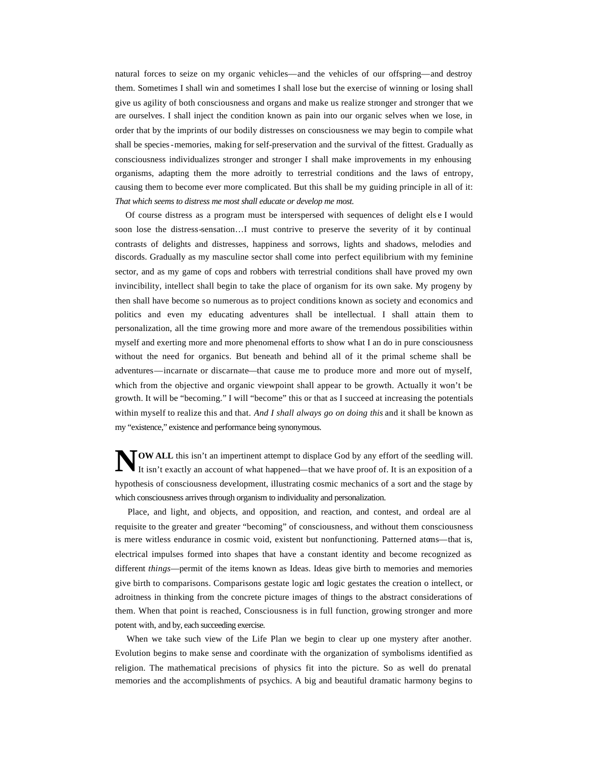natural forces to seize on my organic vehicles—and the vehicles of our offspring—and destroy them. Sometimes I shall win and sometimes I shall lose but the exercise of winning or losing shall give us agility of both consciousness and organs and make us realize stronger and stronger that we are ourselves. I shall inject the condition known as pain into our organic selves when we lose, in order that by the imprints of our bodily distresses on consciousness we may begin to compile what shall be species-memories, making for self-preservation and the survival of the fittest. Gradually as consciousness individualizes stronger and stronger I shall make improvements in my enhousing organisms, adapting them the more adroitly to terrestrial conditions and the laws of entropy, causing them to become ever more complicated. But this shall be my guiding principle in all of it: *That which seems to distress me most shall educate or develop me most.*

 Of course distress as a program must be interspersed with sequences of delight els e I would soon lose the distress-sensation…I must contrive to preserve the severity of it by continual contrasts of delights and distresses, happiness and sorrows, lights and shadows, melodies and discords. Gradually as my masculine sector shall come into perfect equilibrium with my feminine sector, and as my game of cops and robbers with terrestrial conditions shall have proved my own invincibility, intellect shall begin to take the place of organism for its own sake. My progeny by then shall have become so numerous as to project conditions known as society and economics and politics and even my educating adventures shall be intellectual. I shall attain them to personalization, all the time growing more and more aware of the tremendous possibilities within myself and exerting more and more phenomenal efforts to show what I an do in pure consciousness without the need for organics. But beneath and behind all of it the primal scheme shall be adventures—incarnate or discarnate—that cause me to produce more and more out of myself, which from the objective and organic viewpoint shall appear to be growth. Actually it won't be growth. It will be "becoming." I will "become" this or that as I succeed at increasing the potentials within myself to realize this and that. *And I shall always go on doing this* and it shall be known as my "existence," existence and performance being synonymous.

**OW ALL** this isn't an impertinent attempt to displace God by any effort of the seedling will.<br>It isn't exactly an account of what happened—that we have proof of. It is an exposition of a It isn't exactly an account of what happened—that we have proof of. It is an exposition of a hypothesis of consciousness development, illustrating cosmic mechanics of a sort and the stage by which consciousness arrives through organism to individuality and personalization.

 Place, and light, and objects, and opposition, and reaction, and contest, and ordeal are al requisite to the greater and greater "becoming" of consciousness, and without them consciousness is mere witless endurance in cosmic void, existent but nonfunctioning. Patterned atoms—that is, electrical impulses formed into shapes that have a constant identity and become recognized as different *things*—permit of the items known as Ideas. Ideas give birth to memories and memories give birth to comparisons. Comparisons gestate logic and logic gestates the creation o intellect, or adroitness in thinking from the concrete picture images of things to the abstract considerations of them. When that point is reached, Consciousness is in full function, growing stronger and more potent with, and by, each succeeding exercise.

 When we take such view of the Life Plan we begin to clear up one mystery after another. Evolution begins to make sense and coordinate with the organization of symbolisms identified as religion. The mathematical precisions of physics fit into the picture. So as well do prenatal memories and the accomplishments of psychics. A big and beautiful dramatic harmony begins to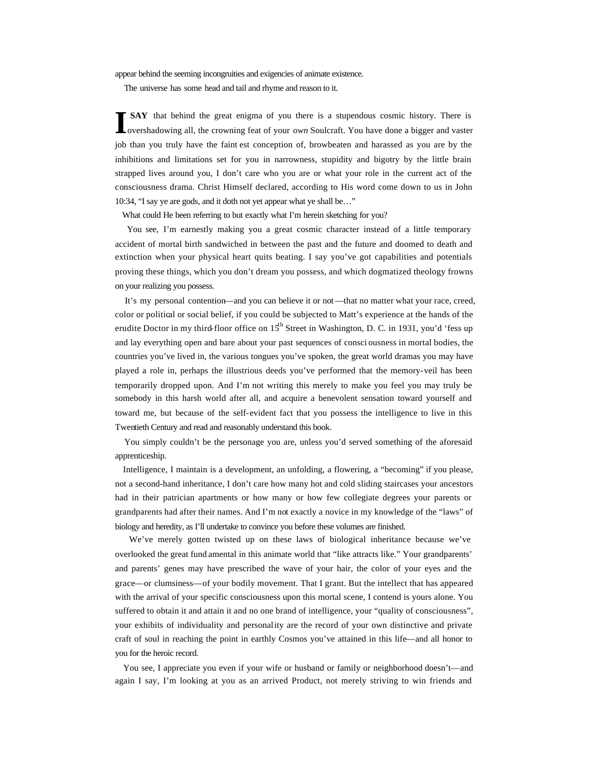appear behind the seeming incongruities and exigencies of animate existence.

The universe has some head and tail and rhyme and reason to it.

 **SAY** that behind the great enigma of you there is a stupendous cosmic history. There is overshadowing all, the crowning feat of your *own* Soulcraft. You have done a bigger and vaster job than you truly have the faint est conception of, browbeaten and harassed as you are by the inhibitions and limitations set for you in narrowness, stupidity and bigotry by the little brain strapped lives around you, I don't care who you are or what your role in the current act of the consciousness drama. Christ Himself declared, according to His word come down to us in John 10:34, "I say ye are gods, and it doth not yet appear what ye shall be…" **I**

What could He been referring to but exactly what I'm herein sketching for you?

 You see, I'm earnestly making you a great cosmic character instead of a little temporary accident of mortal birth sandwiched in between the past and the future and doomed to death and extinction when your physical heart quits beating. I say you've got capabilities and potentials proving these things, which you don't dream you possess, and which dogmatized theology frowns on your realizing you possess.

 It's my personal contention—and you can believe it or not—that no matter what your race, creed, color or political or social belief, if you could be subjected to Matt's experience at the hands of the erudite Doctor in my third-floor office on  $15<sup>th</sup>$  Street in Washington, D. C. in 1931, you'd 'fess up and lay everything open and bare about your past sequences of consci ousness in mortal bodies, the countries you've lived in, the various tongues you've spoken, the great world dramas you may have played a role in, perhaps the illustrious deeds you've performed that the memory-veil has been temporarily dropped upon. And I'm not writing this merely to make you feel you may truly be somebody in this harsh world after all, and acquire a benevolent sensation toward yourself and toward me, but because of the self-evident fact that you possess the intelligence to live in this Twentieth Century and read and reasonably understand this book.

 You simply couldn't be the personage you are, unless you'd served something of the aforesaid apprenticeship.

 Intelligence, I maintain is a development, an unfolding, a flowering, a "becoming" if you please, not a second-hand inheritance, I don't care how many hot and cold sliding staircases your ancestors had in their patrician apartments or how many or how few collegiate degrees your parents or grandparents had after their names. And I'm not exactly a novice in my knowledge of the "laws" of biology and heredity, as I'll undertake to convince you before these volumes are finished.

 We've merely gotten twisted up on these laws of biological inheritance because we've overlooked the great fund amental in this animate world that "like attracts like." Your grandparents' and parents' genes may have prescribed the wave of your hair, the color of your eyes and the grace—or clumsiness—of your bodily movement. That I grant. But the intellect that has appeared with the arrival of your specific consciousness upon this mortal scene, I contend is yours alone. You suffered to obtain it and attain it and no one brand of intelligence, your "quality of consciousness", your exhibits of individuality and personality are the record of your own distinctive and private craft of soul in reaching the point in earthly Cosmos you've attained in this life—and all honor to you for the heroic record.

 You see, I appreciate you even if your wife or husband or family or neighborhood doesn't—and again I say, I'm looking at you as an arrived Product, not merely striving to win friends and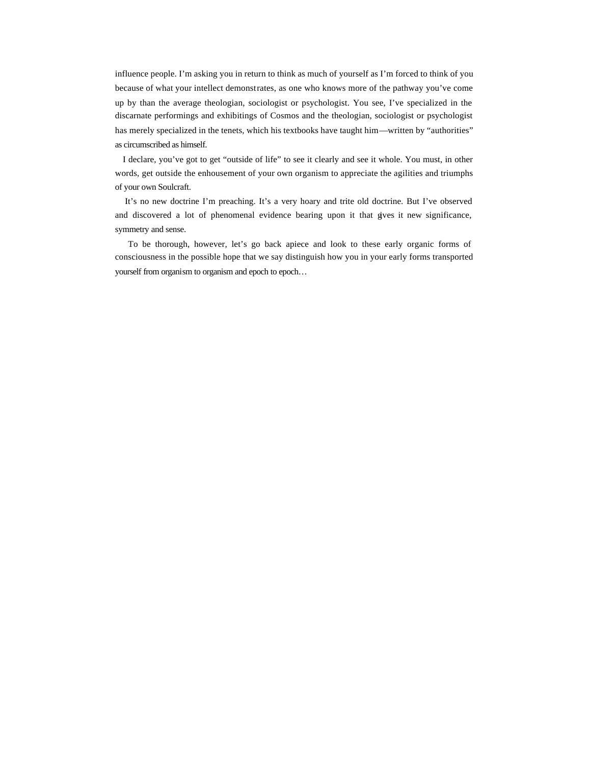influence people. I'm asking you in return to think as much of yourself as I'm forced to think of you because of what your intellect demonstrates, as one who knows more of the pathway you've come up by than the average theologian, sociologist or psychologist. You see, I've specialized in the discarnate performings and exhibitings of Cosmos and the theologian, sociologist or psychologist has merely specialized in the tenets, which his textbooks have taught him—written by "authorities" as circumscribed as himself.

 I declare, you've got to get "outside of life" to see it clearly and see it whole. You must, in other words, get outside the enhousement of your own organism to appreciate the agilities and triumphs of your own Soulcraft.

 It's no new doctrine I'm preaching. It's a very hoary and trite old doctrine. But I've observed and discovered a lot of phenomenal evidence bearing upon it that gives it new significance, symmetry and sense.

 To be thorough, however, let's go back apiece and look to these early organic forms of consciousness in the possible hope that we say distinguish how you in your early forms transported yourself from organism to organism and epoch to epoch…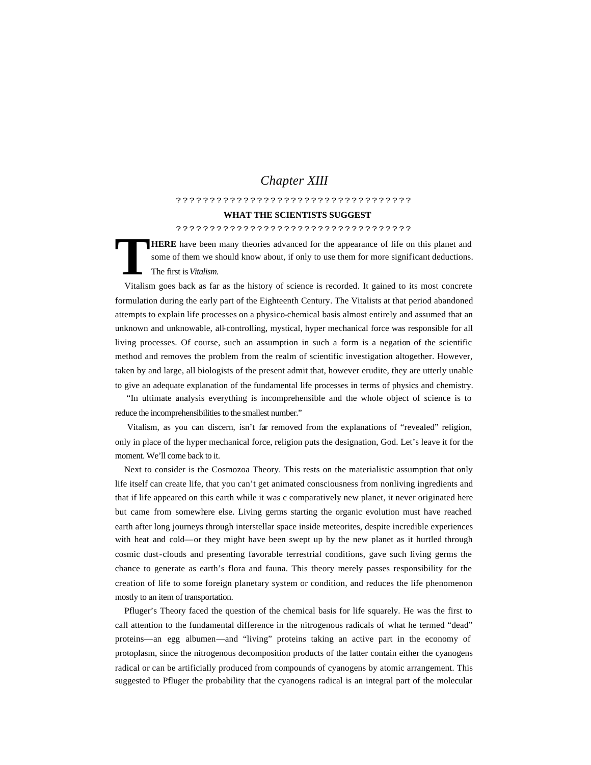# *Chapter XIII*

# ???????????????????????????????????

## **WHAT THE SCIENTISTS SUGGEST**

### ???????????????????????????????????

**HERE** have been many theories advanced for the appearance of life on this planet and some of them we should know about, if only to use them for more significant deductions. The first is *Vitalism.* **T**

 Vitalism goes back as far as the history of science is recorded. It gained to its most concrete formulation during the early part of the Eighteenth Century. The Vitalists at that period abandoned attempts to explain life processes on a physico-chemical basis almost entirely and assumed that an unknown and unknowable, all-controlling, mystical, hyper mechanical force was responsible for all living processes. Of course, such an assumption in such a form is a negation of the scientific method and removes the problem from the realm of scientific investigation altogether. However, taken by and large, all biologists of the present admit that, however erudite, they are utterly unable to give an adequate explanation of the fundamental life processes in terms of physics and chemistry.

 "In ultimate analysis everything is incomprehensible and the whole object of science is to reduce the incomprehensibilities to the smallest number."

 Vitalism, as you can discern, isn't far removed from the explanations of "revealed" religion, only in place of the hyper mechanical force, religion puts the designation, God. Let's leave it for the moment. We'll come back to it.

 Next to consider is the Cosmozoa Theory. This rests on the materialistic assumption that only life itself can create life, that you can't get animated consciousness from nonliving ingredients and that if life appeared on this earth while it was c comparatively new planet, it never originated here but came from somewhere else. Living germs starting the organic evolution must have reached earth after long journeys through interstellar space inside meteorites, despite incredible experiences with heat and cold—or they might have been swept up by the new planet as it hurtled through cosmic dust-clouds and presenting favorable terrestrial conditions, gave such living germs the chance to generate as earth's flora and fauna. This theory merely passes responsibility for the creation of life to some foreign planetary system or condition, and reduces the life phenomenon mostly to an item of transportation.

 Pfluger's Theory faced the question of the chemical basis for life squarely. He was the first to call attention to the fundamental difference in the nitrogenous radicals of what he termed "dead" proteins—an egg albumen—and "living" proteins taking an active part in the economy of protoplasm, since the nitrogenous decomposition products of the latter contain either the cyanogens radical or can be artificially produced from compounds of cyanogens by atomic arrangement. This suggested to Pfluger the probability that the cyanogens radical is an integral part of the molecular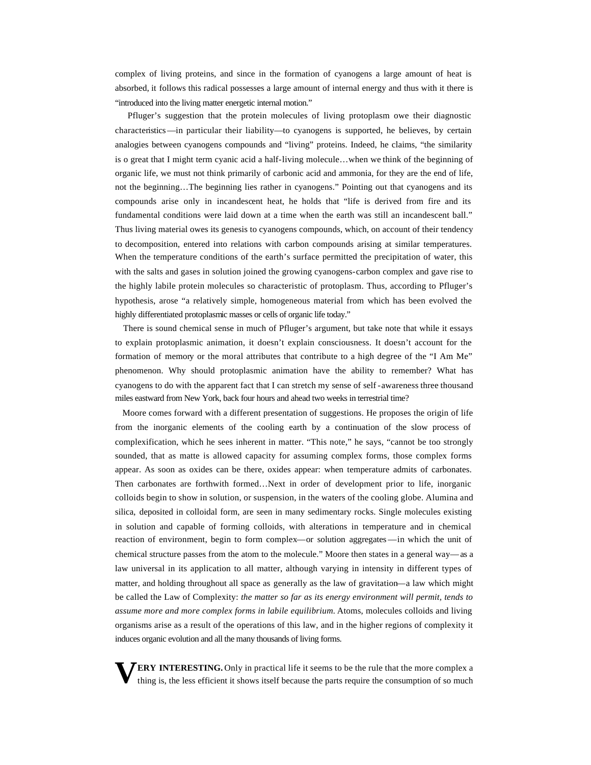complex of living proteins, and since in the formation of cyanogens a large amount of heat is absorbed, it follows this radical possesses a large amount of internal energy and thus with it there is "introduced into the living matter energetic internal motion."

 Pfluger's suggestion that the protein molecules of living protoplasm owe their diagnostic characteristics—in particular their liability—to cyanogens is supported, he believes, by certain analogies between cyanogens compounds and "living" proteins. Indeed, he claims, "the similarity is o great that I might term cyanic acid a half-living molecule…when we think of the beginning of organic life, we must not think primarily of carbonic acid and ammonia, for they are the end of life, not the beginning…The beginning lies rather in cyanogens." Pointing out that cyanogens and its compounds arise only in incandescent heat, he holds that "life is derived from fire and its fundamental conditions were laid down at a time when the earth was still an incandescent ball." Thus living material owes its genesis to cyanogens compounds, which, on account of their tendency to decomposition, entered into relations with carbon compounds arising at similar temperatures. When the temperature conditions of the earth's surface permitted the precipitation of water, this with the salts and gases in solution joined the growing cyanogens-carbon complex and gave rise to the highly labile protein molecules so characteristic of protoplasm. Thus, according to Pfluger's hypothesis, arose "a relatively simple, homogeneous material from which has been evolved the highly differentiated protoplasmic masses or cells of organic life today."

 There is sound chemical sense in much of Pfluger's argument, but take note that while it essays to explain protoplasmic animation, it doesn't explain consciousness. It doesn't account for the formation of memory or the moral attributes that contribute to a high degree of the "I Am Me" phenomenon. Why should protoplasmic animation have the ability to remember? What has cyanogens to do with the apparent fact that I can stretch my sense of self -awareness three thousand miles eastward from New York, back four hours and ahead two weeks in terrestrial time?

 Moore comes forward with a different presentation of suggestions. He proposes the origin of life from the inorganic elements of the cooling earth by a continuation of the slow process of complexification, which he sees inherent in matter. "This note," he says, "cannot be too strongly sounded, that as matte is allowed capacity for assuming complex forms, those complex forms appear. As soon as oxides can be there, oxides appear: when temperature admits of carbonates. Then carbonates are forthwith formed…Next in order of development prior to life, inorganic colloids begin to show in solution, or suspension, in the waters of the cooling globe. Alumina and silica, deposited in colloidal form, are seen in many sedimentary rocks. Single molecules existing in solution and capable of forming colloids, with alterations in temperature and in chemical reaction of environment, begin to form complex—or solution aggregates—in which the unit of chemical structure passes from the atom to the molecule." Moore then states in a general way—as a law universal in its application to all matter, although varying in intensity in different types of matter, and holding throughout all space as generally as the law of gravitation—a law which might be called the Law of Complexity: *the matter so far as its energy environment will permit, tends to assume more and more complex forms in labile equilibrium.* Atoms, molecules colloids and living organisms arise as a result of the operations of this law, and in the higher regions of complexity it induces organic evolution and all the many thousands of living forms.

**ERY INTERESTING.** Only in practical life it seems to be the rule that the more complex a thing is, the less efficient it shows itself because the parts require the consumption of so much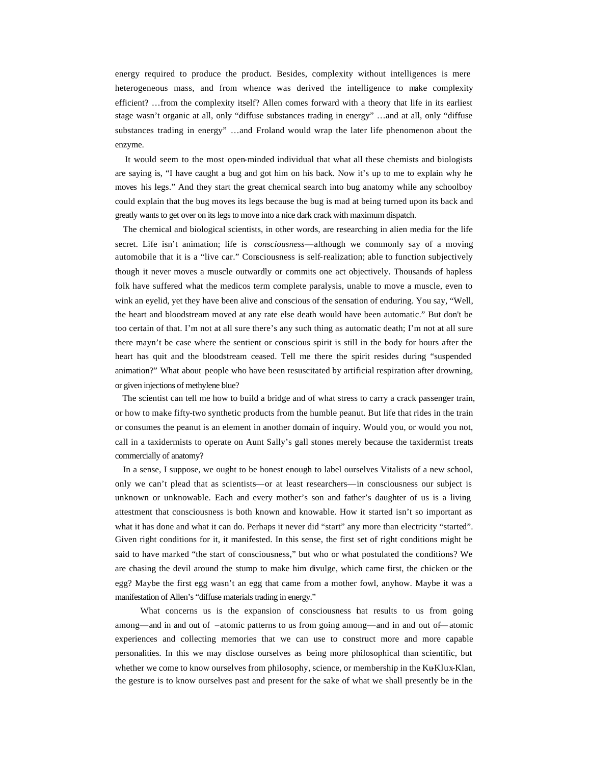energy required to produce the product. Besides, complexity without intelligences is mere heterogeneous mass, and from whence was derived the intelligence to make complexity efficient? …from the complexity itself? Allen comes forward with a theory that life in its earliest stage wasn't organic at all, only "diffuse substances trading in energy" …and at all, only "diffuse substances trading in energy" …and Froland would wrap the later life phenomenon about the enzyme.

 It would seem to the most open-minded individual that what all these chemists and biologists are saying is, "I have caught a bug and got him on his back. Now it's up to me to explain why he moves his legs." And they start the great chemical search into bug anatomy while any schoolboy could explain that the bug moves its legs because the bug is mad at being turned upon its back and greatly wants to get over on its legs to move into a nice dark crack with maximum dispatch.

 The chemical and biological scientists, in other words, are researching in alien media for the life secret. Life isn't animation; life is *consciousness*—although we commonly say of a moving automobile that it is a "live car." Consciousness is self-realization; able to function subjectively though it never moves a muscle outwardly or commits one act objectively. Thousands of hapless folk have suffered what the medicos term complete paralysis, unable to move a muscle, even to wink an eyelid, yet they have been alive and conscious of the sensation of enduring. You say, "Well, the heart and bloodstream moved at any rate else death would have been automatic." But don't be too certain of that. I'm not at all sure there's any such thing as automatic death; I'm not at all sure there mayn't be case where the sentient or conscious spirit is still in the body for hours after the heart has quit and the bloodstream ceased. Tell me there the spirit resides during "suspended animation?" What about people who have been resuscitated by artificial respiration after drowning, or given injections of methylene blue?

 The scientist can tell me how to build a bridge and of what stress to carry a crack passenger train, or how to make fifty-two synthetic products from the humble peanut. But life that rides in the train or consumes the peanut is an element in another domain of inquiry. Would you, or would you not, call in a taxidermists to operate on Aunt Sally's gall stones merely because the taxidermist treats commercially of anatomy?

 In a sense, I suppose, we ought to be honest enough to label ourselves Vitalists of a new school, only we can't plead that as scientists—or at least researchers—in consciousness our subject is unknown or unknowable. Each and every mother's son and father's daughter of us is a living attestment that consciousness is both known and knowable. How it started isn't so important as what it has done and what it can do. Perhaps it never did "start" any more than electricity "started". Given right conditions for it, it manifested. In this sense, the first set of right conditions might be said to have marked "the start of consciousness," but who or what postulated the conditions? We are chasing the devil around the stump to make him divulge, which came first, the chicken or the egg? Maybe the first egg wasn't an egg that came from a mother fowl, anyhow. Maybe it was a manifestation of Allen's "diffuse materials trading in energy."

 What concerns us is the expansion of consciousness that results to us from going among—and in and out of –atomic patterns to us from going among—and in and out of—atomic experiences and collecting memories that we can use to construct more and more capable personalities. In this we may disclose ourselves as being more philosophical than scientific, but whether we come to know ourselves from philosophy, science, or membership in the Ku-Klux-Klan, the gesture is to know ourselves past and present for the sake of what we shall presently be in the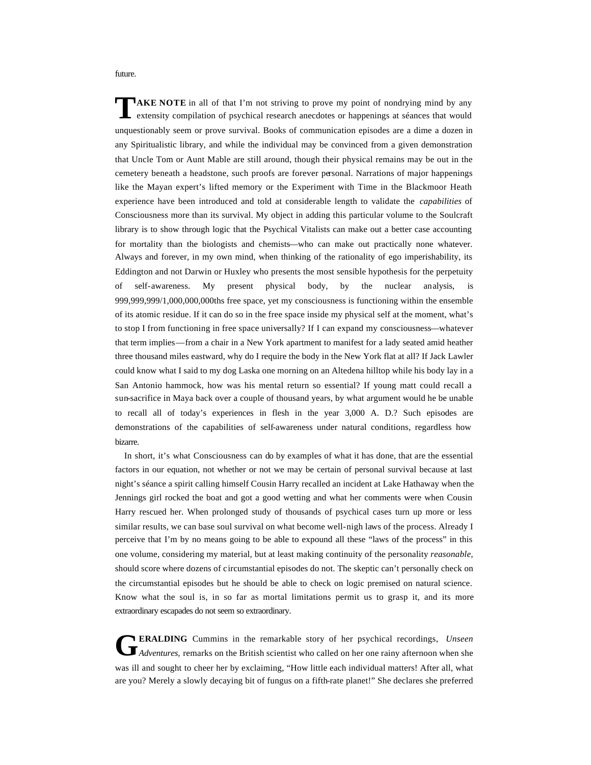future.

**AKE NOTE** in all of that I'm not striving to prove my point of nondrying mind by any **TAKE NOTE** in all of that I'm not striving to prove my point of nondrying mind by any extensity compilation of psychical research anecdotes or happenings at séances that would unquestionably seem or prove survival. Books of communication episodes are a dime a dozen in any Spiritualistic library, and while the individual may be convinced from a given demonstration that Uncle Tom or Aunt Mable are still around, though their physical remains may be out in the cemetery beneath a headstone, such proofs are forever personal. Narrations of major happenings like the Mayan expert's lifted memory or the Experiment with Time in the Blackmoor Heath experience have been introduced and told at considerable length to validate the *capabilities* of Consciousness more than its survival. My object in adding this particular volume to the Soulcraft library is to show through logic that the Psychical Vitalists can make out a better case accounting for mortality than the biologists and chemists—who can make out practically none whatever. Always and forever, in my own mind, when thinking of the rationality of ego imperishability, its Eddington and not Darwin or Huxley who presents the most sensible hypothesis for the perpetuity of self-awareness. My present physical body, by the nuclear analysis, is 999,999,999/1,000,000,000ths free space, yet my consciousness is functioning within the ensemble of its atomic residue. If it can do so in the free space inside my physical self at the moment, what's to stop I from functioning in free space universally? If I can expand my consciousness—whatever that term implies—from a chair in a New York apartment to manifest for a lady seated amid heather three thousand miles eastward, why do I require the body in the New York flat at all? If Jack Lawler could know what I said to my dog Laska one morning on an Altedena hilltop while his body lay in a San Antonio hammock, how was his mental return so essential? If young matt could recall a sun-sacrifice in Maya back over a couple of thousand years, by what argument would he be unable to recall all of today's experiences in flesh in the year 3,000 A. D.? Such episodes are demonstrations of the capabilities of self-awareness under natural conditions, regardless how bizarre.

 In short, it's what Consciousness can do by examples of what it has done, that are the essential factors in our equation, not whether or not we may be certain of personal survival because at last night's séance a spirit calling himself Cousin Harry recalled an incident at Lake Hathaway when the Jennings girl rocked the boat and got a good wetting and what her comments were when Cousin Harry rescued her. When prolonged study of thousands of psychical cases turn up more or less similar results, we can base soul survival on what become well-nigh laws of the process. Already I perceive that I'm by no means going to be able to expound all these "laws of the process" in this one volume, considering my material, but at least making continuity of the personality *reasonable,* should score where dozens of circumstantial episodes do not. The skeptic can't personally check on the circumstantial episodes but he should be able to check on logic premised on natural science. Know what the soul is, in so far as mortal limitations permit us to grasp it, and its more extraordinary escapades do not seem so extraordinary.

**ERALDING** Cummins in the remarkable story of her psychical recordings, *Unseen*  **Adventures, remarks on the British scientist who called on her one rainy afternoon when she she when the British scientist who called on her one rainy afternoon when she** was ill and sought to cheer her by exclaiming, "How little each individual matters! After all, what are you? Merely a slowly decaying bit of fungus on a fifth-rate planet!" She declares she preferred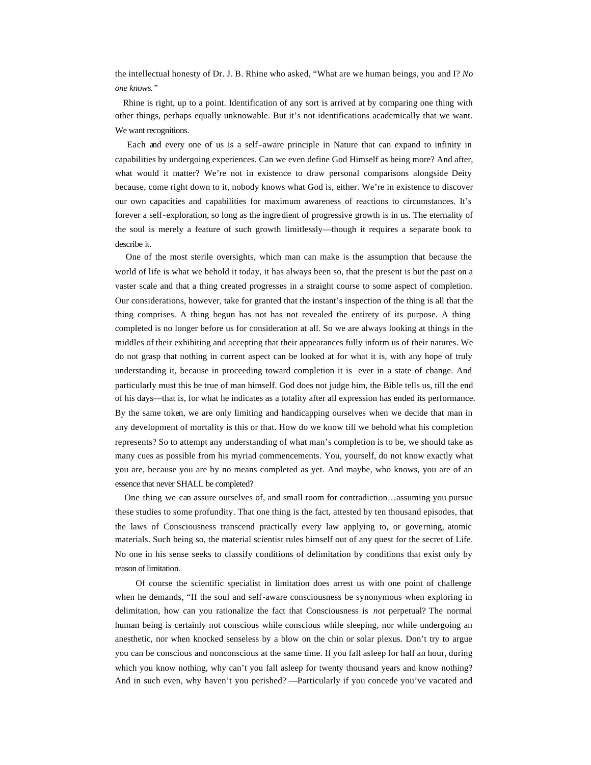the intellectual honesty of Dr. J. B. Rhine who asked, "What are we human beings, you and I? *No one knows."*

 Rhine is right, up to a point. Identification of any sort is arrived at by comparing one thing with other things, perhaps equally unknowable. But it's not identifications academically that we want. We want recognitions.

 Each and every one of us is a self-aware principle in Nature that can expand to infinity in capabilities by undergoing experiences. Can we even define God Himself as being more? And after, what would it matter? We're not in existence to draw personal comparisons alongside Deity because, come right down to it, nobody knows what God is, either. We're in existence to discover our own capacities and capabilities for maximum awareness of reactions to circumstances. It's forever a self-exploration, so long as the ingredient of progressive growth is in us. The eternality of the soul is merely a feature of such growth limitlessly—though it requires a separate book to describe it.

 One of the most sterile oversights, which man can make is the assumption that because the world of life is what we behold it today, it has always been so, that the present is but the past on a vaster scale and that a thing created progresses in a straight course to some aspect of completion. Our considerations, however, take for granted that the instant's inspection of the thing is all that the thing comprises. A thing begun has not has not revealed the entirety of its purpose. A thing completed is no longer before us for consideration at all. So we are always looking at things in the middles of their exhibiting and accepting that their appearances fully inform us of their natures. We do not grasp that nothing in current aspect can be looked at for what it is, with any hope of truly understanding it, because in proceeding toward completion it is ever in a state of change. And particularly must this be true of man himself. God does not judge him, the Bible tells us, till the end of his days—that is, for what he indicates as a totality after all expression has ended its performance. By the same token, we are only limiting and handicapping ourselves when we decide that man in any development of mortality is this or that. How do we know till we behold what his completion represents? So to attempt any understanding of what man's completion is to be, we should take as many cues as possible from his myriad commencements. You, yourself, do not know exactly what you are, because you are by no means completed as yet. And maybe, who knows, you are of an essence that never SHALL be completed?

 One thing we can assure ourselves of, and small room for contradiction…assuming you pursue these studies to some profundity. That one thing is the fact, attested by ten thousand episodes, that the laws of Consciousness transcend practically every law applying to, or governing, atomic materials. Such being so, the material scientist rules himself out of any quest for the secret of Life. No one in his sense seeks to classify conditions of delimitation by conditions that exist only by reason of limitation.

 Of course the scientific specialist in limitation does arrest us with one point of challenge when he demands, "If the soul and self-aware consciousness be synonymous when exploring in delimitation, how can you rationalize the fact that Consciousness is *not* perpetual? The normal human being is certainly not conscious while conscious while sleeping, nor while undergoing an anesthetic, nor when knocked senseless by a blow on the chin or solar plexus. Don't try to argue you can be conscious and nonconscious at the same time. If you fall asleep for half an hour, during which you know nothing, why can't you fall asleep for twenty thousand years and know nothing? And in such even, why haven't you perished? —Particularly if you concede you've vacated and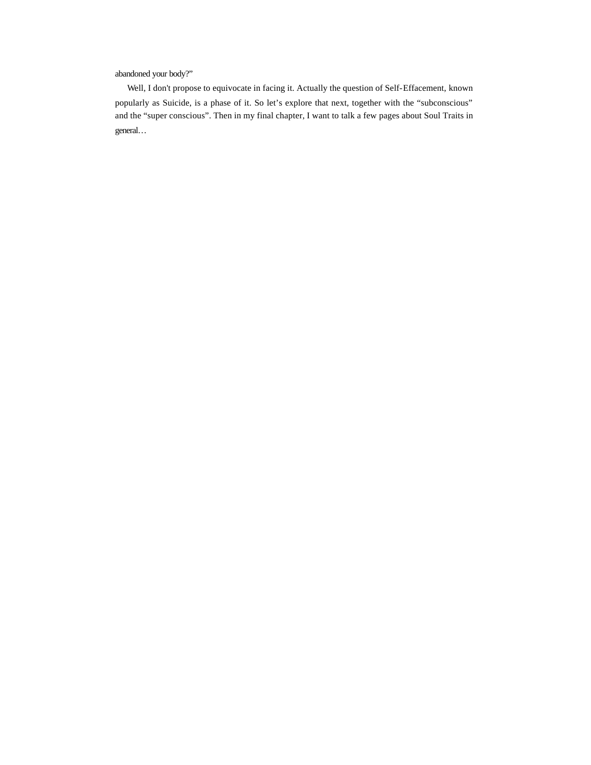abandoned your body?"

 Well, I don't propose to equivocate in facing it. Actually the question of Self-Effacement, known popularly as Suicide, is a phase of it. So let's explore that next, together with the "subconscious" and the "super conscious". Then in my final chapter, I want to talk a few pages about Soul Traits in general…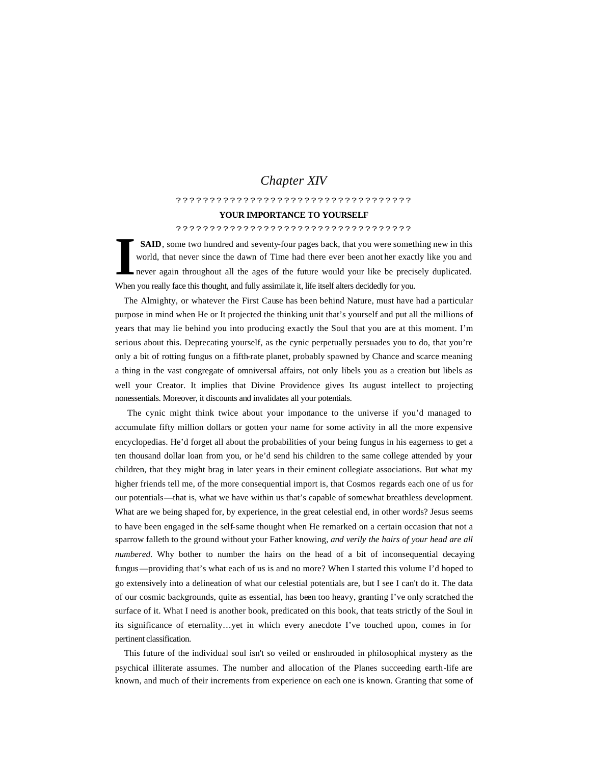# *Chapter XIV*

# ???????????????????????????????????

### **YOUR IMPORTANCE TO YOURSELF**

# ???????????????????????????????????

 **SAID**, some two hundred and seventy-four pages back, that you were something new in this world, that never since the dawn of Time had there ever been anot her exactly like you and never again throughout all the ages of the future would your like be precisely duplicated. When you really face this thought, and fully assimilate it, life itself alters decidedly for you. **I**

 The Almighty, or whatever the First Cause has been behind Nature, must have had a particular purpose in mind when He or It projected the thinking unit that's yourself and put all the millions of years that may lie behind you into producing exactly the Soul that you are at this moment. I'm serious about this. Deprecating yourself, as the cynic perpetually persuades you to do, that you're only a bit of rotting fungus on a fifth-rate planet, probably spawned by Chance and scarce meaning a thing in the vast congregate of omniversal affairs, not only libels you as a creation but libels as well your Creator. It implies that Divine Providence gives Its august intellect to projecting nonessentials. Moreover, it discounts and invalidates all your potentials.

 The cynic might think twice about your importance to the universe if you'd managed to accumulate fifty million dollars or gotten your name for some activity in all the more expensive encyclopedias. He'd forget all about the probabilities of your being fungus in his eagerness to get a ten thousand dollar loan from you, or he'd send his children to the same college attended by your children, that they might brag in later years in their eminent collegiate associations. But what my higher friends tell me, of the more consequential import is, that Cosmos regards each one of us for our potentials—that is, what we have within us that's capable of somewhat breathless development. What are we being shaped for, by experience, in the great celestial end, in other words? Jesus seems to have been engaged in the self-same thought when He remarked on a certain occasion that not a sparrow falleth to the ground without your Father knowing, *and verily the hairs of your head are all numbered.* Why bother to number the hairs on the head of a bit of inconsequential decaying fungus—providing that's what each of us is and no more? When I started this volume I'd hoped to go extensively into a delineation of what our celestial potentials are, but I see I can't do it. The data of our cosmic backgrounds, quite as essential, has been too heavy, granting I've only scratched the surface of it. What I need is another book, predicated on this book, that teats strictly of the Soul in its significance of eternality…yet in which every anecdote I've touched upon, comes in for pertinent classification.

 This future of the individual soul isn't so veiled or enshrouded in philosophical mystery as the psychical illiterate assumes. The number and allocation of the Planes succeeding earth-life are known, and much of their increments from experience on each one is known. Granting that some of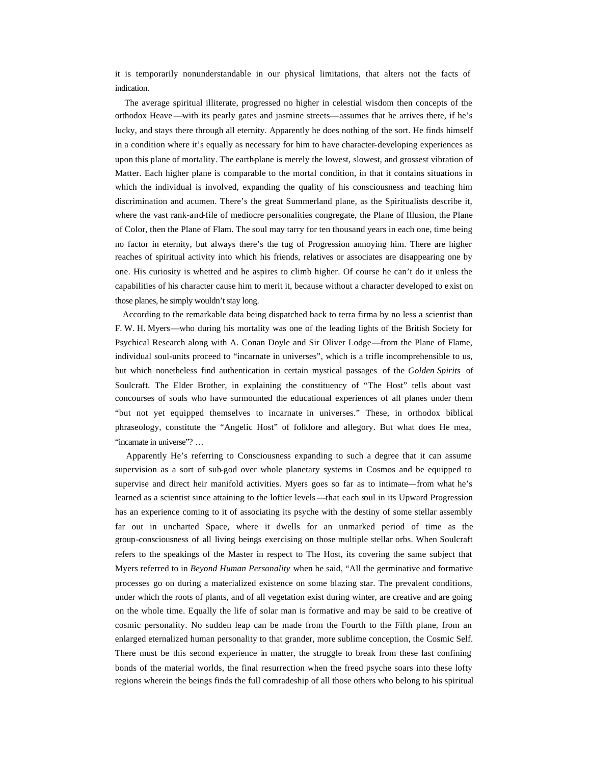it is temporarily nonunderstandable in our physical limitations, that alters not the facts of indication.

 The average spiritual illiterate, progressed no higher in celestial wisdom then concepts of the orthodox Heave—with its pearly gates and jasmine streets—assumes that he arrives there, if he's lucky, and stays there through all eternity. Apparently he does nothing of the sort. He finds himself in a condition where it's equally as necessary for him to have character-developing experiences as upon this plane of mortality. The earth-plane is merely the lowest, slowest, and grossest vibration of Matter. Each higher plane is comparable to the mortal condition, in that it contains situations in which the individual is involved, expanding the quality of his consciousness and teaching him discrimination and acumen. There's the great Summerland plane, as the Spiritualists describe it, where the vast rank-and-file of mediocre personalities congregate, the Plane of Illusion, the Plane of Color, then the Plane of Flam. The soul may tarry for ten thousand years in each one, time being no factor in eternity, but always there's the tug of Progression annoying him. There are higher reaches of spiritual activity into which his friends, relatives or associates are disappearing one by one. His curiosity is whetted and he aspires to climb higher. Of course he can't do it unless the capabilities of his character cause him to merit it, because without a character developed to exist on those planes, he simply wouldn't stay long.

 According to the remarkable data being dispatched back to terra firma by no less a scientist than F. W. H. Myers—who during his mortality was one of the leading lights of the British Society for Psychical Research along with A. Conan Doyle and Sir Oliver Lodge—from the Plane of Flame, individual soul-units proceed to "incarnate in universes", which is a trifle incomprehensible to us, but which nonetheless find authentication in certain mystical passages of the *Golden Spirits* of Soulcraft. The Elder Brother, in explaining the constituency of "The Host" tells about vast concourses of souls who have surmounted the educational experiences of all planes under them "but not yet equipped themselves to incarnate in universes." These, in orthodox biblical phraseology, constitute the "Angelic Host" of folklore and allegory. But what does He mea, "incarnate in universe"? ...

 Apparently He's referring to Consciousness expanding to such a degree that it can assume supervision as a sort of sub-god over whole planetary systems in Cosmos and be equipped to supervise and direct heir manifold activities. Myers goes so far as to intimate—from what he's learned as a scientist since attaining to the loftier levels —that each soul in its Upward Progression has an experience coming to it of associating its psyche with the destiny of some stellar assembly far out in uncharted Space, where it dwells for an unmarked period of time as the group-consciousness of all living beings exercising on those multiple stellar orbs. When Soulcraft refers to the speakings of the Master in respect to The Host, its covering the same subject that Myers referred to in *Beyond Human Personality* when he said, "All the germinative and formative processes go on during a materialized existence on some blazing star. The prevalent conditions, under which the roots of plants, and of all vegetation exist during winter, are creative and are going on the whole time. Equally the life of solar man is formative and may be said to be creative of cosmic personality. No sudden leap can be made from the Fourth to the Fifth plane, from an enlarged eternalized human personality to that grander, more sublime conception, the Cosmic Self. There must be this second experience in matter, the struggle to break from these last confining bonds of the material worlds, the final resurrection when the freed psyche soars into these lofty regions wherein the beings finds the full comradeship of all those others who belong to his spiritual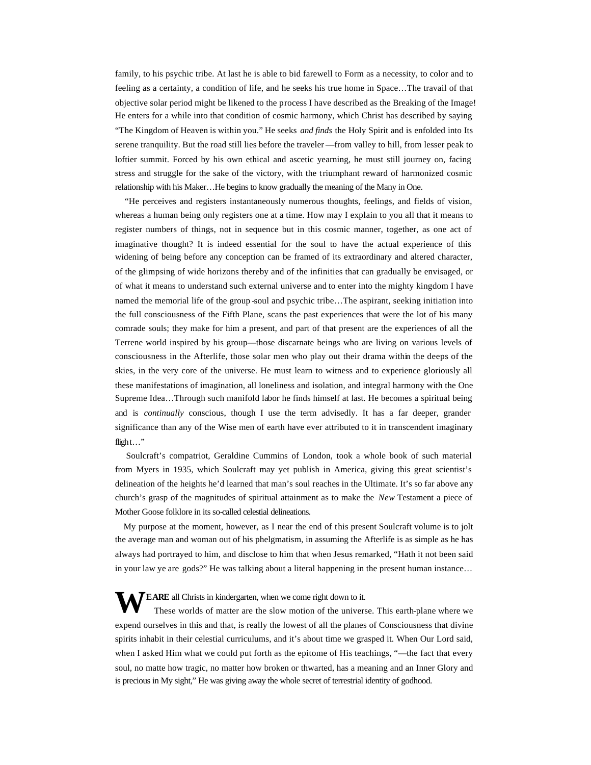family, to his psychic tribe. At last he is able to bid farewell to Form as a necessity, to color and to feeling as a certainty, a condition of life, and he seeks his true home in Space…The travail of that objective solar period might be likened to the process I have described as the Breaking of the Image! He enters for a while into that condition of cosmic harmony, which Christ has described by saying "The Kingdom of Heaven is within you." He seeks *and finds* the Holy Spirit and is enfolded into Its serene tranquility. But the road still lies before the traveler —from valley to hill, from lesser peak to loftier summit. Forced by his own ethical and ascetic yearning, he must still journey on, facing stress and struggle for the sake of the victory, with the triumphant reward of harmonized cosmic relationship with his Maker…He begins to know gradually the meaning of the Many in One.

 "He perceives and registers instantaneously numerous thoughts, feelings, and fields of vision, whereas a human being only registers one at a time. How may I explain to you all that it means to register numbers of things, not in sequence but in this cosmic manner, together, as one act of imaginative thought? It is indeed essential for the soul to have the actual experience of this widening of being before any conception can be framed of its extraordinary and altered character, of the glimpsing of wide horizons thereby and of the infinities that can gradually be envisaged, or of what it means to understand such external universe and to enter into the mighty kingdom I have named the memorial life of the group soul and psychic tribe...The aspirant, seeking initiation into the full consciousness of the Fifth Plane, scans the past experiences that were the lot of his many comrade souls; they make for him a present, and part of that present are the experiences of all the Terrene world inspired by his group—those discarnate beings who are living on various levels of consciousness in the Afterlife, those solar men who play out their drama within the deeps of the skies, in the very core of the universe. He must learn to witness and to experience gloriously all these manifestations of imagination, all loneliness and isolation, and integral harmony with the One Supreme Idea…Through such manifold labor he finds himself at last. He becomes a spiritual being and is *continually* conscious, though I use the term advisedly. It has a far deeper, grander significance than any of the Wise men of earth have ever attributed to it in transcendent imaginary flight…"

 Soulcraft's compatriot, Geraldine Cummins of London, took a whole book of such material from Myers in 1935, which Soulcraft may yet publish in America, giving this great scientist's delineation of the heights he'd learned that man's soul reaches in the Ultimate. It's so far above any church's grasp of the magnitudes of spiritual attainment as to make the *New* Testament a piece of Mother Goose folklore in its so-called celestial delineations.

 My purpose at the moment, however, as I near the end of this present Soulcraft volume is to jolt the average man and woman out of his phelgmatism, in assuming the Afterlife is as simple as he has always had portrayed to him, and disclose to him that when Jesus remarked, "Hath it not been said in your law ye are gods?" He was talking about a literal happening in the present human instance…

**EARE** all Christs in kindergarten, when we come right down to it.<br>These worlds of matter are the slow motion of the univers These worlds of matter are the slow motion of the universe. This earth-plane where we expend ourselves in this and that, is really the lowest of all the planes of Consciousness that divine spirits inhabit in their celestial curriculums, and it's about time we grasped it. When Our Lord said, when I asked Him what we could put forth as the epitome of His teachings, "—the fact that every soul, no matte how tragic, no matter how broken or thwarted, has a meaning and an Inner Glory and is precious in My sight," He was giving away the whole secret of terrestrial identity of godhood.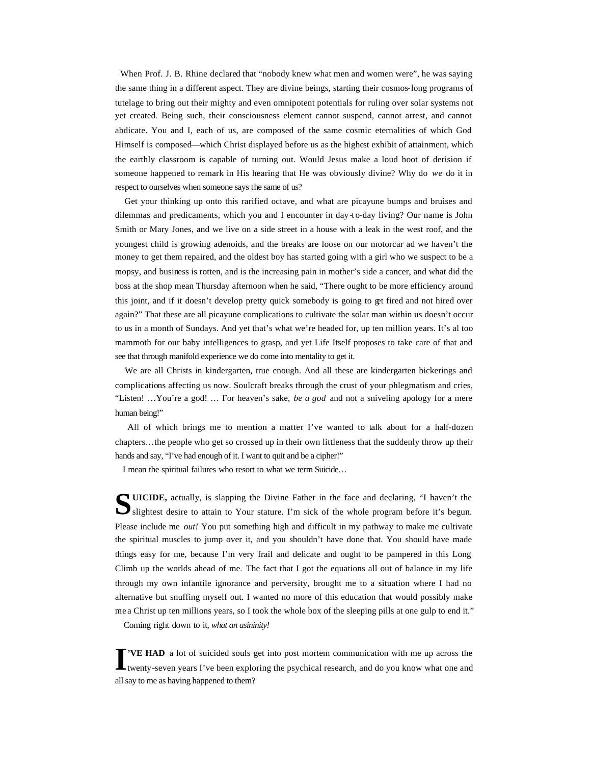When Prof. J. B. Rhine declared that "nobody knew what men and women were", he was saying the same thing in a different aspect. They are divine beings, starting their cosmos-long programs of tutelage to bring out their mighty and even omnipotent potentials for ruling over solar systems not yet created. Being such, their consciousness element cannot suspend, cannot arrest, and cannot abdicate. You and I, each of us, are composed of the same cosmic eternalities of which God Himself is composed—which Christ displayed before us as the highest exhibit of attainment, which the earthly classroom is capable of turning out. Would Jesus make a loud hoot of derision if someone happened to remark in His hearing that He was obviously divine? Why do *we* do it in respect to ourselves when someone says the same of us?

 Get your thinking up onto this rarified octave, and what are picayune bumps and bruises and dilemmas and predicaments, which you and I encounter in day-to-day living? Our name is John Smith or Mary Jones, and we live on a side street in a house with a leak in the west roof, and the youngest child is growing adenoids, and the breaks are loose on our motorcar ad we haven't the money to get them repaired, and the oldest boy has started going with a girl who we suspect to be a mopsy, and business is rotten, and is the increasing pain in mother's side a cancer, and what did the boss at the shop mean Thursday afternoon when he said, "There ought to be more efficiency around this joint, and if it doesn't develop pretty quick somebody is going to get fired and not hired over again?" That these are all picayune complications to cultivate the solar man within us doesn't occur to us in a month of Sundays. And yet that's what we're headed for, up ten million years. It's al too mammoth for our baby intelligences to grasp, and yet Life Itself proposes to take care of that and see that through manifold experience we do come into mentality to get it.

 We are all Christs in kindergarten, true enough. And all these are kindergarten bickerings and complications affecting us now. Soulcraft breaks through the crust of your phlegmatism and cries, "Listen! …You're a god! … For heaven's sake, *be a god* and not a sniveling apology for a mere human being!"

 All of which brings me to mention a matter I've wanted to talk about for a half-dozen chapters…the people who get so crossed up in their own littleness that the suddenly throw up their hands and say, "I've had enough of it. I want to quit and be a cipher!"

I mean the spiritual failures who resort to what we term Suicide…

**UICIDE,** actually, is slapping the Divine Father in the face and declaring, "I haven't the SUICIDE, actually, is slapping the Divine Father in the face and declaring, "I haven't the slightest desire to attain to Your stature. I'm sick of the whole program before it's begun. Please include me *out!* You put something high and difficult in my pathway to make me cultivate the spiritual muscles to jump over it, and you shouldn't have done that. You should have made things easy for me, because I'm very frail and delicate and ought to be pampered in this Long Climb up the worlds ahead of me. The fact that I got the equations all out of balance in my life through my own infantile ignorance and perversity, brought me to a situation where I had no alternative but snuffing myself out. I wanted no more of this education that would possibly make me a Christ up ten millions years, so I took the whole box of the sleeping pills at one gulp to end it."

Coming right down to it, *what an asininity!*

**'VE HAD** a lot of suicided souls get into post mortem communication with me up across the **T**'VE HAD a lot of suicided souls get into post mortem communication with me up across the twenty-seven years I've been exploring the psychical research, and do you know what one and all say to me as having happened to them?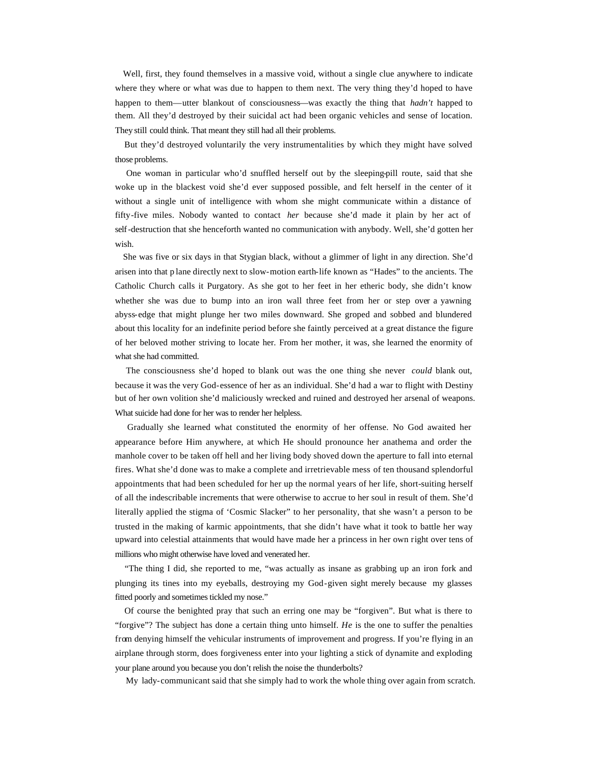Well, first, they found themselves in a massive void, without a single clue anywhere to indicate where they where or what was due to happen to them next. The very thing they'd hoped to have happen to them—utter blankout of consciousness—was exactly the thing that *hadn't* happed to them. All they'd destroyed by their suicidal act had been organic vehicles and sense of location. They still could think. That meant they still had all their problems.

 But they'd destroyed voluntarily the very instrumentalities by which they might have solved those problems.

 One woman in particular who'd snuffled herself out by the sleeping-pill route, said that she woke up in the blackest void she'd ever supposed possible, and felt herself in the center of it without a single unit of intelligence with whom she might communicate within a distance of fifty-five miles. Nobody wanted to contact *her* because she'd made it plain by her act of self-destruction that she henceforth wanted no communication with anybody. Well, she'd gotten her wish.

 She was five or six days in that Stygian black, without a glimmer of light in any direction. She'd arisen into that p lane directly next to slow-motion earth-life known as "Hades" to the ancients. The Catholic Church calls it Purgatory. As she got to her feet in her etheric body, she didn't know whether she was due to bump into an iron wall three feet from her or step over a yawning abyss-edge that might plunge her two miles downward. She groped and sobbed and blundered about this locality for an indefinite period before she faintly perceived at a great distance the figure of her beloved mother striving to locate her. From her mother, it was, she learned the enormity of what she had committed.

 The consciousness she'd hoped to blank out was the one thing she never *could* blank out, because it was the very God-essence of her as an individual. She'd had a war to flight with Destiny but of her own volition she'd maliciously wrecked and ruined and destroyed her arsenal of weapons. What suicide had done for her was to render her helpless.

 Gradually she learned what constituted the enormity of her offense. No God awaited her appearance before Him anywhere, at which He should pronounce her anathema and order the manhole cover to be taken off hell and her living body shoved down the aperture to fall into eternal fires. What she'd done was to make a complete and irretrievable mess of ten thousand splendorful appointments that had been scheduled for her up the normal years of her life, short-suiting herself of all the indescribable increments that were otherwise to accrue to her soul in result of them. She'd literally applied the stigma of 'Cosmic Slacker" to her personality, that she wasn't a person to be trusted in the making of karmic appointments, that she didn't have what it took to battle her way upward into celestial attainments that would have made her a princess in her own right over tens of millions who might otherwise have loved and venerated her.

 "The thing I did, she reported to me, "was actually as insane as grabbing up an iron fork and plunging its tines into my eyeballs, destroying my God-given sight merely because my glasses fitted poorly and sometimes tickled my nose."

 Of course the benighted pray that such an erring one may be "forgiven". But what is there to "forgive"? The subject has done a certain thing unto himself. *He* is the one to suffer the penalties from denying himself the vehicular instruments of improvement and progress. If you're flying in an airplane through storm, does forgiveness enter into your lighting a stick of dynamite and exploding your plane around you because you don't relish the noise the thunderbolts?

My lady-communicant said that she simply had to work the whole thing over again from scratch.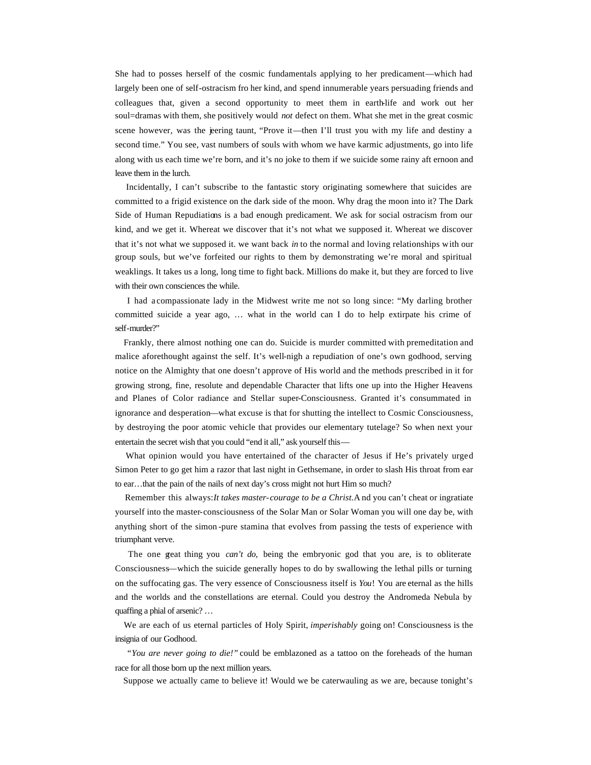She had to posses herself of the cosmic fundamentals applying to her predicament—which had largely been one of self-ostracism fro her kind, and spend innumerable years persuading friends and colleagues that, given a second opportunity to meet them in earth-life and work out her soul=dramas with them, she positively would *not* defect on them. What she met in the great cosmic scene however, was the jeering taunt, "Prove it—then I'll trust you with my life and destiny a second time." You see, vast numbers of souls with whom we have karmic adjustments, go into life along with us each time we're born, and it's no joke to them if we suicide some rainy aft ernoon and leave them in the lurch.

 Incidentally, I can't subscribe to the fantastic story originating somewhere that suicides are committed to a frigid existence on the dark side of the moon. Why drag the moon into it? The Dark Side of Human Repudiations is a bad enough predicament. We ask for social ostracism from our kind, and we get it. Whereat we discover that it's not what we supposed it. Whereat we discover that it's not what we supposed it. we want back *in* to the normal and loving relationships with our group souls, but we've forfeited our rights to them by demonstrating we're moral and spiritual weaklings. It takes us a long, long time to fight back. Millions do make it, but they are forced to live with their own consciences the while.

 I had a compassionate lady in the Midwest write me not so long since: "My darling brother committed suicide a year ago, … what in the world can I do to help extirpate his crime of self-murder?"

 Frankly, there almost nothing one can do. Suicide is murder committed with premeditation and malice aforethought against the self. It's well-nigh a repudiation of one's own godhood, serving notice on the Almighty that one doesn't approve of His world and the methods prescribed in it for growing strong, fine, resolute and dependable Character that lifts one up into the Higher Heavens and Planes of Color radiance and Stellar super-Consciousness. Granted it's consummated in ignorance and desperation—what excuse is that for shutting the intellect to Cosmic Consciousness, by destroying the poor atomic vehicle that provides our elementary tutelage? So when next your entertain the secret wish that you could "end it all," ask yourself this—

 What opinion would you have entertained of the character of Jesus if He's privately urged Simon Peter to go get him a razor that last night in Gethsemane, in order to slash His throat from ear to ear…that the pain of the nails of next day's cross might not hurt Him so much?

 Remember this always: *It takes master-courage to be a Christ.* A nd you can't cheat or ingratiate yourself into the master-consciousness of the Solar Man or Solar Woman you will one day be, with anything short of the simon -pure stamina that evolves from passing the tests of experience with triumphant verve.

 The one great thing you *can't do,* being the embryonic god that you are, is to obliterate Consciousness—which the suicide generally hopes to do by swallowing the lethal pills or turning on the suffocating gas. The very essence of Consciousness itself is *You*! You are eternal as the hills and the worlds and the constellations are eternal. Could you destroy the Andromeda Nebula by quaffing a phial of arsenic? …

 We are each of us eternal particles of Holy Spirit, *imperishably* going on! Consciousness is the insignia of our Godhood.

 "*You are never going to die!"* could be emblazoned as a tattoo on the foreheads of the human race for all those born up the next million years.

Suppose we actually came to believe it! Would we be caterwauling as we are, because tonight's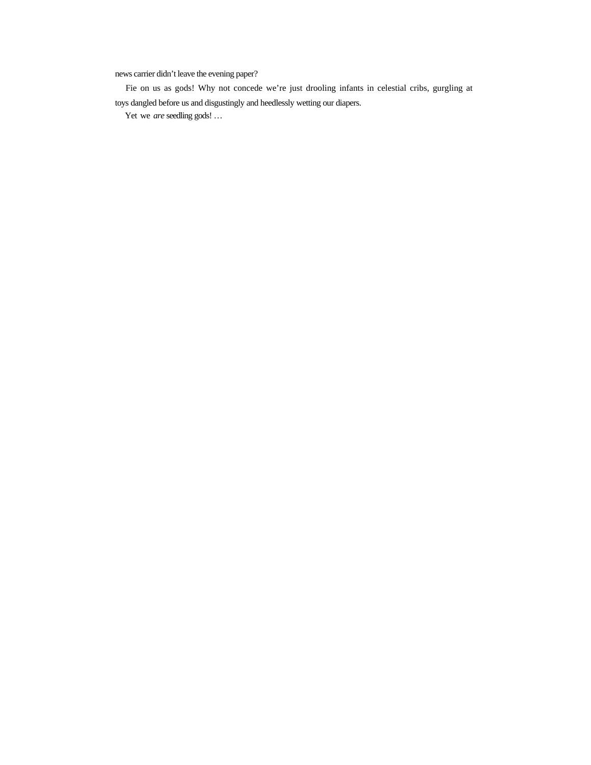news carrier didn't leave the evening paper?

 Fie on us as gods! Why not concede we're just drooling infants in celestial cribs, gurgling at toys dangled before us and disgustingly and heedlessly wetting our diapers.

Yet we *are* seedling gods! …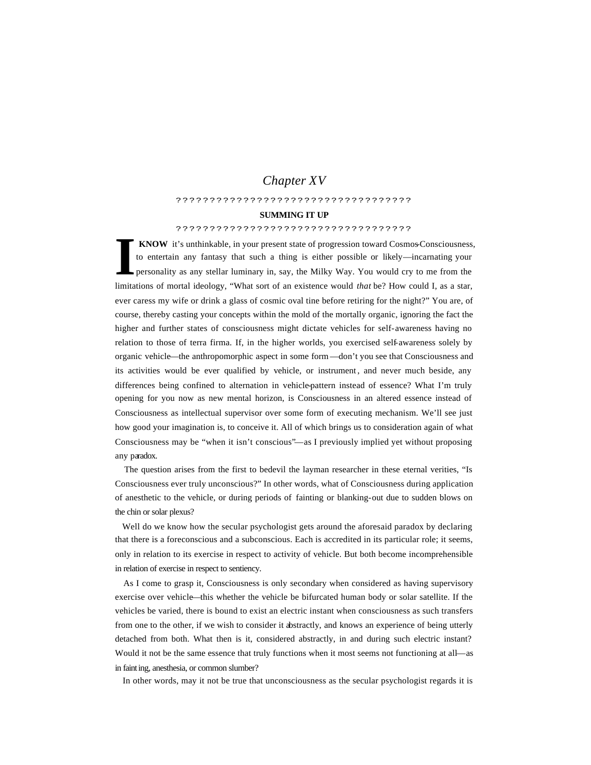# *Chapter XV*

#### ???????????????????????????????????

#### **SUMMING IT UP**

## ???????????????????????????????????

 **KNOW** it's unthinkable, in your present state of progression toward Cosmos-Consciousness, to entertain any fantasy that such a thing is either possible or likely—incarnating your personality as any stellar luminary in, say, the Milky Way. You would cry to me from the limitations of mortal ideology, "What sort of an existence would *that* be? How could I, as a star, ever caress my wife or drink a glass of cosmic oval tine before retiring for the night?" You are, of course, thereby casting your concepts within the mold of the mortally organic, ignoring the fact the higher and further states of consciousness might dictate vehicles for self-awareness having no relation to those of terra firma. If, in the higher worlds, you exercised self-awareness solely by organic vehicle—the anthropomorphic aspect in some form—don't you see that Consciousness and its activities would be ever qualified by vehicle, or instrument, and never much beside, any differences being confined to alternation in vehicle-pattern instead of essence? What I'm truly opening for you now as new mental horizon, is Consciousness in an altered essence instead of Consciousness as intellectual supervisor over some form of executing mechanism. We'll see just how good your imagination is, to conceive it. All of which brings us to consideration again of what Consciousness may be "when it isn't conscious"—as I previously implied yet without proposing any paradox. **I**

 The question arises from the first to bedevil the layman researcher in these eternal verities, "Is Consciousness ever truly unconscious?" In other words, what of Consciousness during application of anesthetic to the vehicle, or during periods of fainting or blanking-out due to sudden blows on the chin or solar plexus?

 Well do we know how the secular psychologist gets around the aforesaid paradox by declaring that there is a foreconscious and a subconscious. Each is accredited in its particular role; it seems, only in relation to its exercise in respect to activity of vehicle. But both become incomprehensible in relation of exercise in respect to sentiency.

 As I come to grasp it, Consciousness is only secondary when considered as having supervisory exercise over vehicle—this whether the vehicle be bifurcated human body or solar satellite. If the vehicles be varied, there is bound to exist an electric instant when consciousness as such transfers from one to the other, if we wish to consider it abstractly, and knows an experience of being utterly detached from both. What then is it, considered abstractly, in and during such electric instant? Would it not be the same essence that truly functions when it most seems not functioning at all—as in fainting, anesthesia, or common slumber?

In other words, may it not be true that unconsciousness as the secular psychologist regards it is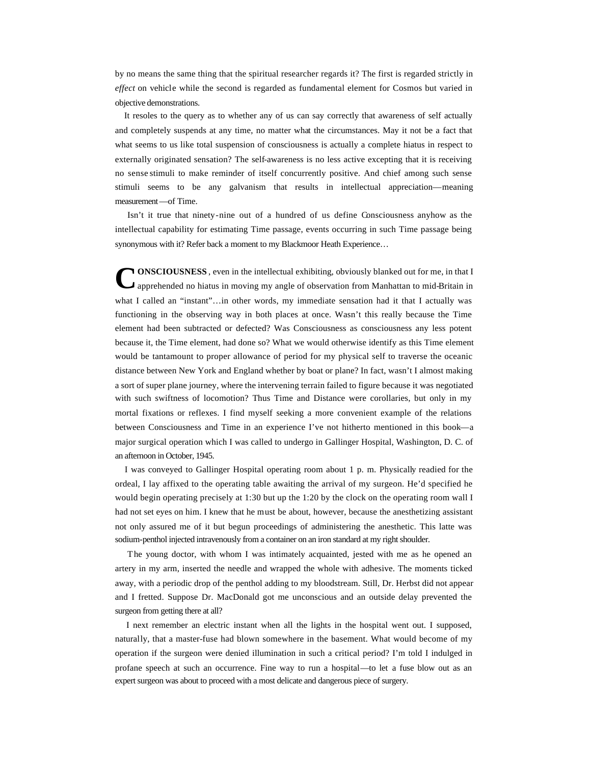by no means the same thing that the spiritual researcher regards it? The first is regarded strictly in *effect* on vehicle while the second is regarded as fundamental element for Cosmos but varied in objective demonstrations.

 It resoles to the query as to whether any of us can say correctly that awareness of self actually and completely suspends at any time, no matter what the circumstances. May it not be a fact that what seems to us like total suspension of consciousness is actually a complete hiatus in respect to externally originated sensation? The self-awareness is no less active excepting that it is receiving no sense stimuli to make reminder of itself concurrently positive. And chief among such sense stimuli seems to be any galvanism that results in intellectual appreciation—meaning measurement—of Time.

 Isn't it true that ninety-nine out of a hundred of us define Consciousness anyhow as the intellectual capability for estimating Time passage, events occurring in such Time passage being synonymous with it? Refer back a moment to my Blackmoor Heath Experience...

**NONSCIOUSNESS**, even in the intellectual exhibiting, obviously blanked out for me, in that I apprehended no hiatus in moving my angle of observation from Manhattan to mid-Britain in what I called an "instant"...in other words, my immediate sensation had it that I actually was functioning in the observing way in both places at once. Wasn't this really because the Time element had been subtracted or defected? Was Consciousness as consciousness any less potent because it, the Time element, had done so? What we would otherwise identify as this Time element would be tantamount to proper allowance of period for my physical self to traverse the oceanic distance between New York and England whether by boat or plane? In fact, wasn't I almost making a sort of super plane journey, where the intervening terrain failed to figure because it was negotiated with such swiftness of locomotion? Thus Time and Distance were corollaries, but only in my mortal fixations or reflexes. I find myself seeking a more convenient example of the relations between Consciousness and Time in an experience I've not hitherto mentioned in this book—a major surgical operation which I was called to undergo in Gallinger Hospital, Washington, D. C. of an afternoon in October, 1945. **C**

 I was conveyed to Gallinger Hospital operating room about 1 p. m. Physically readied for the ordeal, I lay affixed to the operating table awaiting the arrival of my surgeon. He'd specified he would begin operating precisely at 1:30 but up the 1:20 by the clock on the operating room wall I had not set eyes on him. I knew that he must be about, however, because the anesthetizing assistant not only assured me of it but begun proceedings of administering the anesthetic. This latte was sodium-penthol injected intravenously from a container on an iron standard at my right shoulder.

 The young doctor, with whom I was intimately acquainted, jested with me as he opened an artery in my arm, inserted the needle and wrapped the whole with adhesive. The moments ticked away, with a periodic drop of the penthol adding to my bloodstream. Still, Dr. Herbst did not appear and I fretted. Suppose Dr. MacDonald got me unconscious and an outside delay prevented the surgeon from getting there at all?

 I next remember an electric instant when all the lights in the hospital went out. I supposed, naturally, that a master-fuse had blown somewhere in the basement. What would become of my operation if the surgeon were denied illumination in such a critical period? I'm told I indulged in profane speech at such an occurrence. Fine way to run a hospital—to let a fuse blow out as an expert surgeon was about to proceed with a most delicate and dangerous piece of surgery.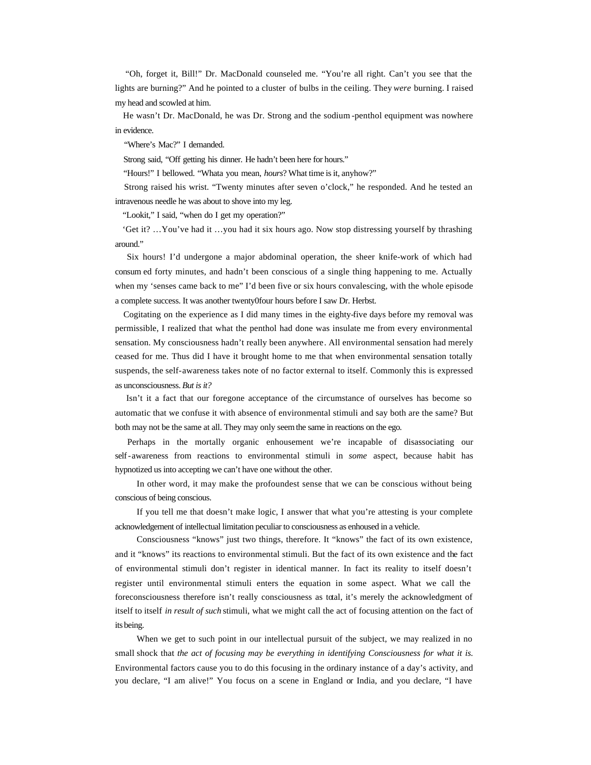"Oh, forget it, Bill!" Dr. MacDonald counseled me. "You're all right. Can't you see that the lights are burning?" And he pointed to a cluster of bulbs in the ceiling. They *were* burning. I raised my head and scowled at him.

 He wasn't Dr. MacDonald, he was Dr. Strong and the sodium -penthol equipment was nowhere in evidence.

"Where's Mac?" I demanded.

Strong said, "Off getting his dinner. He hadn't been here for hours."

"Hours!" I bellowed. "Whata you mean, *hours*? What time is it, anyhow?"

 Strong raised his wrist. "Twenty minutes after seven o'clock," he responded. And he tested an intravenous needle he was about to shove into my leg.

"Lookit," I said, "when do I get my operation?"

 'Get it? …You've had it …you had it six hours ago. Now stop distressing yourself by thrashing around."

 Six hours! I'd undergone a major abdominal operation, the sheer knife-work of which had consum ed forty minutes, and hadn't been conscious of a single thing happening to me. Actually when my 'senses came back to me" I'd been five or six hours convalescing, with the whole episode a complete success. It was another twenty0four hours before I saw Dr. Herbst.

 Cogitating on the experience as I did many times in the eighty-five days before my removal was permissible, I realized that what the penthol had done was insulate me from every environmental sensation. My consciousness hadn't really been anywhere. All environmental sensation had merely ceased for me. Thus did I have it brought home to me that when environmental sensation totally suspends, the self-awareness takes note of no factor external to itself. Commonly this is expressed as unconsciousness. *But is it?*

 Isn't it a fact that our foregone acceptance of the circumstance of ourselves has become so automatic that we confuse it with absence of environmental stimuli and say both are the same? But both may not be the same at all. They may only seem the same in reactions on the ego.

 Perhaps in the mortally organic enhousement we're incapable of disassociating our self-awareness from reactions to environmental stimuli in *some* aspect, because habit has hypnotized us into accepting we can't have one without the other.

In other word, it may make the profoundest sense that we can be conscious without being conscious of being conscious.

If you tell me that doesn't make logic, I answer that what you're attesting is your complete acknowledgement of intellectual limitation peculiar to consciousness as enhoused in a vehicle.

Consciousness "knows" just two things, therefore. It "knows" the fact of its own existence, and it "knows" its reactions to environmental stimuli. But the fact of its own existence and the fact of environmental stimuli don't register in identical manner. In fact its reality to itself doesn't register until environmental stimuli enters the equation in some aspect. What we call the foreconsciousness therefore isn't really consciousness as total, it's merely the acknowledgment of itself to itself *in result of such* stimuli, what we might call the act of focusing attention on the fact of its being.

When we get to such point in our intellectual pursuit of the subject, we may realized in no small shock that *the act of focusing may be everything in identifying Consciousness for what it is.* Environmental factors cause you to do this focusing in the ordinary instance of a day's activity, and you declare, "I am alive!" You focus on a scene in England or India, and you declare, "I have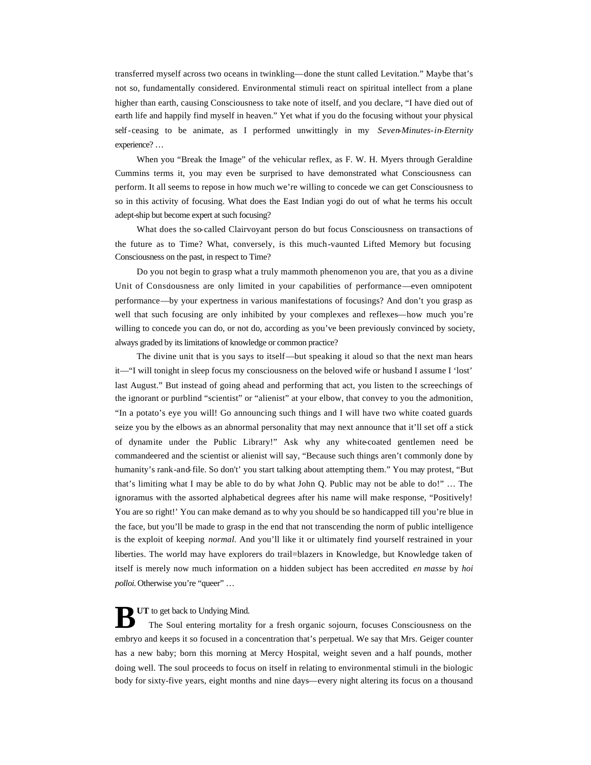transferred myself across two oceans in twinkling—done the stunt called Levitation." Maybe that's not so, fundamentally considered. Environmental stimuli react on spiritual intellect from a plane higher than earth, causing Consciousness to take note of itself, and you declare, "I have died out of earth life and happily find myself in heaven." Yet what if you do the focusing without your physical self-ceasing to be animate, as I performed unwittingly in my *Seven-Minutes-in-Eternity*  experience? …

When you "Break the Image" of the vehicular reflex, as F. W. H. Myers through Geraldine Cummins terms it, you may even be surprised to have demonstrated what Consciousness can perform. It all seems to repose in how much we're willing to concede we can get Consciousness to so in this activity of focusing. What does the East Indian yogi do out of what he terms his occult adept-ship but become expert at such focusing?

What does the so-called Clairvoyant person do but focus Consciousness on transactions of the future as to Time? What, conversely, is this much-vaunted Lifted Memory but focusing Consciousness on the past, in respect to Time?

Do you not begin to grasp what a truly mammoth phenomenon you are, that you as a divine Unit of Consciousness are only limited in your capabilities of performance—even omnipotent performance—by your expertness in various manifestations of focusings? And don't you grasp as well that such focusing are only inhibited by your complexes and reflexes—how much you're willing to concede you can do, or not do, according as you've been previously convinced by society, always graded by its limitations of knowledge or common practice?

The divine unit that is you says to itself—but speaking it aloud so that the next man hears it—"I will tonight in sleep focus my consciousness on the beloved wife or husband I assume I 'lost' last August." But instead of going ahead and performing that act, you listen to the screechings of the ignorant or purblind "scientist" or "alienist" at your elbow, that convey to you the admonition, "In a potato's eye you will! Go announcing such things and I will have two white coated guards seize you by the elbows as an abnormal personality that may next announce that it'll set off a stick of dynamite under the Public Library!" Ask why any white-coated gentlemen need be commandeered and the scientist or alienist will say, "Because such things aren't commonly done by humanity's rank-and-file. So don't' you start talking about attempting them." You may protest, "But that's limiting what I may be able to do by what John Q. Public may not be able to do!" … The ignoramus with the assorted alphabetical degrees after his name will make response, "Positively! You are so right!' You can make demand as to why you should be so handicapped till you're blue in the face, but you'll be made to grasp in the end that not transcending the norm of public intelligence is the exploit of keeping *normal*. And you'll like it or ultimately find yourself restrained in your liberties. The world may have explorers do trail=blazers in Knowledge, but Knowledge taken of itself is merely now much information on a hidden subject has been accredited *en masse* by *hoi polloi.* Otherwise you're "queer" ...

**B** UT to get back to Undying Mind.<br>The Soul entering mortality The Soul entering mortality for a fresh organic sojourn, focuses Consciousness on the embryo and keeps it so focused in a concentration that's perpetual. We say that Mrs. Geiger counter has a new baby; born this morning at Mercy Hospital, weight seven and a half pounds, mother doing well. The soul proceeds to focus on itself in relating to environmental stimuli in the biologic body for sixty-five years, eight months and nine days—every night altering its focus on a thousand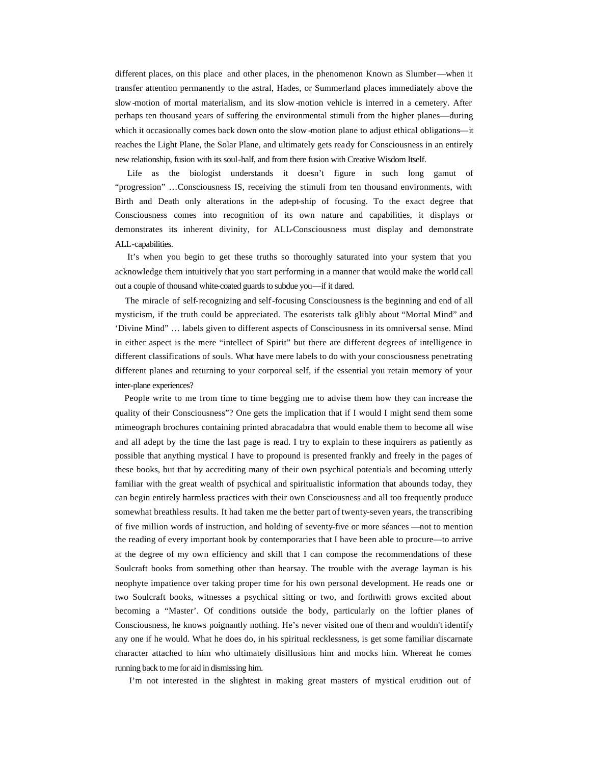different places, on this place and other places, in the phenomenon Known as Slumber—when it transfer attention permanently to the astral, Hades, or Summerland places immediately above the slow-motion of mortal materialism, and its slow -motion vehicle is interred in a cemetery. After perhaps ten thousand years of suffering the environmental stimuli from the higher planes—during which it occasionally comes back down onto the slow -motion plane to adjust ethical obligations—it reaches the Light Plane, the Solar Plane, and ultimately gets ready for Consciousness in an entirely new relationship, fusion with its soul-half, and from there fusion with Creative Wisdom Itself.

 Life as the biologist understands it doesn't figure in such long gamut of "progression" …Consciousness IS, receiving the stimuli from ten thousand environments, with Birth and Death only alterations in the adept-ship of focusing. To the exact degree that Consciousness comes into recognition of its own nature and capabilities, it displays or demonstrates its inherent divinity, for ALL-Consciousness must display and demonstrate ALL-capabilities.

 It's when you begin to get these truths so thoroughly saturated into your system that you acknowledge them intuitively that you start performing in a manner that would make the world call out a couple of thousand white-coated guards to subdue you—if it dared.

 The miracle of self-recognizing and self-focusing Consciousness is the beginning and end of all mysticism, if the truth could be appreciated. The esoterists talk glibly about "Mortal Mind" and 'Divine Mind" … labels given to different aspects of Consciousness in its omniversal sense. Mind in either aspect is the mere "intellect of Spirit" but there are different degrees of intelligence in different classifications of souls. What have mere labels to do with your consciousness penetrating different planes and returning to your corporeal self, if the essential you retain memory of your inter-plane experiences?

 People write to me from time to time begging me to advise them how they can increase the quality of their Consciousness"? One gets the implication that if I would I might send them some mimeograph brochures containing printed abracadabra that would enable them to become all wise and all adept by the time the last page is read. I try to explain to these inquirers as patiently as possible that anything mystical I have to propound is presented frankly and freely in the pages of these books, but that by accrediting many of their own psychical potentials and becoming utterly familiar with the great wealth of psychical and spiritualistic information that abounds today, they can begin entirely harmless practices with their own Consciousness and all too frequently produce somewhat breathless results. It had taken me the better part of twenty-seven years, the transcribing of five million words of instruction, and holding of seventy-five or more séances —not to mention the reading of every important book by contemporaries that I have been able to procure—to arrive at the degree of my own efficiency and skill that I can compose the recommendations of these Soulcraft books from something other than hearsay. The trouble with the average layman is his neophyte impatience over taking proper time for his own personal development. He reads one or two Soulcraft books, witnesses a psychical sitting or two, and forthwith grows excited about becoming a "Master'. Of conditions outside the body, particularly on the loftier planes of Consciousness, he knows poignantly nothing. He's never visited one of them and wouldn't identify any one if he would. What he does do, in his spiritual recklessness, is get some familiar discarnate character attached to him who ultimately disillusions him and mocks him. Whereat he comes running back to me for aid in dismissing him.

I'm not interested in the slightest in making great masters of mystical erudition out of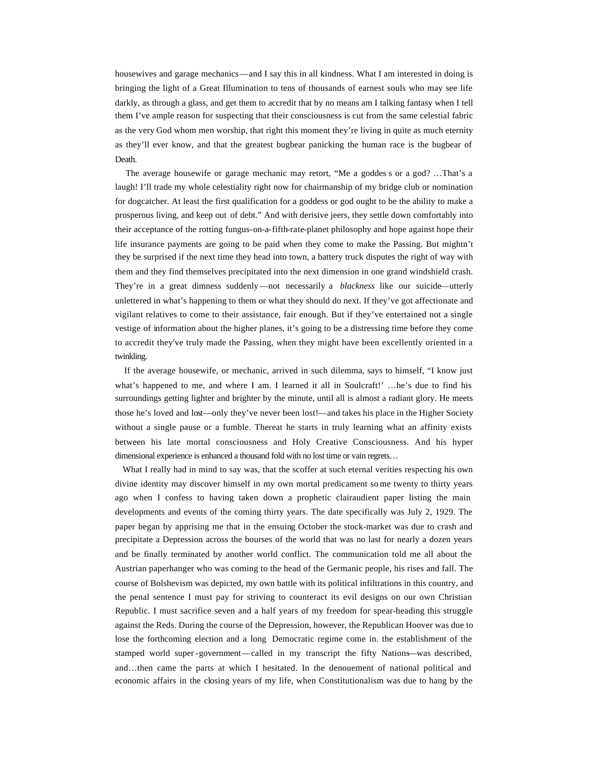housewives and garage mechanics—and I say this in all kindness. What I am interested in doing is bringing the light of a Great Illumination to tens of thousands of earnest souls who may see life darkly, as through a glass, and get them to accredit that by no means am I talking fantasy when I tell them I've ample reason for suspecting that their consciousness is cut from the same celestial fabric as the very God whom men worship, that right this moment they're living in quite as much eternity as they'll ever know, and that the greatest bugbear panicking the human race is the bugbear of Death.

 The average housewife or garage mechanic may retort, "Me a goddes s or a god? …That's a laugh! I'll trade my whole celestiality right now for chairmanship of my bridge club or nomination for dogcatcher. At least the first qualification for a goddess or god ought to be the ability to make a prosperous living, and keep out of debt." And with derisive jeers, they settle down comfortably into their acceptance of the rotting fungus-on-a-fifth-rate-planet philosophy and hope against hope their life insurance payments are going to be paid when they come to make the Passing. But mightn't they be surprised if the next time they head into town, a battery truck disputes the right of way with them and they find themselves precipitated into the next dimension in one grand windshield crash. They're in a great dimness suddenly —not necessarily a *blackness* like our suicide—utterly unlettered in what's happening to them or what they should do next. If they've got affectionate and vigilant relatives to come to their assistance, fair enough. But if they've entertained not a single vestige of information about the higher planes, it's going to be a distressing time before they come to accredit they've truly made the Passing, when they might have been excellently oriented in a twinkling.

 If the average housewife, or mechanic, arrived in such dilemma, says to himself, "I know just what's happened to me, and where I am. I learned it all in Soulcraft!' ... he's due to find his surroundings getting lighter and brighter by the minute, until all is almost a radiant glory. He meets those he's loved and lost—only they've never been lost!—and takes his place in the Higher Society without a single pause or a fumble. Thereat he starts in truly learning what an affinity exists between his late mortal consciousness and Holy Creative Consciousness. And his hyper dimensional experience is enhanced a thousand fold with no lost time or vain regrets…

What I really had in mind to say was, that the scoffer at such eternal verities respecting his own divine identity may discover himself in my own mortal predicament so me twenty to thirty years ago when I confess to having taken down a prophetic clairaudient paper listing the main developments and events of the coming thirty years. The date specifically was July 2, 1929. The paper began by apprising me that in the ensuing October the stock-market was due to crash and precipitate a Depression across the bourses of the world that was no last for nearly a dozen years and be finally terminated by another world conflict. The communication told me all about the Austrian paperhanger who was coming to the head of the Germanic people, his rises and fall. The course of Bolshevism was depicted, my own battle with its political infiltrations in this country, and the penal sentence I must pay for striving to counteract its evil designs on our own Christian Republic. I must sacrifice seven and a half years of my freedom for spear-heading this struggle against the Reds. During the course of the Depression, however, the Republican Hoover was due to lose the forthcoming election and a long Democratic regime come in. the establishment of the stamped world super -government—called in my transcript the fifty Nations—was described, and…then came the parts at which I hesitated. In the denouement of national political and economic affairs in the closing years of my life, when Constitutionalism was due to hang by the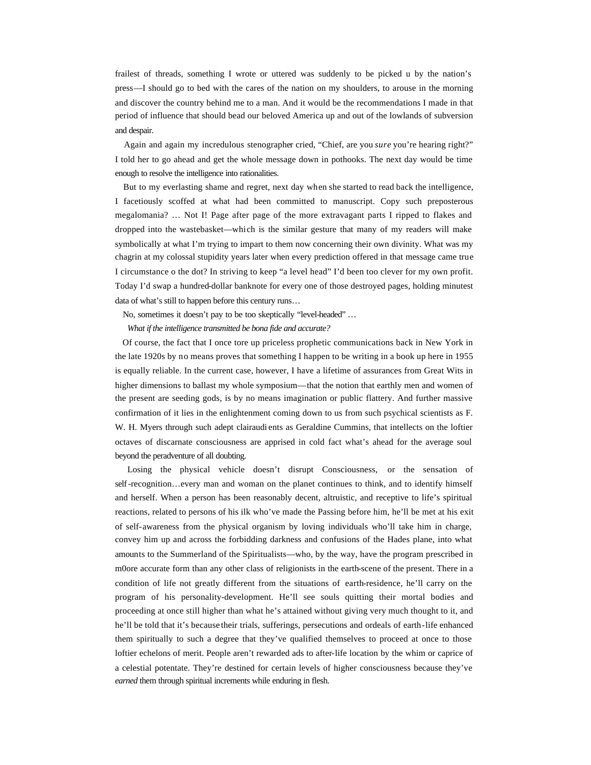frailest of threads, something I wrote or uttered was suddenly to be picked u by the nation's press—I should go to bed with the cares of the nation on my shoulders, to arouse in the morning and discover the country behind me to a man. And it would be the recommendations I made in that period of influence that should bead our beloved America up and out of the lowlands of subversion and despair.

 Again and again my incredulous stenographer cried, "Chief, are you *sure* you're hearing right?" I told her to go ahead and get the whole message down in pothooks. The next day would be time enough to resolve the intelligence into rationalities.

 But to my everlasting shame and regret, next day when she started to read back the intelligence, I facetiously scoffed at what had been committed to manuscript. Copy such preposterous megalomania? … Not I! Page after page of the more extravagant parts I ripped to flakes and dropped into the wastebasket—which is the similar gesture that many of my readers will make symbolically at what I'm trying to impart to them now concerning their own divinity. What was my chagrin at my colossal stupidity years later when every prediction offered in that message came true I circumstance o the dot? In striving to keep "a level head" I'd been too clever for my own profit. Today I'd swap a hundred-dollar banknote for every one of those destroyed pages, holding minutest data of what's still to happen before this century runs…

No, sometimes it doesn't pay to be too skeptically "level-headed" …

*What if the intelligence transmitted be bona fide and accurate?*

 Of course, the fact that I once tore up priceless prophetic communications back in New York in the late 1920s by no means proves that something I happen to be writing in a book up here in 1955 is equally reliable. In the current case, however, I have a lifetime of assurances from Great Wits in higher dimensions to ballast my whole symposium—that the notion that earthly men and women of the present are seeding gods, is by no means imagination or public flattery. And further massive confirmation of it lies in the enlightenment coming down to us from such psychical scientists as F. W. H. Myers through such adept clairaudi ents as Geraldine Cummins, that intellects on the loftier octaves of discarnate consciousness are apprised in cold fact what's ahead for the average soul beyond the peradventure of all doubting.

 Losing the physical vehicle doesn't disrupt Consciousness, or the sensation of self-recognition…every man and woman on the planet continues to think, and to identify himself and herself. When a person has been reasonably decent, altruistic, and receptive to life's spiritual reactions, related to persons of his ilk who've made the Passing before him, he'll be met at his exit of self-awareness from the physical organism by loving individuals who'll take him in charge, convey him up and across the forbidding darkness and confusions of the Hades plane, into what amounts to the Summerland of the Spiritualists—who, by the way, have the program prescribed in m0ore accurate form than any other class of religionists in the earth-scene of the present. There in a condition of life not greatly different from the situations of earth-residence, he'll carry on the program of his personality-development. He'll see souls quitting their mortal bodies and proceeding at once still higher than what he's attained without giving very much thought to it, and he'll be told that it's because their trials, sufferings, persecutions and ordeals of earth-life enhanced them spiritually to such a degree that they've qualified themselves to proceed at once to those loftier echelons of merit. People aren't rewarded ads to after-life location by the whim or caprice of a celestial potentate. They're destined for certain levels of higher consciousness because they've *earned* them through spiritual increments while enduring in flesh.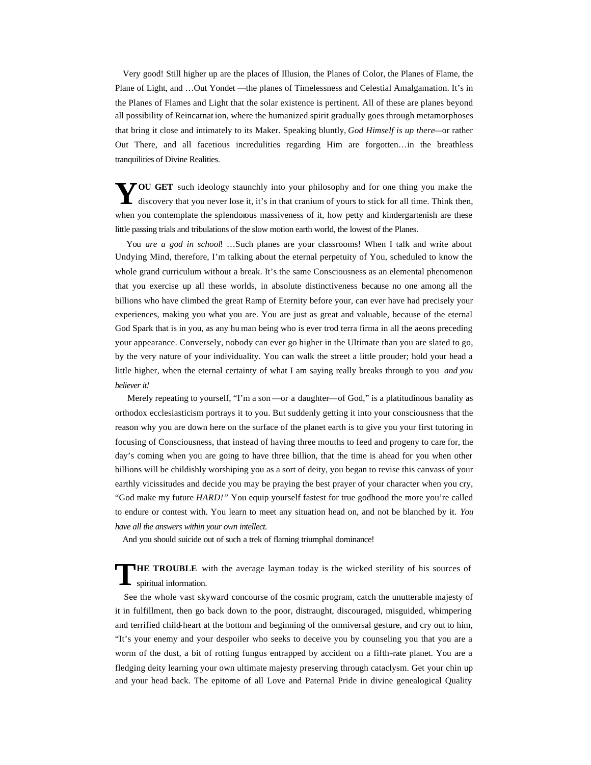Very good! Still higher up are the places of Illusion, the Planes of Color, the Planes of Flame, the Plane of Light, and …Out Yondet —the planes of Timelessness and Celestial Amalgamation. It's in the Planes of Flames and Light that the solar existence is pertinent. All of these are planes beyond all possibility of Reincarnat ion, where the humanized spirit gradually goes through metamorphoses that bring it close and intimately to its Maker. Speaking bluntly, *God Himself is up there—*or rather Out There, and all facetious incredulities regarding Him are forgotten…in the breathless tranquilities of Divine Realities.

YOU GET such ideology staunchly into your philosophy and for one thing you make the discovery that you never lose it, it's in that cranium of yours to stick for all time. Think then,  $\mathsf L$  discovery that you never lose it, it's in that cranium of yours to stick for all time. Think then, when you contemplate the splendorous massiveness of it, how petty and kindergartenish are these little passing trials and tribulations of the slow motion earth world, the lowest of the Planes.

You are a god in school! ...Such planes are your classrooms! When I talk and write about Undying Mind, therefore, I'm talking about the eternal perpetuity of You, scheduled to know the whole grand curriculum without a break. It's the same Consciousness as an elemental phenomenon that you exercise up all these worlds, in absolute distinctiveness because no one among all the billions who have climbed the great Ramp of Eternity before your, can ever have had precisely your experiences, making you what you are. You are just as great and valuable, because of the eternal God Spark that is in you, as any hu man being who is ever trod terra firma in all the aeons preceding your appearance. Conversely, nobody can ever go higher in the Ultimate than you are slated to go, by the very nature of your individuality. You can walk the street a little prouder; hold your head a little higher, when the eternal certainty of what I am saying really breaks through to you *and you believer it!*

Merely repeating to yourself, "I'm a son —or a daughter—of God," is a platitudinous banality as orthodox ecclesiasticism portrays it to you. But suddenly getting it into your consciousness that the reason why you are down here on the surface of the planet earth is to give you your first tutoring in focusing of Consciousness, that instead of having three mouths to feed and progeny to care for, the day's coming when you are going to have three billion, that the time is ahead for you when other billions will be childishly worshiping you as a sort of deity, you began to revise this canvass of your earthly vicissitudes and decide you may be praying the best prayer of your character when you cry, "God make my future *HARD!"* You equip yourself fastest for true godhood the more you're called to endure or contest with. You learn to meet any situation head on, and not be blanched by it. *You have all the answers within your own intellect.*

And you should suicide out of such a trek of flaming triumphal dominance!

**HE TROUBLE** with the average layman today is the wicked sterility of his sources of spiritual information. spiritual information.

 See the whole vast skyward concourse of the cosmic program, catch the unutterable majesty of it in fulfillment, then go back down to the poor, distraught, discouraged, misguided, whimpering and terrified child-heart at the bottom and beginning of the omniversal gesture, and cry out to him, "It's your enemy and your despoiler who seeks to deceive you by counseling you that you are a worm of the dust, a bit of rotting fungus entrapped by accident on a fifth-rate planet. You are a fledging deity learning your own ultimate majesty preserving through cataclysm. Get your chin up and your head back. The epitome of all Love and Paternal Pride in divine genealogical Quality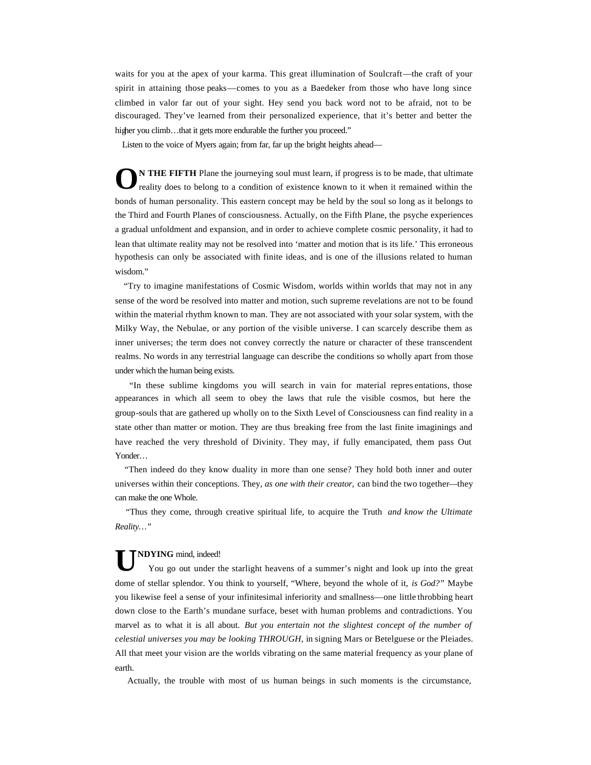waits for you at the apex of your karma. This great illumination of Soulcraft—the craft of your spirit in attaining those peaks—comes to you as a Baedeker from those who have long since climbed in valor far out of your sight. Hey send you back word not to be afraid, not to be discouraged. They've learned from their personalized experience, that it's better and better the higher you climb...that it gets more endurable the further you proceed."

Listen to the voice of Myers again; from far, far up the bright heights ahead—

**N THE FIFTH** Plane the journeying soul must learn, if progress is to be made, that ultimate reality does to belong to a condition of existence known to it when it remained within the bonds of human personality. This eastern concept may be held by the soul so long as it belongs to the Third and Fourth Planes of consciousness. Actually, on the Fifth Plane, the psyche experiences a gradual unfoldment and expansion, and in order to achieve complete cosmic personality, it had to lean that ultimate reality may not be resolved into 'matter and motion that is its life.' This erroneous hypothesis can only be associated with finite ideas, and is one of the illusions related to human wisdom." **O**

 "Try to imagine manifestations of Cosmic Wisdom, worlds within worlds that may not in any sense of the word be resolved into matter and motion, such supreme revelations are not to be found within the material rhythm known to man. They are not associated with your solar system, with the Milky Way, the Nebulae, or any portion of the visible universe. I can scarcely describe them as inner universes; the term does not convey correctly the nature or character of these transcendent realms. No words in any terrestrial language can describe the conditions so wholly apart from those under which the human being exists.

 "In these sublime kingdoms you will search in vain for material repres entations, those appearances in which all seem to obey the laws that rule the visible cosmos, but here the group-souls that are gathered up wholly on to the Sixth Level of Consciousness can find reality in a state other than matter or motion. They are thus breaking free from the last finite imaginings and have reached the very threshold of Divinity. They may, if fully emancipated, them pass Out Yonder…

 "Then indeed do they know duality in more than one sense? They hold both inner and outer universes within their conceptions. They, *as one with their creator,* can bind the two together—they can make the one Whole.

 "Thus they come, through creative spiritual life, to acquire the Truth *and know the Ultimate Reality…"*

## **NDYING** mind, indeed!

 You go out under the starlight heavens of a summer's night and look up into the great dome of stellar splendor. You think to yourself, "Where, beyond the whole of it, *is God?"* Maybe you likewise feel a sense of your infinitesimal inferiority and smallness—one little throbbing heart down close to the Earth's mundane surface, beset with human problems and contradictions. You marvel as to what it is all about. *But you entertain not the slightest concept of the number of celestial universes you may be looking THROUGH,* in signing Mars or Betelguese or the Pleiades. All that meet your vision are the worlds vibrating on the same material frequency as your plane of earth. **U**

Actually, the trouble with most of us human beings in such moments is the circumstance,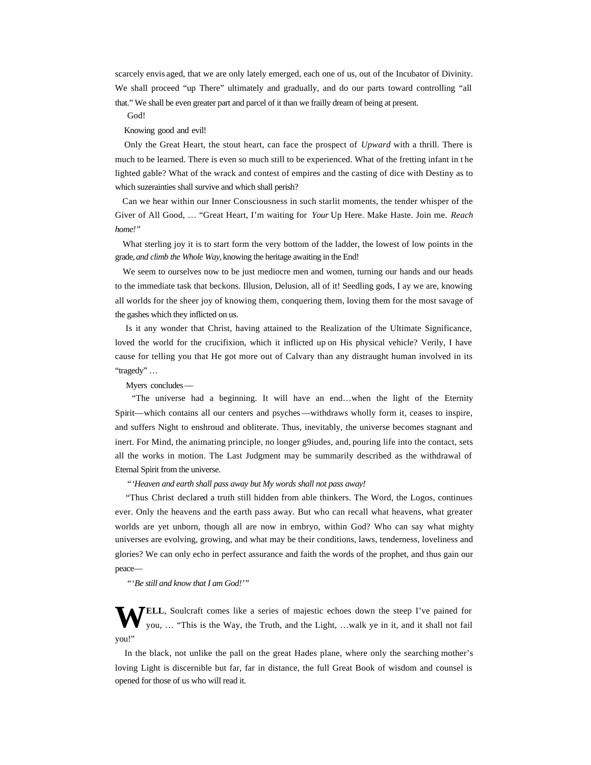scarcely envis aged, that we are only lately emerged, each one of us, out of the Incubator of Divinity. We shall proceed "up There" ultimately and gradually, and do our parts toward controlling "all that." We shall be even greater part and parcel of it than we frailly dream of being at present.

God!

Knowing good and evil!

 Only the Great Heart, the stout heart, can face the prospect of *Upward* with a thrill. There is much to be learned. There is even so much still to be experienced. What of the fretting infant in t he lighted gable? What of the wrack and contest of empires and the casting of dice with Destiny as to which suzerainties shall survive and which shall perish?

 Can we hear within our Inner Consciousness in such starlit moments, the tender whisper of the Giver of All Good, … "Great Heart, I'm waiting for *Your* Up Here. Make Haste. Join me. *Reach home!"*

 What sterling joy it is to start form the very bottom of the ladder, the lowest of low points in the grade, *and climb the Whole Way,* knowing the heritage awaiting in the End!

 We seem to ourselves now to be just mediocre men and women, turning our hands and our heads to the immediate task that beckons. Illusion, Delusion, all of it! Seedling gods, I ay we are, knowing all worlds for the sheer joy of knowing them, conquering them, loving them for the most savage of the gashes which they inflicted on us.

 Is it any wonder that Christ, having attained to the Realization of the Ultimate Significance, loved the world for the crucifixion, which it inflicted up on His physical vehicle? Verily, I have cause for telling you that He got more out of Calvary than any distraught human involved in its "tragedy" …

Myers concludes—

 "The universe had a beginning. It will have an end…when the light of the Eternity Spirit—which contains all our centers and psyches—withdraws wholly form it, ceases to inspire, and suffers Night to enshroud and obliterate. Thus, inevitably, the universe becomes stagnant and inert. For Mind, the animating principle, no longer g9iudes, and, pouring life into the contact, sets all the works in motion. The Last Judgment may be summarily described as the withdrawal of Eternal Spirit from the universe.

## "*'Heaven and earth shall pass away but My words shall not pass away!*

 "Thus Christ declared a truth still hidden from able thinkers. The Word, the Logos, continues ever. Only the heavens and the earth pass away. But who can recall what heavens, what greater worlds are yet unborn, though all are now in embryo, within God? Who can say what mighty universes are evolving, growing, and what may be their conditions, laws, tenderness, loveliness and glories? We can only echo in perfect assurance and faith the words of the prophet, and thus gain our peace—

"'*Be still and know that I am God!'"*

**ELL**, Soulcraft comes like a series of majestic echoes down the steep I've pained for you, … "This is the Way, the Truth, and the Light, …walk ye in it, and it shall not fail you!" **W**

 In the black, not unlike the pall on the great Hades plane, where only the searching mother's loving Light is discernible but far, far in distance, the full Great Book of wisdom and counsel is opened for those of us who will read it.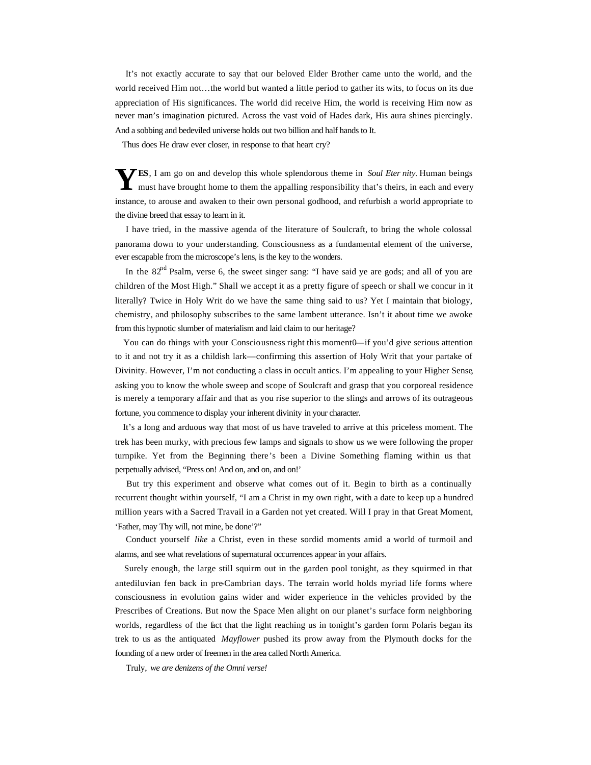It's not exactly accurate to say that our beloved Elder Brother came unto the world, and the world received Him not…the world but wanted a little period to gather its wits, to focus on its due appreciation of His significances. The world did receive Him, the world is receiving Him now as never man's imagination pictured. Across the vast void of Hades dark, His aura shines piercingly. And a sobbing and bedeviled universe holds out two billion and half hands to It.

Thus does He draw ever closer, in response to that heart cry?

 $\sum$ **ES**, I am go on and develop this whole splendorous theme in *Soul Eter nity*. Human beings **YES**, I am go on and develop this whole splendorous theme in *Soul Eter nity*. Human beings must have brought home to them the appalling responsibility that's theirs, in each and every instance, to arouse and awaken to their own personal godhood, and refurbish a world appropriate to the divine breed that essay to learn in it.

 I have tried, in the massive agenda of the literature of Soulcraft, to bring the whole colossal panorama down to your understanding. Consciousness as a fundamental element of the universe, ever escapable from the microscope's lens, is the key to the wonders.

In the  $82<sup>nd</sup>$  Psalm, verse 6, the sweet singer sang: "I have said ye are gods; and all of you are children of the Most High." Shall we accept it as a pretty figure of speech or shall we concur in it literally? Twice in Holy Writ do we have the same thing said to us? Yet I maintain that biology, chemistry, and philosophy subscribes to the same lambent utterance. Isn't it about time we awoke from this hypnotic slumber of materialism and laid claim to our heritage?

 You can do things with your Consciousness right this moment0—if you'd give serious attention to it and not try it as a childish lark—confirming this assertion of Holy Writ that your partake of Divinity. However, I'm not conducting a class in occult antics. I'm appealing to your Higher Sense, asking you to know the whole sweep and scope of Soulcraft and grasp that you corporeal residence is merely a temporary affair and that as you rise superior to the slings and arrows of its outrageous fortune, you commence to display your inherent divinity in your character.

 It's a long and arduous way that most of us have traveled to arrive at this priceless moment. The trek has been murky, with precious few lamps and signals to show us we were following the proper turnpike. Yet from the Beginning there's been a Divine Something flaming within us that perpetually advised, "Press on! And on, and on, and on!'

 But try this experiment and observe what comes out of it. Begin to birth as a continually recurrent thought within yourself, "I am a Christ in my own right, with a date to keep up a hundred million years with a Sacred Travail in a Garden not yet created. Will I pray in that Great Moment, 'Father, may Thy will, not mine, be done'?"

 Conduct yourself *like* a Christ, even in these sordid moments amid a world of turmoil and alarms, and see what revelations of supernatural occurrences appear in your affairs.

 Surely enough, the large still squirm out in the garden pool tonight, as they squirmed in that antediluvian fen back in pre-Cambrian days. The terrain world holds myriad life forms where consciousness in evolution gains wider and wider experience in the vehicles provided by the Prescribes of Creations. But now the Space Men alight on our planet's surface form neighboring worlds, regardless of the fact that the light reaching us in tonight's garden form Polaris began its trek to us as the antiquated *Mayflower* pushed its prow away from the Plymouth docks for the founding of a new order of freemen in the area called North America.

Truly, *we are denizens of the Omni verse!*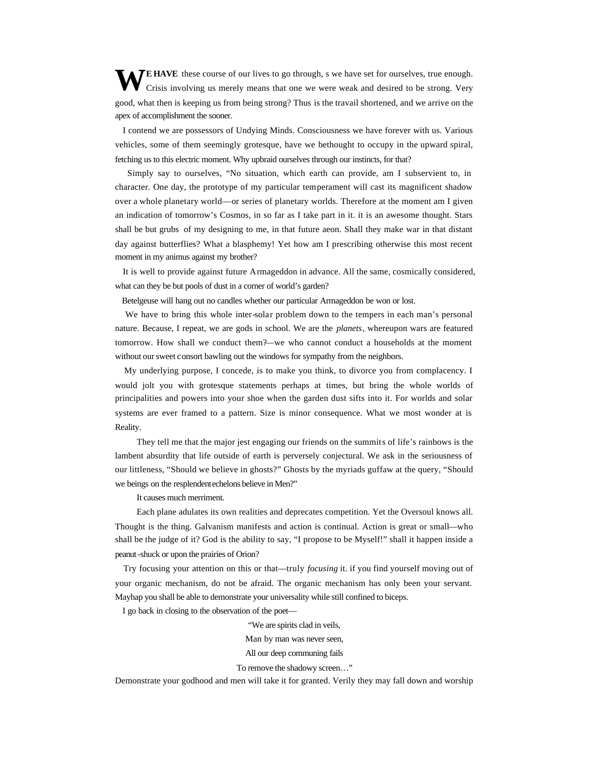**WEHAVE** these course of our lives to go through, s we have set for ourselves, true enough.<br>Crisis involving us merely means that one we were weak and desired to be strong. Very Crisis involving us merely means that one we were weak and desired to be strong. Very good, what then is keeping us from being strong? Thus is the travail shortened, and we arrive on the apex of accomplishment the sooner.

 I contend we are possessors of Undying Minds. Consciousness we have forever with us. Various vehicles, some of them seemingly grotesque, have we bethought to occupy in the upward spiral, fetching us to this electric moment. Why upbraid ourselves through our instincts, for that?

 Simply say to ourselves, "No situation, which earth can provide, am I subservient to, in character. One day, the prototype of my particular temperament will cast its magnificent shadow over a whole planetary world—or series of planetary worlds. Therefore at the moment am I given an indication of tomorrow's Cosmos, in so far as I take part in it. it is an awesome thought. Stars shall be but grubs of my designing to me, in that future aeon. Shall they make war in that distant day against butterflies? What a blasphemy! Yet how am I prescribing otherwise this most recent moment in my animus against my brother?

 It is well to provide against future Armageddon in advance. All the same, cosmically considered, what can they be but pools of dust in a corner of world's garden?

Betelgeuse will hang out no candles whether our particular Armageddon be won or lost.

 We have to bring this whole inter-solar problem down to the tempers in each man's personal nature. Because, I repeat, we are gods in school. We are the *planets*, whereupon wars are featured tomorrow. How shall we conduct them?—we who cannot conduct a households at the moment without our sweet consort bawling out the windows for sympathy from the neighbors.

 My underlying purpose, I concede, is to make you think, to divorce you from complacency. I would jolt you with grotesque statements perhaps at times, but bring the whole worlds of principalities and powers into your shoe when the garden dust sifts into it. For worlds and solar systems are ever framed to a pattern. Size is minor consequence. What we most wonder at is Reality.

They tell me that the major jest engaging our friends on the summits of life's rainbows is the lambent absurdity that life outside of earth is perversely conjectural. We ask in the seriousness of our littleness, "Should we believe in ghosts?" Ghosts by the myriads guffaw at the query, "Should we beings on the resplendent echelons believe in Men?"

It causes much merriment.

Each plane adulates its own realities and deprecates competition. Yet the Oversoul knows all. Thought is the thing. Galvanism manifests and action is continual. Action is great or small—who shall be the judge of it? God is the ability to say, "I propose to be Myself!" shall it happen inside a peanut-shuck or upon the prairies of Orion?

 Try focusing your attention on this or that—truly *focusing* it. if you find yourself moving out of your organic mechanism, do not be afraid. The organic mechanism has only been your servant. Mayhap you shall be able to demonstrate your universality while still confined to biceps.

I go back in closing to the observation of the poet—

"We are spirits clad in veils,

Man by man was never seen,

All our deep communing fails

To remove the shadowy screen…"

Demonstrate your godhood and men will take it for granted. Verily they may fall down and worship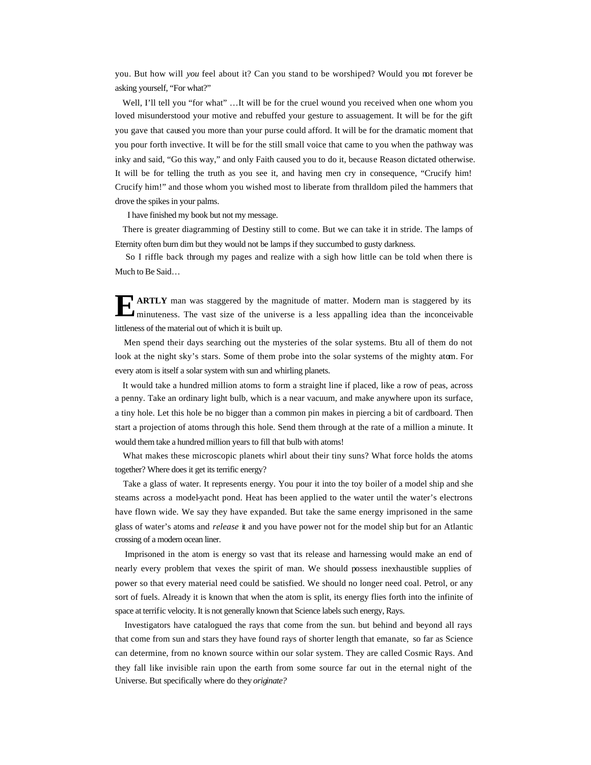you. But how will *you* feel about it? Can you stand to be worshiped? Would you not forever be asking yourself, "For what?"

Well, I'll tell you "for what" ...It will be for the cruel wound you received when one whom you loved misunderstood your motive and rebuffed your gesture to assuagement. It will be for the gift you gave that caused you more than your purse could afford. It will be for the dramatic moment that you pour forth invective. It will be for the still small voice that came to you when the pathway was inky and said, "Go this way," and only Faith caused you to do it, because Reason dictated otherwise. It will be for telling the truth as you see it, and having men cry in consequence, "Crucify him! Crucify him!" and those whom you wished most to liberate from thralldom piled the hammers that drove the spikes in your palms.

I have finished my book but not my message.

 There is greater diagramming of Destiny still to come. But we can take it in stride. The lamps of Eternity often burn dim but they would not be lamps if they succumbed to gusty darkness.

 So I riffle back through my pages and realize with a sigh how little can be told when there is Much to Be Said…

**ARTLY** man was staggered by the magnitude of matter. Modern man is staggered by its minuteness. The vast size of the universe is a less appalling idea than the inconceivable minuteness. The vast size of the universe is a less appalling idea than the inconceivable littleness of the material out of which it is built up.

 Men spend their days searching out the mysteries of the solar systems. Btu all of them do not look at the night sky's stars. Some of them probe into the solar systems of the mighty atom. For every atom is itself a solar system with sun and whirling planets.

 It would take a hundred million atoms to form a straight line if placed, like a row of peas, across a penny. Take an ordinary light bulb, which is a near vacuum, and make anywhere upon its surface, a tiny hole. Let this hole be no bigger than a common pin makes in piercing a bit of cardboard. Then start a projection of atoms through this hole. Send them through at the rate of a million a minute. It would them take a hundred million years to fill that bulb with atoms!

 What makes these microscopic planets whirl about their tiny suns? What force holds the atoms together? Where does it get its terrific energy?

 Take a glass of water. It represents energy. You pour it into the toy boiler of a model ship and she steams across a model-yacht pond. Heat has been applied to the water until the water's electrons have flown wide. We say they have expanded. But take the same energy imprisoned in the same glass of water's atoms and *release* it and you have power not for the model ship but for an Atlantic crossing of a modern ocean liner.

 Imprisoned in the atom is energy so vast that its release and harnessing would make an end of nearly every problem that vexes the spirit of man. We should possess inexhaustible supplies of power so that every material need could be satisfied. We should no longer need coal. Petrol, or any sort of fuels. Already it is known that when the atom is split, its energy flies forth into the infinite of space at terrific velocity. It is not generally known that Science labels such energy, Rays.

 Investigators have catalogued the rays that come from the sun. but behind and beyond all rays that come from sun and stars they have found rays of shorter length that emanate, so far as Science can determine, from no known source within our solar system. They are called Cosmic Rays. And they fall like invisible rain upon the earth from some source far out in the eternal night of the Universe. But specifically where do they *originate?*